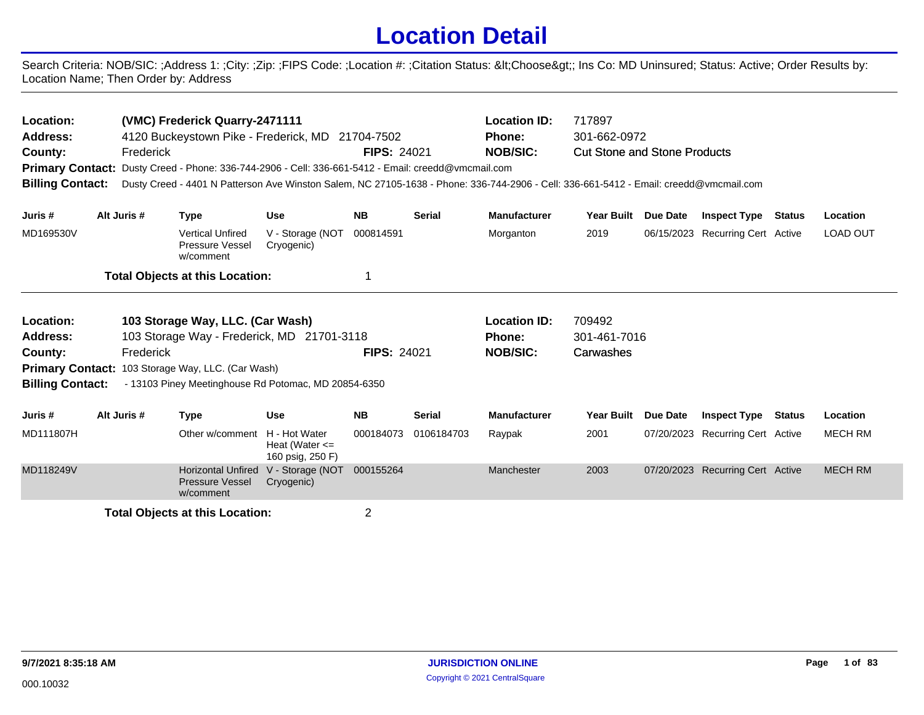## **Location Detail**

Search Criteria: NOB/SIC: ;Address 1: ;City: ;Zip: ;FIPS Code: ;Location #: ;Citation Status: <Choose&gt;; Ins Co: MD Uninsured; Status: Active; Order Results by: Location Name; Then Order by: Address

| Location:<br><b>Address:</b><br>County:<br><b>Billing Contact:</b> | (VMC) Frederick Quarry-2471111<br>4120 Buckeystown Pike - Frederick, MD 21704-7502<br>Frederick<br>Primary Contact: Dusty Creed - Phone: 336-744-2906 - Cell: 336-661-5412 - Email: creedd@vmcmail.com<br>Dusty Creed - 4401 N Patterson Ave Winston Salem, NC 27105-1638 - Phone: 336-744-2906 - Cell: 336-661-5412 - Email: creedd@vmcmail.com | <b>FIPS: 24021</b>                                                                                        |                                                         | <b>Location ID:</b><br>Phone:<br><b>NOB/SIC:</b> | 717897<br>301-662-0972<br><b>Cut Stone and Stone Products</b> |                               |                        |          |                                  |               |                 |
|--------------------------------------------------------------------|--------------------------------------------------------------------------------------------------------------------------------------------------------------------------------------------------------------------------------------------------------------------------------------------------------------------------------------------------|-----------------------------------------------------------------------------------------------------------|---------------------------------------------------------|--------------------------------------------------|---------------------------------------------------------------|-------------------------------|------------------------|----------|----------------------------------|---------------|-----------------|
| Juris #                                                            | Alt Juris #                                                                                                                                                                                                                                                                                                                                      | <b>Type</b>                                                                                               | <b>Use</b>                                              | <b>NB</b>                                        | <b>Serial</b>                                                 | <b>Manufacturer</b>           | <b>Year Built</b>      | Due Date | <b>Inspect Type</b>              | <b>Status</b> | Location        |
| MD169530V                                                          |                                                                                                                                                                                                                                                                                                                                                  | <b>Vertical Unfired</b><br>Pressure Vessel<br>w/comment                                                   | V - Storage (NOT<br>Cryogenic)                          | 000814591                                        |                                                               | Morganton                     | 2019                   |          | 06/15/2023 Recurring Cert Active |               | <b>LOAD OUT</b> |
|                                                                    |                                                                                                                                                                                                                                                                                                                                                  | <b>Total Objects at this Location:</b>                                                                    |                                                         | 1                                                |                                                               |                               |                        |          |                                  |               |                 |
| Location:<br><b>Address:</b>                                       |                                                                                                                                                                                                                                                                                                                                                  | 103 Storage Way, LLC. (Car Wash)                                                                          |                                                         |                                                  |                                                               | <b>Location ID:</b><br>Phone: | 709492<br>301-461-7016 |          |                                  |               |                 |
| County:                                                            | Frederick                                                                                                                                                                                                                                                                                                                                        | 103 Storage Way - Frederick, MD 21701-3118                                                                |                                                         | <b>FIPS: 24021</b>                               |                                                               | <b>NOB/SIC:</b>               | Carwashes              |          |                                  |               |                 |
| <b>Billing Contact:</b>                                            |                                                                                                                                                                                                                                                                                                                                                  | Primary Contact: 103 Storage Way, LLC. (Car Wash)<br>- 13103 Piney Meetinghouse Rd Potomac, MD 20854-6350 |                                                         |                                                  |                                                               |                               |                        |          |                                  |               |                 |
| Juris #                                                            | Alt Juris #                                                                                                                                                                                                                                                                                                                                      | <b>Type</b>                                                                                               | <b>Use</b>                                              | <b>NB</b>                                        | <b>Serial</b>                                                 | <b>Manufacturer</b>           | <b>Year Built</b>      | Due Date | <b>Inspect Type</b>              | <b>Status</b> | Location        |
| MD111807H                                                          |                                                                                                                                                                                                                                                                                                                                                  | Other w/comment                                                                                           | H - Hot Water<br>Heat (Water $\leq$<br>160 psig, 250 F) | 000184073                                        | 0106184703                                                    | Raypak                        | 2001                   |          | 07/20/2023 Recurring Cert Active |               | <b>MECH RM</b>  |
| MD118249V                                                          |                                                                                                                                                                                                                                                                                                                                                  | <b>Horizontal Unfired</b><br><b>Pressure Vessel</b><br>w/comment                                          | V - Storage (NOT<br>Cryogenic)                          | 000155264                                        |                                                               | Manchester                    | 2003                   |          | 07/20/2023 Recurring Cert Active |               | <b>MECH RM</b>  |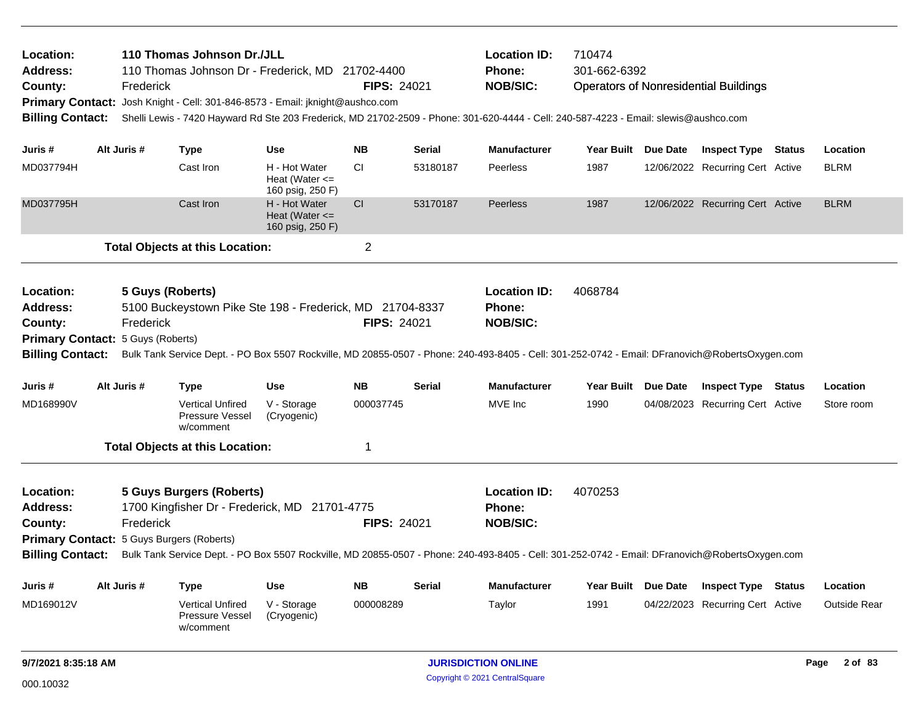| Location:<br><b>Address:</b><br>County:<br><b>Billing Contact:</b>                                      | Frederick   | 110 Thomas Johnson Dr./JLL<br>110 Thomas Johnson Dr - Frederick, MD 21702-4400<br>Primary Contact: Josh Knight - Cell: 301-846-8573 - Email: jknight@aushco.com                                                                                                                  |                                                         | <b>Location ID:</b><br>Phone:<br><b>NOB/SIC:</b><br><b>FIPS: 24021</b> |               |                                                         | 710474<br>301-662-6392<br><b>Operators of Nonresidential Buildings</b><br>Shelli Lewis - 7420 Hayward Rd Ste 203 Frederick, MD 21702-2509 - Phone: 301-620-4444 - Cell: 240-587-4223 - Email: slewis@aushco.com |                     |                                  |  |                     |
|---------------------------------------------------------------------------------------------------------|-------------|----------------------------------------------------------------------------------------------------------------------------------------------------------------------------------------------------------------------------------------------------------------------------------|---------------------------------------------------------|------------------------------------------------------------------------|---------------|---------------------------------------------------------|-----------------------------------------------------------------------------------------------------------------------------------------------------------------------------------------------------------------|---------------------|----------------------------------|--|---------------------|
| Juris #                                                                                                 | Alt Juris # | <b>Type</b>                                                                                                                                                                                                                                                                      | <b>Use</b>                                              | <b>NB</b>                                                              | Serial        | <b>Manufacturer</b>                                     |                                                                                                                                                                                                                 | Year Built Due Date | <b>Inspect Type Status</b>       |  | Location            |
| MD037794H                                                                                               |             | Cast Iron                                                                                                                                                                                                                                                                        | H - Hot Water<br>Heat (Water $\leq$<br>160 psig, 250 F) | <b>CI</b>                                                              | 53180187      | Peerless                                                | 1987                                                                                                                                                                                                            |                     | 12/06/2022 Recurring Cert Active |  | <b>BLRM</b>         |
| MD037795H                                                                                               |             | Cast Iron                                                                                                                                                                                                                                                                        | H - Hot Water<br>Heat (Water $\leq$<br>160 psig, 250 F) | CI                                                                     | 53170187      | Peerless                                                | 1987                                                                                                                                                                                                            |                     | 12/06/2022 Recurring Cert Active |  | <b>BLRM</b>         |
|                                                                                                         |             | <b>Total Objects at this Location:</b>                                                                                                                                                                                                                                           |                                                         | $\overline{c}$                                                         |               |                                                         |                                                                                                                                                                                                                 |                     |                                  |  |                     |
| Location:<br><b>Address:</b><br>County:<br>Primary Contact: 5 Guys (Roberts)<br><b>Billing Contact:</b> | Frederick   | 5 Guys (Roberts)<br>5100 Buckeystown Pike Ste 198 - Frederick, MD 21704-8337<br>Bulk Tank Service Dept. - PO Box 5507 Rockville, MD 20855-0507 - Phone: 240-493-8405 - Cell: 301-252-0742 - Email: DFranovich@RobertsOxygen.com                                                  |                                                         | <b>FIPS: 24021</b>                                                     |               | <b>Location ID:</b><br>Phone:<br><b>NOB/SIC:</b>        | 4068784                                                                                                                                                                                                         |                     |                                  |  |                     |
| Juris #                                                                                                 | Alt Juris # | <b>Type</b>                                                                                                                                                                                                                                                                      | <b>Use</b>                                              | <b>NB</b>                                                              | Serial        | <b>Manufacturer</b>                                     |                                                                                                                                                                                                                 | Year Built Due Date | <b>Inspect Type Status</b>       |  | Location            |
| MD168990V                                                                                               |             | <b>Vertical Unfired</b><br>Pressure Vessel<br>w/comment                                                                                                                                                                                                                          | V - Storage<br>(Cryogenic)                              | 000037745                                                              |               | MVE Inc                                                 | 1990                                                                                                                                                                                                            |                     | 04/08/2023 Recurring Cert Active |  | Store room          |
|                                                                                                         |             | <b>Total Objects at this Location:</b>                                                                                                                                                                                                                                           |                                                         | 1                                                                      |               |                                                         |                                                                                                                                                                                                                 |                     |                                  |  |                     |
| Location:<br><b>Address:</b><br>County:<br><b>Billing Contact:</b>                                      | Frederick   | <b>5 Guys Burgers (Roberts)</b><br>1700 Kingfisher Dr - Frederick, MD 21701-4775<br>Primary Contact: 5 Guys Burgers (Roberts)<br>Bulk Tank Service Dept. - PO Box 5507 Rockville, MD 20855-0507 - Phone: 240-493-8405 - Cell: 301-252-0742 - Email: DFranovich@RobertsOxygen.com |                                                         | <b>FIPS: 24021</b>                                                     |               | <b>Location ID:</b><br><b>Phone:</b><br><b>NOB/SIC:</b> | 4070253                                                                                                                                                                                                         |                     |                                  |  |                     |
| Juris #                                                                                                 | Alt Juris # | <b>Type</b>                                                                                                                                                                                                                                                                      | <b>Use</b>                                              | <b>NB</b>                                                              | <b>Serial</b> | <b>Manufacturer</b>                                     | Year Built                                                                                                                                                                                                      | Due Date            | <b>Inspect Type Status</b>       |  | Location            |
| MD169012V                                                                                               |             | Vertical Unfired<br><b>Pressure Vessel</b><br>w/comment                                                                                                                                                                                                                          | V - Storage<br>(Cryogenic)                              | 000008289                                                              |               | Taylor                                                  | 1991                                                                                                                                                                                                            |                     | 04/22/2023 Recurring Cert Active |  | <b>Outside Rear</b> |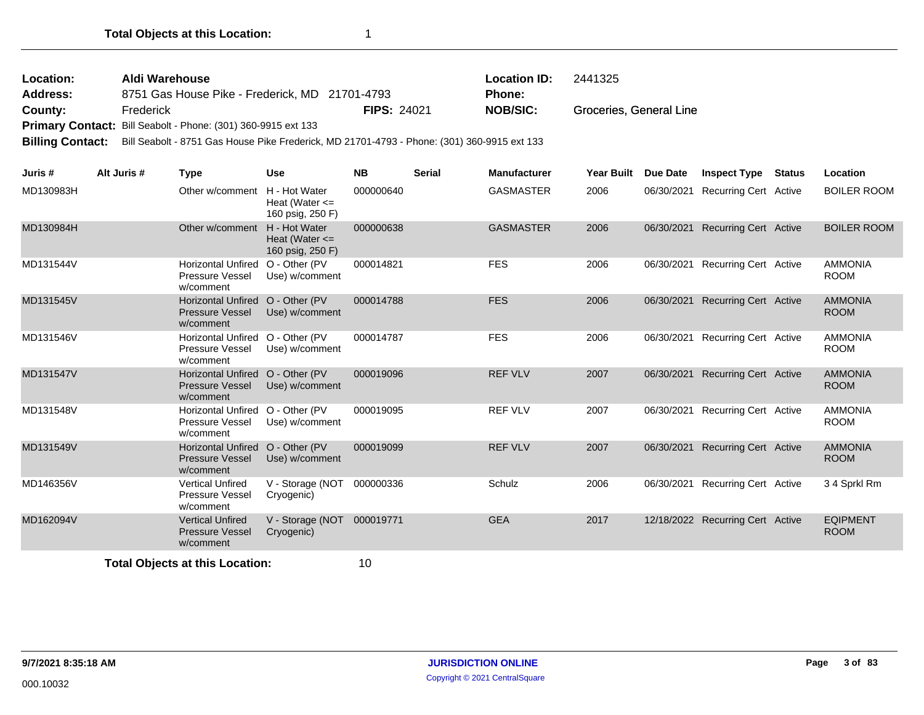| Location: | Aldi Warehouse                                                       |                    | <b>Location ID:</b> | 2441325                 |
|-----------|----------------------------------------------------------------------|--------------------|---------------------|-------------------------|
| Address:  | 8751 Gas House Pike - Frederick, MD 21701-4793                       |                    | <b>Phone:</b>       |                         |
| County:   | Frederick                                                            | <b>FIPS: 24021</b> | NOB/SIC:            | Groceries, General Line |
|           | <b>Primary Contact:</b> Bill Seabolt - Phone: (301) 360-9915 ext 133 |                    |                     |                         |

**Billing Contact:** Bill Seabolt - 8751 Gas House Pike Frederick, MD 21701-4793 - Phone: (301) 360-9915 ext 133

| Juris #   | Alt Juris # | <b>Type</b>                                                             | <b>Use</b>                                              | <b>NB</b> | <b>Serial</b> | <b>Manufacturer</b> | Year Built | Due Date   | <b>Inspect Type</b>              | <b>Status</b> | Location                       |
|-----------|-------------|-------------------------------------------------------------------------|---------------------------------------------------------|-----------|---------------|---------------------|------------|------------|----------------------------------|---------------|--------------------------------|
| MD130983H |             | Other w/comment                                                         | H - Hot Water<br>Heat (Water $\leq$<br>160 psig, 250 F) | 000000640 |               | <b>GASMASTER</b>    | 2006       | 06/30/2021 | <b>Recurring Cert Active</b>     |               | <b>BOILER ROOM</b>             |
| MD130984H |             | Other w/comment                                                         | H - Hot Water<br>Heat (Water $\leq$<br>160 psig, 250 F) | 000000638 |               | <b>GASMASTER</b>    | 2006       | 06/30/2021 | <b>Recurring Cert Active</b>     |               | <b>BOILER ROOM</b>             |
| MD131544V |             | <b>Horizontal Unfired</b><br>Pressure Vessel<br>w/comment               | O - Other (PV<br>Use) w/comment                         | 000014821 |               | <b>FES</b>          | 2006       | 06/30/2021 | <b>Recurring Cert Active</b>     |               | <b>AMMONIA</b><br><b>ROOM</b>  |
| MD131545V |             | Horizontal Unfired O - Other (PV<br><b>Pressure Vessel</b><br>w/comment | Use) w/comment                                          | 000014788 |               | <b>FES</b>          | 2006       | 06/30/2021 | <b>Recurring Cert Active</b>     |               | <b>AMMONIA</b><br><b>ROOM</b>  |
| MD131546V |             | Horizontal Unfired O - Other (PV<br>Pressure Vessel<br>w/comment        | Use) w/comment                                          | 000014787 |               | <b>FES</b>          | 2006       | 06/30/2021 | <b>Recurring Cert Active</b>     |               | <b>AMMONIA</b><br><b>ROOM</b>  |
| MD131547V |             | Horizontal Unfired O - Other (PV<br><b>Pressure Vessel</b><br>w/comment | Use) w/comment                                          | 000019096 |               | <b>REF VLV</b>      | 2007       | 06/30/2021 | <b>Recurring Cert Active</b>     |               | <b>AMMONIA</b><br><b>ROOM</b>  |
| MD131548V |             | <b>Horizontal Unfired</b><br>Pressure Vessel<br>w/comment               | O - Other (PV<br>Use) w/comment                         | 000019095 |               | <b>REF VLV</b>      | 2007       | 06/30/2021 | Recurring Cert Active            |               | <b>AMMONIA</b><br><b>ROOM</b>  |
| MD131549V |             | <b>Horizontal Unfired</b><br><b>Pressure Vessel</b><br>w/comment        | O - Other (PV<br>Use) w/comment                         | 000019099 |               | <b>REF VLV</b>      | 2007       | 06/30/2021 | <b>Recurring Cert Active</b>     |               | <b>AMMONIA</b><br><b>ROOM</b>  |
| MD146356V |             | <b>Vertical Unfired</b><br>Pressure Vessel<br>w/comment                 | V - Storage (NOT<br>Cryogenic)                          | 000000336 |               | Schulz              | 2006       | 06/30/2021 | <b>Recurring Cert Active</b>     |               | 34 Sprkl Rm                    |
| MD162094V |             | <b>Vertical Unfired</b><br><b>Pressure Vessel</b><br>w/comment          | V - Storage (NOT<br>Cryogenic)                          | 000019771 |               | <b>GEA</b>          | 2017       |            | 12/18/2022 Recurring Cert Active |               | <b>EQIPMENT</b><br><b>ROOM</b> |
|           |             |                                                                         |                                                         | $\sim$    |               |                     |            |            |                                  |               |                                |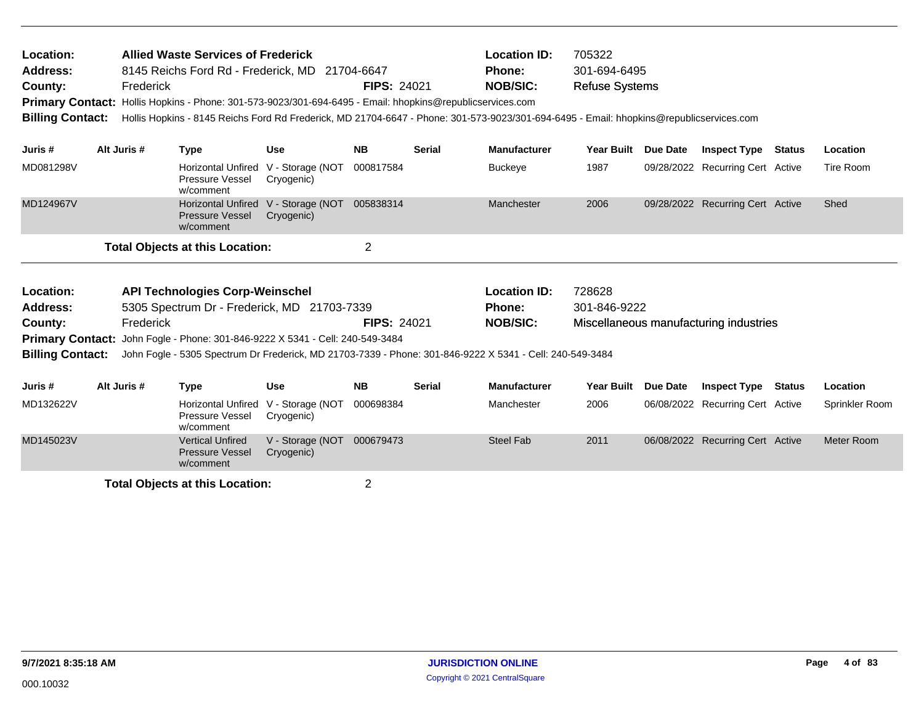| Location:<br><b>Address:</b><br>County:<br><b>Primary Contact:</b><br><b>Billing Contact:</b> | Frederick   | <b>Allied Waste Services of Frederick</b><br>8145 Reichs Ford Rd - Frederick, MD 21704-6647<br>Hollis Hopkins - Phone: 301-573-9023/301-694-6495 - Email: hhopkins@republicservices.com<br>Hollis Hopkins - 8145 Reichs Ford Rd Frederick, MD 21704-6647 - Phone: 301-573-9023/301-694-6495 - Email: hhopkins@republicservices.com |                                | <b>FIPS: 24021</b> |               | <b>Location ID:</b><br>Phone:<br><b>NOB/SIC:</b> | 705322<br>301-694-6495<br><b>Refuse Systems</b> |                 |                                        |               |                |
|-----------------------------------------------------------------------------------------------|-------------|------------------------------------------------------------------------------------------------------------------------------------------------------------------------------------------------------------------------------------------------------------------------------------------------------------------------------------|--------------------------------|--------------------|---------------|--------------------------------------------------|-------------------------------------------------|-----------------|----------------------------------------|---------------|----------------|
| Juris #                                                                                       | Alt Juris # | <b>Type</b>                                                                                                                                                                                                                                                                                                                        | <b>Use</b>                     | <b>NB</b>          | <b>Serial</b> | <b>Manufacturer</b>                              | <b>Year Built</b>                               | Due Date        | <b>Inspect Type Status</b>             |               | Location       |
| MD081298V                                                                                     |             | <b>Horizontal Unfired</b><br>Pressure Vessel<br>w/comment                                                                                                                                                                                                                                                                          | V - Storage (NOT<br>Cryogenic) | 000817584          |               | Buckeye                                          | 1987                                            |                 | 09/28/2022 Recurring Cert Active       |               | Tire Room      |
| MD124967V                                                                                     |             | <b>Horizontal Unfired</b><br><b>Pressure Vessel</b><br>w/comment                                                                                                                                                                                                                                                                   | V - Storage (NOT<br>Cryogenic) | 005838314          |               | Manchester                                       | 2006                                            |                 | 09/28/2022 Recurring Cert Active       |               | Shed           |
|                                                                                               |             | <b>Total Objects at this Location:</b>                                                                                                                                                                                                                                                                                             |                                | $\overline{2}$     |               |                                                  |                                                 |                 |                                        |               |                |
| Location:<br>Address:<br>County:<br><b>Primary Contact:</b><br><b>Billing Contact:</b>        | Frederick   | <b>API Technologies Corp-Weinschel</b><br>5305 Spectrum Dr - Frederick, MD 21703-7339<br>John Fogle - Phone: 301-846-9222 X 5341 - Cell: 240-549-3484<br>John Fogle - 5305 Spectrum Dr Frederick, MD 21703-7339 - Phone: 301-846-9222 X 5341 - Cell: 240-549-3484                                                                  |                                | <b>FIPS: 24021</b> |               | <b>Location ID:</b><br>Phone:<br><b>NOB/SIC:</b> | 728628<br>301-846-9222                          |                 | Miscellaneous manufacturing industries |               |                |
| Juris #                                                                                       | Alt Juris # | <b>Type</b>                                                                                                                                                                                                                                                                                                                        | <b>Use</b>                     | <b>NB</b>          | <b>Serial</b> | <b>Manufacturer</b>                              | <b>Year Built</b>                               | <b>Due Date</b> | <b>Inspect Type</b>                    | <b>Status</b> | Location       |
| MD132622V                                                                                     |             | <b>Horizontal Unfired</b><br>Pressure Vessel<br>w/comment                                                                                                                                                                                                                                                                          | V - Storage (NOT<br>Cryogenic) | 000698384          |               | Manchester                                       | 2006                                            |                 | 06/08/2022 Recurring Cert Active       |               | Sprinkler Room |
| MD145023V                                                                                     |             | <b>Vertical Unfired</b><br><b>Pressure Vessel</b>                                                                                                                                                                                                                                                                                  | V - Storage (NOT<br>Cryogenic) | 000679473          |               | <b>Steel Fab</b>                                 | 2011                                            |                 | 06/08/2022 Recurring Cert Active       |               | Meter Room     |

w/comment **Total Objects at this Location:** 2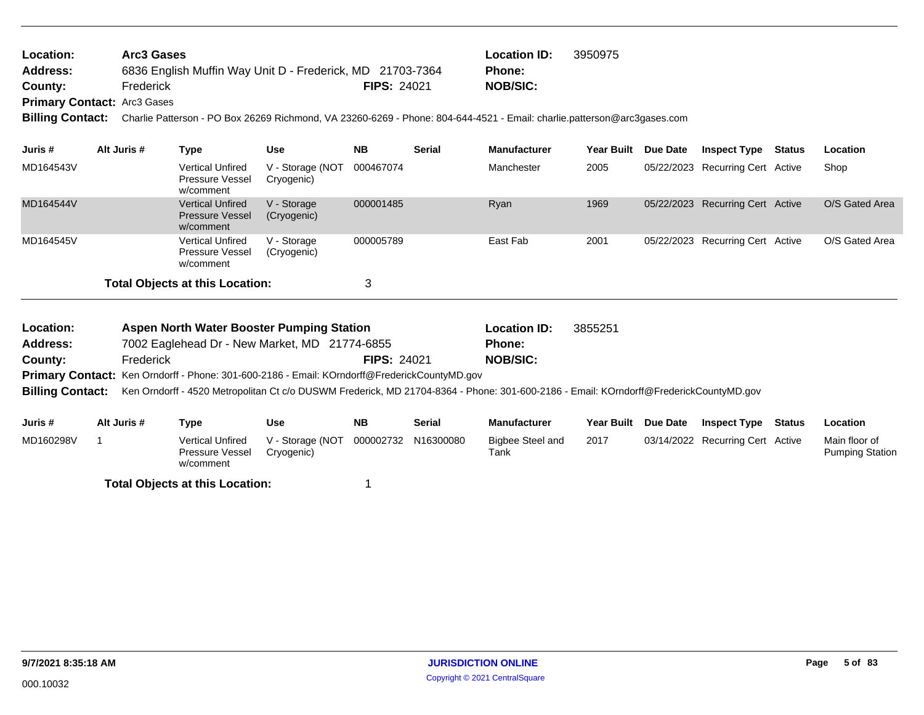| <b>Location:</b>                | Arc3 Gases                                                |                    | <b>Location ID:</b> | 3950975 |
|---------------------------------|-----------------------------------------------------------|--------------------|---------------------|---------|
| Address:                        | 6836 English Muffin Way Unit D - Frederick, MD 21703-7364 |                    | Phone:              |         |
| County:                         | Frederick                                                 | <b>FIPS: 24021</b> | NOB/SIC:            |         |
| $Dirimary$ Cantact: $Area Case$ |                                                           |                    |                     |         |

**Primary Contact:** Arc3 Gases

**Billing Contact:** Charlie Patterson - PO Box 26269 Richmond, VA 23260-6269 - Phone: 804-644-4521 - Email: charlie.patterson@arc3gases.com

| Juris #   | Alt Juris # | Type                                                           | <b>Use</b>                     | <b>NB</b> | <b>Serial</b> | <b>Manufacturer</b> | <b>Year Built</b> | Due Date | <b>Inspect Type</b>              | Status | Location       |
|-----------|-------------|----------------------------------------------------------------|--------------------------------|-----------|---------------|---------------------|-------------------|----------|----------------------------------|--------|----------------|
| MD164543V |             | <b>Vertical Unfired</b><br>Pressure Vessel<br>w/comment        | V - Storage (NOT<br>Cryogenic) | 000467074 |               | Manchester          | 2005              |          | 05/22/2023 Recurring Cert Active |        | Shop           |
| MD164544V |             | <b>Vertical Unfired</b><br><b>Pressure Vessel</b><br>w/comment | V - Storage<br>(Cryogenic)     | 000001485 |               | Ryan                | 1969              |          | 05/22/2023 Recurring Cert Active |        | O/S Gated Area |
| MD164545V |             | <b>Vertical Unfired</b><br>Pressure Vessel<br>w/comment        | V - Storage<br>(Cryogenic)     | 000005789 |               | East Fab            | 2001              |          | 05/22/2023 Recurring Cert Active |        | O/S Gated Area |
|           |             | <b>Total Objects at this Location:</b>                         |                                | っ         |               |                     |                   |          |                                  |        |                |

| Location:<br><b>Address:</b><br>County: | Frederick   | <b>Aspen North Water Booster Pumping Station</b><br>7002 Eaglehead Dr - New Market, MD 21774-6855 |                                | <b>FIPS: 24021</b> | <b>Location ID:</b><br><b>Phone:</b><br><b>NOB/SIC:</b> | 3855251                                                                                                                               |                   |          |                                  |                                         |
|-----------------------------------------|-------------|---------------------------------------------------------------------------------------------------|--------------------------------|--------------------|---------------------------------------------------------|---------------------------------------------------------------------------------------------------------------------------------------|-------------------|----------|----------------------------------|-----------------------------------------|
|                                         |             | Primary Contact: Ken Orndorff - Phone: 301-600-2186 - Email: KOrndorff@FrederickCountyMD.gov      |                                |                    |                                                         |                                                                                                                                       |                   |          |                                  |                                         |
| <b>Billing Contact:</b>                 |             |                                                                                                   |                                |                    |                                                         | Ken Orndorff - 4520 Metropolitan Ct c/o DUSWM Frederick, MD 21704-8364 - Phone: 301-600-2186 - Email: KOrndorff@FrederickCountyMD.gov |                   |          |                                  |                                         |
| Juris #                                 | Alt Juris # | Type                                                                                              | <b>Use</b>                     | <b>NB</b>          | <b>Serial</b>                                           | <b>Manufacturer</b>                                                                                                                   | <b>Year Built</b> | Due Date | <b>Inspect Type Status</b>       | <b>Location</b>                         |
| MD160298V                               |             | <b>Vertical Unfired</b><br>Pressure Vessel<br>w/comment                                           | V - Storage (NOT<br>Cryogenic) | 000002732          | N16300080                                               | Bigbee Steel and<br>Tank                                                                                                              | 2017              |          | 03/14/2022 Recurring Cert Active | Main floor of<br><b>Pumping Station</b> |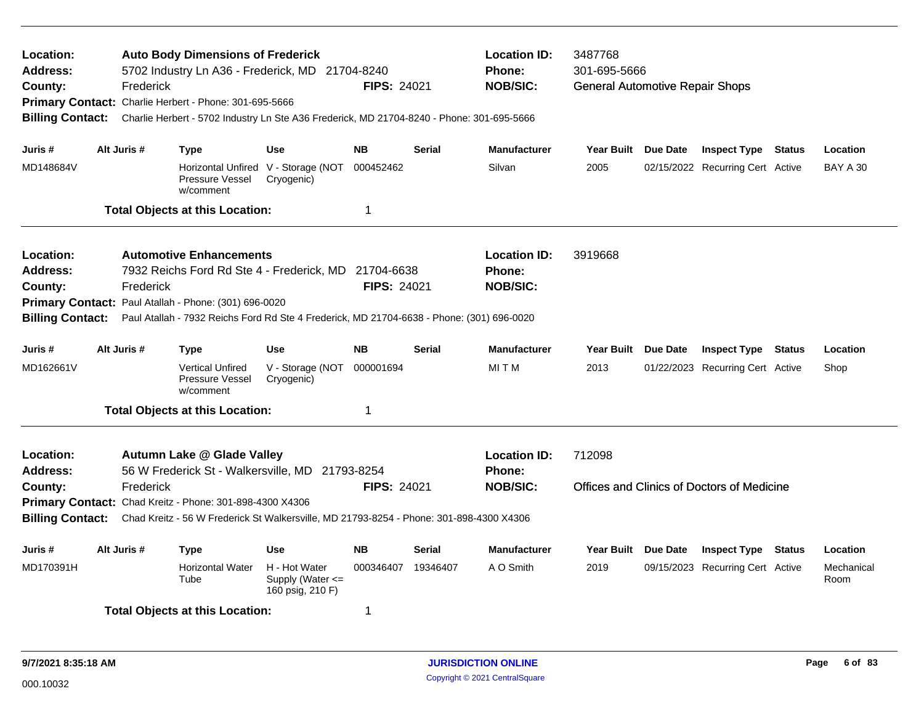| Location:<br>Address:<br>County:<br><b>Billing Contact:</b> | Frederick   | <b>Auto Body Dimensions of Frederick</b><br>5702 Industry Ln A36 - Frederick, MD 21704-8240<br>Primary Contact: Charlie Herbert - Phone: 301-695-5666<br>Charlie Herbert - 5702 Industry Ln Ste A36 Frederick, MD 21704-8240 - Phone: 301-695-5666 |                                                           | <b>FIPS: 24021</b>               |               | <b>Location ID:</b><br><b>Phone:</b><br><b>NOB/SIC:</b> | 3487768<br>301-695-5666<br><b>General Automotive Repair Shops</b> |  |                                            |  |                    |
|-------------------------------------------------------------|-------------|----------------------------------------------------------------------------------------------------------------------------------------------------------------------------------------------------------------------------------------------------|-----------------------------------------------------------|----------------------------------|---------------|---------------------------------------------------------|-------------------------------------------------------------------|--|--------------------------------------------|--|--------------------|
| Juris #                                                     | Alt Juris # | Type                                                                                                                                                                                                                                               | Use                                                       | <b>NB</b>                        | Serial        | <b>Manufacturer</b>                                     | Year Built Due Date                                               |  | <b>Inspect Type Status</b>                 |  | Location           |
| MD148684V                                                   |             | Pressure Vessel<br>w/comment                                                                                                                                                                                                                       | Horizontal Unfired V - Storage (NOT<br>Cryogenic)         | 000452462                        |               | Silvan                                                  | 2005                                                              |  | 02/15/2022 Recurring Cert Active           |  | <b>BAY A 30</b>    |
|                                                             |             | <b>Total Objects at this Location:</b>                                                                                                                                                                                                             |                                                           | 1                                |               |                                                         |                                                                   |  |                                            |  |                    |
| Location:<br>Address:<br>County:<br><b>Billing Contact:</b> | Frederick   | <b>Automotive Enhancements</b><br>7932 Reichs Ford Rd Ste 4 - Frederick, MD<br>Primary Contact: Paul Atallah - Phone: (301) 696-0020<br>Paul Atallah - 7932 Reichs Ford Rd Ste 4 Frederick, MD 21704-6638 - Phone: (301) 696-0020                  |                                                           | 21704-6638<br><b>FIPS: 24021</b> |               | <b>Location ID:</b><br><b>Phone:</b><br><b>NOB/SIC:</b> | 3919668                                                           |  |                                            |  |                    |
| Juris #                                                     | Alt Juris # | Type                                                                                                                                                                                                                                               | <b>Use</b>                                                | <b>NB</b>                        | <b>Serial</b> | <b>Manufacturer</b>                                     | Year Built Due Date                                               |  | <b>Inspect Type Status</b>                 |  | Location           |
| MD162661V                                                   |             | <b>Vertical Unfired</b><br>Pressure Vessel<br>w/comment                                                                                                                                                                                            | V - Storage (NOT<br>Cryogenic)                            | 000001694                        |               | MITM                                                    | 2013                                                              |  | 01/22/2023 Recurring Cert Active           |  | Shop               |
|                                                             |             | <b>Total Objects at this Location:</b>                                                                                                                                                                                                             |                                                           | 1                                |               |                                                         |                                                                   |  |                                            |  |                    |
| Location:<br><b>Address:</b>                                |             | <b>Autumn Lake @ Glade Valley</b><br>56 W Frederick St - Walkersville, MD 21793-8254                                                                                                                                                               |                                                           |                                  |               | <b>Location ID:</b><br><b>Phone:</b>                    | 712098                                                            |  |                                            |  |                    |
| County:<br><b>Billing Contact:</b>                          | Frederick   | Primary Contact: Chad Kreitz - Phone: 301-898-4300 X4306<br>Chad Kreitz - 56 W Frederick St Walkersville, MD 21793-8254 - Phone: 301-898-4300 X4306                                                                                                |                                                           | FIPS: 24021                      |               | <b>NOB/SIC:</b>                                         |                                                                   |  | Offices and Clinics of Doctors of Medicine |  |                    |
| Juris #                                                     | Alt Juris # | Type                                                                                                                                                                                                                                               | <b>Use</b>                                                | <b>NB</b>                        | Serial        | <b>Manufacturer</b>                                     | Year Built Due Date                                               |  | <b>Inspect Type Status</b>                 |  | Location           |
| MD170391H                                                   |             | <b>Horizontal Water</b><br>Tube                                                                                                                                                                                                                    | H - Hot Water<br>Supply (Water $\leq$<br>160 psig, 210 F) | 000346407 19346407               |               | A O Smith                                               | 2019                                                              |  | 09/15/2023 Recurring Cert Active           |  | Mechanical<br>Room |
| <b>Total Objects at this Location:</b><br>1                 |             |                                                                                                                                                                                                                                                    |                                                           |                                  |               |                                                         |                                                                   |  |                                            |  |                    |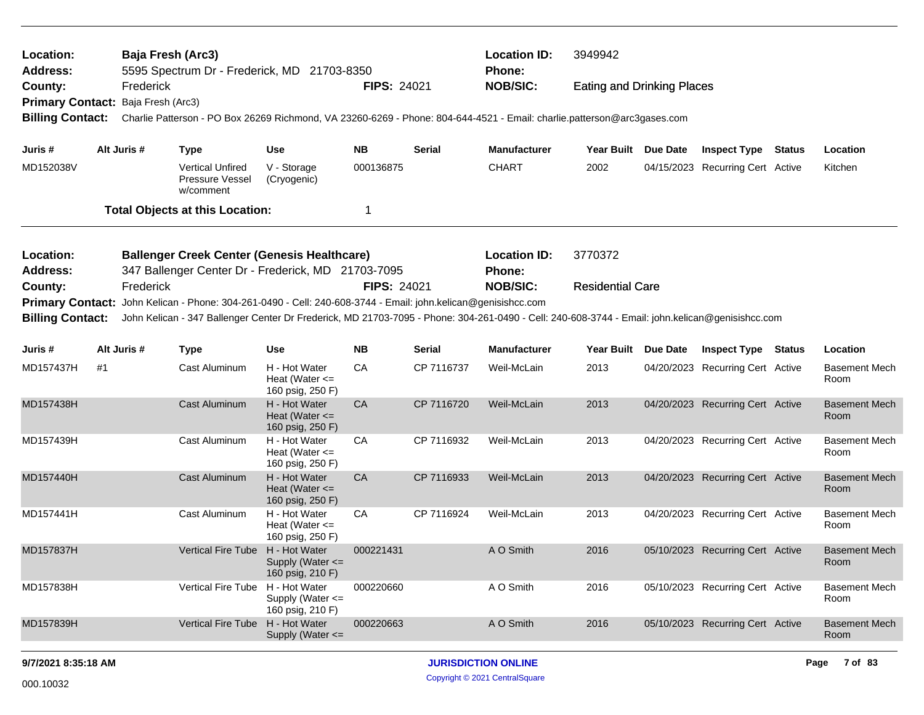| Location:<br><b>Address:</b>       |    | Baja Fresh (Arc3) | 5595 Spectrum Dr - Frederick, MD 21703-8350                                                                                                                                                                                                                      |                                                           |                    |               | <b>Location ID:</b><br><b>Phone:</b> | 3949942                           |                                  |               |                              |
|------------------------------------|----|-------------------|------------------------------------------------------------------------------------------------------------------------------------------------------------------------------------------------------------------------------------------------------------------|-----------------------------------------------------------|--------------------|---------------|--------------------------------------|-----------------------------------|----------------------------------|---------------|------------------------------|
| County:                            |    | Frederick         |                                                                                                                                                                                                                                                                  |                                                           | <b>FIPS: 24021</b> |               | <b>NOB/SIC:</b>                      | <b>Eating and Drinking Places</b> |                                  |               |                              |
| Primary Contact: Baja Fresh (Arc3) |    |                   |                                                                                                                                                                                                                                                                  |                                                           |                    |               |                                      |                                   |                                  |               |                              |
| <b>Billing Contact:</b>            |    |                   | Charlie Patterson - PO Box 26269 Richmond, VA 23260-6269 - Phone: 804-644-4521 - Email: charlie.patterson@arc3gases.com                                                                                                                                          |                                                           |                    |               |                                      |                                   |                                  |               |                              |
| Juris #                            |    | Alt Juris #       | <b>Type</b>                                                                                                                                                                                                                                                      | <b>Use</b>                                                | <b>NB</b>          | <b>Serial</b> | <b>Manufacturer</b>                  | Year Built Due Date               | <b>Inspect Type</b>              | <b>Status</b> | Location                     |
| MD152038V                          |    |                   | <b>Vertical Unfired</b><br>Pressure Vessel<br>w/comment                                                                                                                                                                                                          | V - Storage<br>(Cryogenic)                                | 000136875          |               | <b>CHART</b>                         | 2002                              | 04/15/2023 Recurring Cert Active |               | Kitchen                      |
|                                    |    |                   | <b>Total Objects at this Location:</b>                                                                                                                                                                                                                           |                                                           | 1                  |               |                                      |                                   |                                  |               |                              |
| Location:                          |    |                   | <b>Ballenger Creek Center (Genesis Healthcare)</b>                                                                                                                                                                                                               |                                                           |                    |               | <b>Location ID:</b>                  | 3770372                           |                                  |               |                              |
| <b>Address:</b>                    |    |                   | 347 Ballenger Center Dr - Frederick, MD 21703-7095                                                                                                                                                                                                               |                                                           |                    |               | <b>Phone:</b>                        |                                   |                                  |               |                              |
| County:                            |    | Frederick         |                                                                                                                                                                                                                                                                  |                                                           | FIPS: 24021        |               | <b>NOB/SIC:</b>                      | <b>Residential Care</b>           |                                  |               |                              |
| <b>Billing Contact:</b>            |    |                   | Primary Contact: John Kelican - Phone: 304-261-0490 - Cell: 240-608-3744 - Email: john.kelican@genisishcc.com<br>John Kelican - 347 Ballenger Center Dr Frederick, MD 21703-7095 - Phone: 304-261-0490 - Cell: 240-608-3744 - Email: john.kelican@genisishcc.com |                                                           |                    |               |                                      |                                   |                                  |               |                              |
| Juris #                            |    | Alt Juris #       | <b>Type</b>                                                                                                                                                                                                                                                      | <b>Use</b>                                                | <b>NB</b>          | <b>Serial</b> | <b>Manufacturer</b>                  | Year Built Due Date               | <b>Inspect Type Status</b>       |               | Location                     |
| MD157437H                          | #1 |                   | Cast Aluminum                                                                                                                                                                                                                                                    | H - Hot Water<br>Heat (Water $\leq$<br>160 psig, 250 F)   | CA                 | CP 7116737    | Weil-McLain                          | 2013                              | 04/20/2023 Recurring Cert Active |               | <b>Basement Mech</b><br>Room |
| MD157438H                          |    |                   | Cast Aluminum                                                                                                                                                                                                                                                    | H - Hot Water<br>Heat (Water $\leq$<br>160 psig, 250 F)   | CA                 | CP 7116720    | Weil-McLain                          | 2013                              | 04/20/2023 Recurring Cert Active |               | <b>Basement Mech</b><br>Room |
| MD157439H                          |    |                   | Cast Aluminum                                                                                                                                                                                                                                                    | H - Hot Water<br>Heat (Water $\leq$<br>160 psig, 250 F)   | СA                 | CP 7116932    | Weil-McLain                          | 2013                              | 04/20/2023 Recurring Cert Active |               | <b>Basement Mech</b><br>Room |
| MD157440H                          |    |                   | <b>Cast Aluminum</b>                                                                                                                                                                                                                                             | H - Hot Water<br>Heat (Water $\leq$<br>160 psig, 250 F)   | CA                 | CP 7116933    | Weil-McLain                          | 2013                              | 04/20/2023 Recurring Cert Active |               | <b>Basement Mech</b><br>Room |
| MD157441H                          |    |                   | Cast Aluminum                                                                                                                                                                                                                                                    | H - Hot Water<br>Heat (Water $\leq$<br>160 psig, 250 F)   | СA                 | CP 7116924    | Weil-McLain                          | 2013                              | 04/20/2023 Recurring Cert Active |               | <b>Basement Mech</b><br>Room |
| MD157837H                          |    |                   | <b>Vertical Fire Tube</b>                                                                                                                                                                                                                                        | H - Hot Water<br>Supply (Water $\leq$<br>160 psig, 210 F) | 000221431          |               | A O Smith                            | 2016                              | 05/10/2023 Recurring Cert Active |               | <b>Basement Mech</b><br>Room |
| MD157838H                          |    |                   | Vertical Fire Tube H - Hot Water                                                                                                                                                                                                                                 | Supply (Water $\leq$<br>160 psig, 210 F)                  | 000220660          |               | A O Smith                            | 2016                              | 05/10/2023 Recurring Cert Active |               | <b>Basement Mech</b><br>Room |
| MD157839H                          |    |                   | <b>Vertical Fire Tube</b>                                                                                                                                                                                                                                        | H - Hot Water<br>Supply (Water $\leq$                     | 000220663          |               | A O Smith                            | 2016                              | 05/10/2023 Recurring Cert Active |               | <b>Basement Mech</b><br>Room |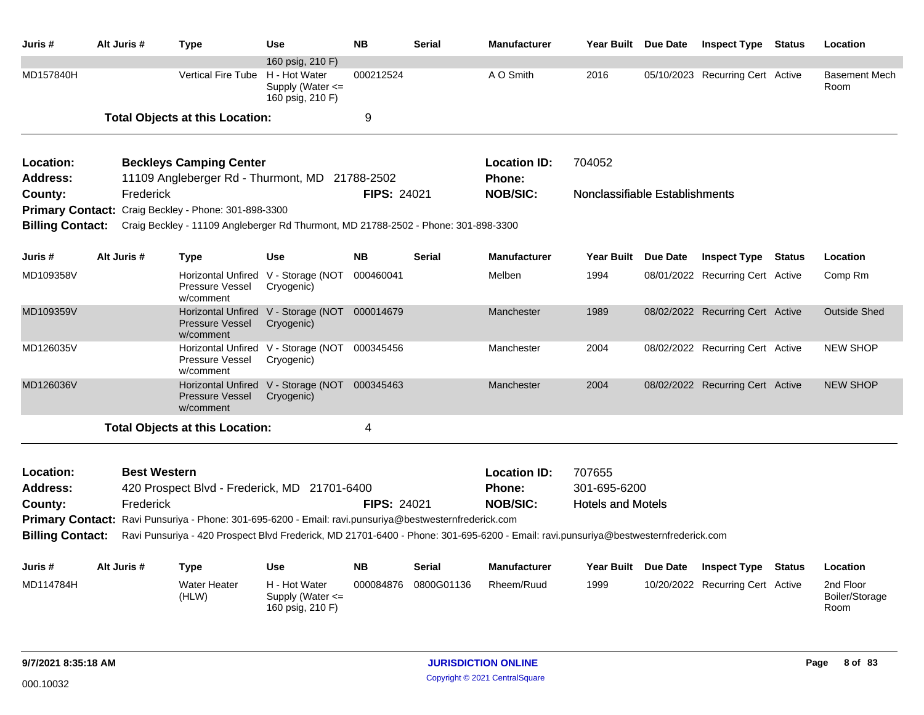| Juris #                                 | Alt Juris #                      | <b>Type</b>                                                                                                                                                                                                                                  | <b>Use</b>                                                                    | <b>NB</b>          | <b>Serial</b> | <b>Manufacturer</b>                                     |                                                    | Year Built Due Date | <b>Inspect Type Status</b>       |        | Location                            |
|-----------------------------------------|----------------------------------|----------------------------------------------------------------------------------------------------------------------------------------------------------------------------------------------------------------------------------------------|-------------------------------------------------------------------------------|--------------------|---------------|---------------------------------------------------------|----------------------------------------------------|---------------------|----------------------------------|--------|-------------------------------------|
| MD157840H                               |                                  | <b>Vertical Fire Tube</b>                                                                                                                                                                                                                    | 160 psig, 210 F)<br>H - Hot Water<br>Supply (Water $\leq$<br>160 psig, 210 F) | 000212524          |               | A O Smith                                               | 2016                                               |                     | 05/10/2023 Recurring Cert Active |        | <b>Basement Mech</b><br>Room        |
|                                         |                                  | <b>Total Objects at this Location:</b>                                                                                                                                                                                                       |                                                                               | 9                  |               |                                                         |                                                    |                     |                                  |        |                                     |
| Location:<br><b>Address:</b>            |                                  | <b>Beckleys Camping Center</b><br>11109 Angleberger Rd - Thurmont, MD 21788-2502                                                                                                                                                             |                                                                               |                    |               | <b>Location ID:</b><br><b>Phone:</b>                    | 704052                                             |                     |                                  |        |                                     |
| County:<br><b>Billing Contact:</b>      | Frederick                        | Primary Contact: Craig Beckley - Phone: 301-898-3300<br>Craig Beckley - 11109 Angleberger Rd Thurmont, MD 21788-2502 - Phone: 301-898-3300                                                                                                   |                                                                               | <b>FIPS: 24021</b> |               | <b>NOB/SIC:</b>                                         | Nonclassifiable Establishments                     |                     |                                  |        |                                     |
| Juris #                                 | Alt Juris #                      | <b>Type</b>                                                                                                                                                                                                                                  | <b>Use</b>                                                                    | <b>NB</b>          | <b>Serial</b> | <b>Manufacturer</b>                                     | <b>Year Built</b>                                  | Due Date            | <b>Inspect Type Status</b>       |        | Location                            |
| MD109358V                               |                                  | Pressure Vessel<br>w/comment                                                                                                                                                                                                                 | Horizontal Unfired V - Storage (NOT 000460041<br>Cryogenic)                   |                    |               | Melben                                                  | 1994                                               |                     | 08/01/2022 Recurring Cert Active |        | Comp Rm                             |
| MD109359V                               |                                  | <b>Pressure Vessel</b><br>w/comment                                                                                                                                                                                                          | Horizontal Unfired V - Storage (NOT 000014679<br>Cryogenic)                   |                    |               | Manchester                                              | 1989                                               |                     | 08/02/2022 Recurring Cert Active |        | <b>Outside Shed</b>                 |
| MD126035V                               |                                  | Pressure Vessel<br>w/comment                                                                                                                                                                                                                 | Horizontal Unfired V - Storage (NOT 000345456<br>Cryogenic)                   |                    |               | Manchester                                              | 2004                                               |                     | 08/02/2022 Recurring Cert Active |        | <b>NEW SHOP</b>                     |
| MD126036V                               |                                  | <b>Pressure Vessel</b><br>w/comment                                                                                                                                                                                                          | Horizontal Unfired V - Storage (NOT 000345463<br>Cryogenic)                   |                    |               | Manchester                                              | 2004                                               |                     | 08/02/2022 Recurring Cert Active |        | <b>NEW SHOP</b>                     |
|                                         |                                  | <b>Total Objects at this Location:</b>                                                                                                                                                                                                       |                                                                               | 4                  |               |                                                         |                                                    |                     |                                  |        |                                     |
| Location:<br><b>Address:</b><br>County: | <b>Best Western</b><br>Frederick | 420 Prospect Blvd - Frederick, MD 21701-6400                                                                                                                                                                                                 |                                                                               | FIPS: 24021        |               | <b>Location ID:</b><br><b>Phone:</b><br><b>NOB/SIC:</b> | 707655<br>301-695-6200<br><b>Hotels and Motels</b> |                     |                                  |        |                                     |
| <b>Billing Contact:</b>                 |                                  | Primary Contact: Ravi Punsuriya - Phone: 301-695-6200 - Email: ravi.punsuriya@bestwesternfrederick.com<br>Ravi Punsuriya - 420 Prospect Blvd Frederick, MD 21701-6400 - Phone: 301-695-6200 - Email: ravi.punsuriya@bestwesternfrederick.com |                                                                               |                    |               |                                                         |                                                    |                     |                                  |        |                                     |
| Juris #                                 | Alt Juris #                      | <b>Type</b>                                                                                                                                                                                                                                  | <b>Use</b>                                                                    | <b>NB</b>          | <b>Serial</b> | <b>Manufacturer</b>                                     | <b>Year Built</b>                                  | Due Date            | <b>Inspect Type</b>              | Status | Location                            |
| MD114784H                               |                                  | <b>Water Heater</b><br>(HLW)                                                                                                                                                                                                                 | H - Hot Water<br>Supply (Water $\leq$<br>160 psig, 210 F)                     | 000084876          | 0800G01136    | Rheem/Ruud                                              | 1999                                               |                     | 10/20/2022 Recurring Cert Active |        | 2nd Floor<br>Boiler/Storage<br>Room |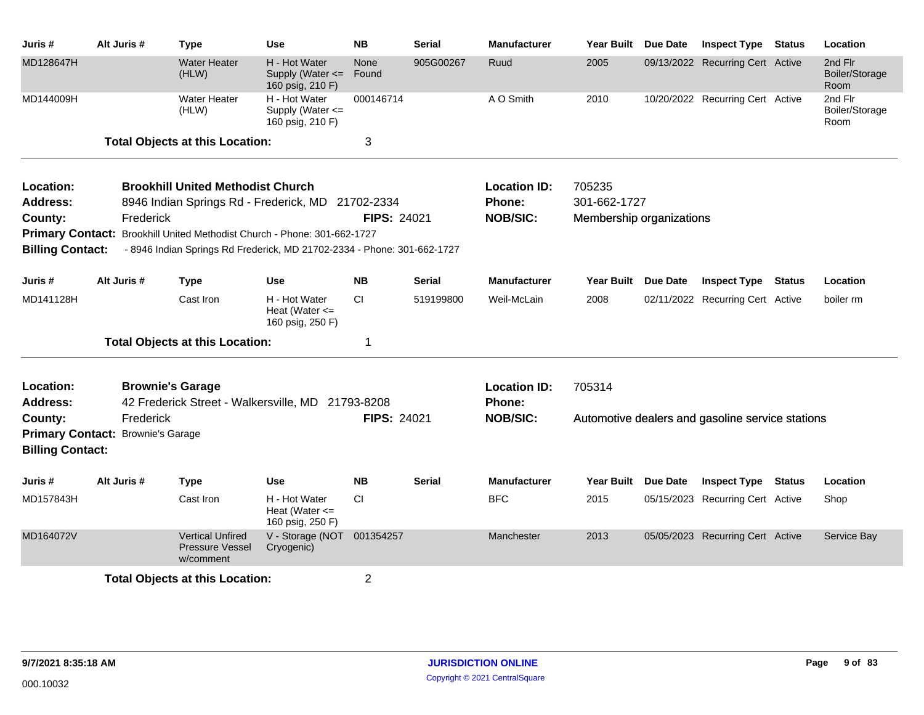| Juris #                                 | Alt Juris #                                    | <b>Type</b>                                                                                                                                         | Use                                                       | <b>NB</b>          | <b>Serial</b> | <b>Manufacturer</b>                              | <b>Year Built</b>                                  | Due Date        | <b>Inspect Type Status</b>                       |               | Location                          |
|-----------------------------------------|------------------------------------------------|-----------------------------------------------------------------------------------------------------------------------------------------------------|-----------------------------------------------------------|--------------------|---------------|--------------------------------------------------|----------------------------------------------------|-----------------|--------------------------------------------------|---------------|-----------------------------------|
| MD128647H                               |                                                | <b>Water Heater</b><br>(HLW)                                                                                                                        | H - Hot Water<br>Supply (Water $\leq$<br>160 psig, 210 F) | None<br>Found      | 905G00267     | Ruud                                             | 2005                                               |                 | 09/13/2022 Recurring Cert Active                 |               | 2nd Flr<br>Boiler/Storage<br>Room |
| MD144009H                               |                                                | <b>Water Heater</b><br>(HLW)                                                                                                                        | H - Hot Water<br>Supply (Water <=<br>160 psig, 210 F)     | 000146714          |               | A O Smith                                        | 2010                                               |                 | 10/20/2022 Recurring Cert Active                 |               | 2nd Flr<br>Boiler/Storage<br>Room |
|                                         |                                                | <b>Total Objects at this Location:</b>                                                                                                              |                                                           | 3                  |               |                                                  |                                                    |                 |                                                  |               |                                   |
| Location:<br><b>Address:</b><br>County: | Frederick                                      | <b>Brookhill United Methodist Church</b><br>8946 Indian Springs Rd - Frederick, MD 21702-2334                                                       |                                                           | <b>FIPS: 24021</b> |               | <b>Location ID:</b><br>Phone:<br><b>NOB/SIC:</b> | 705235<br>301-662-1727<br>Membership organizations |                 |                                                  |               |                                   |
| <b>Billing Contact:</b>                 |                                                | Primary Contact: Brookhill United Methodist Church - Phone: 301-662-1727<br>- 8946 Indian Springs Rd Frederick, MD 21702-2334 - Phone: 301-662-1727 |                                                           |                    |               |                                                  |                                                    |                 |                                                  |               |                                   |
| Juris #                                 | Alt Juris #                                    | <b>Type</b>                                                                                                                                         | <b>Use</b>                                                | <b>NB</b>          | <b>Serial</b> | <b>Manufacturer</b>                              | <b>Year Built</b>                                  | Due Date        | <b>Inspect Type</b>                              | <b>Status</b> | Location                          |
| MD141128H                               |                                                | Cast Iron                                                                                                                                           | H - Hot Water<br>Heat (Water $\leq$<br>160 psig, 250 F)   | CI.                | 519199800     | Weil-McLain                                      | 2008                                               |                 | 02/11/2022 Recurring Cert Active                 |               | boiler rm                         |
|                                         |                                                | <b>Total Objects at this Location:</b>                                                                                                              |                                                           | 1                  |               |                                                  |                                                    |                 |                                                  |               |                                   |
| Location:<br><b>Address:</b>            |                                                | <b>Brownie's Garage</b><br>42 Frederick Street - Walkersville, MD 21793-8208                                                                        |                                                           |                    |               | <b>Location ID:</b><br>Phone:                    | 705314                                             |                 |                                                  |               |                                   |
| County:<br><b>Billing Contact:</b>      | Frederick<br>Primary Contact: Brownie's Garage |                                                                                                                                                     |                                                           | <b>FIPS: 24021</b> |               | <b>NOB/SIC:</b>                                  |                                                    |                 | Automotive dealers and gasoline service stations |               |                                   |
| Juris #                                 | Alt Juris #                                    | <b>Type</b>                                                                                                                                         | <b>Use</b>                                                | <b>NB</b>          | <b>Serial</b> | <b>Manufacturer</b>                              | Year Built                                         | <b>Due Date</b> | <b>Inspect Type</b>                              | <b>Status</b> | Location                          |
| MD157843H                               |                                                | Cast Iron                                                                                                                                           | H - Hot Water<br>Heat (Water $\leq$<br>160 psig, 250 F)   | <b>CI</b>          |               | <b>BFC</b>                                       | 2015                                               |                 | 05/15/2023 Recurring Cert Active                 |               | Shop                              |
| MD164072V                               |                                                | <b>Vertical Unfired</b><br><b>Pressure Vessel</b><br>w/comment                                                                                      | V - Storage (NOT 001354257<br>Cryogenic)                  |                    |               | Manchester                                       | 2013                                               |                 | 05/05/2023 Recurring Cert Active                 |               | Service Bay                       |
|                                         |                                                | <b>Total Objects at this Location:</b>                                                                                                              |                                                           | $\overline{2}$     |               |                                                  |                                                    |                 |                                                  |               |                                   |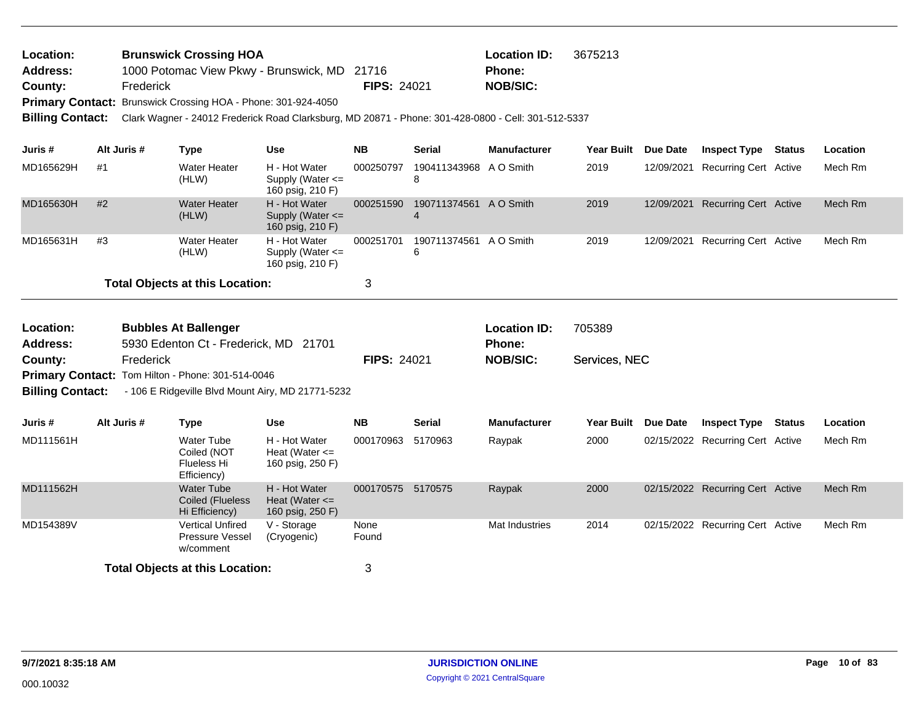| Location:<br><b>Address:</b> |                                          |             | <b>Brunswick Crossing HOA</b><br><b>Location ID:</b><br>3675213<br>1000 Potomac View Pkwy - Brunswick, MD 21716<br><b>Phone:</b> |                                                           |                    |                                          |                                            |                     |          |                                  |        |          |
|------------------------------|------------------------------------------|-------------|----------------------------------------------------------------------------------------------------------------------------------|-----------------------------------------------------------|--------------------|------------------------------------------|--------------------------------------------|---------------------|----------|----------------------------------|--------|----------|
| County:                      |                                          | Frederick   |                                                                                                                                  |                                                           | FIPS: 24021        |                                          | <b>NOB/SIC:</b>                            |                     |          |                                  |        |          |
|                              |                                          |             | Primary Contact: Brunswick Crossing HOA - Phone: 301-924-4050                                                                    |                                                           |                    |                                          |                                            |                     |          |                                  |        |          |
| <b>Billing Contact:</b>      |                                          |             | Clark Wagner - 24012 Frederick Road Clarksburg, MD 20871 - Phone: 301-428-0800 - Cell: 301-512-5337                              |                                                           |                    |                                          |                                            |                     |          |                                  |        |          |
|                              |                                          |             |                                                                                                                                  |                                                           |                    |                                          |                                            |                     |          |                                  |        |          |
| Juris #                      |                                          | Alt Juris # | <b>Type</b>                                                                                                                      | <b>Use</b>                                                | <b>NB</b>          | Serial                                   | <b>Manufacturer</b>                        | <b>Year Built</b>   | Due Date | <b>Inspect Type</b>              | Status | Location |
| MD165629H                    | #1                                       |             | <b>Water Heater</b><br>(HLW)                                                                                                     | H - Hot Water<br>Supply (Water $\leq$<br>160 psig, 210 F) | 000250797          | 190411343968 A O Smith<br>8              |                                            | 2019                |          | 12/09/2021 Recurring Cert Active |        | Mech Rm  |
| MD165630H                    | #2                                       |             | <b>Water Heater</b><br>(HLW)                                                                                                     | H - Hot Water<br>Supply (Water <=<br>160 psig, 210 F)     | 000251590          | 190711374561 A O Smith<br>$\overline{4}$ |                                            | 2019                |          | 12/09/2021 Recurring Cert Active |        | Mech Rm  |
| MD165631H                    | #3                                       |             | <b>Water Heater</b><br>(HLW)                                                                                                     | H - Hot Water<br>Supply (Water <=<br>160 psig, 210 F)     | 000251701          | 190711374561 A O Smith<br>6              |                                            | 2019                |          | 12/09/2021 Recurring Cert Active |        | Mech Rm  |
|                              | <b>Total Objects at this Location:</b>   |             |                                                                                                                                  |                                                           |                    |                                          |                                            |                     |          |                                  |        |          |
|                              | Location:<br><b>Bubbles At Ballenger</b> |             |                                                                                                                                  |                                                           |                    |                                          |                                            |                     |          |                                  |        |          |
| <b>Address:</b>              |                                          |             | 5930 Edenton Ct - Frederick, MD 21701                                                                                            |                                                           |                    |                                          | <b>Location ID:</b>                        | 705389              |          |                                  |        |          |
| County:                      |                                          | Frederick   |                                                                                                                                  |                                                           | <b>FIPS: 24021</b> |                                          | Phone:<br><b>NOB/SIC:</b><br>Services, NEC |                     |          |                                  |        |          |
|                              |                                          |             | Primary Contact: Tom Hilton - Phone: 301-514-0046                                                                                |                                                           |                    |                                          |                                            |                     |          |                                  |        |          |
| <b>Billing Contact:</b>      |                                          |             | - 106 E Ridgeville Blvd Mount Airy, MD 21771-5232                                                                                |                                                           |                    |                                          |                                            |                     |          |                                  |        |          |
| Juris #                      |                                          | Alt Juris # | <b>Type</b>                                                                                                                      | <b>Use</b>                                                | <b>NB</b>          | <b>Serial</b>                            | <b>Manufacturer</b>                        | Year Built Due Date |          | <b>Inspect Type Status</b>       |        | Location |
| MD111561H                    |                                          |             | <b>Water Tube</b><br>Coiled (NOT<br>Flueless Hi<br>Efficiency)                                                                   | H - Hot Water<br>Heat (Water $\leq$<br>160 psig, 250 F)   | 000170963 5170963  |                                          | Raypak                                     | 2000                |          | 02/15/2022 Recurring Cert Active |        | Mech Rm  |
| MD111562H                    |                                          |             | <b>Water Tube</b><br><b>Coiled (Flueless</b><br>Hi Efficiency)                                                                   | H - Hot Water<br>Heat (Water $\leq$<br>160 psig, 250 F)   | 000170575 5170575  |                                          | Raypak                                     | 2000                |          | 02/15/2022 Recurring Cert Active |        | Mech Rm  |
| MD154389V                    |                                          |             | <b>Vertical Unfired</b><br>Pressure Vessel<br>w/comment                                                                          | V - Storage<br>(Cryogenic)                                | None<br>Found      |                                          | Mat Industries                             | 2014                |          | 02/15/2022 Recurring Cert Active |        | Mech Rm  |
|                              | <b>Total Objects at this Location:</b>   |             |                                                                                                                                  |                                                           |                    |                                          |                                            |                     |          |                                  |        |          |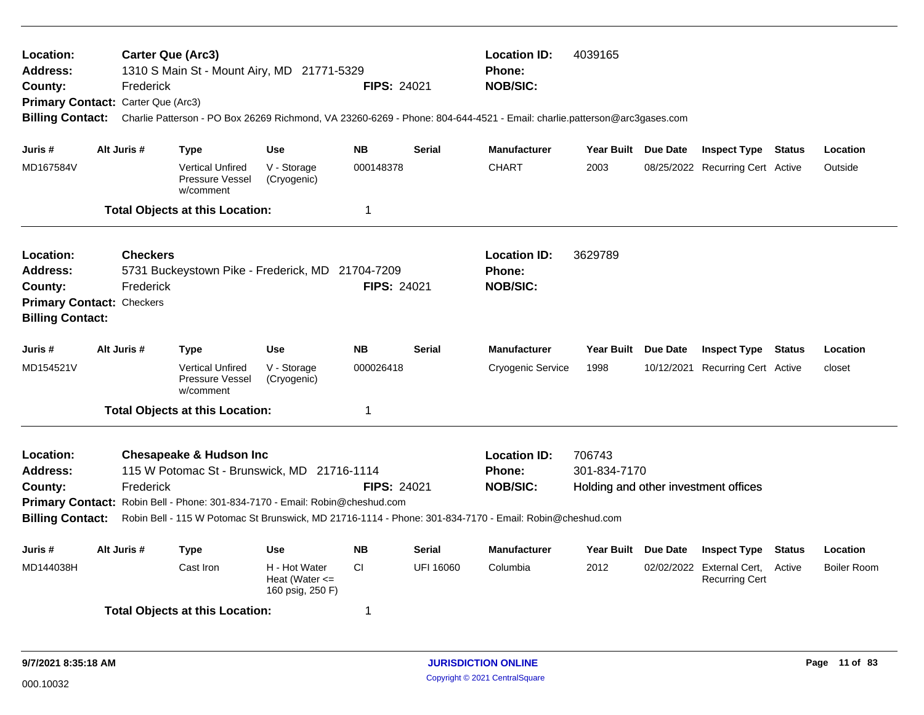| Location:<br><b>Address:</b><br>County:<br>Primary Contact: Carter Que (Arc3)<br><b>Billing Contact:</b>                                                                                                                                                                                                                                                                                     |             | <b>Carter Que (Arc3)</b><br>Frederick | 1310 S Main St - Mount Airy, MD 21771-5329              |                                                                 | <b>FIPS: 24021</b>                                      |                                                                | 4039165<br><b>Location ID:</b><br><b>Phone:</b><br><b>NOB/SIC:</b><br>Charlie Patterson - PO Box 26269 Richmond, VA 23260-6269 - Phone: 804-644-4521 - Email: charlie.patterson@arc3gases.com |                     |                 |                                                    |               |                    |  |
|----------------------------------------------------------------------------------------------------------------------------------------------------------------------------------------------------------------------------------------------------------------------------------------------------------------------------------------------------------------------------------------------|-------------|---------------------------------------|---------------------------------------------------------|-----------------------------------------------------------------|---------------------------------------------------------|----------------------------------------------------------------|-----------------------------------------------------------------------------------------------------------------------------------------------------------------------------------------------|---------------------|-----------------|----------------------------------------------------|---------------|--------------------|--|
| Juris #                                                                                                                                                                                                                                                                                                                                                                                      | Alt Juris # |                                       | <b>Type</b>                                             | <b>Use</b>                                                      | <b>NB</b>                                               | <b>Serial</b>                                                  | <b>Manufacturer</b>                                                                                                                                                                           | Year Built Due Date |                 | <b>Inspect Type Status</b>                         |               | Location           |  |
| MD167584V                                                                                                                                                                                                                                                                                                                                                                                    |             |                                       | <b>Vertical Unfired</b><br>Pressure Vessel<br>w/comment | V - Storage<br>(Cryogenic)                                      | 000148378                                               |                                                                | <b>CHART</b>                                                                                                                                                                                  | 2003                |                 | 08/25/2022 Recurring Cert Active                   |               | Outside            |  |
|                                                                                                                                                                                                                                                                                                                                                                                              |             |                                       | <b>Total Objects at this Location:</b>                  |                                                                 | 1                                                       |                                                                |                                                                                                                                                                                               |                     |                 |                                                    |               |                    |  |
| <b>Location:</b><br><b>Address:</b><br>County:<br><b>Primary Contact: Checkers</b><br><b>Billing Contact:</b>                                                                                                                                                                                                                                                                                |             | <b>Checkers</b><br>Frederick          |                                                         | 5731 Buckeystown Pike - Frederick, MD 21704-7209<br>FIPS: 24021 |                                                         |                                                                | <b>Location ID:</b><br>Phone:<br><b>NOB/SIC:</b>                                                                                                                                              | 3629789             |                 |                                                    |               |                    |  |
| Juris #                                                                                                                                                                                                                                                                                                                                                                                      | Alt Juris # |                                       | Type                                                    | <b>Use</b>                                                      | <b>NB</b>                                               | <b>Serial</b>                                                  | <b>Manufacturer</b>                                                                                                                                                                           | Year Built Due Date |                 | <b>Inspect Type</b>                                | Status        | Location           |  |
| MD154521V                                                                                                                                                                                                                                                                                                                                                                                    |             |                                       | <b>Vertical Unfired</b><br>Pressure Vessel<br>w/comment | V - Storage<br>(Cryogenic)                                      | 000026418                                               |                                                                | Cryogenic Service                                                                                                                                                                             | 1998                |                 | 10/12/2021 Recurring Cert Active                   |               | closet             |  |
|                                                                                                                                                                                                                                                                                                                                                                                              |             |                                       | <b>Total Objects at this Location:</b>                  |                                                                 | $\mathbf 1$                                             |                                                                |                                                                                                                                                                                               |                     |                 |                                                    |               |                    |  |
| <b>Chesapeake &amp; Hudson Inc</b><br><b>Location:</b><br>115 W Potomac St - Brunswick, MD 21716-1114<br><b>Address:</b><br>Frederick<br><b>FIPS: 24021</b><br>County:<br>Primary Contact: Robin Bell - Phone: 301-834-7170 - Email: Robin@cheshud.com<br><b>Billing Contact:</b><br>Robin Bell - 115 W Potomac St Brunswick, MD 21716-1114 - Phone: 301-834-7170 - Email: Robin@cheshud.com |             |                                       |                                                         |                                                                 | <b>Location ID:</b><br><b>Phone:</b><br><b>NOB/SIC:</b> | 706743<br>301-834-7170<br>Holding and other investment offices |                                                                                                                                                                                               |                     |                 |                                                    |               |                    |  |
| Juris #                                                                                                                                                                                                                                                                                                                                                                                      | Alt Juris # |                                       | <b>Type</b>                                             | <b>Use</b>                                                      | <b>NB</b>                                               | <b>Serial</b>                                                  | <b>Manufacturer</b>                                                                                                                                                                           | <b>Year Built</b>   | <b>Due Date</b> | <b>Inspect Type</b>                                | <b>Status</b> | Location           |  |
| MD144038H                                                                                                                                                                                                                                                                                                                                                                                    |             |                                       | Cast Iron                                               | H - Hot Water<br>Heat (Water $\leq$<br>160 psig, 250 F)         | CI.                                                     | UFI 16060                                                      | Columbia                                                                                                                                                                                      | 2012                |                 | 02/02/2022 External Cert,<br><b>Recurring Cert</b> | Active        | <b>Boiler Room</b> |  |
|                                                                                                                                                                                                                                                                                                                                                                                              |             |                                       | <b>Total Objects at this Location:</b>                  |                                                                 | 1                                                       |                                                                |                                                                                                                                                                                               |                     |                 |                                                    |               |                    |  |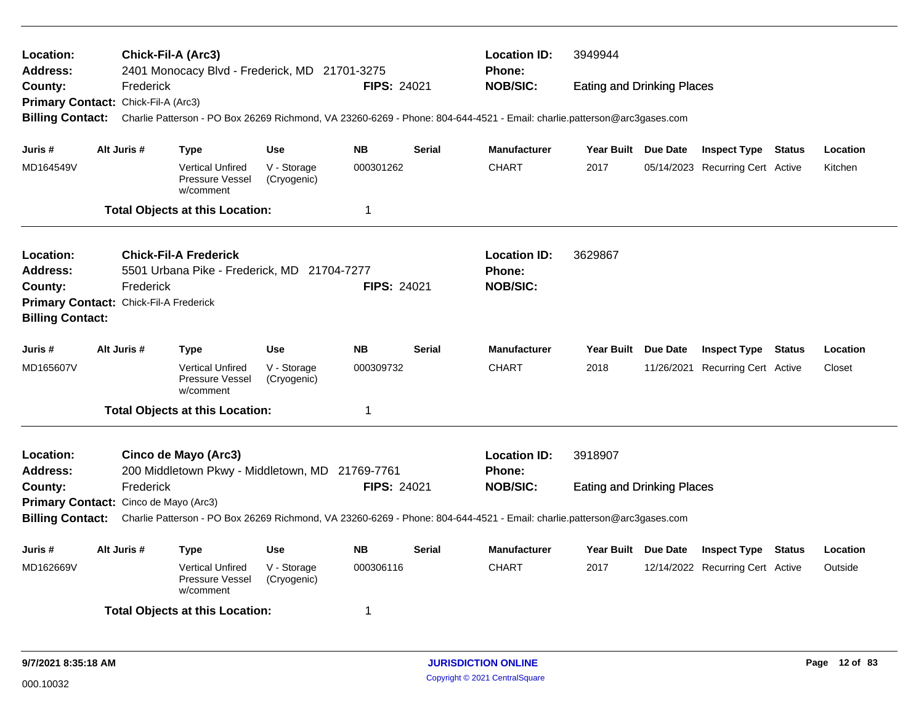| Location:<br><b>Address:</b>                                                                                    |  | Chick-Fil-A (Arc3) | 2401 Monocacy Blvd - Frederick, MD 21701-3275                               |                            |                    |               | <b>Location ID:</b><br><b>Phone:</b>                                                                                                     | 3949944<br><b>NOB/SIC:</b><br><b>Eating and Drinking Places</b> |         |                                  |        |          |  |  |
|-----------------------------------------------------------------------------------------------------------------|--|--------------------|-----------------------------------------------------------------------------|----------------------------|--------------------|---------------|------------------------------------------------------------------------------------------------------------------------------------------|-----------------------------------------------------------------|---------|----------------------------------|--------|----------|--|--|
| County:                                                                                                         |  | Frederick          |                                                                             |                            | <b>FIPS: 24021</b> |               |                                                                                                                                          |                                                                 |         |                                  |        |          |  |  |
| Primary Contact: Chick-Fil-A (Arc3)                                                                             |  |                    |                                                                             |                            |                    |               |                                                                                                                                          |                                                                 |         |                                  |        |          |  |  |
| <b>Billing Contact:</b>                                                                                         |  |                    |                                                                             |                            |                    |               | Charlie Patterson - PO Box 26269 Richmond, VA 23260-6269 - Phone: 804-644-4521 - Email: charlie.patterson@arc3gases.com                  |                                                                 |         |                                  |        |          |  |  |
| Juris #                                                                                                         |  | Alt Juris #        | <b>Type</b>                                                                 | <b>Use</b>                 | <b>NB</b>          | <b>Serial</b> | <b>Manufacturer</b>                                                                                                                      | Year Built Due Date                                             |         | <b>Inspect Type Status</b>       |        | Location |  |  |
| MD164549V                                                                                                       |  |                    | <b>Vertical Unfired</b><br>Pressure Vessel<br>w/comment                     | V - Storage<br>(Cryogenic) | 000301262          |               | <b>CHART</b>                                                                                                                             | 2017                                                            |         | 05/14/2023 Recurring Cert Active |        | Kitchen  |  |  |
|                                                                                                                 |  |                    | <b>Total Objects at this Location:</b>                                      |                            | 1                  |               |                                                                                                                                          |                                                                 |         |                                  |        |          |  |  |
| Location:<br><b>Address:</b>                                                                                    |  |                    | <b>Chick-Fil-A Frederick</b><br>5501 Urbana Pike - Frederick, MD 21704-7277 |                            |                    |               | <b>Location ID:</b><br><b>Phone:</b>                                                                                                     | 3629867                                                         |         |                                  |        |          |  |  |
| County:                                                                                                         |  | Frederick          |                                                                             |                            | FIPS: 24021        |               | <b>NOB/SIC:</b>                                                                                                                          |                                                                 |         |                                  |        |          |  |  |
| Primary Contact: Chick-Fil-A Frederick                                                                          |  |                    |                                                                             |                            |                    |               |                                                                                                                                          |                                                                 |         |                                  |        |          |  |  |
| <b>Billing Contact:</b>                                                                                         |  |                    |                                                                             |                            |                    |               |                                                                                                                                          |                                                                 |         |                                  |        |          |  |  |
|                                                                                                                 |  |                    |                                                                             |                            |                    |               |                                                                                                                                          |                                                                 |         |                                  |        |          |  |  |
| Juris #                                                                                                         |  | Alt Juris #        | <b>Type</b>                                                                 | <b>Use</b>                 | <b>NB</b>          | <b>Serial</b> | <b>Manufacturer</b>                                                                                                                      |                                                                 |         |                                  |        | Location |  |  |
| MD165607V                                                                                                       |  |                    | <b>Vertical Unfired</b><br>Pressure Vessel<br>w/comment                     | V - Storage<br>(Cryogenic) | 000309732          |               | <b>CHART</b>                                                                                                                             | 2018                                                            |         |                                  |        | Closet   |  |  |
|                                                                                                                 |  |                    | <b>Total Objects at this Location:</b>                                      |                            | 1                  |               |                                                                                                                                          |                                                                 |         |                                  |        |          |  |  |
| Location:                                                                                                       |  |                    | Cinco de Mayo (Arc3)                                                        |                            |                    |               | <b>Location ID:</b>                                                                                                                      | 3918907                                                         |         |                                  |        |          |  |  |
| <b>Address:</b>                                                                                                 |  |                    | 200 Middletown Pkwy - Middletown, MD 21769-7761                             |                            |                    |               | Year Built Due Date<br><b>Inspect Type Status</b><br>11/26/2021 Recurring Cert Active<br><b>Phone:</b>                                   |                                                                 |         |                                  |        |          |  |  |
| County:                                                                                                         |  | Frederick          |                                                                             |                            | <b>FIPS: 24021</b> |               | <b>NOB/SIC:</b>                                                                                                                          | <b>Eating and Drinking Places</b>                               |         |                                  |        |          |  |  |
| Primary Contact: Cinco de Mayo (Arc3)                                                                           |  |                    |                                                                             |                            |                    |               |                                                                                                                                          |                                                                 |         |                                  |        |          |  |  |
|                                                                                                                 |  |                    |                                                                             |                            |                    |               | Billing Contact: Charlie Patterson - PO Box 26269 Richmond, VA 23260-6269 - Phone: 804-644-4521 - Email: charlie.patterson@arc3gases.com |                                                                 |         |                                  |        |          |  |  |
| Juris #                                                                                                         |  | Alt Juris #        | Type                                                                        | <b>Use</b>                 | <b>NB</b>          | Serial        | <b>Manufacturer</b>                                                                                                                      | Year Built Due Date                                             |         | <b>Inspect Type</b>              | Status | Location |  |  |
| <b>Vertical Unfired</b><br>V - Storage<br>000306116<br>MD162669V<br>Pressure Vessel<br>(Cryogenic)<br>w/comment |  |                    |                                                                             | <b>CHART</b>               | 2017               |               | 12/14/2022 Recurring Cert Active                                                                                                         |                                                                 | Outside |                                  |        |          |  |  |
|                                                                                                                 |  |                    | <b>Total Objects at this Location:</b>                                      |                            | -1                 |               |                                                                                                                                          |                                                                 |         |                                  |        |          |  |  |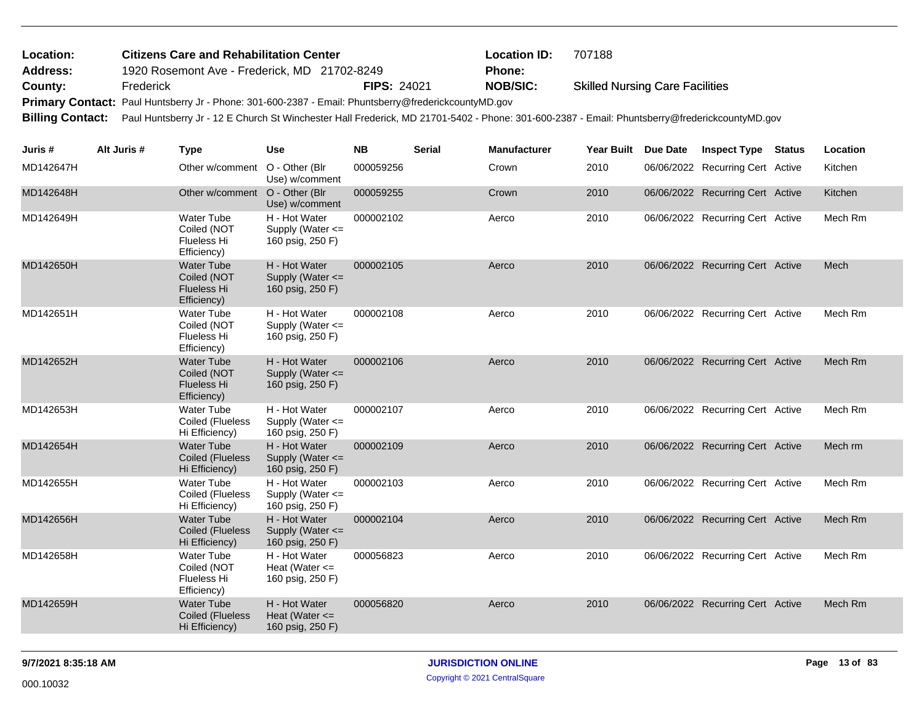| Location:               |             | <b>Citizens Care and Rehabilitation Center</b>                                                                                                |                                                           |                    |               | <b>Location ID:</b> | 707188                                 |                                  |               |          |
|-------------------------|-------------|-----------------------------------------------------------------------------------------------------------------------------------------------|-----------------------------------------------------------|--------------------|---------------|---------------------|----------------------------------------|----------------------------------|---------------|----------|
| <b>Address:</b>         |             | 1920 Rosemont Ave - Frederick, MD 21702-8249                                                                                                  |                                                           |                    |               | Phone:              |                                        |                                  |               |          |
| County:                 | Frederick   |                                                                                                                                               |                                                           | <b>FIPS: 24021</b> |               | <b>NOB/SIC:</b>     | <b>Skilled Nursing Care Facilities</b> |                                  |               |          |
|                         |             | Primary Contact: Paul Huntsberry Jr - Phone: 301-600-2387 - Email: Phuntsberry@frederickcountyMD.gov                                          |                                                           |                    |               |                     |                                        |                                  |               |          |
| <b>Billing Contact:</b> |             | Paul Huntsberry Jr - 12 E Church St Winchester Hall Frederick, MD 21701-5402 - Phone: 301-600-2387 - Email: Phuntsberry@frederickcountyMD.gov |                                                           |                    |               |                     |                                        |                                  |               |          |
| Juris #                 | Alt Juris # | <b>Type</b>                                                                                                                                   | Use                                                       | <b>NB</b>          | <b>Serial</b> | <b>Manufacturer</b> | Year Built Due Date                    | <b>Inspect Type</b>              | <b>Status</b> | Location |
| MD142647H               |             | Other w/comment O - Other (Blr                                                                                                                | Use) w/comment                                            | 000059256          |               | Crown               | 2010                                   | 06/06/2022 Recurring Cert Active |               | Kitchen  |
| MD142648H               |             | Other w/comment                                                                                                                               | O - Other (Blr<br>Use) w/comment                          | 000059255          |               | Crown               | 2010                                   | 06/06/2022 Recurring Cert Active |               | Kitchen  |
| MD142649H               |             | <b>Water Tube</b><br>Coiled (NOT<br>Flueless Hi<br>Efficiency)                                                                                | H - Hot Water<br>Supply (Water $\leq$<br>160 psig, 250 F) | 000002102          |               | Aerco               | 2010                                   | 06/06/2022 Recurring Cert Active |               | Mech Rm  |
| MD142650H               |             | <b>Water Tube</b><br>Coiled (NOT<br><b>Flueless Hi</b><br>Efficiency)                                                                         | H - Hot Water<br>Supply (Water <=<br>160 psig, 250 F)     | 000002105          |               | Aerco               | 2010                                   | 06/06/2022 Recurring Cert Active |               | Mech     |
| MD142651H               |             | Water Tube<br>Coiled (NOT<br>Flueless Hi<br>Efficiency)                                                                                       | H - Hot Water<br>Supply (Water <=<br>160 psig, 250 F)     | 000002108          |               | Aerco               | 2010                                   | 06/06/2022 Recurring Cert Active |               | Mech Rm  |
| MD142652H               |             | <b>Water Tube</b><br>Coiled (NOT<br><b>Flueless Hi</b><br>Efficiency)                                                                         | H - Hot Water<br>Supply (Water <=<br>160 psig, 250 F)     | 000002106          |               | Aerco               | 2010                                   | 06/06/2022 Recurring Cert Active |               | Mech Rm  |
| MD142653H               |             | <b>Water Tube</b><br>Coiled (Flueless<br>Hi Efficiency)                                                                                       | H - Hot Water<br>Supply (Water <=<br>160 psig, 250 F)     | 000002107          |               | Aerco               | 2010                                   | 06/06/2022 Recurring Cert Active |               | Mech Rm  |
| MD142654H               |             | <b>Water Tube</b><br><b>Coiled (Flueless</b><br>Hi Efficiency)                                                                                | H - Hot Water<br>Supply (Water <=<br>160 psig, 250 F)     | 000002109          |               | Aerco               | 2010                                   | 06/06/2022 Recurring Cert Active |               | Mech rm  |
| MD142655H               |             | <b>Water Tube</b><br>Coiled (Flueless<br>Hi Efficiency)                                                                                       | H - Hot Water<br>Supply (Water $\leq$<br>160 psig, 250 F) | 000002103          |               | Aerco               | 2010                                   | 06/06/2022 Recurring Cert Active |               | Mech Rm  |
| MD142656H               |             | <b>Water Tube</b><br><b>Coiled (Flueless</b><br>Hi Efficiency)                                                                                | H - Hot Water<br>Supply (Water <=<br>160 psig, 250 F)     | 000002104          |               | Aerco               | 2010                                   | 06/06/2022 Recurring Cert Active |               | Mech Rm  |
| MD142658H               |             | Water Tube<br>Coiled (NOT<br>Flueless Hi<br>Efficiency)                                                                                       | H - Hot Water<br>Heat (Water $\leq$<br>160 psig, 250 F)   | 000056823          |               | Aerco               | 2010                                   | 06/06/2022 Recurring Cert Active |               | Mech Rm  |
| MD142659H               |             | <b>Water Tube</b><br><b>Coiled (Flueless</b><br>Hi Efficiency)                                                                                | H - Hot Water<br>Heat (Water $\leq$<br>160 psig, 250 F)   | 000056820          |               | Aerco               | 2010                                   | 06/06/2022 Recurring Cert Active |               | Mech Rm  |
|                         |             |                                                                                                                                               |                                                           |                    |               |                     |                                        |                                  |               |          |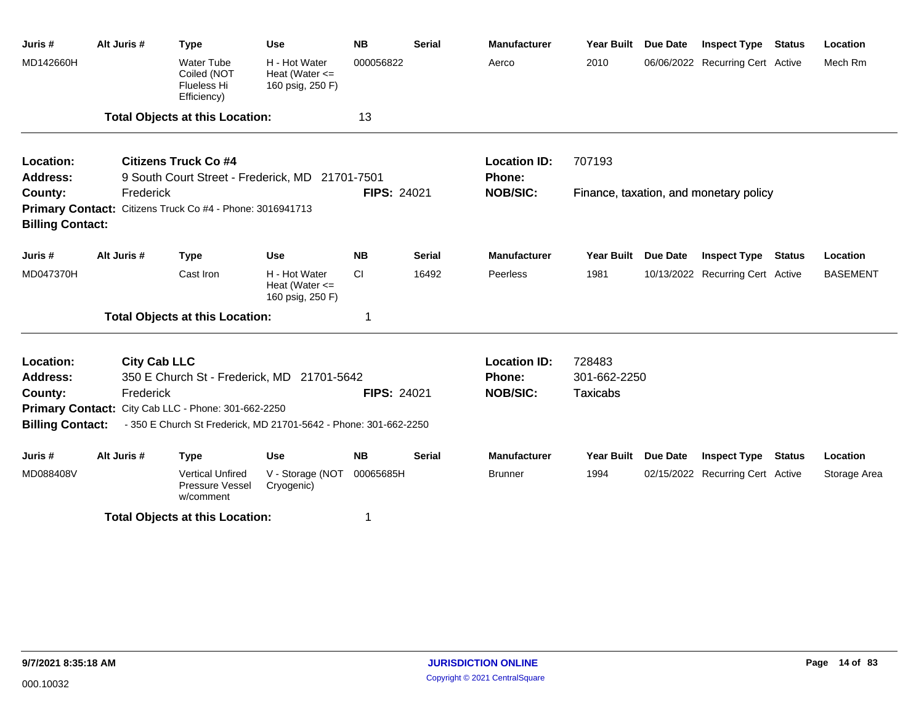| Juris #                 | Alt Juris #         | <b>Type</b>                                                      | Use                                                     | <b>NB</b>          | <b>Serial</b> | <b>Manufacturer</b> | <b>Year Built</b> | <b>Due Date</b> | <b>Inspect Type</b>                    | <b>Status</b>                                                      | Location     |  |  |  |  |
|-------------------------|---------------------|------------------------------------------------------------------|---------------------------------------------------------|--------------------|---------------|---------------------|-------------------|-----------------|----------------------------------------|--------------------------------------------------------------------|--------------|--|--|--|--|
| MD142660H               |                     | <b>Water Tube</b><br>Coiled (NOT<br>Flueless Hi<br>Efficiency)   | H - Hot Water<br>Heat (Water $\leq$<br>160 psig, 250 F) | 000056822          |               | Aerco               | 2010              |                 | 06/06/2022 Recurring Cert Active       |                                                                    | Mech Rm      |  |  |  |  |
|                         |                     | <b>Total Objects at this Location:</b>                           |                                                         | 13                 |               |                     |                   |                 |                                        |                                                                    |              |  |  |  |  |
| Location:               |                     | <b>Citizens Truck Co #4</b>                                      |                                                         |                    |               | <b>Location ID:</b> | 707193            |                 |                                        |                                                                    |              |  |  |  |  |
| Address:                |                     | 9 South Court Street - Frederick, MD 21701-7501                  |                                                         |                    |               | Phone:              |                   |                 |                                        | <b>Status</b><br>Location<br><b>BASEMENT</b><br>Status<br>Location |              |  |  |  |  |
| County:                 | Frederick           |                                                                  |                                                         | <b>FIPS: 24021</b> |               | <b>NOB/SIC:</b>     |                   |                 | Finance, taxation, and monetary policy |                                                                    |              |  |  |  |  |
|                         |                     | Primary Contact: Citizens Truck Co #4 - Phone: 3016941713        |                                                         |                    |               |                     |                   |                 |                                        |                                                                    |              |  |  |  |  |
| <b>Billing Contact:</b> |                     |                                                                  |                                                         |                    |               |                     |                   |                 |                                        |                                                                    |              |  |  |  |  |
| Juris #                 | Alt Juris #         | <b>Type</b>                                                      | <b>Use</b>                                              | <b>NB</b>          | <b>Serial</b> | <b>Manufacturer</b> | <b>Year Built</b> | <b>Due Date</b> | <b>Inspect Type</b>                    |                                                                    |              |  |  |  |  |
| MD047370H               |                     | Cast Iron                                                        | H - Hot Water<br>Heat (Water $\leq$<br>160 psig, 250 F) | <b>CI</b>          | 16492         | Peerless            | 1981              |                 | 10/13/2022 Recurring Cert Active       |                                                                    |              |  |  |  |  |
|                         |                     | <b>Total Objects at this Location:</b>                           |                                                         | 1                  |               |                     |                   |                 |                                        |                                                                    |              |  |  |  |  |
| Location:               | <b>City Cab LLC</b> |                                                                  |                                                         |                    |               | <b>Location ID:</b> | 728483            |                 |                                        |                                                                    |              |  |  |  |  |
| <b>Address:</b>         |                     | 350 E Church St - Frederick, MD 21701-5642                       |                                                         |                    |               | Phone:              | 301-662-2250      |                 |                                        |                                                                    |              |  |  |  |  |
| County:                 | Frederick           |                                                                  |                                                         | <b>FIPS: 24021</b> |               | <b>NOB/SIC:</b>     | <b>Taxicabs</b>   |                 |                                        |                                                                    |              |  |  |  |  |
|                         |                     | Primary Contact: City Cab LLC - Phone: 301-662-2250              |                                                         |                    |               |                     |                   |                 |                                        |                                                                    |              |  |  |  |  |
| <b>Billing Contact:</b> |                     | - 350 E Church St Frederick, MD 21701-5642 - Phone: 301-662-2250 |                                                         |                    |               |                     |                   |                 |                                        |                                                                    |              |  |  |  |  |
| Juris #                 | Alt Juris #         | <b>Type</b>                                                      | <b>Use</b>                                              | <b>NB</b>          | <b>Serial</b> | <b>Manufacturer</b> | Year Built        | <b>Due Date</b> | <b>Inspect Type</b>                    |                                                                    |              |  |  |  |  |
| MD088408V               |                     | <b>Vertical Unfired</b><br>Pressure Vessel<br>w/comment          | V - Storage (NOT<br>Cryogenic)                          | 00065685H          |               | <b>Brunner</b>      | 1994              |                 | 02/15/2022 Recurring Cert Active       |                                                                    | Storage Area |  |  |  |  |
|                         |                     | <b>Total Objects at this Location:</b>                           |                                                         | 1                  |               |                     |                   |                 |                                        |                                                                    |              |  |  |  |  |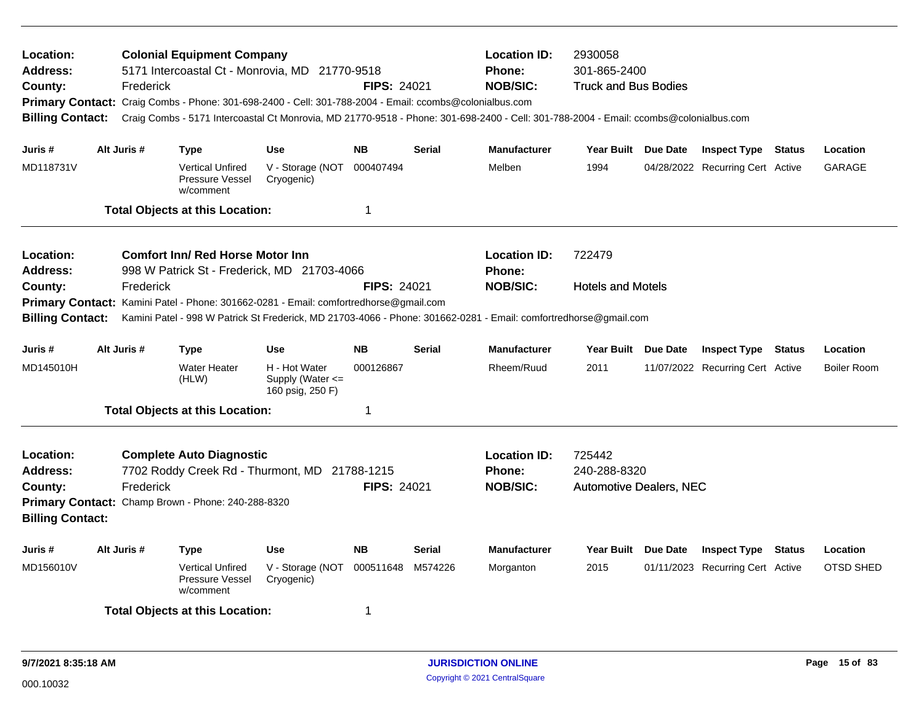| Location:<br><b>Address:</b><br>County:<br><b>Billing Contact:</b>                                                             | Frederick   | <b>Colonial Equipment Company</b><br>5171 Intercoastal Ct - Monrovia, MD 21770-9518<br>Primary Contact: Craig Combs - Phone: 301-698-2400 - Cell: 301-788-2004 - Email: ccombs@colonialbus.com<br>Craig Combs - 5171 Intercoastal Ct Monrovia, MD 21770-9518 - Phone: 301-698-2400 - Cell: 301-788-2004 - Email: ccombs@colonialbus.com |                                                           | <b>FIPS: 24021</b> |               | <b>Location ID:</b><br>Phone:<br><b>NOB/SIC:</b> | 2930058<br>301-865-2400<br><b>Truck and Bus Bodies</b>   |                     |                                  |          |                    |
|--------------------------------------------------------------------------------------------------------------------------------|-------------|-----------------------------------------------------------------------------------------------------------------------------------------------------------------------------------------------------------------------------------------------------------------------------------------------------------------------------------------|-----------------------------------------------------------|--------------------|---------------|--------------------------------------------------|----------------------------------------------------------|---------------------|----------------------------------|----------|--------------------|
| Juris #                                                                                                                        | Alt Juris # | <b>Type</b>                                                                                                                                                                                                                                                                                                                             | <b>Use</b>                                                | <b>NB</b>          | <b>Serial</b> | <b>Manufacturer</b>                              | Year Built Due Date                                      |                     | <b>Inspect Type Status</b>       |          | Location           |
| MD118731V                                                                                                                      |             | <b>Vertical Unfired</b><br>Pressure Vessel<br>w/comment                                                                                                                                                                                                                                                                                 | V - Storage (NOT<br>Cryogenic)                            | 000407494          |               | Melben                                           | 1994                                                     |                     | 04/28/2022 Recurring Cert Active |          | GARAGE             |
|                                                                                                                                |             | <b>Total Objects at this Location:</b>                                                                                                                                                                                                                                                                                                  |                                                           | -1                 |               |                                                  |                                                          |                     |                                  |          |                    |
| <b>Location:</b><br><b>Address:</b>                                                                                            |             | <b>Comfort Inn/ Red Horse Motor Inn</b><br>998 W Patrick St - Frederick, MD 21703-4066                                                                                                                                                                                                                                                  |                                                           |                    |               | <b>Location ID:</b><br><b>Phone:</b>             | 722479                                                   |                     |                                  |          |                    |
| County:<br><b>Billing Contact:</b>                                                                                             | Frederick   | Primary Contact: Kamini Patel - Phone: 301662-0281 - Email: comfortredhorse@gmail.com<br>Kamini Patel - 998 W Patrick St Frederick, MD 21703-4066 - Phone: 301662-0281 - Email: comfortredhorse@gmail.com                                                                                                                               |                                                           | <b>FIPS: 24021</b> |               | <b>NOB/SIC:</b>                                  | <b>Hotels and Motels</b>                                 |                     |                                  |          |                    |
| <b>NB</b><br>Alt Juris #<br><b>Use</b><br><b>Serial</b><br><b>Manufacturer</b><br><b>Year Built</b><br>Juris #<br><b>Type</b>  |             |                                                                                                                                                                                                                                                                                                                                         |                                                           |                    |               |                                                  | Due Date                                                 | <b>Inspect Type</b> | Status                           | Location |                    |
| MD145010H                                                                                                                      |             | <b>Water Heater</b><br>(HLW)                                                                                                                                                                                                                                                                                                            | H - Hot Water<br>Supply (Water $\leq$<br>160 psig, 250 F) | 000126867          |               | Rheem/Ruud                                       | 2011                                                     |                     | 11/07/2022 Recurring Cert Active |          | <b>Boiler Room</b> |
|                                                                                                                                |             | <b>Total Objects at this Location:</b>                                                                                                                                                                                                                                                                                                  |                                                           | -1                 |               |                                                  |                                                          |                     |                                  |          |                    |
| Location:<br><b>Address:</b><br>County:<br><b>Billing Contact:</b>                                                             | Frederick   | <b>Complete Auto Diagnostic</b><br>7702 Roddy Creek Rd - Thurmont, MD 21788-1215<br>Primary Contact: Champ Brown - Phone: 240-288-8320                                                                                                                                                                                                  |                                                           | <b>FIPS: 24021</b> |               | <b>Location ID:</b><br>Phone:<br><b>NOB/SIC:</b> | 725442<br>240-288-8320<br><b>Automotive Dealers, NEC</b> |                     |                                  |          |                    |
| Juris #                                                                                                                        | Alt Juris # | <b>Type</b>                                                                                                                                                                                                                                                                                                                             | <b>Use</b>                                                | <b>NB</b>          | <b>Serial</b> | <b>Manufacturer</b>                              | Year Built Due Date                                      |                     | <b>Inspect Type Status</b>       |          | Location           |
| MD156010V<br><b>Vertical Unfired</b><br>V - Storage (NOT<br>000511648<br>M574226<br>Pressure Vessel<br>Cryogenic)<br>w/comment |             |                                                                                                                                                                                                                                                                                                                                         |                                                           |                    |               | Morganton                                        | 2015                                                     |                     | 01/11/2023 Recurring Cert Active |          | <b>OTSD SHED</b>   |
|                                                                                                                                |             | <b>Total Objects at this Location:</b>                                                                                                                                                                                                                                                                                                  |                                                           | -1                 |               |                                                  |                                                          |                     |                                  |          |                    |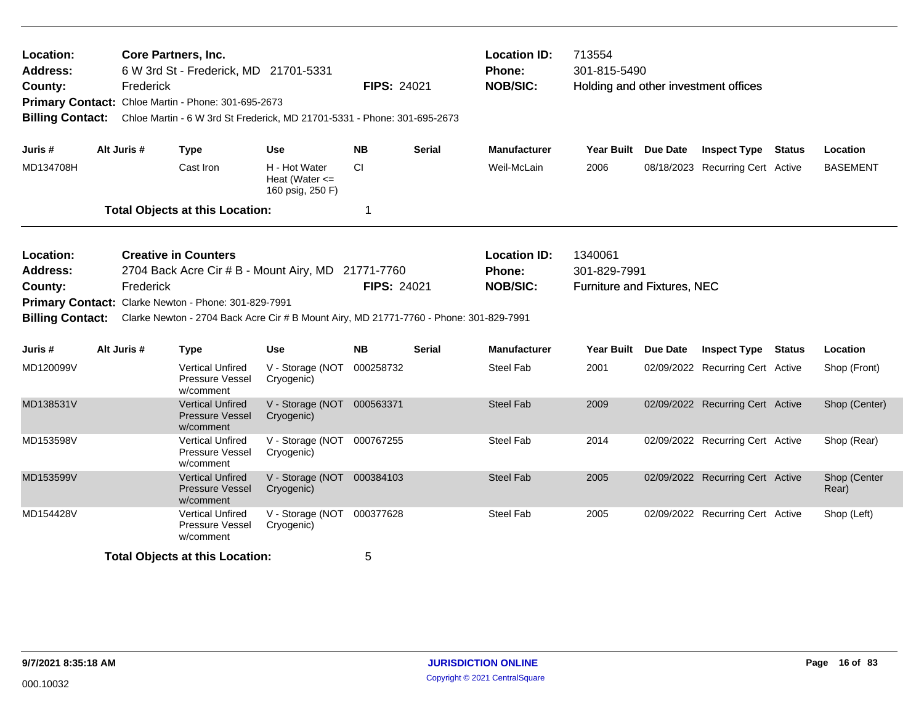| Location:<br><b>Address:</b><br>County:<br><b>Billing Contact:</b>                                                                                                                                                                                                                                                     | Frederick   | <b>Core Partners, Inc.</b><br>6 W 3rd St - Frederick, MD 21701-5331<br><b>FIPS: 24021</b><br>Primary Contact: Chloe Martin - Phone: 301-695-2673<br>Chloe Martin - 6 W 3rd St Frederick, MD 21701-5331 - Phone: 301-695-2673 |                                                         |           |                    | <b>Location ID:</b><br>Phone:<br><b>NOB/SIC:</b> | 713554<br>301-815-5490<br>Holding and other investment offices |  |                                  |                       |
|------------------------------------------------------------------------------------------------------------------------------------------------------------------------------------------------------------------------------------------------------------------------------------------------------------------------|-------------|------------------------------------------------------------------------------------------------------------------------------------------------------------------------------------------------------------------------------|---------------------------------------------------------|-----------|--------------------|--------------------------------------------------|----------------------------------------------------------------|--|----------------------------------|-----------------------|
| Juris #                                                                                                                                                                                                                                                                                                                | Alt Juris # | <b>Type</b>                                                                                                                                                                                                                  | <b>Use</b>                                              | <b>NB</b> | <b>Serial</b>      | <b>Manufacturer</b>                              | Year Built Due Date                                            |  | <b>Inspect Type Status</b>       | Location              |
| MD134708H                                                                                                                                                                                                                                                                                                              |             | Cast Iron                                                                                                                                                                                                                    | H - Hot Water<br>Heat (Water $\leq$<br>160 psig, 250 F) | <b>CI</b> |                    | Weil-McLain                                      | 2006                                                           |  | 08/18/2023 Recurring Cert Active | <b>BASEMENT</b>       |
|                                                                                                                                                                                                                                                                                                                        |             | <b>Total Objects at this Location:</b>                                                                                                                                                                                       |                                                         | 1         |                    |                                                  |                                                                |  |                                  |                       |
| <b>Creative in Counters</b><br>Location:<br><b>Address:</b><br>2704 Back Acre Cir # B - Mount Airy, MD 21771-7760<br>Frederick<br>County:<br>Primary Contact: Clarke Newton - Phone: 301-829-7991<br><b>Billing Contact:</b><br>Clarke Newton - 2704 Back Acre Cir # B Mount Airy, MD 21771-7760 - Phone: 301-829-7991 |             |                                                                                                                                                                                                                              |                                                         |           | <b>FIPS: 24021</b> | <b>Location ID:</b><br>Phone:<br><b>NOB/SIC:</b> | 1340061<br>301-829-7991<br>Furniture and Fixtures, NEC         |  |                                  |                       |
| Juris #                                                                                                                                                                                                                                                                                                                | Alt Juris # | <b>Type</b>                                                                                                                                                                                                                  | <b>Use</b>                                              | <b>NB</b> | <b>Serial</b>      | <b>Manufacturer</b>                              | Year Built Due Date                                            |  | <b>Inspect Type Status</b>       | Location              |
| MD120099V                                                                                                                                                                                                                                                                                                              |             | <b>Vertical Unfired</b><br>Pressure Vessel<br>w/comment                                                                                                                                                                      | V - Storage (NOT<br>Cryogenic)                          | 000258732 |                    | <b>Steel Fab</b>                                 | 2001                                                           |  | 02/09/2022 Recurring Cert Active | Shop (Front)          |
| MD138531V                                                                                                                                                                                                                                                                                                              |             | <b>Vertical Unfired</b><br><b>Pressure Vessel</b><br>w/comment                                                                                                                                                               | V - Storage (NOT 000563371<br>Cryogenic)                |           |                    | <b>Steel Fab</b>                                 | 2009                                                           |  | 02/09/2022 Recurring Cert Active | Shop (Center)         |
| MD153598V                                                                                                                                                                                                                                                                                                              |             | <b>Vertical Unfired</b><br><b>Pressure Vessel</b><br>w/comment                                                                                                                                                               | V - Storage (NOT 000767255<br>Cryogenic)                |           |                    | <b>Steel Fab</b>                                 | 2014                                                           |  | 02/09/2022 Recurring Cert Active | Shop (Rear)           |
| MD153599V                                                                                                                                                                                                                                                                                                              |             | <b>Vertical Unfired</b><br><b>Pressure Vessel</b><br>w/comment                                                                                                                                                               | V - Storage (NOT 000384103<br>Cryogenic)                |           |                    | <b>Steel Fab</b>                                 | 2005                                                           |  | 02/09/2022 Recurring Cert Active | Shop (Center<br>Rear) |
| MD154428V                                                                                                                                                                                                                                                                                                              |             | Vertical Unfired<br>Pressure Vessel<br>w/comment                                                                                                                                                                             | V - Storage (NOT<br>Cryogenic)                          | 000377628 |                    | <b>Steel Fab</b>                                 | 2005                                                           |  | 02/09/2022 Recurring Cert Active | Shop (Left)           |
|                                                                                                                                                                                                                                                                                                                        |             | <b>Total Objects at this Location:</b>                                                                                                                                                                                       |                                                         | 5         |                    |                                                  |                                                                |  |                                  |                       |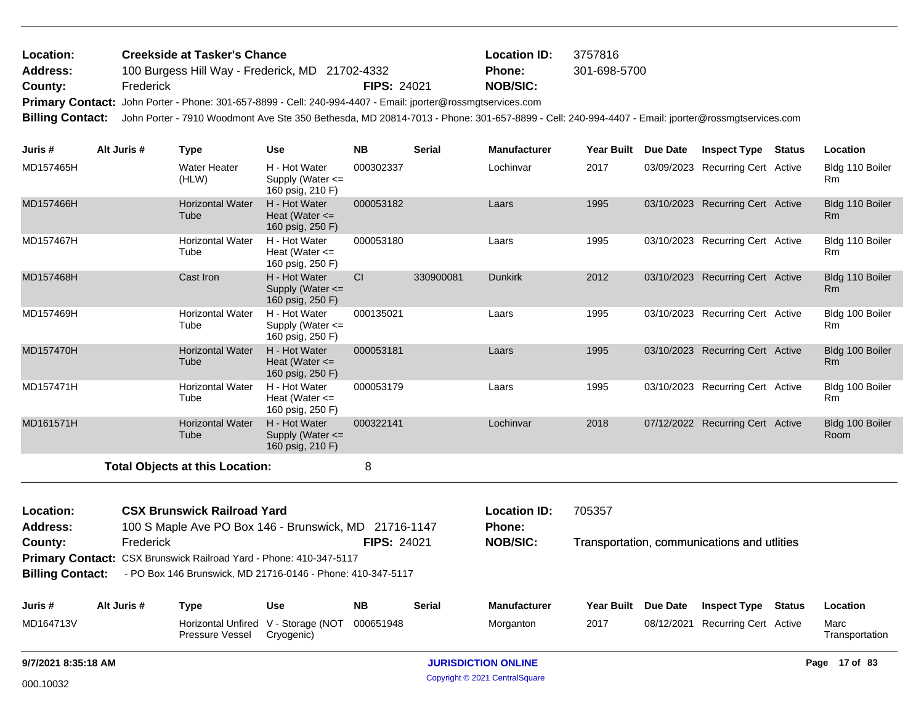| Location: | <b>Creekside at Tasker's Chance</b>                                                                          |                    | <b>Location ID:</b> | 3757816      |
|-----------|--------------------------------------------------------------------------------------------------------------|--------------------|---------------------|--------------|
| Address:  | 100 Burgess Hill Way - Frederick, MD 21702-4332                                                              |                    | <b>Phone:</b>       | 301-698-5700 |
| County:   | Frederick                                                                                                    | <b>FIPS: 24021</b> | NOB/SIC:            |              |
|           | Primary Contact: John Porter - Phone: 301-657-8899 - Cell: 240-994-4407 - Email: jporter@rossmgtservices.com |                    |                     |              |
|           |                                                                                                              |                    |                     |              |

**Billing Contact:** John Porter - 7910 Woodmont Ave Ste 350 Bethesda, MD 20814-7013 - Phone: 301-657-8899 - Cell: 240-994-4407 - Email: jporter@rossmgtservices.com

| Juris #                      | Alt Juris # | <b>Type</b>                                                                                 | <b>Use</b>                                                | <b>NB</b>                  | <b>Serial</b> | Manufacturer                  | Year Built | Due Date            | <b>Inspect Type</b>                         | <b>Status</b> | Location                          |
|------------------------------|-------------|---------------------------------------------------------------------------------------------|-----------------------------------------------------------|----------------------------|---------------|-------------------------------|------------|---------------------|---------------------------------------------|---------------|-----------------------------------|
| MD157465H                    |             | <b>Water Heater</b><br>(HLW)                                                                | H - Hot Water<br>Supply (Water $\leq$<br>160 psig, 210 F) | 000302337                  |               | Lochinvar                     | 2017       |                     | 03/09/2023 Recurring Cert Active            |               | Bldg 110 Boiler<br>R <sub>m</sub> |
| MD157466H                    |             | <b>Horizontal Water</b><br>Tube                                                             | H - Hot Water<br>Heat (Water $\leq$<br>160 psig, 250 F)   | 000053182                  |               | Laars                         | 1995       |                     | 03/10/2023 Recurring Cert Active            |               | Bldg 110 Boiler<br>Rm             |
| MD157467H                    |             | <b>Horizontal Water</b><br>Tube                                                             | H - Hot Water<br>Heat (Water $\leq$<br>160 psig, 250 F)   | 000053180                  |               | Laars                         | 1995       |                     | 03/10/2023 Recurring Cert Active            |               | Bldg 110 Boiler<br>R <sub>m</sub> |
| MD157468H                    |             | Cast Iron                                                                                   | H - Hot Water<br>Supply (Water <=<br>160 psig, 250 F)     | CI.                        | 330900081     | <b>Dunkirk</b>                | 2012       |                     | 03/10/2023 Recurring Cert Active            |               | Bldg 110 Boiler<br>R <sub>m</sub> |
| MD157469H                    |             | <b>Horizontal Water</b><br>Tube                                                             | H - Hot Water<br>Supply (Water <=<br>160 psig, 250 F)     | 000135021                  |               | Laars                         | 1995       |                     | 03/10/2023 Recurring Cert Active            |               | Bldg 100 Boiler<br>R <sub>m</sub> |
| MD157470H                    |             | <b>Horizontal Water</b><br>Tube                                                             | H - Hot Water<br>Heat (Water $\leq$<br>160 psig, 250 F)   | 000053181                  |               | Laars                         | 1995       |                     | 03/10/2023 Recurring Cert Active            |               | Bldg 100 Boiler<br>Rm             |
| MD157471H                    |             | <b>Horizontal Water</b><br>Tube                                                             | H - Hot Water<br>Heat (Water $\leq$<br>160 psig, 250 F)   | 000053179                  |               | Laars                         | 1995       |                     | 03/10/2023 Recurring Cert Active            |               | Bldg 100 Boiler<br><b>Rm</b>      |
| MD161571H                    |             | <b>Horizontal Water</b><br>Tube                                                             | H - Hot Water<br>Supply (Water <=<br>160 psig, 210 F)     | 000322141                  |               | Lochinvar                     | 2018       |                     | 07/12/2022 Recurring Cert Active            |               | Bldg 100 Boiler<br>Room           |
|                              |             | <b>Total Objects at this Location:</b>                                                      |                                                           | 8                          |               |                               |            |                     |                                             |               |                                   |
| Location:<br><b>Address:</b> |             | <b>CSX Brunswick Railroad Yard</b><br>100 S Maple Ave PO Box 146 - Brunswick, MD 21716-1147 |                                                           |                            |               | <b>Location ID:</b><br>Phone: | 705357     |                     |                                             |               |                                   |
| County:                      | Frederick   |                                                                                             |                                                           | <b>FIPS: 24021</b>         |               | <b>NOB/SIC:</b>               |            |                     | Transportation, communications and utlities |               |                                   |
|                              |             | Primary Contact: CSX Brunswick Railroad Yard - Phone: 410-347-5117                          |                                                           |                            |               |                               |            |                     |                                             |               |                                   |
| <b>Billing Contact:</b>      |             | - PO Box 146 Brunswick, MD 21716-0146 - Phone: 410-347-5117                                 |                                                           |                            |               |                               |            |                     |                                             |               |                                   |
| Juris #                      | Alt Juris # | <b>Type</b>                                                                                 | <b>Use</b>                                                | <b>NB</b>                  | <b>Serial</b> | <b>Manufacturer</b>           |            | Year Built Due Date | <b>Inspect Type</b>                         | Status        | Location                          |
| MD164713V                    |             | Pressure Vessel                                                                             | Horizontal Unfired V - Storage (NOT<br>Cryogenic)         | 000651948                  |               | Morganton                     | 2017       |                     | 08/12/2021 Recurring Cert Active            |               | Marc<br>Transportation            |
| 9/7/2021 8:35:18 AM          |             |                                                                                             |                                                           | <b>JURISDICTION ONLINE</b> |               |                               |            |                     |                                             |               | Page 17 of 83                     |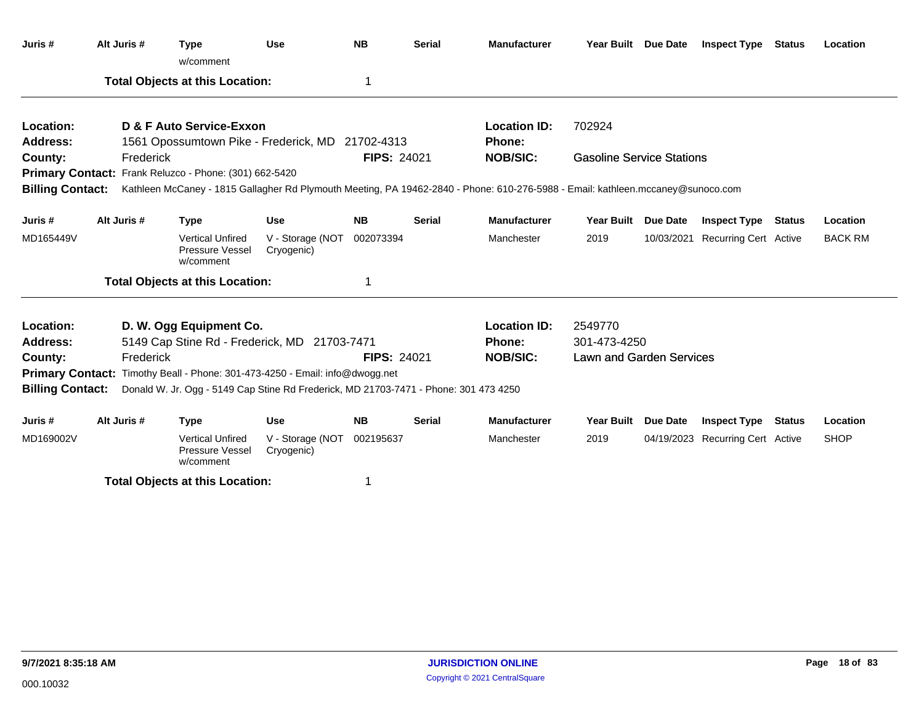| Juris #                 | Alt Juris # | <b>Type</b><br>w/comment                                                             | <b>Use</b>                     | <b>NB</b>          | <b>Serial</b> | <b>Manufacturer</b>                                                                                                             |                                  | Year Built Due Date | <b>Inspect Type</b>              | Status | Location       |
|-------------------------|-------------|--------------------------------------------------------------------------------------|--------------------------------|--------------------|---------------|---------------------------------------------------------------------------------------------------------------------------------|----------------------------------|---------------------|----------------------------------|--------|----------------|
|                         |             | <b>Total Objects at this Location:</b>                                               |                                | 1                  |               |                                                                                                                                 |                                  |                     |                                  |        |                |
| Location:               |             | D & F Auto Service-Exxon                                                             |                                |                    |               | <b>Location ID:</b>                                                                                                             | 702924                           |                     |                                  |        |                |
| <b>Address:</b>         |             | 1561 Opossumtown Pike - Frederick, MD 21702-4313                                     |                                |                    |               | Phone:                                                                                                                          |                                  |                     |                                  |        |                |
| County:                 | Frederick   |                                                                                      |                                | <b>FIPS: 24021</b> |               | <b>NOB/SIC:</b>                                                                                                                 | <b>Gasoline Service Stations</b> |                     |                                  |        |                |
|                         |             | Primary Contact: Frank Reluzco - Phone: (301) 662-5420                               |                                |                    |               |                                                                                                                                 |                                  |                     |                                  |        |                |
| <b>Billing Contact:</b> |             |                                                                                      |                                |                    |               | Kathleen McCaney - 1815 Gallagher Rd Plymouth Meeting, PA 19462-2840 - Phone: 610-276-5988 - Email: kathleen.mccaney@sunoco.com |                                  |                     |                                  |        |                |
| Juris #                 | Alt Juris # | <b>Type</b>                                                                          | <b>Use</b>                     | <b>NB</b>          | <b>Serial</b> | <b>Manufacturer</b>                                                                                                             | <b>Year Built</b>                | Due Date            | <b>Inspect Type Status</b>       |        | Location       |
| MD165449V               |             | <b>Vertical Unfired</b><br>Pressure Vessel<br>w/comment                              | V - Storage (NOT<br>Cryogenic) | 002073394          |               | Manchester                                                                                                                      | 2019                             |                     | 10/03/2021 Recurring Cert Active |        | <b>BACK RM</b> |
|                         |             | <b>Total Objects at this Location:</b>                                               |                                |                    |               |                                                                                                                                 |                                  |                     |                                  |        |                |
| Location:               |             | D. W. Ogg Equipment Co.                                                              |                                |                    |               | <b>Location ID:</b>                                                                                                             | 2549770                          |                     |                                  |        |                |
| <b>Address:</b>         |             | 5149 Cap Stine Rd - Frederick, MD 21703-7471                                         |                                |                    |               | <b>Phone:</b>                                                                                                                   | 301-473-4250                     |                     |                                  |        |                |
| County:                 | Frederick   |                                                                                      |                                | <b>FIPS: 24021</b> |               | <b>NOB/SIC:</b>                                                                                                                 | <b>Lawn and Garden Services</b>  |                     |                                  |        |                |
|                         |             | Primary Contact: Timothy Beall - Phone: 301-473-4250 - Email: info@dwogg.net         |                                |                    |               |                                                                                                                                 |                                  |                     |                                  |        |                |
| <b>Billing Contact:</b> |             | Donald W. Jr. Ogg - 5149 Cap Stine Rd Frederick, MD 21703-7471 - Phone: 301 473 4250 |                                |                    |               |                                                                                                                                 |                                  |                     |                                  |        |                |
| Juris #                 | Alt Juris # | <b>Type</b>                                                                          | <b>Use</b>                     | <b>NB</b>          | <b>Serial</b> | <b>Manufacturer</b>                                                                                                             | <b>Year Built</b>                | Due Date            | <b>Inspect Type</b>              | Status | Location       |
| MD169002V               |             | <b>Vertical Unfired</b><br>Pressure Vessel<br>w/comment                              | V - Storage (NOT<br>Cryogenic) | 002195637          |               | Manchester                                                                                                                      | 2019                             |                     | 04/19/2023 Recurring Cert Active |        | <b>SHOP</b>    |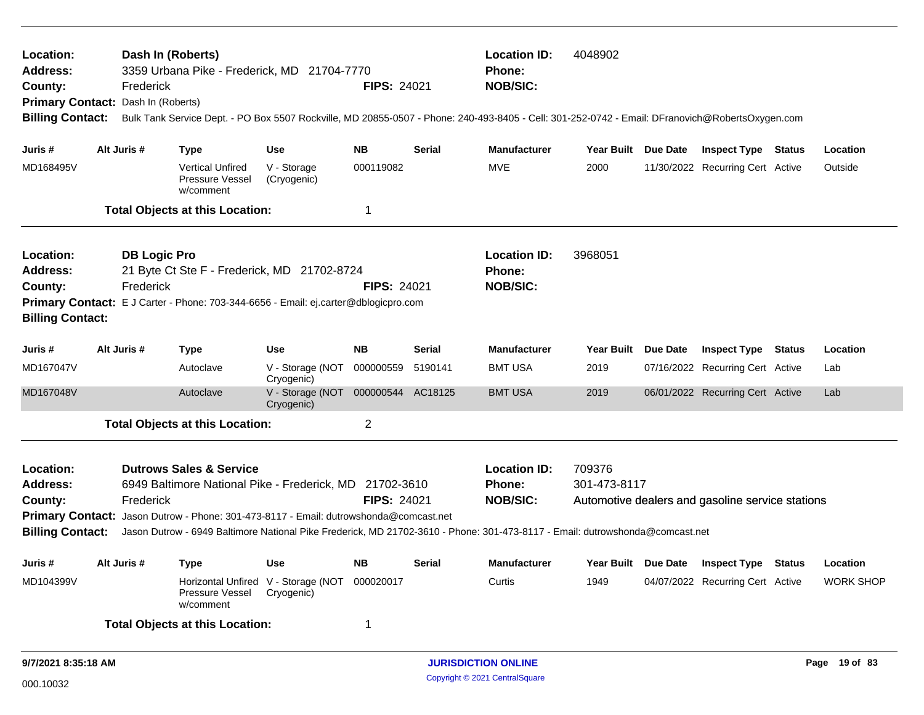| Dash In (Roberts)<br><b>Location ID:</b><br>4048902<br>Location:<br>3359 Urbana Pike - Frederick, MD 21704-7770<br><b>Address:</b><br><b>Phone:</b><br><b>NOB/SIC:</b><br><b>FIPS: 24021</b><br>County:<br>Frederick<br>Dash In (Roberts)<br><b>Primary Contact:</b><br><b>Billing Contact:</b><br>Bulk Tank Service Dept. - PO Box 5507 Rockville, MD 20855-0507 - Phone: 240-493-8405 - Cell: 301-252-0742 - Email: DFranovich@RobertsOxygen.com |  |                                  |                                                                                                                                    |                                                  |                    |                                                         |                                                  |                                                  |                                  |                  |
|----------------------------------------------------------------------------------------------------------------------------------------------------------------------------------------------------------------------------------------------------------------------------------------------------------------------------------------------------------------------------------------------------------------------------------------------------|--|----------------------------------|------------------------------------------------------------------------------------------------------------------------------------|--------------------------------------------------|--------------------|---------------------------------------------------------|--------------------------------------------------|--------------------------------------------------|----------------------------------|------------------|
| Juris #                                                                                                                                                                                                                                                                                                                                                                                                                                            |  | Alt Juris #                      | <b>Type</b>                                                                                                                        | <b>Use</b>                                       | <b>NB</b>          | <b>Serial</b>                                           | <b>Manufacturer</b>                              | Year Built Due Date                              | <b>Inspect Type Status</b>       | Location         |
| MD168495V                                                                                                                                                                                                                                                                                                                                                                                                                                          |  |                                  | <b>Vertical Unfired</b><br>Pressure Vessel<br>w/comment                                                                            | V - Storage<br>(Cryogenic)                       | 000119082          |                                                         | <b>MVE</b>                                       | 2000                                             | 11/30/2022 Recurring Cert Active | Outside          |
|                                                                                                                                                                                                                                                                                                                                                                                                                                                    |  |                                  | <b>Total Objects at this Location:</b>                                                                                             |                                                  | 1                  |                                                         |                                                  |                                                  |                                  |                  |
| Location:<br><b>Address:</b><br>County:<br><b>Billing Contact:</b>                                                                                                                                                                                                                                                                                                                                                                                 |  | <b>DB Logic Pro</b><br>Frederick | 21 Byte Ct Ste F - Frederick, MD 21702-8724<br>Primary Contact: E J Carter - Phone: 703-344-6656 - Email: ej.carter@dblogicpro.com |                                                  | <b>FIPS: 24021</b> |                                                         | <b>Location ID:</b><br>Phone:<br><b>NOB/SIC:</b> | 3968051                                          |                                  |                  |
| Juris #                                                                                                                                                                                                                                                                                                                                                                                                                                            |  | Alt Juris #                      | <b>Type</b>                                                                                                                        | <b>Use</b>                                       | <b>NB</b>          | <b>Serial</b>                                           | <b>Manufacturer</b>                              | Year Built Due Date                              | <b>Inspect Type Status</b>       | Location         |
| MD167047V                                                                                                                                                                                                                                                                                                                                                                                                                                          |  |                                  | Autoclave                                                                                                                          | V - Storage (NOT 000000559<br>Cryogenic)         |                    | 5190141                                                 | <b>BMT USA</b>                                   | 2019                                             | 07/16/2022 Recurring Cert Active | Lab              |
| MD167048V                                                                                                                                                                                                                                                                                                                                                                                                                                          |  |                                  | Autoclave                                                                                                                          | V - Storage (NOT 000000544 AC18125<br>Cryogenic) |                    |                                                         | <b>BMT USA</b>                                   | 2019                                             | 06/01/2022 Recurring Cert Active | Lab              |
|                                                                                                                                                                                                                                                                                                                                                                                                                                                    |  |                                  | <b>Total Objects at this Location:</b>                                                                                             |                                                  | $\overline{2}$     |                                                         |                                                  |                                                  |                                  |                  |
| <b>Dutrows Sales &amp; Service</b><br>Location:<br><b>Address:</b><br>6949 Baltimore National Pike - Frederick, MD 21702-3610<br><b>FIPS: 24021</b><br>County:<br>Frederick<br><b>Primary Contact:</b><br>Jason Dutrow - Phone: 301-473-8117 - Email: dutrowshonda@comcast.net<br><b>Billing Contact:</b><br>Jason Dutrow - 6949 Baltimore National Pike Frederick, MD 21702-3610 - Phone: 301-473-8117 - Email: dutrowshonda@comcast.net          |  |                                  |                                                                                                                                    |                                                  |                    | <b>Location ID:</b><br><b>Phone:</b><br><b>NOB/SIC:</b> | 709376<br>301-473-8117                           | Automotive dealers and gasoline service stations |                                  |                  |
| Juris #                                                                                                                                                                                                                                                                                                                                                                                                                                            |  | Alt Juris #                      | Type                                                                                                                               | <b>Use</b>                                       | <b>NB</b>          | <b>Serial</b>                                           | <b>Manufacturer</b>                              | Year Built Due Date                              | <b>Inspect Type Status</b>       | Location         |
| MD104399V                                                                                                                                                                                                                                                                                                                                                                                                                                          |  |                                  | Horizontal Unfired V - Storage (NOT<br>Pressure Vessel<br>w/comment                                                                | Cryogenic)                                       | 000020017          |                                                         | Curtis                                           | 1949                                             | 04/07/2022 Recurring Cert Active | <b>WORK SHOP</b> |
|                                                                                                                                                                                                                                                                                                                                                                                                                                                    |  |                                  | <b>Total Objects at this Location:</b>                                                                                             |                                                  | $\mathbf 1$        |                                                         |                                                  |                                                  |                                  |                  |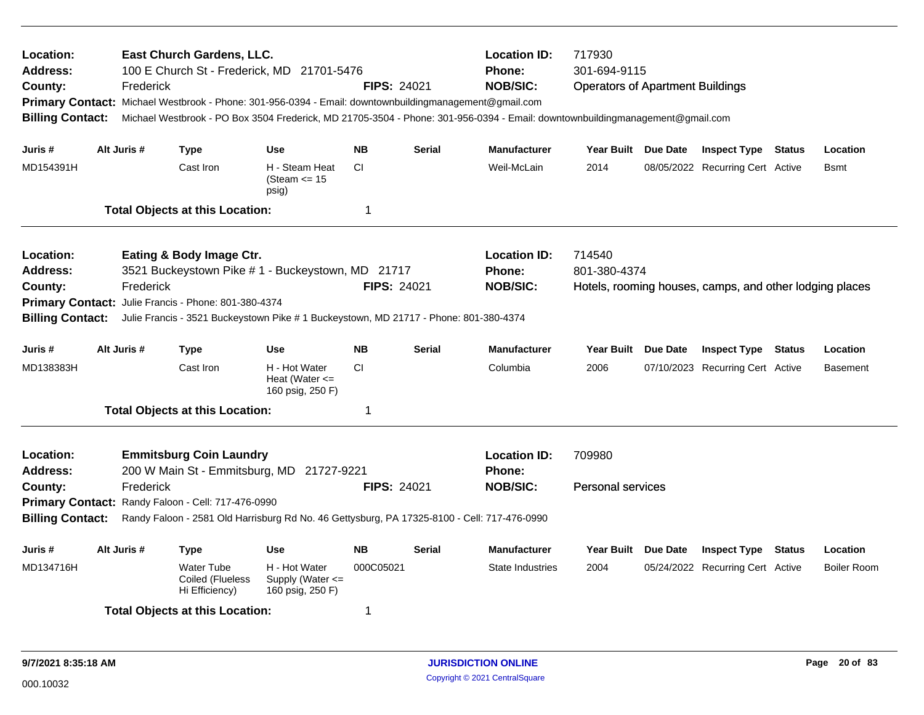| Location:<br>Address:<br>County:<br><b>Billing Contact:</b>                                                                                                                                                                                                                                                                               |             | Frederick   | East Church Gardens, LLC.                        | 100 E Church St - Frederick, MD 21701-5476<br>Primary Contact: Michael Westbrook - Phone: 301-956-0394 - Email: downtownbuildingmanagement@gmail.com | <b>FIPS: 24021</b> |               | <b>Location ID:</b><br>Phone:<br><b>NOB/SIC:</b>        | 717930<br>301-694-9115<br><b>Operators of Apartment Buildings</b><br>Michael Westbrook - PO Box 3504 Frederick, MD 21705-3504 - Phone: 301-956-0394 - Email: downtownbuildingmanagement@gmail.com |  |                                                         |  |                    |  |
|-------------------------------------------------------------------------------------------------------------------------------------------------------------------------------------------------------------------------------------------------------------------------------------------------------------------------------------------|-------------|-------------|--------------------------------------------------|------------------------------------------------------------------------------------------------------------------------------------------------------|--------------------|---------------|---------------------------------------------------------|---------------------------------------------------------------------------------------------------------------------------------------------------------------------------------------------------|--|---------------------------------------------------------|--|--------------------|--|
| Juris #                                                                                                                                                                                                                                                                                                                                   |             | Alt Juris # | Type                                             | <b>Use</b>                                                                                                                                           | <b>NB</b>          | <b>Serial</b> | <b>Manufacturer</b>                                     | Year Built Due Date                                                                                                                                                                               |  | <b>Inspect Type Status</b>                              |  | Location           |  |
| MD154391H                                                                                                                                                                                                                                                                                                                                 |             |             | Cast Iron                                        | H - Steam Heat<br>(Steam $\le$ 15<br>psig)                                                                                                           | <b>CI</b>          |               | Weil-McLain                                             | 2014                                                                                                                                                                                              |  | 08/05/2022 Recurring Cert Active                        |  | <b>B</b> smt       |  |
|                                                                                                                                                                                                                                                                                                                                           |             |             | <b>Total Objects at this Location:</b>           |                                                                                                                                                      | 1                  |               |                                                         |                                                                                                                                                                                                   |  |                                                         |  |                    |  |
| Location:<br>Eating & Body Image Ctr.<br>3521 Buckeystown Pike #1 - Buckeystown, MD 21717<br>Address:<br><b>FIPS: 24021</b><br>County:<br>Frederick<br>Julie Francis - Phone: 801-380-4374<br><b>Primary Contact:</b><br><b>Billing Contact:</b><br>Julie Francis - 3521 Buckeystown Pike # 1 Buckeystown, MD 21717 - Phone: 801-380-4374 |             |             |                                                  |                                                                                                                                                      |                    |               | <b>Location ID:</b><br><b>Phone:</b><br><b>NOB/SIC:</b> | 714540<br>801-380-4374                                                                                                                                                                            |  | Hotels, rooming houses, camps, and other lodging places |  |                    |  |
| Juris #                                                                                                                                                                                                                                                                                                                                   | Alt Juris # |             | <b>Type</b>                                      | <b>Use</b>                                                                                                                                           | <b>NB</b>          | <b>Serial</b> | <b>Manufacturer</b>                                     | Year Built Due Date                                                                                                                                                                               |  | <b>Inspect Type Status</b>                              |  | Location           |  |
| MD138383H                                                                                                                                                                                                                                                                                                                                 |             |             | Cast Iron                                        | H - Hot Water<br>Heat (Water $\leq$<br>160 psig, 250 F)                                                                                              | <b>CI</b>          |               | Columbia                                                | 2006                                                                                                                                                                                              |  | 07/10/2023 Recurring Cert Active                        |  | <b>Basement</b>    |  |
|                                                                                                                                                                                                                                                                                                                                           |             |             | <b>Total Objects at this Location:</b>           |                                                                                                                                                      | 1                  |               |                                                         |                                                                                                                                                                                                   |  |                                                         |  |                    |  |
| Location:<br><b>Emmitsburg Coin Laundry</b><br><b>Address:</b><br>200 W Main St - Emmitsburg, MD 21727-9221<br>Frederick<br><b>FIPS: 24021</b><br>County:<br>Primary Contact: Randy Faloon - Cell: 717-476-0990<br><b>Billing Contact:</b><br>Randy Faloon - 2581 Old Harrisburg Rd No. 46 Gettysburg, PA 17325-8100 - Cell: 717-476-0990 |             |             |                                                  |                                                                                                                                                      |                    |               | <b>Location ID:</b><br><b>Phone:</b><br><b>NOB/SIC:</b> | 709980<br><b>Personal services</b>                                                                                                                                                                |  |                                                         |  |                    |  |
| Juris #                                                                                                                                                                                                                                                                                                                                   | Alt Juris # |             | Type                                             | <b>Use</b>                                                                                                                                           | <b>NB</b>          | Serial        | <b>Manufacturer</b>                                     | Year Built Due Date                                                                                                                                                                               |  | <b>Inspect Type Status</b>                              |  | Location           |  |
| MD134716H                                                                                                                                                                                                                                                                                                                                 |             |             | Water Tube<br>Coiled (Flueless<br>Hi Efficiency) | H - Hot Water<br>Supply (Water $\leq$<br>160 psig, 250 F)                                                                                            | 000C05021          |               | <b>State Industries</b>                                 | 2004                                                                                                                                                                                              |  | 05/24/2022 Recurring Cert Active                        |  | <b>Boiler Room</b> |  |
|                                                                                                                                                                                                                                                                                                                                           |             |             | <b>Total Objects at this Location:</b>           |                                                                                                                                                      | 1                  |               |                                                         |                                                                                                                                                                                                   |  |                                                         |  |                    |  |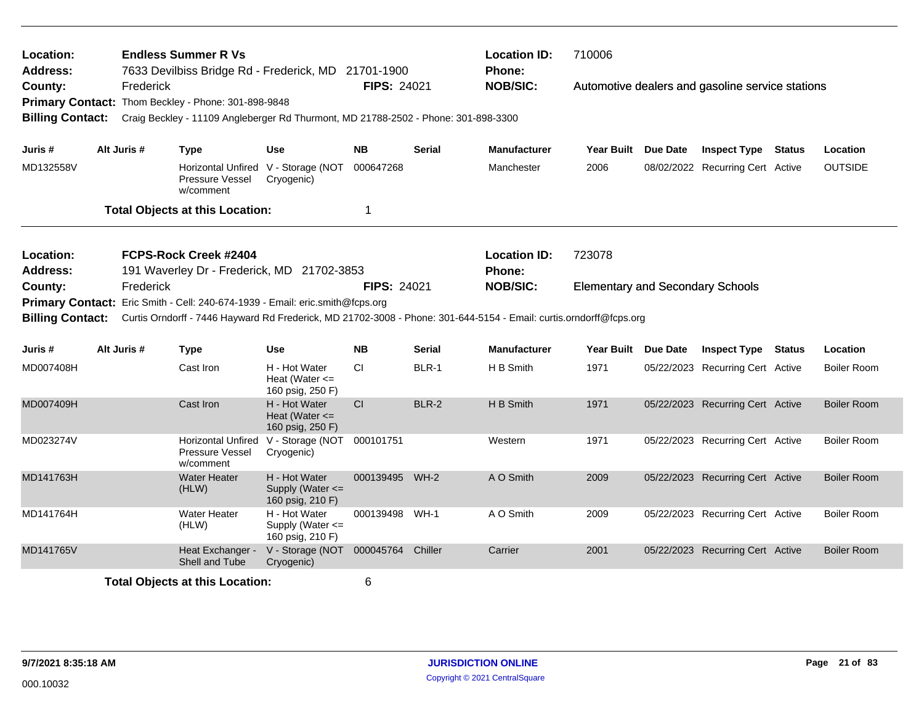| Location:                    |             |           | <b>Endless Summer R Vs</b>                                                                                         |                                                         |                    |               | <b>Location ID:</b>           | 710006                                  |                 |                                                  |                    |
|------------------------------|-------------|-----------|--------------------------------------------------------------------------------------------------------------------|---------------------------------------------------------|--------------------|---------------|-------------------------------|-----------------------------------------|-----------------|--------------------------------------------------|--------------------|
| <b>Address:</b><br>County:   |             | Frederick | 7633 Devilbiss Bridge Rd - Frederick, MD 21701-1900<br>Primary Contact: Thom Beckley - Phone: 301-898-9848         |                                                         | <b>FIPS: 24021</b> |               | Phone:<br><b>NOB/SIC:</b>     |                                         |                 | Automotive dealers and gasoline service stations |                    |
| <b>Billing Contact:</b>      |             |           | Craig Beckley - 11109 Angleberger Rd Thurmont, MD 21788-2502 - Phone: 301-898-3300                                 |                                                         |                    |               |                               |                                         |                 |                                                  |                    |
| Juris #                      | Alt Juris # |           | <b>Type</b>                                                                                                        | <b>Use</b>                                              | <b>NB</b>          | <b>Serial</b> | <b>Manufacturer</b>           | Year Built Due Date                     |                 | <b>Inspect Type Status</b>                       | Location           |
| MD132558V                    |             |           | Horizontal Unfired V - Storage (NOT 000647268<br>Pressure Vessel<br>w/comment                                      | Cryogenic)                                              |                    |               | Manchester                    | 2006                                    |                 | 08/02/2022 Recurring Cert Active                 | <b>OUTSIDE</b>     |
|                              |             |           | <b>Total Objects at this Location:</b>                                                                             |                                                         | $\mathbf{1}$       |               |                               |                                         |                 |                                                  |                    |
| Location:<br><b>Address:</b> |             |           | FCPS-Rock Creek #2404<br>191 Waverley Dr - Frederick, MD 21702-3853                                                |                                                         |                    |               | <b>Location ID:</b><br>Phone: | 723078                                  |                 |                                                  |                    |
| County:                      |             | Frederick |                                                                                                                    |                                                         | <b>FIPS: 24021</b> |               | <b>NOB/SIC:</b>               | <b>Elementary and Secondary Schools</b> |                 |                                                  |                    |
|                              |             |           | Primary Contact: Eric Smith - Cell: 240-674-1939 - Email: eric.smith@fcps.org                                      |                                                         |                    |               |                               |                                         |                 |                                                  |                    |
| <b>Billing Contact:</b>      |             |           | Curtis Orndorff - 7446 Hayward Rd Frederick, MD 21702-3008 - Phone: 301-644-5154 - Email: curtis.orndorff@fcps.org |                                                         |                    |               |                               |                                         |                 |                                                  |                    |
| Juris #                      | Alt Juris # |           | <b>Type</b>                                                                                                        | <b>Use</b>                                              | <b>NB</b>          | <b>Serial</b> | <b>Manufacturer</b>           | <b>Year Built</b>                       | <b>Due Date</b> | <b>Inspect Type Status</b>                       | Location           |
| MD007408H                    |             |           | Cast Iron                                                                                                          | H - Hot Water<br>Heat (Water $\leq$<br>160 psig, 250 F) | <b>CI</b>          | BLR-1         | H B Smith                     | 1971                                    |                 | 05/22/2023 Recurring Cert Active                 | <b>Boiler Room</b> |
| MD007409H                    |             |           | Cast Iron                                                                                                          | H - Hot Water<br>Heat (Water $\leq$<br>160 psig, 250 F) | <b>CI</b>          | BLR-2         | H B Smith                     | 1971                                    |                 | 05/22/2023 Recurring Cert Active                 | <b>Boiler Room</b> |
| MD023274V                    |             |           | <b>Horizontal Unfired</b><br>Pressure Vessel<br>w/comment                                                          | V - Storage (NOT 000101751<br>Cryogenic)                |                    |               | Western                       | 1971                                    |                 | 05/22/2023 Recurring Cert Active                 | <b>Boiler Room</b> |
| MD141763H                    |             |           | <b>Water Heater</b><br>(HLW)                                                                                       | H - Hot Water<br>Supply (Water <=<br>160 psig, 210 F)   | 000139495 WH-2     |               | A O Smith                     | 2009                                    |                 | 05/22/2023 Recurring Cert Active                 | <b>Boiler Room</b> |
| MD141764H                    |             |           | <b>Water Heater</b><br>(HLW)                                                                                       | H - Hot Water<br>Supply (Water <=<br>160 psig, 210 F)   | 000139498          | $WH-1$        | A O Smith                     | 2009                                    |                 | 05/22/2023 Recurring Cert Active                 | <b>Boiler Room</b> |
| MD141765V                    |             |           | Heat Exchanger -<br>Shell and Tube                                                                                 | V - Storage (NOT 000045764<br>Cryogenic)                |                    | Chiller       | Carrier                       | 2001                                    |                 | 05/22/2023 Recurring Cert Active                 | <b>Boiler Room</b> |
|                              |             |           | <b>Total Objects at this Location:</b>                                                                             |                                                         | 6                  |               |                               |                                         |                 |                                                  |                    |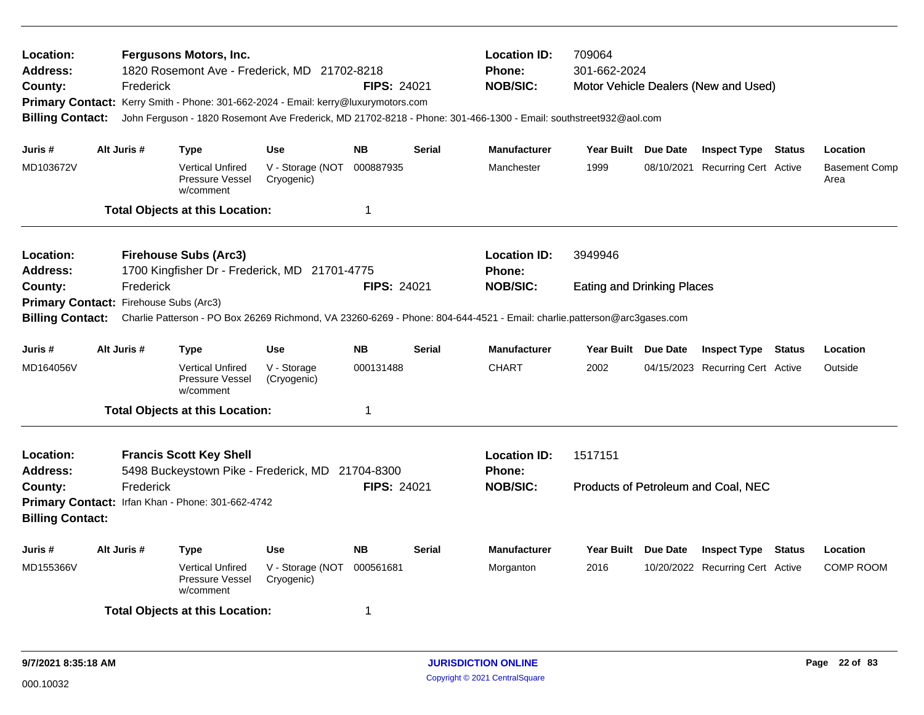| <b>Location:</b><br><b>Address:</b><br>County:<br><b>Billing Contact:</b> | Frederick                                           | Fergusons Motors, Inc.<br>1820 Rosemont Ave - Frederick, MD 21702-8218<br>Primary Contact: Kerry Smith - Phone: 301-662-2024 - Email: kerry@luxurymotors.com |                                          | <b>FIPS: 24021</b>     |               | <b>Location ID:</b><br>Phone:<br><b>NOB/SIC:</b><br>John Ferguson - 1820 Rosemont Ave Frederick, MD 21702-8218 - Phone: 301-466-1300 - Email: southstreet932@aol.com | 709064<br>301-662-2024            |                 | Motor Vehicle Dealers (New and Used)                           |        |                              |
|---------------------------------------------------------------------------|-----------------------------------------------------|--------------------------------------------------------------------------------------------------------------------------------------------------------------|------------------------------------------|------------------------|---------------|----------------------------------------------------------------------------------------------------------------------------------------------------------------------|-----------------------------------|-----------------|----------------------------------------------------------------|--------|------------------------------|
| Juris #                                                                   | Alt Juris #                                         | <b>Type</b>                                                                                                                                                  | <b>Use</b>                               | <b>NB</b>              | <b>Serial</b> | <b>Manufacturer</b>                                                                                                                                                  | <b>Year Built</b>                 | <b>Due Date</b> | <b>Inspect Type Status</b>                                     |        | Location                     |
| MD103672V                                                                 |                                                     | <b>Vertical Unfired</b><br>Pressure Vessel<br>w/comment                                                                                                      | V - Storage (NOT<br>Cryogenic)           | 000887935              |               | Manchester                                                                                                                                                           | 1999                              |                 | 08/10/2021 Recurring Cert Active                               |        | <b>Basement Comp</b><br>Area |
|                                                                           |                                                     | <b>Total Objects at this Location:</b>                                                                                                                       |                                          | $\mathbf 1$            |               |                                                                                                                                                                      |                                   |                 |                                                                |        |                              |
| <b>Location:</b><br><b>Address:</b>                                       |                                                     | <b>Firehouse Subs (Arc3)</b><br>1700 Kingfisher Dr - Frederick, MD 21701-4775                                                                                |                                          |                        |               | <b>Location ID:</b><br>Phone:                                                                                                                                        | 3949946                           |                 |                                                                |        |                              |
| County:<br><b>Billing Contact:</b>                                        | Frederick<br>Primary Contact: Firehouse Subs (Arc3) |                                                                                                                                                              |                                          | <b>FIPS: 24021</b>     |               | <b>NOB/SIC:</b><br>Charlie Patterson - PO Box 26269 Richmond, VA 23260-6269 - Phone: 804-644-4521 - Email: charlie.patterson@arc3gases.com                           | <b>Eating and Drinking Places</b> |                 |                                                                |        |                              |
|                                                                           |                                                     |                                                                                                                                                              |                                          |                        |               |                                                                                                                                                                      |                                   |                 |                                                                |        |                              |
| Juris #<br>MD164056V                                                      | Alt Juris #                                         | <b>Type</b><br><b>Vertical Unfired</b><br>Pressure Vessel<br>w/comment                                                                                       | <b>Use</b><br>V - Storage<br>(Cryogenic) | <b>NB</b><br>000131488 | <b>Serial</b> | <b>Manufacturer</b><br><b>CHART</b>                                                                                                                                  | Year Built Due Date<br>2002       |                 | <b>Inspect Type Status</b><br>04/15/2023 Recurring Cert Active |        | Location<br>Outside          |
|                                                                           |                                                     | <b>Total Objects at this Location:</b>                                                                                                                       |                                          | $\mathbf 1$            |               |                                                                                                                                                                      |                                   |                 |                                                                |        |                              |
| Location:<br><b>Address:</b>                                              |                                                     | <b>Francis Scott Key Shell</b><br>5498 Buckeystown Pike - Frederick, MD 21704-8300                                                                           |                                          |                        |               | <b>Location ID:</b><br><b>Phone:</b>                                                                                                                                 | 1517151                           |                 |                                                                |        |                              |
| County:                                                                   | Frederick                                           | Primary Contact: Irfan Khan - Phone: 301-662-4742                                                                                                            |                                          | FIPS: 24021            |               | <b>NOB/SIC:</b>                                                                                                                                                      |                                   |                 | Products of Petroleum and Coal, NEC                            |        |                              |
| <b>Billing Contact:</b>                                                   |                                                     |                                                                                                                                                              |                                          |                        |               |                                                                                                                                                                      |                                   |                 |                                                                |        |                              |
| Juris #                                                                   | Alt Juris #                                         | <b>Type</b>                                                                                                                                                  | <b>Use</b>                               | <b>NB</b>              | <b>Serial</b> | <b>Manufacturer</b>                                                                                                                                                  | <b>Year Built</b>                 | <b>Due Date</b> | <b>Inspect Type</b>                                            | Status | Location                     |
| MD155366V                                                                 |                                                     | <b>Vertical Unfired</b><br>Pressure Vessel<br>w/comment                                                                                                      | V - Storage (NOT<br>Cryogenic)           | 000561681              |               | Morganton                                                                                                                                                            | 2016                              |                 | 10/20/2022 Recurring Cert Active                               |        | <b>COMP ROOM</b>             |
|                                                                           |                                                     | <b>Total Objects at this Location:</b>                                                                                                                       |                                          | 1                      |               |                                                                                                                                                                      |                                   |                 |                                                                |        |                              |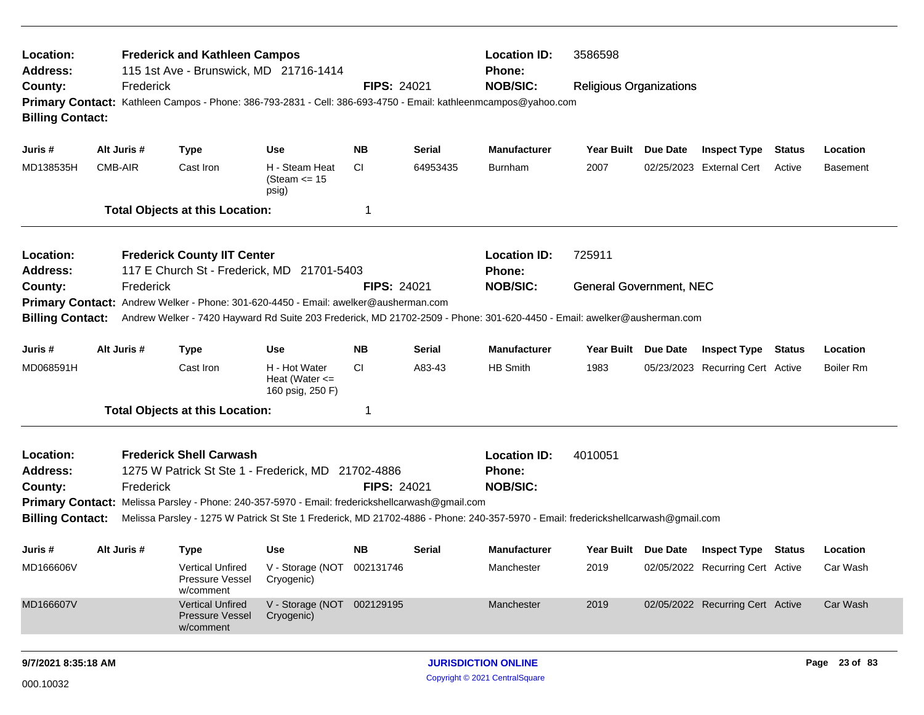| Location:<br>Address:                   |             | <b>Frederick and Kathleen Campos</b><br>115 1st Ave - Brunswick, MD 21716-1414                                                                                                                                 |                                                         |                                                         |                            | <b>Location ID:</b><br><b>Phone:</b> | 3586598                        |                 |                                  |               |                 |
|-----------------------------------------|-------------|----------------------------------------------------------------------------------------------------------------------------------------------------------------------------------------------------------------|---------------------------------------------------------|---------------------------------------------------------|----------------------------|--------------------------------------|--------------------------------|-----------------|----------------------------------|---------------|-----------------|
| County:<br><b>Billing Contact:</b>      | Frederick   | Primary Contact: Kathleen Campos - Phone: 386-793-2831 - Cell: 386-693-4750 - Email: kathleenmcampos@yahoo.com                                                                                                 |                                                         | <b>FIPS: 24021</b>                                      |                            | <b>NOB/SIC:</b>                      | <b>Religious Organizations</b> |                 |                                  |               |                 |
| Juris #                                 | Alt Juris # | <b>Type</b>                                                                                                                                                                                                    | <b>Use</b>                                              | <b>NB</b>                                               | Serial                     | <b>Manufacturer</b>                  | Year Built Due Date            |                 | <b>Inspect Type</b>              | Status        | Location        |
| MD138535H                               | CMB-AIR     | Cast Iron                                                                                                                                                                                                      | H - Steam Heat<br>(Steam $\le$ 15<br>psig)              | <b>CI</b>                                               | 64953435                   | Burnham                              | 2007                           |                 | 02/25/2023 External Cert         | Active        | <b>Basement</b> |
|                                         |             | <b>Total Objects at this Location:</b>                                                                                                                                                                         |                                                         | -1                                                      |                            |                                      |                                |                 |                                  |               |                 |
| Location:<br>Address:                   |             | <b>Frederick County IIT Center</b><br>117 E Church St - Frederick, MD 21701-5403                                                                                                                               |                                                         |                                                         |                            | <b>Location ID:</b><br><b>Phone:</b> | 725911                         |                 |                                  |               |                 |
| County:<br><b>Billing Contact:</b>      | Frederick   | Primary Contact: Andrew Welker - Phone: 301-620-4450 - Email: awelker@ausherman.com<br>Andrew Welker - 7420 Hayward Rd Suite 203 Frederick, MD 21702-2509 - Phone: 301-620-4450 - Email: awelker@ausherman.com |                                                         | <b>FIPS: 24021</b>                                      |                            | <b>NOB/SIC:</b>                      | <b>General Government, NEC</b> |                 |                                  |               |                 |
| Juris #                                 | Alt Juris # | <b>Type</b>                                                                                                                                                                                                    | <b>Use</b>                                              | <b>NB</b>                                               | <b>Serial</b>              | <b>Manufacturer</b>                  | Year Built                     | <b>Due Date</b> | <b>Inspect Type</b>              | <b>Status</b> | Location        |
| MD068591H                               |             | Cast Iron                                                                                                                                                                                                      | H - Hot Water<br>Heat (Water $\leq$<br>160 psig, 250 F) | CI.                                                     | A83-43                     | <b>HB Smith</b>                      | 1983                           |                 | 05/23/2023 Recurring Cert Active |               | Boiler Rm       |
|                                         |             | <b>Total Objects at this Location:</b>                                                                                                                                                                         |                                                         | -1                                                      |                            |                                      |                                |                 |                                  |               |                 |
| Location:<br><b>Address:</b><br>County: | Frederick   | <b>Frederick Shell Carwash</b><br>1275 W Patrick St Ste 1 - Frederick, MD 21702-4886<br>Primary Contact: Melissa Parsley - Phone: 240-357-5970 - Email: frederickshellcarwash@gmail.com                        | <b>FIPS: 24021</b>                                      | <b>Location ID:</b><br><b>Phone:</b><br><b>NOB/SIC:</b> | 4010051                    |                                      |                                |                 |                                  |               |                 |
| <b>Billing Contact:</b>                 |             | Melissa Parsley - 1275 W Patrick St Ste 1 Frederick, MD 21702-4886 - Phone: 240-357-5970 - Email: frederickshellcarwash@gmail.com                                                                              |                                                         |                                                         |                            |                                      |                                |                 |                                  |               |                 |
| Juris #                                 | Alt Juris # | <b>Type</b>                                                                                                                                                                                                    | <b>Use</b>                                              | NB.                                                     | <b>Serial</b>              | <b>Manufacturer</b>                  | Year Built Due Date            |                 | <b>Inspect Type Status</b>       |               | Location        |
| MD166606V                               |             | <b>Vertical Unfired</b><br>Pressure Vessel<br>w/comment                                                                                                                                                        | V - Storage (NOT 002131746<br>Cryogenic)                |                                                         |                            | Manchester                           | 2019                           |                 | 02/05/2022 Recurring Cert Active |               | Car Wash        |
| MD166607V                               |             | <b>Vertical Unfired</b><br>Pressure Vessel<br>w/comment                                                                                                                                                        | V - Storage (NOT 002129195<br>Cryogenic)                |                                                         |                            | Manchester                           | 2019                           |                 | 02/05/2022 Recurring Cert Active |               | Car Wash        |
| 9/7/2021 8:35:18 AM                     |             |                                                                                                                                                                                                                |                                                         |                                                         | <b>JURISDICTION ONLINE</b> |                                      |                                |                 |                                  | Page 23 of 83 |                 |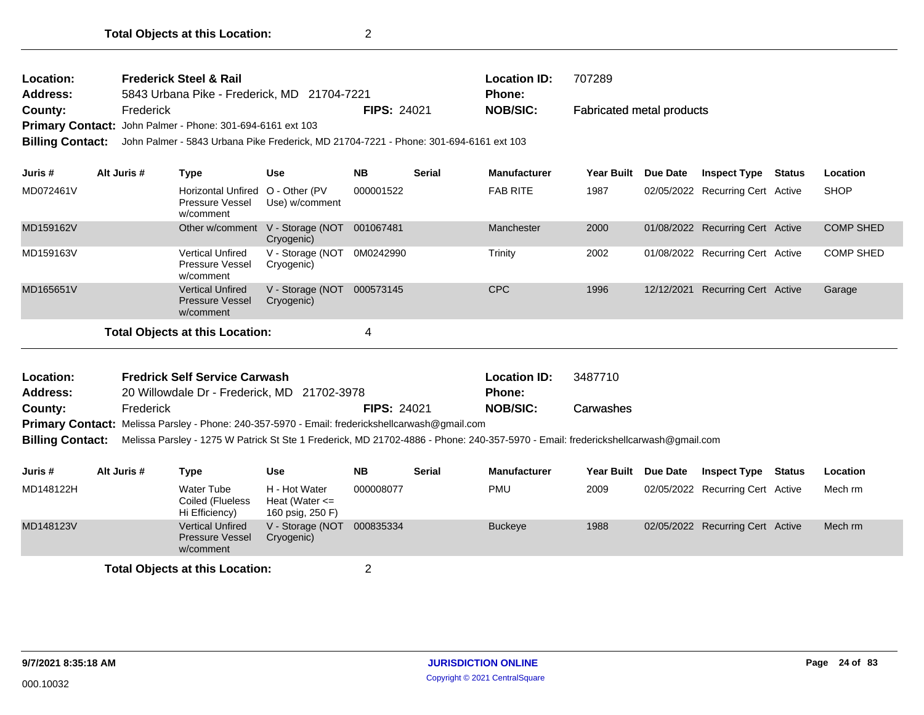| Location:<br>Address:      |             | <b>Frederick Steel &amp; Rail</b><br>5843 Urbana Pike - Frederick, MD 21704-7221                                                  |                                                         |                    |               | <b>Location ID:</b><br><b>Phone:</b> | 707289                           |                 |                                  |                  |
|----------------------------|-------------|-----------------------------------------------------------------------------------------------------------------------------------|---------------------------------------------------------|--------------------|---------------|--------------------------------------|----------------------------------|-----------------|----------------------------------|------------------|
| County:                    | Frederick   |                                                                                                                                   |                                                         | <b>FIPS: 24021</b> |               | <b>NOB/SIC:</b>                      | <b>Fabricated metal products</b> |                 |                                  |                  |
|                            |             | Primary Contact: John Palmer - Phone: 301-694-6161 ext 103                                                                        |                                                         |                    |               |                                      |                                  |                 |                                  |                  |
| <b>Billing Contact:</b>    |             | John Palmer - 5843 Urbana Pike Frederick, MD 21704-7221 - Phone: 301-694-6161 ext 103                                             |                                                         |                    |               |                                      |                                  |                 |                                  |                  |
| Juris #                    | Alt Juris # | <b>Type</b>                                                                                                                       | <b>Use</b>                                              | <b>NB</b>          | <b>Serial</b> | <b>Manufacturer</b>                  | <b>Year Built</b>                | <b>Due Date</b> | <b>Inspect Type Status</b>       | Location         |
| MD072461V                  |             | Horizontal Unfired O - Other (PV<br>Pressure Vessel<br>w/comment                                                                  | Use) w/comment                                          | 000001522          |               | <b>FAB RITE</b>                      | 1987                             |                 | 02/05/2022 Recurring Cert Active | <b>SHOP</b>      |
| MD159162V                  |             |                                                                                                                                   | Other w/comment V - Storage (NOT<br>Cryogenic)          | 001067481          |               | Manchester                           | 2000                             |                 | 01/08/2022 Recurring Cert Active | <b>COMP SHED</b> |
| MD159163V                  |             | <b>Vertical Unfired</b><br><b>Pressure Vessel</b><br>w/comment                                                                    | V - Storage (NOT<br>Cryogenic)                          | 0M0242990          |               | Trinity                              | 2002                             |                 | 01/08/2022 Recurring Cert Active | <b>COMP SHED</b> |
| MD165651V                  |             | <b>Vertical Unfired</b><br><b>Pressure Vessel</b><br>w/comment                                                                    | V - Storage (NOT<br>Cryogenic)                          | 000573145          |               | <b>CPC</b>                           | 1996                             | 12/12/2021      | <b>Recurring Cert Active</b>     | Garage           |
|                            |             | <b>Total Objects at this Location:</b>                                                                                            |                                                         | 4                  |               |                                      |                                  |                 |                                  |                  |
|                            |             |                                                                                                                                   |                                                         |                    |               |                                      |                                  |                 |                                  |                  |
| Location:                  |             | <b>Fredrick Self Service Carwash</b>                                                                                              |                                                         |                    |               | <b>Location ID:</b>                  | 3487710                          |                 |                                  |                  |
| <b>Address:</b><br>County: | Frederick   | 20 Willowdale Dr - Frederick, MD 21702-3978                                                                                       |                                                         | <b>FIPS: 24021</b> |               | Phone:<br><b>NOB/SIC:</b>            | Carwashes                        |                 |                                  |                  |
|                            |             | <b>Primary Contact:</b> Melissa Parsley - Phone: 240-357-5970 - Email: frederickshellcarwash@gmail.com                            |                                                         |                    |               |                                      |                                  |                 |                                  |                  |
| <b>Billing Contact:</b>    |             | Melissa Parsley - 1275 W Patrick St Ste 1 Frederick, MD 21702-4886 - Phone: 240-357-5970 - Email: frederickshellcarwash@gmail.com |                                                         |                    |               |                                      |                                  |                 |                                  |                  |
|                            |             |                                                                                                                                   |                                                         |                    |               |                                      |                                  |                 |                                  |                  |
| Juris#                     | Alt Juris # | <b>Type</b>                                                                                                                       | <b>Use</b>                                              | <b>NB</b>          | <b>Serial</b> | <b>Manufacturer</b>                  | Year Built Due Date              |                 | <b>Inspect Type Status</b>       | Location         |
| MD148122H                  |             | <b>Water Tube</b><br>Coiled (Flueless<br>Hi Efficiency)                                                                           | H - Hot Water<br>Heat (Water $\leq$<br>160 psig, 250 F) | 000008077          |               | <b>PMU</b>                           | 2009                             |                 | 02/05/2022 Recurring Cert Active | Mech rm          |
| MD148123V                  |             | <b>Vertical Unfired</b><br><b>Pressure Vessel</b>                                                                                 | V - Storage (NOT<br>Cryogenic)                          | 000835334          |               | <b>Buckeye</b>                       | 1988                             |                 | 02/05/2022 Recurring Cert Active | Mech rm          |

w/comment **Total Objects at this Location:** 2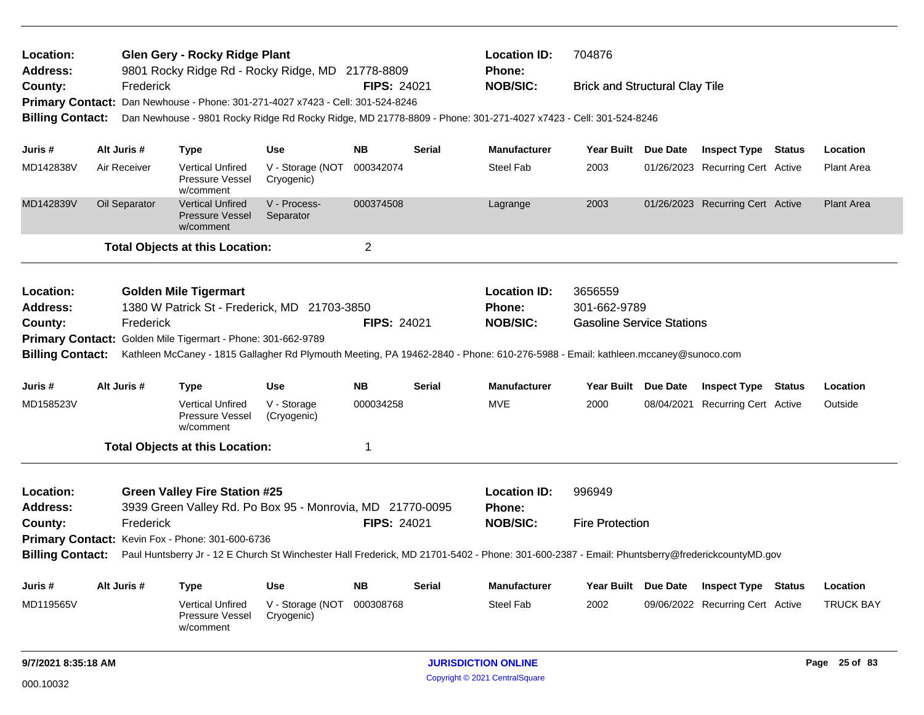| Location:<br><b>Glen Gery - Rocky Ridge Plant</b><br><b>Address:</b><br>9801 Rocky Ridge Rd - Rocky Ridge, MD 21778-8809 |             |               |                                                                                |                                |                    |        | <b>Location ID:</b><br>Phone:                                                                                                                 | 704876                                |                                  |                   |
|--------------------------------------------------------------------------------------------------------------------------|-------------|---------------|--------------------------------------------------------------------------------|--------------------------------|--------------------|--------|-----------------------------------------------------------------------------------------------------------------------------------------------|---------------------------------------|----------------------------------|-------------------|
| County:                                                                                                                  |             | Frederick     |                                                                                |                                | <b>FIPS: 24021</b> |        | <b>NOB/SIC:</b>                                                                                                                               | <b>Brick and Structural Clay Tile</b> |                                  |                   |
|                                                                                                                          |             |               | Primary Contact: Dan Newhouse - Phone: 301-271-4027 x7423 - Cell: 301-524-8246 |                                |                    |        |                                                                                                                                               |                                       |                                  |                   |
| <b>Billing Contact:</b>                                                                                                  |             |               |                                                                                |                                |                    |        | Dan Newhouse - 9801 Rocky Ridge Rd Rocky Ridge, MD 21778-8809 - Phone: 301-271-4027 x7423 - Cell: 301-524-8246                                |                                       |                                  |                   |
| Juris #                                                                                                                  | Alt Juris # |               | <b>Type</b>                                                                    | Use                            | <b>NB</b>          | Serial | <b>Manufacturer</b>                                                                                                                           | Year Built Due Date                   | <b>Inspect Type Status</b>       | Location          |
| MD142838V                                                                                                                |             | Air Receiver  | <b>Vertical Unfired</b><br>Pressure Vessel<br>w/comment                        | V - Storage (NOT<br>Cryogenic) | 000342074          |        | <b>Steel Fab</b>                                                                                                                              | 2003                                  | 01/26/2023 Recurring Cert Active | Plant Area        |
| MD142839V                                                                                                                |             | Oil Separator | <b>Vertical Unfired</b><br>Pressure Vessel<br>w/comment                        | V - Process-<br>Separator      | 000374508          |        | Lagrange                                                                                                                                      | 2003                                  | 01/26/2023 Recurring Cert Active | <b>Plant Area</b> |
|                                                                                                                          |             |               | <b>Total Objects at this Location:</b>                                         |                                | $\overline{2}$     |        |                                                                                                                                               |                                       |                                  |                   |
| Location:                                                                                                                |             |               | <b>Golden Mile Tigermart</b>                                                   |                                |                    |        | <b>Location ID:</b>                                                                                                                           | 3656559                               |                                  |                   |
| <b>Address:</b>                                                                                                          |             |               | 1380 W Patrick St - Frederick, MD 21703-3850                                   |                                |                    |        | Phone:                                                                                                                                        | 301-662-9789                          |                                  |                   |
| County:                                                                                                                  |             | Frederick     |                                                                                |                                | <b>FIPS: 24021</b> |        | <b>NOB/SIC:</b>                                                                                                                               | <b>Gasoline Service Stations</b>      |                                  |                   |
|                                                                                                                          |             |               | Primary Contact: Golden Mile Tigermart - Phone: 301-662-9789                   |                                |                    |        |                                                                                                                                               |                                       |                                  |                   |
| <b>Billing Contact:</b>                                                                                                  |             |               |                                                                                |                                |                    |        | Kathleen McCaney - 1815 Gallagher Rd Plymouth Meeting, PA 19462-2840 - Phone: 610-276-5988 - Email: kathleen.mccaney@sunoco.com               |                                       |                                  |                   |
| Juris #                                                                                                                  |             | Alt Juris #   | <b>Type</b>                                                                    | <b>Use</b>                     | <b>NB</b>          | Serial | <b>Manufacturer</b>                                                                                                                           | Year Built Due Date                   | <b>Inspect Type Status</b>       | Location          |
| MD158523V                                                                                                                |             |               | <b>Vertical Unfired</b><br><b>Pressure Vessel</b><br>w/comment                 | V - Storage<br>(Cryogenic)     | 000034258          |        | <b>MVE</b>                                                                                                                                    | 2000                                  | 08/04/2021 Recurring Cert Active | Outside           |
|                                                                                                                          |             |               | <b>Total Objects at this Location:</b>                                         |                                | 1                  |        |                                                                                                                                               |                                       |                                  |                   |
| Location:                                                                                                                |             |               | <b>Green Valley Fire Station #25</b>                                           |                                |                    |        | <b>Location ID:</b>                                                                                                                           | 996949                                |                                  |                   |
| <b>Address:</b>                                                                                                          |             |               | 3939 Green Valley Rd. Po Box 95 - Monrovia, MD 21770-0095                      |                                |                    |        | Phone:                                                                                                                                        |                                       |                                  |                   |
| County:                                                                                                                  |             | Frederick     |                                                                                |                                | <b>FIPS: 24021</b> |        | <b>NOB/SIC:</b>                                                                                                                               | <b>Fire Protection</b>                |                                  |                   |
|                                                                                                                          |             |               | Primary Contact: Kevin Fox - Phone: 301-600-6736                               |                                |                    |        |                                                                                                                                               |                                       |                                  |                   |
| <b>Billing Contact:</b>                                                                                                  |             |               |                                                                                |                                |                    |        | Paul Huntsberry Jr - 12 E Church St Winchester Hall Frederick, MD 21701-5402 - Phone: 301-600-2387 - Email: Phuntsberry@frederickcountyMD.gov |                                       |                                  |                   |
| Juris #                                                                                                                  |             | Alt Juris #   | <b>Type</b>                                                                    | Use                            | <b>NB</b>          | Serial | <b>Manufacturer</b>                                                                                                                           | Year Built Due Date                   | <b>Inspect Type Status</b>       | Location          |
| MD119565V                                                                                                                |             |               | <b>Vertical Unfired</b><br>Pressure Vessel<br>w/comment                        | V - Storage (NOT<br>Cryogenic) | 000308768          |        | Steel Fab                                                                                                                                     | 2002                                  | 09/06/2022 Recurring Cert Active | <b>TRUCK BAY</b>  |
| 9/7/2021 8:35:18 AM                                                                                                      |             |               |                                                                                |                                |                    |        | <b>JURISDICTION ONLINE</b>                                                                                                                    |                                       |                                  | Page 25 of 83     |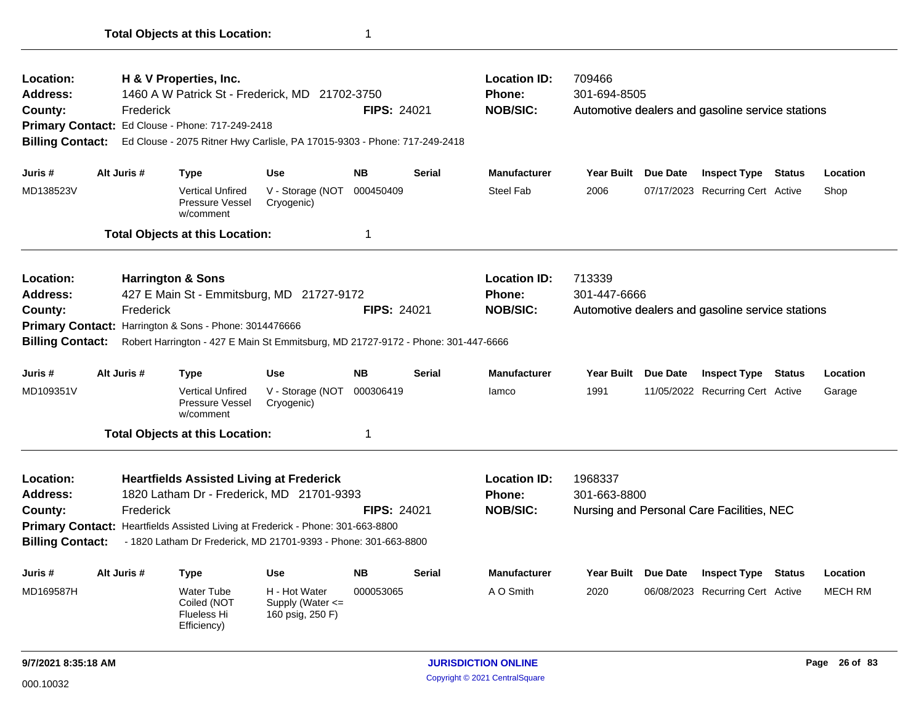| Location:<br>H & V Properties, Inc.                         |             |                                                                                                                                                    |                                          |                    |               | <b>Location ID:</b> | 709466              |                                                  |          |
|-------------------------------------------------------------|-------------|----------------------------------------------------------------------------------------------------------------------------------------------------|------------------------------------------|--------------------|---------------|---------------------|---------------------|--------------------------------------------------|----------|
| Address:                                                    |             | 1460 A W Patrick St - Frederick, MD 21702-3750                                                                                                     |                                          |                    |               | <b>Phone:</b>       | 301-694-8505        |                                                  |          |
| County:                                                     | Frederick   |                                                                                                                                                    |                                          | <b>FIPS: 24021</b> |               | <b>NOB/SIC:</b>     |                     | Automotive dealers and gasoline service stations |          |
|                                                             |             | Primary Contact: Ed Clouse - Phone: 717-249-2418                                                                                                   |                                          |                    |               |                     |                     |                                                  |          |
| <b>Billing Contact:</b>                                     |             | Ed Clouse - 2075 Ritner Hwy Carlisle, PA 17015-9303 - Phone: 717-249-2418                                                                          |                                          |                    |               |                     |                     |                                                  |          |
| Juris #                                                     | Alt Juris # | <b>Type</b>                                                                                                                                        | <b>Use</b>                               | <b>NB</b>          | <b>Serial</b> | <b>Manufacturer</b> | Year Built Due Date | <b>Inspect Type Status</b>                       | Location |
| MD138523V                                                   |             | <b>Vertical Unfired</b><br>Pressure Vessel<br>w/comment                                                                                            | V - Storage (NOT 000450409<br>Cryogenic) |                    |               | <b>Steel Fab</b>    | 2006                | 07/17/2023 Recurring Cert Active                 | Shop     |
|                                                             |             | <b>Total Objects at this Location:</b>                                                                                                             |                                          | 1                  |               |                     |                     |                                                  |          |
| Location:                                                   |             | <b>Harrington &amp; Sons</b>                                                                                                                       |                                          |                    |               | <b>Location ID:</b> | 713339              |                                                  |          |
| <b>Address:</b>                                             |             | 427 E Main St - Emmitsburg, MD 21727-9172                                                                                                          |                                          |                    |               | <b>Phone:</b>       | 301-447-6666        |                                                  |          |
| County:                                                     | Frederick   |                                                                                                                                                    |                                          | <b>FIPS: 24021</b> |               | <b>NOB/SIC:</b>     |                     | Automotive dealers and gasoline service stations |          |
| <b>Billing Contact:</b>                                     |             | Primary Contact: Harrington & Sons - Phone: 3014476666<br>Robert Harrington - 427 E Main St Emmitsburg, MD 21727-9172 - Phone: 301-447-6666        |                                          |                    |               |                     |                     |                                                  |          |
|                                                             |             |                                                                                                                                                    |                                          |                    |               |                     |                     |                                                  |          |
|                                                             | Alt Juris # | <b>Type</b>                                                                                                                                        | <b>Use</b>                               | <b>NB</b>          | <b>Serial</b> | <b>Manufacturer</b> | Year Built Due Date | <b>Inspect Type Status</b>                       | Location |
|                                                             |             | <b>Vertical Unfired</b><br><b>Pressure Vessel</b><br>w/comment                                                                                     | V - Storage (NOT<br>Cryogenic)           | 000306419          |               | lamco               | 1991                | 11/05/2022 Recurring Cert Active                 | Garage   |
| Juris #<br>MD109351V                                        |             | <b>Total Objects at this Location:</b>                                                                                                             |                                          | 1                  |               |                     |                     |                                                  |          |
|                                                             |             | <b>Heartfields Assisted Living at Frederick</b>                                                                                                    |                                          |                    |               | <b>Location ID:</b> | 1968337             |                                                  |          |
|                                                             |             | 1820 Latham Dr - Frederick, MD 21701-9393                                                                                                          |                                          |                    |               | Phone:              | 301-663-8800        |                                                  |          |
|                                                             | Frederick   |                                                                                                                                                    |                                          | <b>FIPS: 24021</b> |               | <b>NOB/SIC:</b>     |                     | Nursing and Personal Care Facilities, NEC        |          |
| Location:<br>Address:<br>County:<br><b>Billing Contact:</b> |             | Primary Contact: Heartfields Assisted Living at Frederick - Phone: 301-663-8800<br>- 1820 Latham Dr Frederick, MD 21701-9393 - Phone: 301-663-8800 |                                          |                    |               |                     |                     |                                                  |          |
| Juris #                                                     | Alt Juris # | <b>Type</b>                                                                                                                                        | <b>Use</b>                               | <b>NB</b>          | Serial        | <b>Manufacturer</b> | Year Built Due Date | <b>Inspect Type Status</b>                       | Location |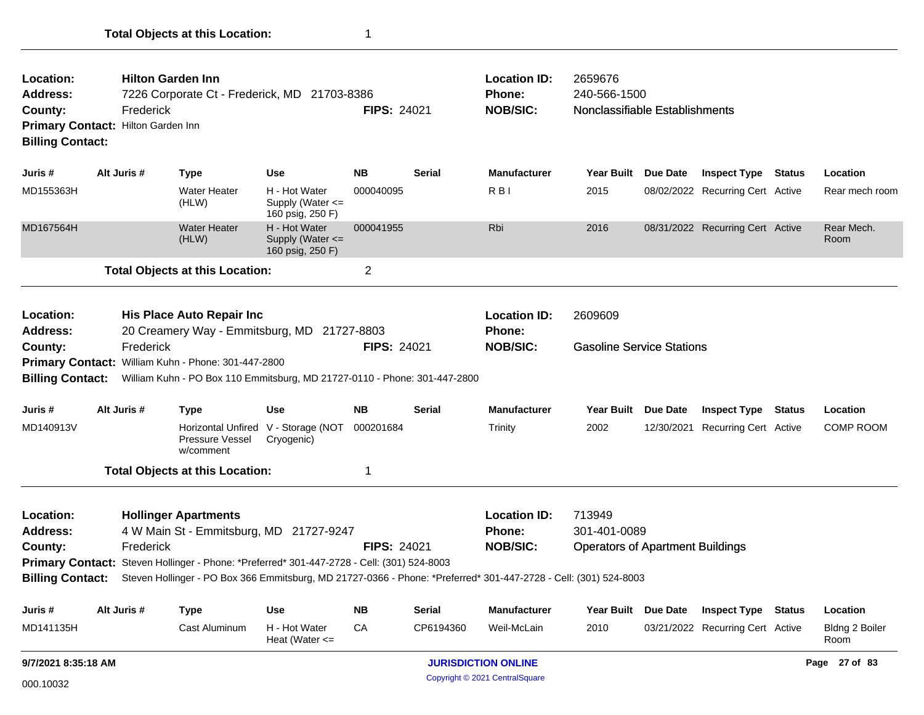| Location:<br><b>Address:</b><br>County:<br>Primary Contact: Hilton Garden Inn<br><b>Billing Contact:</b> |             | <b>Hilton Garden Inn</b><br>Frederick    |                                                                                  | 7226 Corporate Ct - Frederick, MD 21703-8386                                                                                          | <b>FIPS: 24021</b> |               | <b>Location ID:</b><br><b>Phone:</b><br><b>NOB/SIC:</b>                                                                                                                     | 2659676<br>240-566-1500<br>Nonclassifiable Establishments         |                 |                                  |                        |
|----------------------------------------------------------------------------------------------------------|-------------|------------------------------------------|----------------------------------------------------------------------------------|---------------------------------------------------------------------------------------------------------------------------------------|--------------------|---------------|-----------------------------------------------------------------------------------------------------------------------------------------------------------------------------|-------------------------------------------------------------------|-----------------|----------------------------------|------------------------|
| Juris #                                                                                                  | Alt Juris # | <b>Type</b>                              |                                                                                  | Use                                                                                                                                   | <b>NB</b>          | Serial        | <b>Manufacturer</b>                                                                                                                                                         | <b>Year Built</b>                                                 | Due Date        | <b>Inspect Type Status</b>       | Location               |
| MD155363H                                                                                                |             | (HLW)                                    | <b>Water Heater</b>                                                              | H - Hot Water<br>Supply (Water <=<br>160 psig, 250 F)                                                                                 | 000040095          |               | R <sub>BI</sub>                                                                                                                                                             | 2015                                                              |                 | 08/02/2022 Recurring Cert Active | Rear mech room         |
| MD167564H                                                                                                |             | (HLW)                                    | <b>Water Heater</b>                                                              | H - Hot Water<br>Supply (Water <=<br>160 psig, 250 F)                                                                                 | 000041955          |               | Rbi                                                                                                                                                                         | 2016                                                              |                 | 08/31/2022 Recurring Cert Active | Rear Mech.<br>Room     |
|                                                                                                          |             |                                          | <b>Total Objects at this Location:</b>                                           |                                                                                                                                       | $\overline{2}$     |               |                                                                                                                                                                             |                                                                   |                 |                                  |                        |
| Location:<br><b>Address:</b><br>County:<br><b>Billing Contact:</b>                                       |             | Frederick                                | His Place Auto Repair Inc<br>Primary Contact: William Kuhn - Phone: 301-447-2800 | 20 Creamery Way - Emmitsburg, MD 21727-8803<br>William Kuhn - PO Box 110 Emmitsburg, MD 21727-0110 - Phone: 301-447-2800              | <b>FIPS: 24021</b> |               | <b>Location ID:</b><br><b>Phone:</b><br><b>NOB/SIC:</b>                                                                                                                     | 2609609<br><b>Gasoline Service Stations</b>                       |                 |                                  |                        |
| Juris #                                                                                                  | Alt Juris # | <b>Type</b>                              |                                                                                  | <b>Use</b>                                                                                                                            | <b>NB</b>          | Serial        | <b>Manufacturer</b>                                                                                                                                                         | Year Built                                                        | <b>Due Date</b> | <b>Inspect Type Status</b>       | Location               |
| MD140913V                                                                                                |             |                                          | Pressure Vessel<br>w/comment                                                     | Horizontal Unfired V - Storage (NOT<br>Cryogenic)                                                                                     | 000201684          |               | Trinity                                                                                                                                                                     | 2002                                                              |                 | 12/30/2021 Recurring Cert Active | <b>COMP ROOM</b>       |
|                                                                                                          |             |                                          | <b>Total Objects at this Location:</b>                                           |                                                                                                                                       | $\mathbf 1$        |               |                                                                                                                                                                             |                                                                   |                 |                                  |                        |
| Location:<br><b>Address:</b><br>County:<br><b>Billing Contact:</b>                                       |             | <b>Hollinger Apartments</b><br>Frederick |                                                                                  | 4 W Main St - Emmitsburg, MD 21727-9247<br>Primary Contact: Steven Hollinger - Phone: *Preferred* 301-447-2728 - Cell: (301) 524-8003 | <b>FIPS: 24021</b> |               | <b>Location ID:</b><br><b>Phone:</b><br><b>NOB/SIC:</b><br>Steven Hollinger - PO Box 366 Emmitsburg, MD 21727-0366 - Phone: *Preferred* 301-447-2728 - Cell: (301) 524-8003 | 713949<br>301-401-0089<br><b>Operators of Apartment Buildings</b> |                 |                                  |                        |
| Juris #                                                                                                  | Alt Juris # | <b>Type</b>                              |                                                                                  | <b>Use</b>                                                                                                                            | <b>NB</b>          | <b>Serial</b> | <b>Manufacturer</b>                                                                                                                                                         | <b>Year Built</b>                                                 | <b>Due Date</b> | <b>Inspect Type Status</b>       | Location               |
| MD141135H                                                                                                |             |                                          | Cast Aluminum                                                                    | H - Hot Water<br>Heat (Water $\leq$                                                                                                   | CA                 | CP6194360     | Weil-McLain                                                                                                                                                                 | 2010                                                              |                 | 03/21/2022 Recurring Cert Active | Bldng 2 Boiler<br>Room |
| 9/7/2021 8:35:18 AM                                                                                      |             |                                          |                                                                                  |                                                                                                                                       |                    |               | <b>JURISDICTION ONLINE</b>                                                                                                                                                  |                                                                   |                 |                                  | Page 27 of 83          |

Copyright © 2021 CentralSquare 000.10032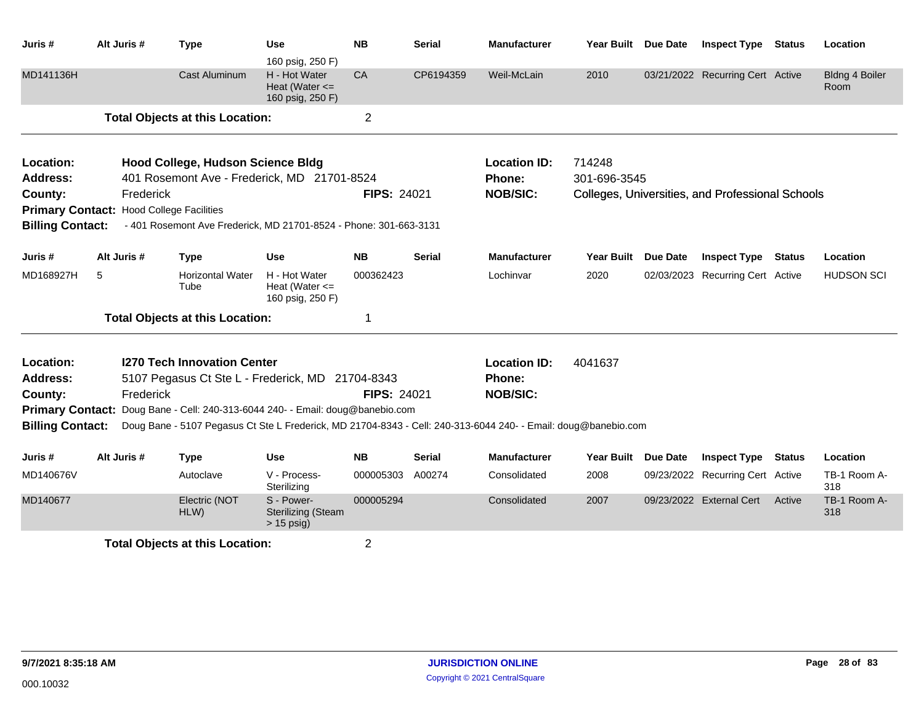| Juris #                 | Alt Juris # | <b>Type</b>                                                                                                    | <b>Use</b><br>160 psig, 250 F)                          | <b>NB</b>          | <b>Serial</b> | <b>Manufacturer</b> | Year Built Due Date |                 | <b>Inspect Type Status</b>                       |               | Location                      |
|-------------------------|-------------|----------------------------------------------------------------------------------------------------------------|---------------------------------------------------------|--------------------|---------------|---------------------|---------------------|-----------------|--------------------------------------------------|---------------|-------------------------------|
| MD141136H               |             | <b>Cast Aluminum</b>                                                                                           | H - Hot Water<br>Heat (Water $\leq$<br>160 psig, 250 F) | <b>CA</b>          | CP6194359     | Weil-McLain         | 2010                |                 | 03/21/2022 Recurring Cert Active                 |               | <b>Bldng 4 Boiler</b><br>Room |
|                         |             | <b>Total Objects at this Location:</b>                                                                         |                                                         | $\overline{c}$     |               |                     |                     |                 |                                                  |               |                               |
| Location:               |             | Hood College, Hudson Science Bldg                                                                              |                                                         |                    |               | <b>Location ID:</b> | 714248              |                 |                                                  |               |                               |
| <b>Address:</b>         |             | 401 Rosemont Ave - Frederick, MD 21701-8524                                                                    |                                                         |                    |               | Phone:              | 301-696-3545        |                 |                                                  |               |                               |
| County:                 | Frederick   |                                                                                                                |                                                         | <b>FIPS: 24021</b> |               | <b>NOB/SIC:</b>     |                     |                 | Colleges, Universities, and Professional Schools |               |                               |
| <b>Primary Contact:</b> |             | <b>Hood College Facilities</b>                                                                                 |                                                         |                    |               |                     |                     |                 |                                                  |               |                               |
| <b>Billing Contact:</b> |             | - 401 Rosemont Ave Frederick, MD 21701-8524 - Phone: 301-663-3131                                              |                                                         |                    |               |                     |                     |                 |                                                  |               |                               |
| Juris #                 | Alt Juris # | <b>Type</b>                                                                                                    | <b>Use</b>                                              | <b>NB</b>          | <b>Serial</b> | <b>Manufacturer</b> | <b>Year Built</b>   | <b>Due Date</b> | <b>Inspect Type</b>                              | <b>Status</b> | Location                      |
| MD168927H               | 5           | <b>Horizontal Water</b><br>Tube                                                                                | H - Hot Water<br>Heat (Water $\leq$<br>160 psig, 250 F) | 000362423          |               | Lochinvar           | 2020                |                 | 02/03/2023 Recurring Cert Active                 |               | <b>HUDSON SCI</b>             |
|                         |             | <b>Total Objects at this Location:</b>                                                                         |                                                         | 1                  |               |                     |                     |                 |                                                  |               |                               |
| Location:               |             | <b>1270 Tech Innovation Center</b>                                                                             |                                                         |                    |               | <b>Location ID:</b> | 4041637             |                 |                                                  |               |                               |
| <b>Address:</b>         |             | 5107 Pegasus Ct Ste L - Frederick, MD 21704-8343                                                               |                                                         |                    |               | Phone:              |                     |                 |                                                  |               |                               |
| County:                 | Frederick   |                                                                                                                |                                                         | <b>FIPS: 24021</b> |               | <b>NOB/SIC:</b>     |                     |                 |                                                  |               |                               |
| <b>Primary Contact:</b> |             | Doug Bane - Cell: 240-313-6044 240- - Email: doug@banebio.com                                                  |                                                         |                    |               |                     |                     |                 |                                                  |               |                               |
| <b>Billing Contact:</b> |             | Doug Bane - 5107 Pegasus Ct Ste L Frederick, MD 21704-8343 - Cell: 240-313-6044 240- - Email: doug@banebio.com |                                                         |                    |               |                     |                     |                 |                                                  |               |                               |
| Juris #                 | Alt Juris # | <b>Type</b>                                                                                                    | Use                                                     | <b>NB</b>          | <b>Serial</b> | <b>Manufacturer</b> | <b>Year Built</b>   | Due Date        | <b>Inspect Type</b>                              | Status        | Location                      |
| MD140676V               |             | Autoclave                                                                                                      | V - Process-<br>Sterilizing                             | 000005303          | A00274        | Consolidated        | 2008                |                 | 09/23/2022 Recurring Cert Active                 |               | TB-1 Room A-<br>318           |
| MD140677                |             | Electric (NOT<br>HLW)                                                                                          | S - Power-<br><b>Sterilizing (Steam</b><br>> 15 psig)   | 000005294          |               | Consolidated        | 2007                |                 | 09/23/2022 External Cert                         | Active        | TB-1 Room A-<br>318           |
|                         |             | <b>Total Objects at this Location:</b>                                                                         |                                                         | $\overline{2}$     |               |                     |                     |                 |                                                  |               |                               |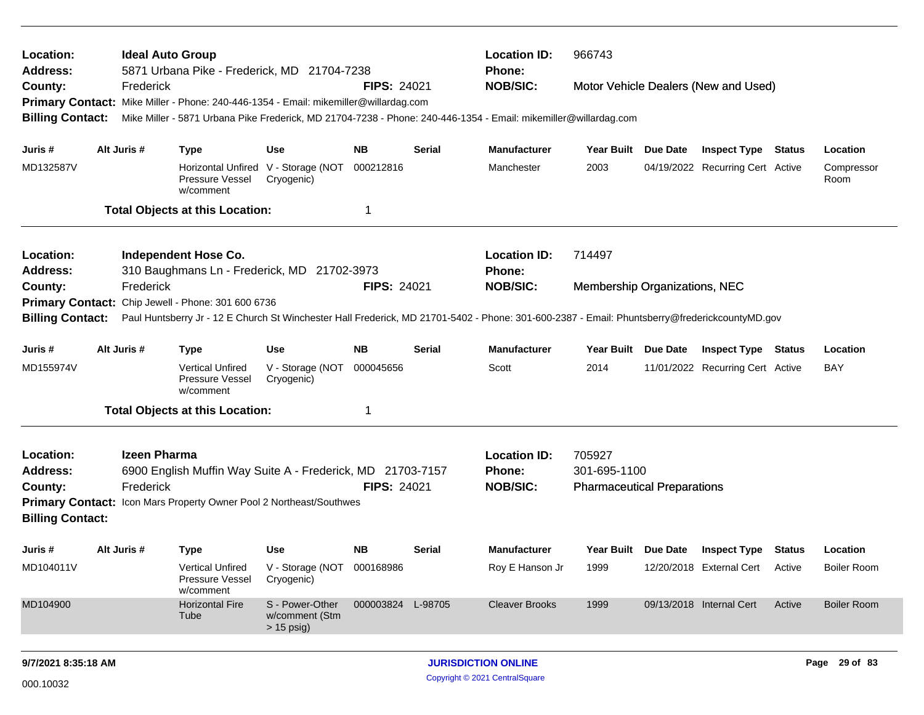| Location:<br><b>Address:</b><br>County:                                                                                                |             | <b>Ideal Auto Group</b><br>Frederick | 5871 Urbana Pike - Frederick, MD 21704-7238<br>Primary Contact: Mike Miller - Phone: 240-446-1354 - Email: mikemiller@willardag.com |                                                   | <b>FIPS: 24021</b> |               | <b>Location ID:</b><br>Phone:<br><b>NOB/SIC:</b>                                                                                              | 966743                                                       |          | Motor Vehicle Dealers (New and Used) |               |                    |
|----------------------------------------------------------------------------------------------------------------------------------------|-------------|--------------------------------------|-------------------------------------------------------------------------------------------------------------------------------------|---------------------------------------------------|--------------------|---------------|-----------------------------------------------------------------------------------------------------------------------------------------------|--------------------------------------------------------------|----------|--------------------------------------|---------------|--------------------|
| <b>Billing Contact:</b>                                                                                                                |             |                                      |                                                                                                                                     |                                                   |                    |               | Mike Miller - 5871 Urbana Pike Frederick, MD 21704-7238 - Phone: 240-446-1354 - Email: mikemiller@willardag.com                               |                                                              |          |                                      |               |                    |
| Juris #                                                                                                                                | Alt Juris # |                                      | <b>Type</b>                                                                                                                         | <b>Use</b>                                        | <b>NB</b>          | <b>Serial</b> | <b>Manufacturer</b>                                                                                                                           | Year Built Due Date                                          |          | <b>Inspect Type Status</b>           |               | Location           |
| MD132587V                                                                                                                              |             |                                      | <b>Pressure Vessel</b><br>w/comment                                                                                                 | Horizontal Unfired V - Storage (NOT<br>Cryogenic) | 000212816          |               | Manchester                                                                                                                                    | 2003                                                         |          | 04/19/2022 Recurring Cert Active     |               | Compressor<br>Room |
|                                                                                                                                        |             |                                      | <b>Total Objects at this Location:</b>                                                                                              |                                                   | $\mathbf 1$        |               |                                                                                                                                               |                                                              |          |                                      |               |                    |
| Location:<br><b>Independent Hose Co.</b><br>310 Baughmans Ln - Frederick, MD 21702-3973<br>Address:<br>Frederick<br><b>FIPS: 24021</b> |             |                                      |                                                                                                                                     |                                                   |                    |               | <b>Location ID:</b><br>Phone:                                                                                                                 | 714497                                                       |          |                                      |               |                    |
| County:                                                                                                                                |             |                                      |                                                                                                                                     |                                                   |                    |               | <b>NOB/SIC:</b>                                                                                                                               | Membership Organizations, NEC                                |          |                                      |               |                    |
| <b>Primary Contact:</b>                                                                                                                |             |                                      | Chip Jewell - Phone: 301 600 6736                                                                                                   |                                                   |                    |               |                                                                                                                                               |                                                              |          |                                      |               |                    |
| <b>Billing Contact:</b>                                                                                                                |             |                                      |                                                                                                                                     |                                                   |                    |               | Paul Huntsberry Jr - 12 E Church St Winchester Hall Frederick, MD 21701-5402 - Phone: 301-600-2387 - Email: Phuntsberry@frederickcountyMD.gov |                                                              |          |                                      |               |                    |
| Juris #                                                                                                                                | Alt Juris # |                                      | <b>Type</b>                                                                                                                         | <b>Use</b>                                        | <b>NB</b>          | <b>Serial</b> | <b>Manufacturer</b>                                                                                                                           | Year Built                                                   | Due Date | <b>Inspect Type</b>                  | Status        | Location           |
| MD155974V                                                                                                                              |             |                                      | <b>Vertical Unfired</b><br><b>Pressure Vessel</b><br>w/comment                                                                      | V - Storage (NOT<br>Cryogenic)                    | 000045656          |               | Scott                                                                                                                                         | 2014                                                         |          | 11/01/2022 Recurring Cert Active     |               | <b>BAY</b>         |
|                                                                                                                                        |             |                                      | <b>Total Objects at this Location:</b>                                                                                              |                                                   | $\overline{1}$     |               |                                                                                                                                               |                                                              |          |                                      |               |                    |
| Location:<br><b>Address:</b><br>County:                                                                                                |             | <b>Izeen Pharma</b><br>Frederick     | 6900 English Muffin Way Suite A - Frederick, MD 21703-7157<br>Primary Contact: Icon Mars Property Owner Pool 2 Northeast/Southwes   |                                                   | <b>FIPS: 24021</b> |               | <b>Location ID:</b><br>Phone:<br><b>NOB/SIC:</b>                                                                                              | 705927<br>301-695-1100<br><b>Pharmaceutical Preparations</b> |          |                                      |               |                    |
| <b>Billing Contact:</b>                                                                                                                |             |                                      |                                                                                                                                     |                                                   |                    |               |                                                                                                                                               |                                                              |          |                                      |               |                    |
| Juris #                                                                                                                                | Alt Juris # |                                      | <b>Type</b>                                                                                                                         | <b>Use</b>                                        | <b>NB</b>          | <b>Serial</b> | <b>Manufacturer</b>                                                                                                                           | Year Built Due Date                                          |          | <b>Inspect Type</b>                  | <b>Status</b> | Location           |
| MD104011V                                                                                                                              |             |                                      | <b>Vertical Unfired</b><br>Pressure Vessel<br>w/comment                                                                             | V - Storage (NOT<br>Cryogenic)                    | 000168986          |               | Roy E Hanson Jr                                                                                                                               | 1999                                                         |          | 12/20/2018 External Cert             | Active        | <b>Boiler Room</b> |
| MD104900                                                                                                                               |             |                                      | <b>Horizontal Fire</b><br>Tube                                                                                                      | S - Power-Other<br>w/comment (Stm<br>$> 15$ psig) | 000003824 L-98705  |               | <b>Cleaver Brooks</b>                                                                                                                         | 1999                                                         |          | 09/13/2018 Internal Cert             | Active        | <b>Boiler Room</b> |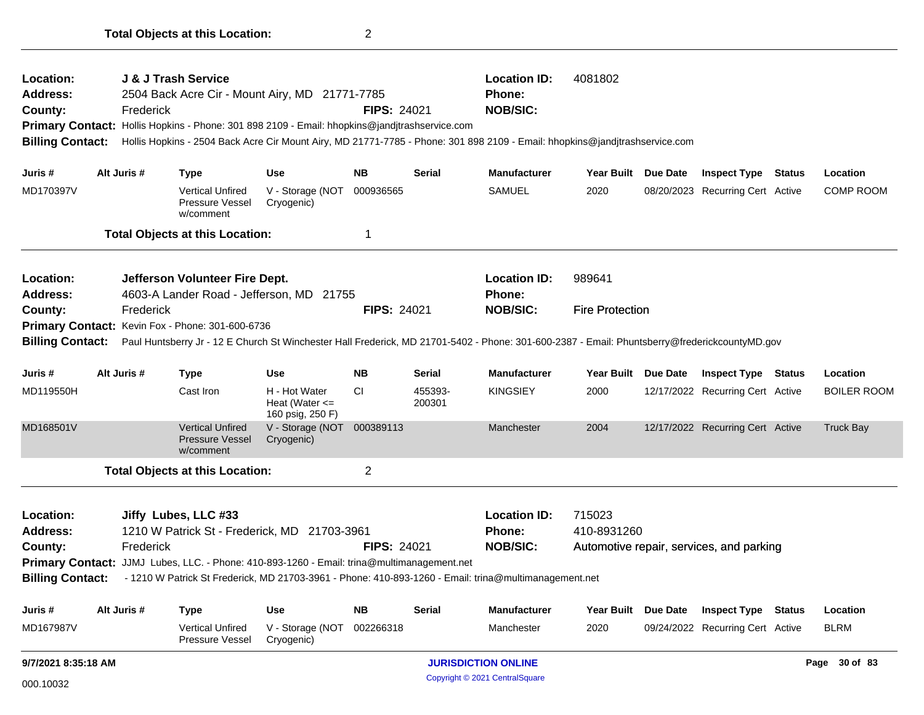| Location:<br><b>Address:</b><br>County:<br><b>Billing Contact:</b> |                                                                                                                               | Frederick   | J & J Trash Service                                            | 2504 Back Acre Cir - Mount Airy, MD 21771-7785<br>Primary Contact: Hollis Hopkins - Phone: 301 898 2109 - Email: hhopkins@jandjtrashservice.com | <b>FIPS: 24021</b> |                   | <b>Location ID:</b><br>Phone:<br><b>NOB/SIC:</b><br>Hollis Hopkins - 2504 Back Acre Cir Mount Airy, MD 21771-7785 - Phone: 301 898 2109 - Email: hhopkins@jandjtrashservice.com | 4081802                |          |                                          |        |                    |
|--------------------------------------------------------------------|-------------------------------------------------------------------------------------------------------------------------------|-------------|----------------------------------------------------------------|-------------------------------------------------------------------------------------------------------------------------------------------------|--------------------|-------------------|---------------------------------------------------------------------------------------------------------------------------------------------------------------------------------|------------------------|----------|------------------------------------------|--------|--------------------|
| Juris #                                                            |                                                                                                                               | Alt Juris # | <b>Type</b>                                                    | <b>Use</b>                                                                                                                                      | <b>NB</b>          | <b>Serial</b>     | <b>Manufacturer</b>                                                                                                                                                             | Year Built Due Date    |          | <b>Inspect Type Status</b>               |        | Location           |
| MD170397V                                                          |                                                                                                                               |             | <b>Vertical Unfired</b><br>Pressure Vessel<br>w/comment        | V - Storage (NOT<br>Cryogenic)                                                                                                                  | 000936565          |                   | <b>SAMUEL</b>                                                                                                                                                                   | 2020                   |          | 08/20/2023 Recurring Cert Active         |        | <b>COMP ROOM</b>   |
|                                                                    |                                                                                                                               |             | <b>Total Objects at this Location:</b>                         |                                                                                                                                                 | $\mathbf 1$        |                   |                                                                                                                                                                                 |                        |          |                                          |        |                    |
| Location:<br><b>Address:</b>                                       |                                                                                                                               |             | Jefferson Volunteer Fire Dept.                                 | 4603-A Lander Road - Jefferson, MD 21755                                                                                                        |                    |                   | <b>Location ID:</b><br><b>Phone:</b>                                                                                                                                            | 989641                 |          |                                          |        |                    |
| County:                                                            |                                                                                                                               | Frederick   |                                                                |                                                                                                                                                 | <b>FIPS: 24021</b> |                   | <b>NOB/SIC:</b>                                                                                                                                                                 | <b>Fire Protection</b> |          |                                          |        |                    |
|                                                                    |                                                                                                                               |             | Primary Contact: Kevin Fox - Phone: 301-600-6736               |                                                                                                                                                 |                    |                   |                                                                                                                                                                                 |                        |          |                                          |        |                    |
| <b>Billing Contact:</b>                                            |                                                                                                                               |             |                                                                |                                                                                                                                                 |                    |                   | Paul Huntsberry Jr - 12 E Church St Winchester Hall Frederick, MD 21701-5402 - Phone: 301-600-2387 - Email: Phuntsberry@frederickcountyMD.gov                                   |                        |          |                                          |        |                    |
| Juris #                                                            |                                                                                                                               | Alt Juris # | <b>Type</b>                                                    | <b>Use</b>                                                                                                                                      | <b>NB</b>          | <b>Serial</b>     | <b>Manufacturer</b>                                                                                                                                                             | Year Built             | Due Date | <b>Inspect Type Status</b>               |        | Location           |
| MD119550H                                                          |                                                                                                                               |             | Cast Iron                                                      | H - Hot Water<br>Heat (Water $\leq$<br>160 psig, 250 F)                                                                                         | <b>CI</b>          | 455393-<br>200301 | <b>KINGSIEY</b>                                                                                                                                                                 | 2000                   |          | 12/17/2022 Recurring Cert Active         |        | <b>BOILER ROOM</b> |
| MD168501V                                                          |                                                                                                                               |             | <b>Vertical Unfired</b><br><b>Pressure Vessel</b><br>w/comment | V - Storage (NOT<br>Cryogenic)                                                                                                                  | 000389113          |                   | Manchester                                                                                                                                                                      | 2004                   |          | 12/17/2022 Recurring Cert Active         |        | <b>Truck Bay</b>   |
|                                                                    |                                                                                                                               |             |                                                                |                                                                                                                                                 | $\overline{2}$     |                   |                                                                                                                                                                                 |                        |          |                                          |        |                    |
| Location:<br>Address:                                              | <b>Total Objects at this Location:</b><br>Jiffy Lubes, LLC #33<br>1210 W Patrick St - Frederick, MD 21703-3961<br>FIPS: 24021 |             |                                                                |                                                                                                                                                 |                    |                   | <b>Location ID:</b><br><b>Phone:</b>                                                                                                                                            | 715023<br>410-8931260  |          |                                          |        |                    |
| County:                                                            |                                                                                                                               | Frederick   |                                                                |                                                                                                                                                 |                    |                   | <b>NOB/SIC:</b>                                                                                                                                                                 |                        |          | Automotive repair, services, and parking |        |                    |
| <b>Primary Contact:</b><br><b>Billing Contact:</b>                 |                                                                                                                               |             |                                                                | JJMJ Lubes, LLC. - Phone: 410-893-1260 - Email: trina@multimanagement.net                                                                       |                    |                   | - 1210 W Patrick St Frederick, MD 21703-3961 - Phone: 410-893-1260 - Email: trina@multimanagement.net                                                                           |                        |          |                                          |        |                    |
| Juris #                                                            |                                                                                                                               | Alt Juris # | <b>Type</b>                                                    | <b>Use</b>                                                                                                                                      | <b>NB</b>          | <b>Serial</b>     | <b>Manufacturer</b>                                                                                                                                                             | Year Built             | Due Date | <b>Inspect Type</b>                      | Status | Location           |
| MD167987V                                                          |                                                                                                                               |             | <b>Vertical Unfired</b><br>Pressure Vessel                     | V - Storage (NOT<br>Cryogenic)                                                                                                                  | 002266318          |                   | Manchester                                                                                                                                                                      | 2020                   |          | 09/24/2022 Recurring Cert Active         |        | <b>BLRM</b>        |
| 9/7/2021 8:35:18 AM                                                |                                                                                                                               |             |                                                                |                                                                                                                                                 |                    |                   | <b>JURISDICTION ONLINE</b>                                                                                                                                                      |                        |          |                                          |        | Page 30 of 83      |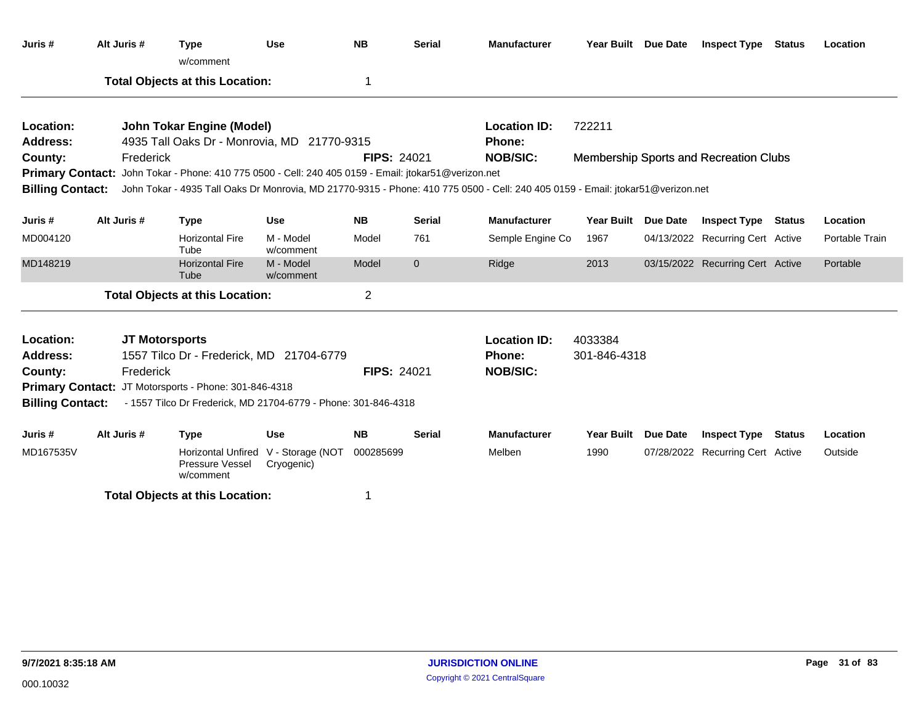| Juris #                 | Alt Juris # | <b>Type</b><br>w/comment                                                                             | <b>Use</b>                                        | <b>NB</b>          | <b>Serial</b> | <b>Manufacturer</b>                                                                                                             | Year Built Due Date |                 | <b>Inspect Type</b>                           | Status | Location       |
|-------------------------|-------------|------------------------------------------------------------------------------------------------------|---------------------------------------------------|--------------------|---------------|---------------------------------------------------------------------------------------------------------------------------------|---------------------|-----------------|-----------------------------------------------|--------|----------------|
|                         |             | <b>Total Objects at this Location:</b>                                                               |                                                   | 1                  |               |                                                                                                                                 |                     |                 |                                               |        |                |
| Location:               |             | <b>John Tokar Engine (Model)</b>                                                                     |                                                   |                    |               | <b>Location ID:</b>                                                                                                             | 722211              |                 |                                               |        |                |
| Address:                |             | 4935 Tall Oaks Dr - Monrovia, MD 21770-9315                                                          |                                                   |                    |               | <b>Phone:</b>                                                                                                                   |                     |                 |                                               |        |                |
| County:                 | Frederick   |                                                                                                      |                                                   | <b>FIPS: 24021</b> |               | <b>NOB/SIC:</b>                                                                                                                 |                     |                 | <b>Membership Sports and Recreation Clubs</b> |        |                |
|                         |             | Primary Contact: John Tokar - Phone: 410 775 0500 - Cell: 240 405 0159 - Email: jtokar51@verizon.net |                                                   |                    |               |                                                                                                                                 |                     |                 |                                               |        |                |
| <b>Billing Contact:</b> |             |                                                                                                      |                                                   |                    |               | John Tokar - 4935 Tall Oaks Dr Monrovia, MD 21770-9315 - Phone: 410 775 0500 - Cell: 240 405 0159 - Email: jtokar51@verizon.net |                     |                 |                                               |        |                |
| Juris #                 | Alt Juris # | <b>Type</b>                                                                                          | <b>Use</b>                                        | <b>NB</b>          | <b>Serial</b> | <b>Manufacturer</b>                                                                                                             | <b>Year Built</b>   | Due Date        | <b>Inspect Type Status</b>                    |        | Location       |
| MD004120                |             | <b>Horizontal Fire</b><br>Tube                                                                       | M - Model<br>w/comment                            | Model              | 761           | Semple Engine Co                                                                                                                | 1967                |                 | 04/13/2022 Recurring Cert Active              |        | Portable Train |
| MD148219                |             | <b>Horizontal Fire</b><br>Tube                                                                       | M - Model<br>w/comment                            | Model              | $\mathbf 0$   | Ridge                                                                                                                           | 2013                |                 | 03/15/2022 Recurring Cert Active              |        | Portable       |
|                         |             | <b>Total Objects at this Location:</b>                                                               |                                                   | $\overline{2}$     |               |                                                                                                                                 |                     |                 |                                               |        |                |
| Location:               |             | <b>JT Motorsports</b>                                                                                |                                                   |                    |               | <b>Location ID:</b>                                                                                                             | 4033384             |                 |                                               |        |                |
| <b>Address:</b>         |             | 1557 Tilco Dr - Frederick, MD 21704-6779                                                             |                                                   |                    |               | <b>Phone:</b>                                                                                                                   | 301-846-4318        |                 |                                               |        |                |
| County:                 | Frederick   |                                                                                                      |                                                   | <b>FIPS: 24021</b> |               | <b>NOB/SIC:</b>                                                                                                                 |                     |                 |                                               |        |                |
|                         |             | Primary Contact: JT Motorsports - Phone: 301-846-4318                                                |                                                   |                    |               |                                                                                                                                 |                     |                 |                                               |        |                |
| <b>Billing Contact:</b> |             | - 1557 Tilco Dr Frederick, MD 21704-6779 - Phone: 301-846-4318                                       |                                                   |                    |               |                                                                                                                                 |                     |                 |                                               |        |                |
| Juris #                 | Alt Juris # | Type                                                                                                 | <b>Use</b>                                        | <b>NB</b>          | <b>Serial</b> | <b>Manufacturer</b>                                                                                                             | <b>Year Built</b>   | <b>Due Date</b> | <b>Inspect Type Status</b>                    |        | Location       |
| MD167535V               |             | Pressure Vessel<br>w/comment                                                                         | Horizontal Unfired V - Storage (NOT<br>Cryogenic) | 000285699          |               | Melben                                                                                                                          | 1990                |                 | 07/28/2022 Recurring Cert Active              |        | Outside        |
|                         |             | <b>Total Objects at this Location:</b>                                                               |                                                   |                    |               |                                                                                                                                 |                     |                 |                                               |        |                |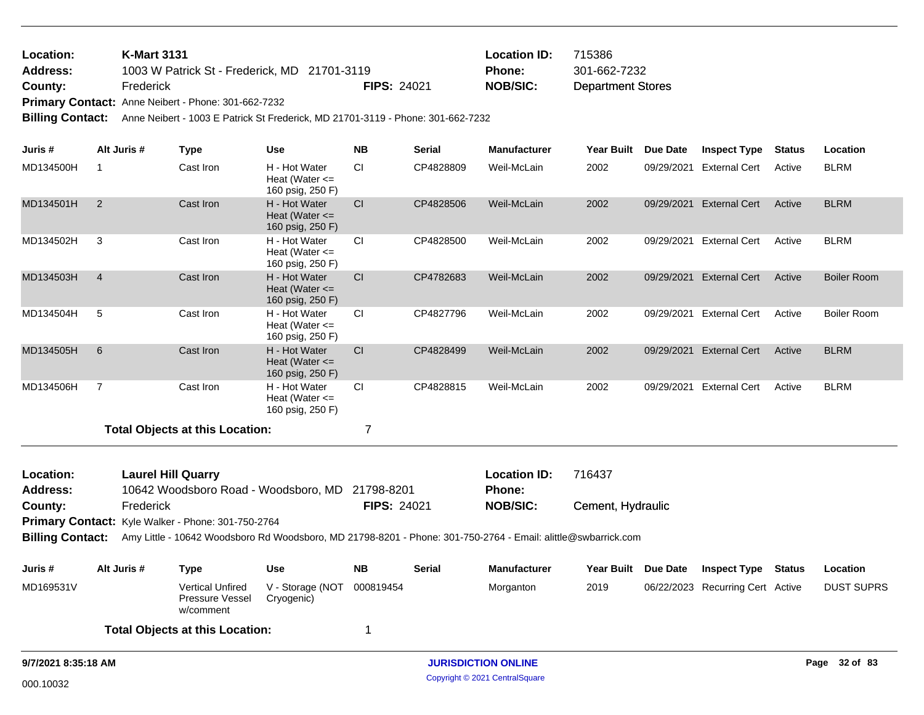Department Stores 1003 W Patrick St - Frederick, MD 21701-3119 **County:** Frederick **NOB/SIC:** FIPS: 24021 **NOB/SIC: K-Mart 3131 Location ID:** 715386 **Address: Location: Phone:** 301-662-7232

**Primary Contact:** Anne Neibert - Phone: 301-662-7232

**Billing Contact:** Anne Neibert - 1003 E Patrick St Frederick, MD 21701-3119 - Phone: 301-662-7232

| Juris #                 | Alt Juris #    | <b>Type</b>                                                                                                   | <b>Use</b>                                              | <b>NB</b>          | <b>Serial</b> | <b>Manufacturer</b> | <b>Year Built</b> | <b>Due Date</b> | <b>Inspect Type</b>              | <b>Status</b> | Location           |
|-------------------------|----------------|---------------------------------------------------------------------------------------------------------------|---------------------------------------------------------|--------------------|---------------|---------------------|-------------------|-----------------|----------------------------------|---------------|--------------------|
| MD134500H               | 1              | Cast Iron                                                                                                     | H - Hot Water<br>Heat (Water $\leq$<br>160 psig, 250 F) | CI                 | CP4828809     | Weil-McLain         | 2002              | 09/29/2021      | External Cert                    | Active        | <b>BLRM</b>        |
| MD134501H               | 2              | Cast Iron                                                                                                     | H - Hot Water<br>Heat (Water $\leq$<br>160 psig, 250 F) | CI                 | CP4828506     | Weil-McLain         | 2002              |                 | 09/29/2021 External Cert         | Active        | <b>BLRM</b>        |
| MD134502H               | 3              | Cast Iron                                                                                                     | H - Hot Water<br>Heat (Water $\leq$<br>160 psig, 250 F) | <b>CI</b>          | CP4828500     | Weil-McLain         | 2002              |                 | 09/29/2021 External Cert         | Active        | <b>BLRM</b>        |
| MD134503H               | $\overline{4}$ | Cast Iron                                                                                                     | H - Hot Water<br>Heat (Water $\leq$<br>160 psig, 250 F) | CI                 | CP4782683     | Weil-McLain         | 2002              |                 | 09/29/2021 External Cert         | Active        | <b>Boiler Room</b> |
| MD134504H               | 5              | Cast Iron                                                                                                     | H - Hot Water<br>Heat (Water $\leq$<br>160 psig, 250 F) | <b>CI</b>          | CP4827796     | Weil-McLain         | 2002              |                 | 09/29/2021 External Cert         | Active        | Boiler Room        |
| MD134505H               | 6              | Cast Iron                                                                                                     | H - Hot Water<br>Heat (Water $\leq$<br>160 psig, 250 F) | CI                 | CP4828499     | Weil-McLain         | 2002              |                 | 09/29/2021 External Cert         | Active        | <b>BLRM</b>        |
| MD134506H               | $\overline{7}$ | Cast Iron                                                                                                     | H - Hot Water<br>Heat (Water $\leq$<br>160 psig, 250 F) | <b>CI</b>          | CP4828815     | Weil-McLain         | 2002              |                 | 09/29/2021 External Cert         | Active        | <b>BLRM</b>        |
|                         |                | <b>Total Objects at this Location:</b>                                                                        |                                                         | 7                  |               |                     |                   |                 |                                  |               |                    |
| Location:               |                | <b>Laurel Hill Quarry</b>                                                                                     |                                                         |                    |               | <b>Location ID:</b> | 716437            |                 |                                  |               |                    |
| <b>Address:</b>         |                | 10642 Woodsboro Road - Woodsboro, MD                                                                          |                                                         | 21798-8201         |               | <b>Phone:</b>       |                   |                 |                                  |               |                    |
| County:                 | Frederick      | Primary Contact: Kyle Walker - Phone: 301-750-2764                                                            |                                                         | <b>FIPS: 24021</b> |               | <b>NOB/SIC:</b>     | Cement, Hydraulic |                 |                                  |               |                    |
| <b>Billing Contact:</b> |                | Amy Little - 10642 Woodsboro Rd Woodsboro, MD 21798-8201 - Phone: 301-750-2764 - Email: alittle@swbarrick.com |                                                         |                    |               |                     |                   |                 |                                  |               |                    |
| Juris#                  | Alt Juris #    | <b>Type</b>                                                                                                   | <b>Use</b>                                              | <b>NB</b>          | <b>Serial</b> | <b>Manufacturer</b> | Year Built        | Due Date        | <b>Inspect Type</b>              | <b>Status</b> | Location           |
| MD169531V               |                | <b>Vertical Unfired</b><br>Pressure Vessel<br>w/comment                                                       | V - Storage (NOT<br>Cryogenic)                          | 000819454          |               | Morganton           | 2019              |                 | 06/22/2023 Recurring Cert Active |               | <b>DUST SUPRS</b>  |
|                         |                | <b>Total Objects at this Location:</b>                                                                        |                                                         | -1                 |               |                     |                   |                 |                                  |               |                    |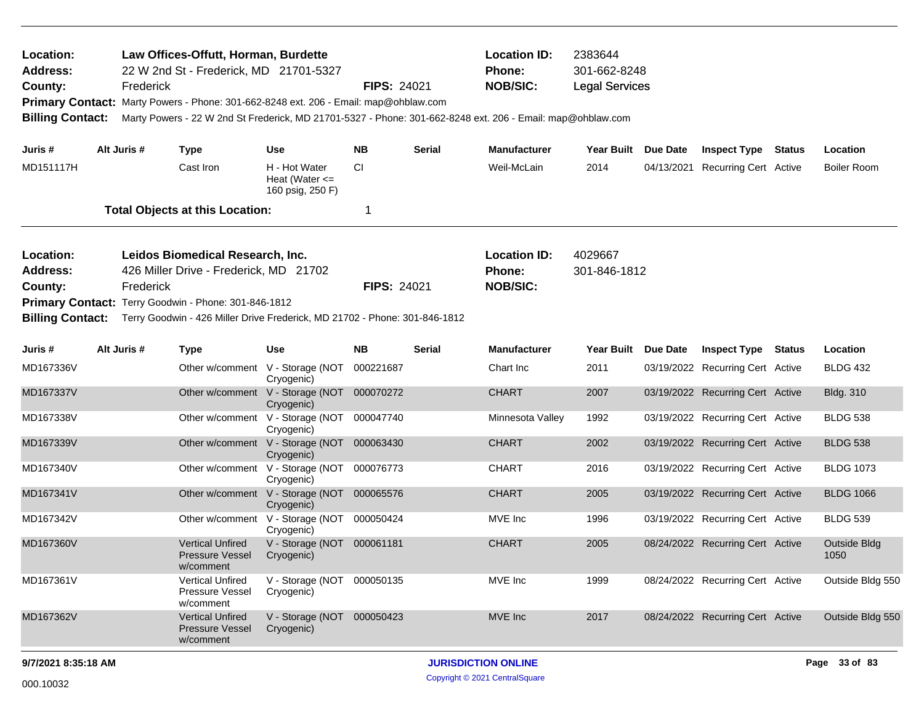| Location:<br><b>Address:</b><br>County:<br>Primary Contact: Marty Powers - Phone: 301-662-8248 ext. 206 - Email: map@ohblaw.com<br><b>Billing Contact:</b>                                                                                                                                          |  | Frederick   | Law Offices-Offutt, Horman, Burdette<br>22 W 2nd St - Frederick, MD 21701-5327<br>Marty Powers - 22 W 2nd St Frederick, MD 21701-5327 - Phone: 301-662-8248 ext. 206 - Email: map@ohblaw.com |                                                          | <b>FIPS: 24021</b> |                                                                        | <b>Location ID:</b><br>Phone:<br><b>NOB/SIC:</b> | 2383644<br>301-662-8248<br><b>Legal Services</b> |                         |                                  |  |                      |  |
|-----------------------------------------------------------------------------------------------------------------------------------------------------------------------------------------------------------------------------------------------------------------------------------------------------|--|-------------|----------------------------------------------------------------------------------------------------------------------------------------------------------------------------------------------|----------------------------------------------------------|--------------------|------------------------------------------------------------------------|--------------------------------------------------|--------------------------------------------------|-------------------------|----------------------------------|--|----------------------|--|
| Juris #                                                                                                                                                                                                                                                                                             |  | Alt Juris # | <b>Type</b>                                                                                                                                                                                  | <b>Use</b>                                               | <b>NB</b>          | <b>Serial</b>                                                          | <b>Manufacturer</b>                              | Year Built Due Date                              |                         | <b>Inspect Type Status</b>       |  | Location             |  |
| MD151117H                                                                                                                                                                                                                                                                                           |  |             | Cast Iron                                                                                                                                                                                    | H - Hot Water<br>Heat (Water $\leq$<br>160 psig, 250 F)  | <b>CI</b>          |                                                                        | Weil-McLain                                      | 2014                                             |                         | 04/13/2021 Recurring Cert Active |  | <b>Boiler Room</b>   |  |
|                                                                                                                                                                                                                                                                                                     |  |             | <b>Total Objects at this Location:</b>                                                                                                                                                       |                                                          | $\mathbf 1$        |                                                                        |                                                  |                                                  |                         |                                  |  |                      |  |
| Location:<br>Leidos Biomedical Research, Inc.<br><b>Address:</b><br>426 Miller Drive - Frederick, MD 21702<br>Frederick<br>County:<br>Primary Contact: Terry Goodwin - Phone: 301-846-1812<br><b>Billing Contact:</b><br>Terry Goodwin - 426 Miller Drive Frederick, MD 21702 - Phone: 301-846-1812 |  |             |                                                                                                                                                                                              |                                                          |                    | <b>Location ID:</b><br>Phone:<br><b>FIPS: 24021</b><br><b>NOB/SIC:</b> |                                                  |                                                  | 4029667<br>301-846-1812 |                                  |  |                      |  |
| Juris #                                                                                                                                                                                                                                                                                             |  | Alt Juris # | <b>Type</b>                                                                                                                                                                                  | <b>Use</b>                                               | <b>NB</b>          | <b>Serial</b>                                                          | <b>Manufacturer</b>                              | Year Built Due Date                              |                         | <b>Inspect Type Status</b>       |  | Location             |  |
| MD167336V                                                                                                                                                                                                                                                                                           |  |             |                                                                                                                                                                                              | Other w/comment V - Storage (NOT<br>Cryogenic)           | 000221687          |                                                                        | Chart Inc                                        | 2011                                             |                         | 03/19/2022 Recurring Cert Active |  | <b>BLDG 432</b>      |  |
| MD167337V                                                                                                                                                                                                                                                                                           |  |             |                                                                                                                                                                                              | Other w/comment V - Storage (NOT 000070272<br>Cryogenic) |                    |                                                                        | <b>CHART</b>                                     | 2007                                             |                         | 03/19/2022 Recurring Cert Active |  | <b>Bldg. 310</b>     |  |
| MD167338V                                                                                                                                                                                                                                                                                           |  |             |                                                                                                                                                                                              | Other w/comment V - Storage (NOT 000047740<br>Cryogenic) |                    |                                                                        | Minnesota Valley                                 | 1992                                             |                         | 03/19/2022 Recurring Cert Active |  | <b>BLDG 538</b>      |  |
| MD167339V                                                                                                                                                                                                                                                                                           |  |             |                                                                                                                                                                                              | Other w/comment V - Storage (NOT 000063430<br>Cryogenic) |                    |                                                                        | <b>CHART</b>                                     | 2002                                             |                         | 03/19/2022 Recurring Cert Active |  | <b>BLDG 538</b>      |  |
| MD167340V                                                                                                                                                                                                                                                                                           |  |             |                                                                                                                                                                                              | Other w/comment V - Storage (NOT 000076773<br>Cryogenic) |                    |                                                                        | <b>CHART</b>                                     | 2016                                             |                         | 03/19/2022 Recurring Cert Active |  | <b>BLDG 1073</b>     |  |
| MD167341V                                                                                                                                                                                                                                                                                           |  |             |                                                                                                                                                                                              | Other w/comment V - Storage (NOT 000065576<br>Cryogenic) |                    |                                                                        | <b>CHART</b>                                     | 2005                                             |                         | 03/19/2022 Recurring Cert Active |  | <b>BLDG 1066</b>     |  |
| MD167342V                                                                                                                                                                                                                                                                                           |  |             |                                                                                                                                                                                              | Other w/comment V - Storage (NOT 000050424<br>Cryogenic) |                    |                                                                        | MVE Inc                                          | 1996                                             |                         | 03/19/2022 Recurring Cert Active |  | <b>BLDG 539</b>      |  |
| MD167360V                                                                                                                                                                                                                                                                                           |  |             | <b>Vertical Unfired</b><br><b>Pressure Vessel</b><br>w/comment                                                                                                                               | V - Storage (NOT 000061181<br>Cryogenic)                 |                    |                                                                        | <b>CHART</b>                                     | 2005                                             |                         | 08/24/2022 Recurring Cert Active |  | Outside Bldg<br>1050 |  |
| MD167361V                                                                                                                                                                                                                                                                                           |  |             | <b>Vertical Unfired</b><br>Pressure Vessel<br>w/comment                                                                                                                                      | V - Storage (NOT 000050135<br>Cryogenic)                 |                    |                                                                        | MVE Inc                                          | 1999                                             |                         | 08/24/2022 Recurring Cert Active |  | Outside Bldg 550     |  |
| MD167362V                                                                                                                                                                                                                                                                                           |  |             | <b>Vertical Unfired</b><br><b>Pressure Vessel</b><br>w/comment                                                                                                                               | V - Storage (NOT 000050423<br>Cryogenic)                 |                    |                                                                        | MVE Inc.                                         | 2017                                             |                         | 08/24/2022 Recurring Cert Active |  | Outside Bldg 550     |  |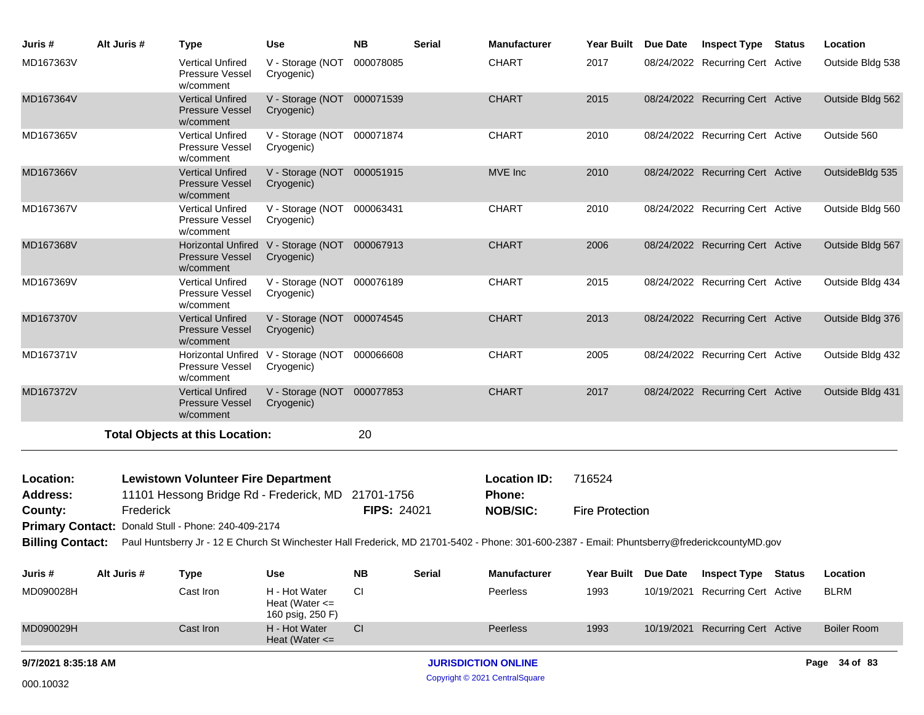| Juris #                                                                                                                                                                  | Alt Juris # | <b>Type</b>                                                                                      | <b>Use</b>                                                  | <b>NB</b>          | <b>Serial</b> | <b>Manufacturer</b>           | <b>Year Built</b>      | Due Date      | <b>Inspect Type</b>              | Status | Location           |
|--------------------------------------------------------------------------------------------------------------------------------------------------------------------------|-------------|--------------------------------------------------------------------------------------------------|-------------------------------------------------------------|--------------------|---------------|-------------------------------|------------------------|---------------|----------------------------------|--------|--------------------|
| MD167363V                                                                                                                                                                |             | <b>Vertical Unfired</b><br>Pressure Vessel<br>w/comment                                          | V - Storage (NOT 000078085<br>Cryogenic)                    |                    |               | <b>CHART</b>                  | 2017                   |               | 08/24/2022 Recurring Cert Active |        | Outside Bldg 538   |
| MD167364V                                                                                                                                                                |             | <b>Vertical Unfired</b><br><b>Pressure Vessel</b><br>w/comment                                   | V - Storage (NOT 000071539<br>Cryogenic)                    |                    |               | <b>CHART</b>                  | 2015                   |               | 08/24/2022 Recurring Cert Active |        | Outside Bldg 562   |
| MD167365V                                                                                                                                                                |             | <b>Vertical Unfired</b><br>Pressure Vessel<br>w/comment                                          | V - Storage (NOT 000071874<br>Cryogenic)                    |                    |               | <b>CHART</b>                  | 2010                   |               | 08/24/2022 Recurring Cert Active |        | Outside 560        |
| MD167366V                                                                                                                                                                |             | <b>Vertical Unfired</b><br><b>Pressure Vessel</b><br>w/comment                                   | V - Storage (NOT<br>Cryogenic)                              | 000051915          |               | MVE Inc                       | 2010                   |               | 08/24/2022 Recurring Cert Active |        | OutsideBldg 535    |
| MD167367V                                                                                                                                                                |             | <b>Vertical Unfired</b><br>Pressure Vessel<br>w/comment                                          | V - Storage (NOT 000063431<br>Cryogenic)                    |                    |               | <b>CHART</b>                  | 2010                   |               | 08/24/2022 Recurring Cert Active |        | Outside Bldg 560   |
| MD167368V                                                                                                                                                                |             | <b>Horizontal Unfired</b><br><b>Pressure Vessel</b><br>w/comment                                 | V - Storage (NOT 000067913<br>Cryogenic)                    |                    |               | <b>CHART</b>                  | 2006                   |               | 08/24/2022 Recurring Cert Active |        | Outside Bldg 567   |
| MD167369V                                                                                                                                                                |             | <b>Vertical Unfired</b><br>Pressure Vessel<br>w/comment                                          | V - Storage (NOT 000076189<br>Cryogenic)                    |                    |               | <b>CHART</b>                  | 2015                   |               | 08/24/2022 Recurring Cert Active |        | Outside Bldg 434   |
| MD167370V                                                                                                                                                                |             | <b>Vertical Unfired</b><br>Pressure Vessel<br>w/comment                                          | V - Storage (NOT 000074545<br>Cryogenic)                    |                    |               | <b>CHART</b>                  | 2013                   |               | 08/24/2022 Recurring Cert Active |        | Outside Bldg 376   |
| MD167371V                                                                                                                                                                |             | Pressure Vessel<br>w/comment                                                                     | Horizontal Unfired V - Storage (NOT 000066608<br>Cryogenic) |                    |               | <b>CHART</b>                  | 2005                   |               | 08/24/2022 Recurring Cert Active |        | Outside Bldg 432   |
| MD167372V                                                                                                                                                                |             | <b>Vertical Unfired</b><br>Pressure Vessel<br>w/comment                                          | V - Storage (NOT 000077853<br>Cryogenic)                    |                    |               | <b>CHART</b>                  | 2017                   |               | 08/24/2022 Recurring Cert Active |        | Outside Bldg 431   |
|                                                                                                                                                                          |             | <b>Total Objects at this Location:</b>                                                           |                                                             | 20                 |               |                               |                        |               |                                  |        |                    |
| Location:<br><b>Address:</b>                                                                                                                                             |             | <b>Lewistown Volunteer Fire Department</b><br>11101 Hessong Bridge Rd - Frederick, MD 21701-1756 |                                                             |                    |               | <b>Location ID:</b><br>Phone: | 716524                 |               |                                  |        |                    |
| County:                                                                                                                                                                  | Frederick   |                                                                                                  |                                                             | <b>FIPS: 24021</b> |               | <b>NOB/SIC:</b>               | <b>Fire Protection</b> |               |                                  |        |                    |
|                                                                                                                                                                          |             | Primary Contact: Donald Stull - Phone: 240-409-2174                                              |                                                             |                    |               |                               |                        |               |                                  |        |                    |
| <b>Billing Contact:</b><br>Paul Huntsberry Jr - 12 E Church St Winchester Hall Frederick, MD 21701-5402 - Phone: 301-600-2387 - Email: Phuntsberry@frederickcountyMD.gov |             |                                                                                                  |                                                             |                    |               |                               |                        |               |                                  |        |                    |
| Juris #                                                                                                                                                                  | Alt Juris # | <b>Type</b>                                                                                      | <b>Use</b>                                                  | <b>NB</b>          | <b>Serial</b> | Manufacturer                  | <b>Year Built</b>      | Due Date      | <b>Inspect Type Status</b>       |        | Location           |
| MD090028H                                                                                                                                                                |             | Cast Iron                                                                                        | H - Hot Water<br>Heat (Water $\leq$<br>160 psig, 250 F)     | <b>CI</b>          |               | Peerless                      | 1993                   | 10/19/2021    | <b>Recurring Cert Active</b>     |        | <b>BLRM</b>        |
| MD090029H                                                                                                                                                                |             | Cast Iron                                                                                        | H - Hot Water<br>Heat (Water $\leq$                         | CI                 |               | Peerless                      | 1993                   | 10/19/2021    | <b>Recurring Cert Active</b>     |        | <b>Boiler Room</b> |
| 9/7/2021 8:35:18 AM                                                                                                                                                      |             |                                                                                                  |                                                             |                    |               | <b>JURISDICTION ONLINE</b>    |                        | Page 34 of 83 |                                  |        |                    |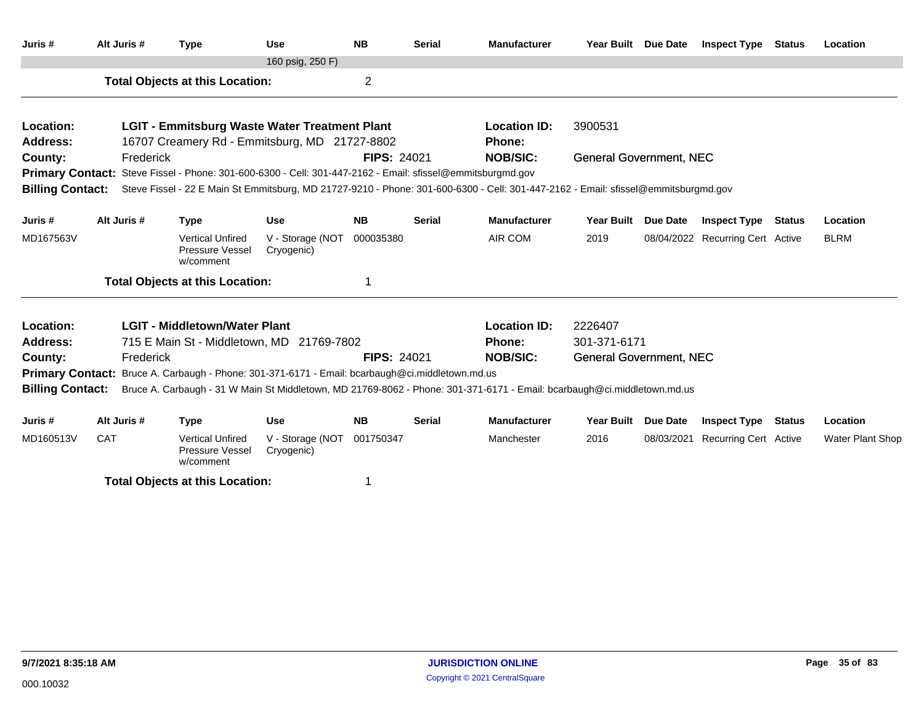| Juris #                 | Alt Juris # | <b>Type</b>                                                                                                | <b>Use</b>                     | <b>NB</b>          | <b>Serial</b> | <b>Manufacturer</b>                                                                                                                | Year Built Due Date            |                 | <b>Inspect Type Status</b>       |               | Location         |  |
|-------------------------|-------------|------------------------------------------------------------------------------------------------------------|--------------------------------|--------------------|---------------|------------------------------------------------------------------------------------------------------------------------------------|--------------------------------|-----------------|----------------------------------|---------------|------------------|--|
|                         |             |                                                                                                            | 160 psig, 250 F)               |                    |               |                                                                                                                                    |                                |                 |                                  |               |                  |  |
|                         |             | <b>Total Objects at this Location:</b>                                                                     |                                | $\overline{2}$     |               |                                                                                                                                    |                                |                 |                                  |               |                  |  |
| Location:               |             | <b>LGIT - Emmitsburg Waste Water Treatment Plant</b>                                                       |                                |                    |               | <b>Location ID:</b>                                                                                                                | 3900531                        |                 |                                  |               |                  |  |
| <b>Address:</b>         |             | 16707 Creamery Rd - Emmitsburg, MD 21727-8802                                                              |                                |                    |               | <b>Phone:</b>                                                                                                                      |                                |                 |                                  |               |                  |  |
| County:                 | Frederick   |                                                                                                            |                                | <b>FIPS: 24021</b> |               | <b>NOB/SIC:</b>                                                                                                                    | <b>General Government, NEC</b> |                 |                                  |               |                  |  |
|                         |             | Primary Contact: Steve Fissel - Phone: 301-600-6300 - Cell: 301-447-2162 - Email: sfissel@emmitsburgmd.gov |                                |                    |               |                                                                                                                                    |                                |                 |                                  |               |                  |  |
| <b>Billing Contact:</b> |             |                                                                                                            |                                |                    |               | Steve Fissel - 22 E Main St Emmitsburg, MD 21727-9210 - Phone: 301-600-6300 - Cell: 301-447-2162 - Email: sfissel@emmitsburgmd.gov |                                |                 |                                  |               |                  |  |
| Juris #                 | Alt Juris # | <b>Type</b>                                                                                                | <b>Use</b>                     | <b>NB</b>          | <b>Serial</b> | <b>Manufacturer</b>                                                                                                                | <b>Year Built</b>              | <b>Due Date</b> | <b>Inspect Type</b>              | Status        | Location         |  |
| MD167563V               |             | <b>Vertical Unfired</b><br>Pressure Vessel<br>w/comment                                                    | V - Storage (NOT<br>Cryogenic) | 000035380          |               | AIR COM                                                                                                                            | 2019                           |                 | 08/04/2022 Recurring Cert Active |               | <b>BLRM</b>      |  |
|                         |             | <b>Total Objects at this Location:</b>                                                                     |                                |                    |               |                                                                                                                                    |                                |                 |                                  |               |                  |  |
| Location:               |             | <b>LGIT - Middletown/Water Plant</b>                                                                       |                                |                    |               | <b>Location ID:</b>                                                                                                                | 2226407                        |                 |                                  |               |                  |  |
| <b>Address:</b>         |             | 715 E Main St - Middletown, MD 21769-7802                                                                  |                                |                    |               | <b>Phone:</b>                                                                                                                      | 301-371-6171                   |                 |                                  |               |                  |  |
| County:                 | Frederick   |                                                                                                            |                                | <b>FIPS: 24021</b> |               | <b>NOB/SIC:</b>                                                                                                                    | <b>General Government, NEC</b> |                 |                                  |               |                  |  |
|                         |             | Primary Contact: Bruce A. Carbaugh - Phone: 301-371-6171 - Email: bcarbaugh@ci.middletown.md.us            |                                |                    |               |                                                                                                                                    |                                |                 |                                  |               |                  |  |
| <b>Billing Contact:</b> |             |                                                                                                            |                                |                    |               | Bruce A. Carbaugh - 31 W Main St Middletown, MD 21769-8062 - Phone: 301-371-6171 - Email: bcarbaugh@ci.middletown.md.us            |                                |                 |                                  |               |                  |  |
| Juris #                 | Alt Juris # | <b>Type</b>                                                                                                | <b>Use</b>                     | <b>NB</b>          | <b>Serial</b> | <b>Manufacturer</b>                                                                                                                | <b>Year Built</b>              | Due Date        | <b>Inspect Type</b>              | <b>Status</b> | Location         |  |
| MD160513V               | <b>CAT</b>  | <b>Vertical Unfired</b><br><b>Pressure Vessel</b><br>w/comment                                             | V - Storage (NOT<br>Cryogenic) | 001750347          |               | Manchester                                                                                                                         | 2016                           | 08/03/2021      | <b>Recurring Cert Active</b>     |               | Water Plant Shop |  |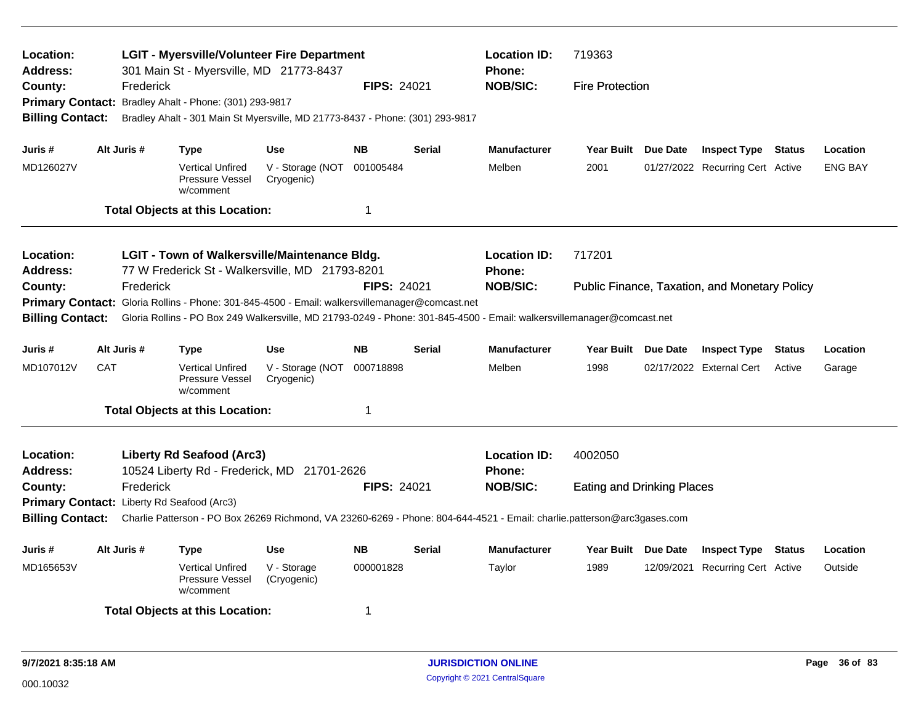| Location:<br>Address:<br>County:<br>Primary Contact: Bradley Ahalt - Phone: (301) 293-9817<br><b>Billing Contact:</b>                                                                                                              |                                                                                                  | Frederick   | <b>LGIT - Myersville/Volunteer Fire Department</b><br>301 Main St - Myersville, MD 21773-8437                           |                                | <b>FIPS: 24021</b> |               | <b>Location ID:</b><br><b>Phone:</b><br><b>NOB/SIC:</b> | 719363<br><b>Fire Protection</b>              |  |                                  |               |                |  |  |
|------------------------------------------------------------------------------------------------------------------------------------------------------------------------------------------------------------------------------------|--------------------------------------------------------------------------------------------------|-------------|-------------------------------------------------------------------------------------------------------------------------|--------------------------------|--------------------|---------------|---------------------------------------------------------|-----------------------------------------------|--|----------------------------------|---------------|----------------|--|--|
|                                                                                                                                                                                                                                    |                                                                                                  |             | Bradley Ahalt - 301 Main St Myersville, MD 21773-8437 - Phone: (301) 293-9817                                           |                                |                    |               |                                                         |                                               |  |                                  |               |                |  |  |
| Juris #                                                                                                                                                                                                                            |                                                                                                  | Alt Juris # | Type                                                                                                                    | <b>Use</b>                     | <b>NB</b>          | <b>Serial</b> | <b>Manufacturer</b>                                     | Year Built Due Date                           |  | <b>Inspect Type Status</b>       |               | Location       |  |  |
| MD126027V                                                                                                                                                                                                                          |                                                                                                  |             | <b>Vertical Unfired</b><br>Pressure Vessel<br>w/comment                                                                 | V - Storage (NOT<br>Cryogenic) | 001005484          |               | Melben                                                  | 2001                                          |  | 01/27/2022 Recurring Cert Active |               | <b>ENG BAY</b> |  |  |
|                                                                                                                                                                                                                                    |                                                                                                  |             | <b>Total Objects at this Location:</b>                                                                                  |                                |                    |               |                                                         |                                               |  |                                  |               |                |  |  |
| Location:<br><b>Address:</b>                                                                                                                                                                                                       | LGIT - Town of Walkersville/Maintenance Bldg.<br>77 W Frederick St - Walkersville, MD 21793-8201 |             |                                                                                                                         |                                |                    |               | <b>Location ID:</b><br><b>Phone:</b>                    | 717201                                        |  |                                  |               |                |  |  |
| County:                                                                                                                                                                                                                            |                                                                                                  | Frederick   |                                                                                                                         |                                | <b>FIPS: 24021</b> |               | <b>NOB/SIC:</b>                                         | Public Finance, Taxation, and Monetary Policy |  |                                  |               |                |  |  |
| <b>Primary Contact:</b><br>Gloria Rollins - Phone: 301-845-4500 - Email: walkersvillemanager@comcast.net<br>Gloria Rollins - PO Box 249 Walkersville, MD 21793-0249 - Phone: 301-845-4500 - Email: walkersvillemanager@comcast.net |                                                                                                  |             |                                                                                                                         |                                |                    |               |                                                         |                                               |  |                                  |               |                |  |  |
| <b>Billing Contact:</b>                                                                                                                                                                                                            |                                                                                                  |             |                                                                                                                         |                                |                    |               |                                                         |                                               |  |                                  |               |                |  |  |
| Juris #                                                                                                                                                                                                                            |                                                                                                  | Alt Juris # | Type                                                                                                                    | <b>Use</b>                     | <b>NB</b>          | <b>Serial</b> | <b>Manufacturer</b>                                     | Year Built Due Date                           |  | <b>Inspect Type</b>              | <b>Status</b> | Location       |  |  |
| MD107012V                                                                                                                                                                                                                          | CAT                                                                                              |             | <b>Vertical Unfired</b><br>Pressure Vessel<br>w/comment                                                                 | V - Storage (NOT<br>Cryogenic) | 000718898          |               | Melben                                                  | 1998                                          |  | 02/17/2022 External Cert         | Active        | Garage         |  |  |
|                                                                                                                                                                                                                                    |                                                                                                  |             | <b>Total Objects at this Location:</b>                                                                                  |                                | 1                  |               |                                                         |                                               |  |                                  |               |                |  |  |
| <b>Location:</b><br><b>Address:</b>                                                                                                                                                                                                |                                                                                                  |             | Liberty Rd Seafood (Arc3)<br>10524 Liberty Rd - Frederick, MD 21701-2626                                                |                                |                    |               | <b>Location ID:</b><br><b>Phone:</b>                    | 4002050                                       |  |                                  |               |                |  |  |
| County:                                                                                                                                                                                                                            |                                                                                                  | Frederick   |                                                                                                                         |                                | <b>FIPS: 24021</b> |               | <b>NOB/SIC:</b>                                         | <b>Eating and Drinking Places</b>             |  |                                  |               |                |  |  |
| Primary Contact: Liberty Rd Seafood (Arc3)                                                                                                                                                                                         |                                                                                                  |             |                                                                                                                         |                                |                    |               |                                                         |                                               |  |                                  |               |                |  |  |
| <b>Billing Contact:</b>                                                                                                                                                                                                            |                                                                                                  |             | Charlie Patterson - PO Box 26269 Richmond, VA 23260-6269 - Phone: 804-644-4521 - Email: charlie.patterson@arc3gases.com |                                |                    |               |                                                         |                                               |  |                                  |               |                |  |  |
| Juris #                                                                                                                                                                                                                            |                                                                                                  | Alt Juris # | Type                                                                                                                    | <b>Use</b>                     | <b>NB</b>          | <b>Serial</b> | <b>Manufacturer</b>                                     | Year Built Due Date                           |  | <b>Inspect Type Status</b>       |               | Location       |  |  |
| MD165653V                                                                                                                                                                                                                          |                                                                                                  |             | <b>Vertical Unfired</b><br>Pressure Vessel<br>w/comment                                                                 | V - Storage<br>(Cryogenic)     | 000001828          |               | Taylor                                                  | 1989                                          |  | 12/09/2021 Recurring Cert Active |               | Outside        |  |  |
|                                                                                                                                                                                                                                    |                                                                                                  |             | <b>Total Objects at this Location:</b>                                                                                  |                                | 1                  |               |                                                         |                                               |  |                                  |               |                |  |  |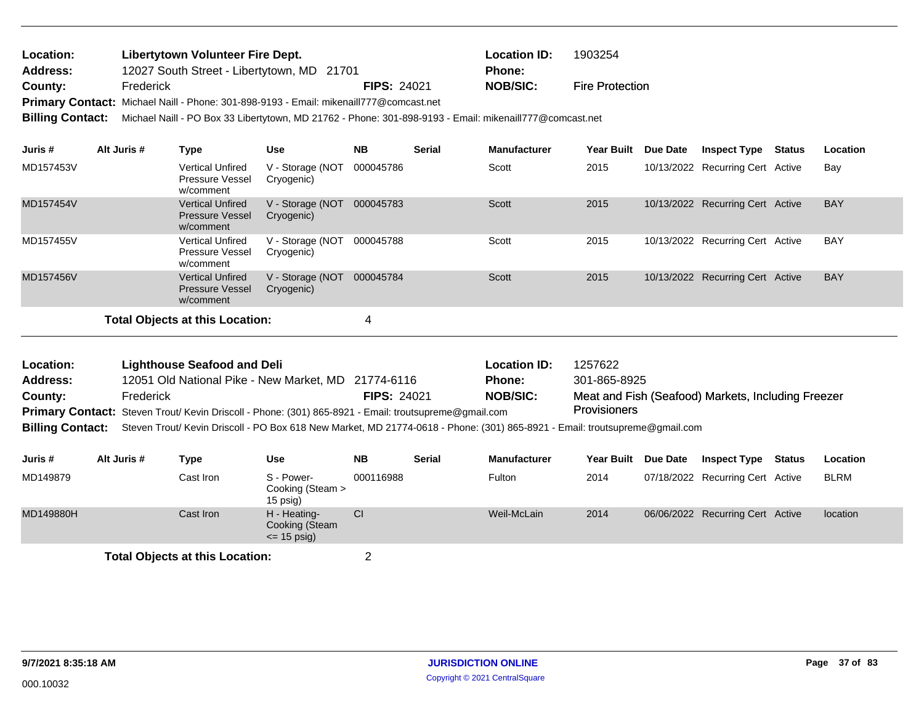| <b>Location:</b> | Libertytown Volunteer Fire Dept.                                                       |                    | <b>Location ID:</b> | 1903254                |
|------------------|----------------------------------------------------------------------------------------|--------------------|---------------------|------------------------|
| Address:         | 12027 South Street - Libertytown, MD 21701                                             |                    | <b>Phone:</b>       |                        |
| County:          | Frederick                                                                              | <b>FIPS: 24021</b> | <b>NOB/SIC:</b>     | <b>Fire Protection</b> |
|                  | Primary Contact: Michael Naill - Phone: 301-898-9193 - Email: mikenaill777@comcast.net |                    |                     |                        |

**Billing Contact:** Michael Naill - PO Box 33 Libertytown, MD 21762 - Phone: 301-898-9193 - Email: mikenaill777@comcast.net

| Juris #   | Alt Juris # | Type                                                           | <b>Use</b>                      | <b>NB</b> | <b>Serial</b> | <b>Manufacturer</b> | <b>Year Built</b> | <b>Due Date</b> | <b>Inspect Type Status</b>       | Location   |
|-----------|-------------|----------------------------------------------------------------|---------------------------------|-----------|---------------|---------------------|-------------------|-----------------|----------------------------------|------------|
| MD157453V |             | <b>Vertical Unfired</b><br><b>Pressure Vessel</b><br>w/comment | V - Storage (NOT<br>Cryogenic)  | 000045786 |               | Scott               | 2015              |                 | 10/13/2022 Recurring Cert Active | Bay        |
| MD157454V |             | <b>Vertical Unfired</b><br><b>Pressure Vessel</b><br>w/comment | V - Storage (NOT<br>Cryogenic)  | 000045783 |               | <b>Scott</b>        | 2015              |                 | 10/13/2022 Recurring Cert Active | <b>BAY</b> |
| MD157455V |             | <b>Vertical Unfired</b><br><b>Pressure Vessel</b><br>w/comment | V - Storage (NOT<br>Cryogenic)  | 000045788 |               | Scott               | 2015              |                 | 10/13/2022 Recurring Cert Active | <b>BAY</b> |
| MD157456V |             | <b>Vertical Unfired</b><br><b>Pressure Vessel</b><br>w/comment | V - Storage (NOT)<br>Cryogenic) | 000045784 |               | <b>Scott</b>        | 2015              |                 | 10/13/2022 Recurring Cert Active | <b>BAY</b> |
|           |             | Total Objects at this Location:                                |                                 | 4         |               |                     |                   |                 |                                  |            |

| Location: | <b>Lighthouse Seafood and Deli</b>                                                                                                           |                    | <b>Location ID:</b> | 1257622                                            |
|-----------|----------------------------------------------------------------------------------------------------------------------------------------------|--------------------|---------------------|----------------------------------------------------|
| Address:  | 12051 Old National Pike - New Market, MD 21774-6116                                                                                          |                    | <b>Phone:</b>       | 301-865-8925                                       |
| County:   | Frederick                                                                                                                                    | <b>FIPS: 24021</b> | <b>NOB/SIC:</b>     | Meat and Fish (Seafood) Markets, Including Freezer |
|           | Primary Contact: Steven Trout/ Kevin Driscoll - Phone: (301) 865-8921 - Email: troutsupreme@gmail.com                                        |                    |                     | <b>Provisioners</b>                                |
|           | Billing Contact: Steven Trout/ Kevin Driscoll - PO Box 618 New Market, MD 21774-0618 - Phone: (301) 865-8921 - Email: troutsupreme@gmail.com |                    |                     |                                                    |

| Juris #   | Alt Juris # | Type       | Use                                              | <b>NB</b> | <b>Serial</b> | <b>Manufacturer</b> | <b>Year Built</b> | <b>Due Date</b> | <b>Inspect Type</b>              | Status | <b>Location</b> |
|-----------|-------------|------------|--------------------------------------------------|-----------|---------------|---------------------|-------------------|-----------------|----------------------------------|--------|-----------------|
| MD149879  |             | Cast Iron. | S - Power-<br>Cooking (Steam ><br>$15$ psig)     | 000116988 |               | Fulton              | 2014              |                 | 07/18/2022 Recurring Cert Active |        | <b>BLRM</b>     |
| MD149880H |             | Cast Iron  | H - Heating-<br>Cooking (Steam<br>$\le$ 15 psig) | <b>CI</b> |               | Weil-McLain         | 2014              |                 | 06/06/2022 Recurring Cert Active |        | location        |
|           |             |            |                                                  |           |               |                     |                   |                 |                                  |        |                 |

**Total Objects at this Location:** 2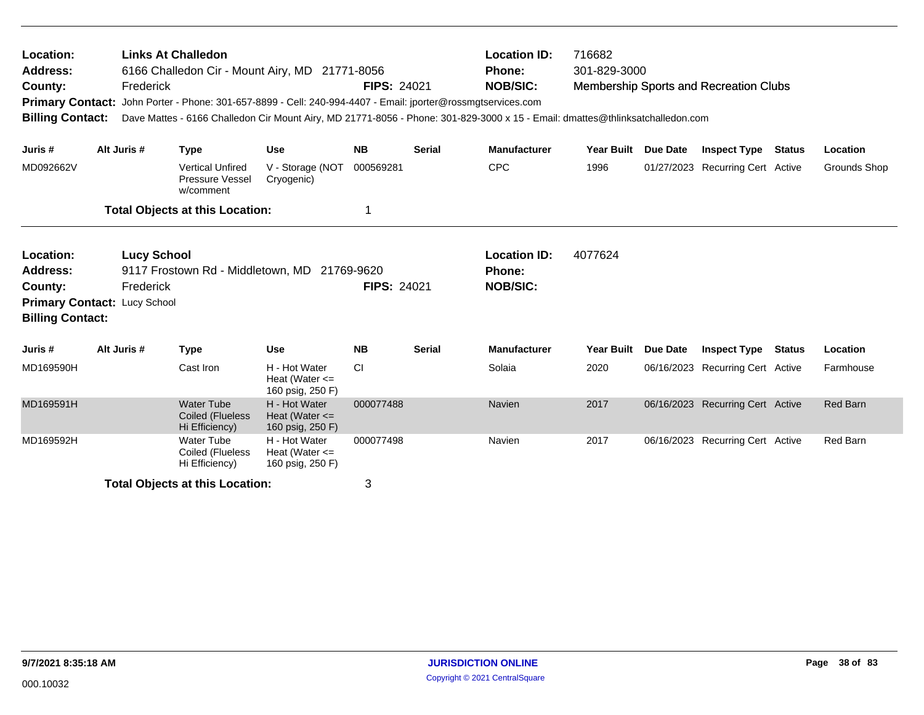| <b>Links At Challedon</b><br>Location:<br>6166 Challedon Cir - Mount Airy, MD 21771-8056<br>Address:<br>Frederick<br>County:<br>John Porter - Phone: 301-657-8899 - Cell: 240-994-4407 - Email: jporter@rossmgtservices.com<br><b>Primary Contact:</b><br><b>Billing Contact:</b><br>Dave Mattes - 6166 Challedon Cir Mount Airy, MD 21771-8056 - Phone: 301-829-3000 x 15 - Email: dmattes@thlinksatchalledon.com |  |             |                                                         |                                                         | <b>FIPS: 24021</b> |               | <b>Location ID:</b><br><b>Phone:</b><br><b>NOB/SIC:</b> | 716682<br>301-829-3000 |          | <b>Membership Sports and Recreation Clubs</b> |               |              |
|--------------------------------------------------------------------------------------------------------------------------------------------------------------------------------------------------------------------------------------------------------------------------------------------------------------------------------------------------------------------------------------------------------------------|--|-------------|---------------------------------------------------------|---------------------------------------------------------|--------------------|---------------|---------------------------------------------------------|------------------------|----------|-----------------------------------------------|---------------|--------------|
| Juris #                                                                                                                                                                                                                                                                                                                                                                                                            |  | Alt Juris # | <b>Type</b>                                             | <b>Use</b>                                              | <b>NB</b>          | <b>Serial</b> | <b>Manufacturer</b>                                     | <b>Year Built</b>      | Due Date | <b>Inspect Type Status</b>                    |               | Location     |
| MD092662V                                                                                                                                                                                                                                                                                                                                                                                                          |  |             | <b>Vertical Unfired</b><br>Pressure Vessel<br>w/comment | V - Storage (NOT<br>Cryogenic)                          | 000569281          |               | <b>CPC</b>                                              | 1996                   |          | 01/27/2023 Recurring Cert Active              |               | Grounds Shop |
|                                                                                                                                                                                                                                                                                                                                                                                                                    |  |             | <b>Total Objects at this Location:</b>                  |                                                         | 1                  |               |                                                         |                        |          |                                               |               |              |
| <b>Lucy School</b><br>Location:<br>Address:<br>9117 Frostown Rd - Middletown, MD 21769-9620<br>County:<br>Frederick<br>Primary Contact: Lucy School<br><b>Billing Contact:</b>                                                                                                                                                                                                                                     |  |             |                                                         |                                                         | <b>FIPS: 24021</b> |               | <b>Location ID:</b><br><b>Phone:</b><br><b>NOB/SIC:</b> | 4077624                |          |                                               |               |              |
| Juris #                                                                                                                                                                                                                                                                                                                                                                                                            |  | Alt Juris # | <b>Type</b>                                             | <b>Use</b>                                              | <b>NB</b>          | <b>Serial</b> | <b>Manufacturer</b>                                     | <b>Year Built</b>      | Due Date | <b>Inspect Type</b>                           | <b>Status</b> | Location     |
| MD169590H                                                                                                                                                                                                                                                                                                                                                                                                          |  |             | Cast Iron                                               | H - Hot Water<br>Heat (Water $\leq$<br>160 psig, 250 F) | CI                 |               | Solaia                                                  | 2020                   |          | 06/16/2023 Recurring Cert Active              |               | Farmhouse    |
| MD169591H                                                                                                                                                                                                                                                                                                                                                                                                          |  |             | <b>Water Tube</b><br>Coiled (Flueless<br>Hi Efficiency) | H - Hot Water<br>Heat (Water $\leq$<br>160 psig, 250 F) | 000077488          |               | Navien                                                  | 2017                   |          | 06/16/2023 Recurring Cert Active              |               | Red Barn     |
| MD169592H                                                                                                                                                                                                                                                                                                                                                                                                          |  |             | <b>Water Tube</b><br>Coiled (Flueless<br>Hi Efficiency) | H - Hot Water<br>Heat (Water $\leq$<br>160 psig, 250 F) | 000077498          |               | Navien                                                  | 2017                   |          | 06/16/2023 Recurring Cert Active              |               | Red Barn     |
|                                                                                                                                                                                                                                                                                                                                                                                                                    |  |             | <b>Total Objects at this Location:</b>                  |                                                         | 3                  |               |                                                         |                        |          |                                               |               |              |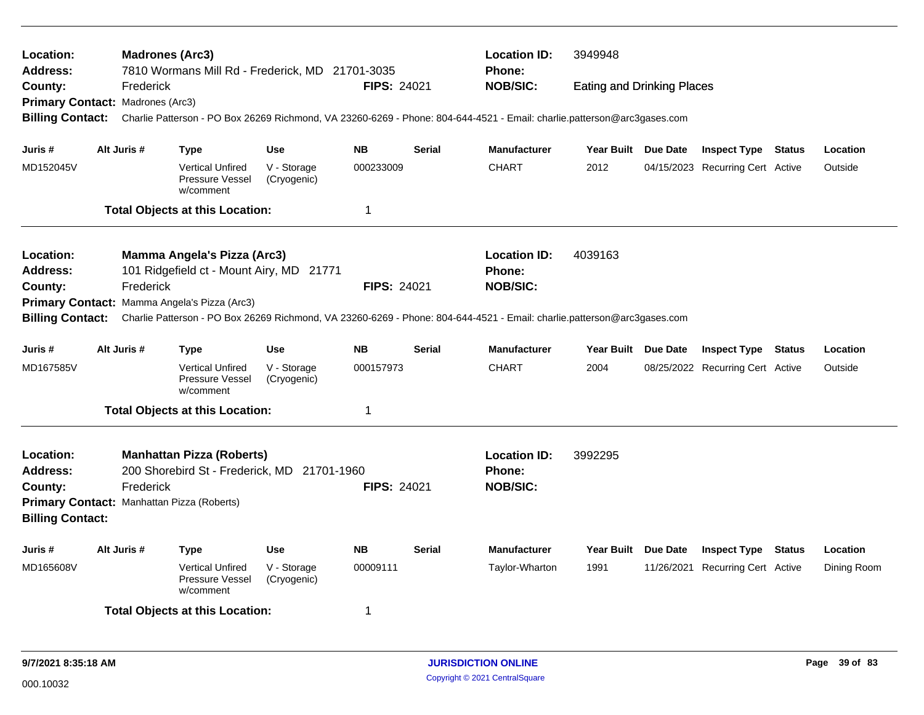| Location:<br>Address:                                                                                                                                                                              |                                                                                                   |           | <b>Madrones (Arc3)</b><br>7810 Wormans Mill Rd - Frederick, MD 21701-3035       |                            |                    |               | <b>Location ID:</b><br>Phone:                                                                                           | 3949948                           |                                  |          |
|----------------------------------------------------------------------------------------------------------------------------------------------------------------------------------------------------|---------------------------------------------------------------------------------------------------|-----------|---------------------------------------------------------------------------------|----------------------------|--------------------|---------------|-------------------------------------------------------------------------------------------------------------------------|-----------------------------------|----------------------------------|----------|
| County:                                                                                                                                                                                            |                                                                                                   | Frederick |                                                                                 |                            | <b>FIPS: 24021</b> |               | <b>NOB/SIC:</b>                                                                                                         | <b>Eating and Drinking Places</b> |                                  |          |
| Primary Contact: Madrones (Arc3)<br><b>Billing Contact:</b>                                                                                                                                        |                                                                                                   |           |                                                                                 |                            |                    |               | Charlie Patterson - PO Box 26269 Richmond, VA 23260-6269 - Phone: 804-644-4521 - Email: charlie.patterson@arc3gases.com |                                   |                                  |          |
| Juris #                                                                                                                                                                                            | Alt Juris #                                                                                       |           | <b>Type</b>                                                                     | <b>Use</b>                 | <b>NB</b>          | <b>Serial</b> | <b>Manufacturer</b>                                                                                                     | Year Built Due Date               | <b>Inspect Type Status</b>       | Location |
| MD152045V                                                                                                                                                                                          |                                                                                                   |           | <b>Vertical Unfired</b><br>Pressure Vessel<br>w/comment                         | V - Storage<br>(Cryogenic) | 000233009          |               | <b>CHART</b>                                                                                                            | 2012                              | 04/15/2023 Recurring Cert Active | Outside  |
|                                                                                                                                                                                                    |                                                                                                   |           | <b>Total Objects at this Location:</b>                                          |                            | 1                  |               |                                                                                                                         |                                   |                                  |          |
| Location:                                                                                                                                                                                          |                                                                                                   |           | Mamma Angela's Pizza (Arc3)                                                     |                            |                    |               | <b>Location ID:</b>                                                                                                     | 4039163                           |                                  |          |
| <b>Address:</b>                                                                                                                                                                                    |                                                                                                   |           | 101 Ridgefield ct - Mount Airy, MD 21771                                        |                            |                    |               | Phone:                                                                                                                  |                                   |                                  |          |
| County:                                                                                                                                                                                            |                                                                                                   | Frederick |                                                                                 |                            | FIPS: 24021        |               | <b>NOB/SIC:</b>                                                                                                         |                                   |                                  |          |
| Primary Contact: Mamma Angela's Pizza (Arc3)<br><b>Billing Contact:</b><br>Charlie Patterson - PO Box 26269 Richmond, VA 23260-6269 - Phone: 804-644-4521 - Email: charlie.patterson@arc3gases.com |                                                                                                   |           |                                                                                 |                            |                    |               |                                                                                                                         |                                   |                                  |          |
| Juris #                                                                                                                                                                                            | Alt Juris #<br><b>NB</b><br><b>Serial</b><br><b>Use</b><br>Type                                   |           |                                                                                 |                            |                    |               | <b>Manufacturer</b>                                                                                                     | Year Built Due Date               | <b>Inspect Type Status</b>       | Location |
| MD167585V                                                                                                                                                                                          |                                                                                                   |           | <b>Vertical Unfired</b><br>Pressure Vessel<br>w/comment                         | V - Storage<br>(Cryogenic) | 000157973          |               | <b>CHART</b>                                                                                                            | 2004                              | 08/25/2022 Recurring Cert Active | Outside  |
|                                                                                                                                                                                                    |                                                                                                   |           | <b>Total Objects at this Location:</b>                                          |                            | 1                  |               |                                                                                                                         |                                   |                                  |          |
| Location:<br><b>Address:</b>                                                                                                                                                                       |                                                                                                   |           | <b>Manhattan Pizza (Roberts)</b><br>200 Shorebird St - Frederick, MD 21701-1960 |                            |                    |               | <b>Location ID:</b><br><b>Phone:</b><br><b>NOB/SIC:</b>                                                                 | 3992295                           |                                  |          |
| Frederick<br><b>FIPS: 24021</b><br>County:<br>Primary Contact: Manhattan Pizza (Roberts)<br><b>Billing Contact:</b>                                                                                |                                                                                                   |           |                                                                                 |                            |                    |               |                                                                                                                         |                                   |                                  |          |
| Juris #                                                                                                                                                                                            | Alt Juris #                                                                                       |           | <b>Type</b>                                                                     | <b>Use</b>                 | <b>NB</b>          | <b>Serial</b> | <b>Manufacturer</b>                                                                                                     | Year Built Due Date               | <b>Inspect Type Status</b>       | Location |
| MD165608V                                                                                                                                                                                          | <b>Vertical Unfired</b><br>V - Storage<br>00009111<br>Pressure Vessel<br>(Cryogenic)<br>w/comment |           |                                                                                 |                            | Taylor-Wharton     | 1991          | 11/26/2021 Recurring Cert Active                                                                                        | Dining Room                       |                                  |          |
| <b>Total Objects at this Location:</b><br>1                                                                                                                                                        |                                                                                                   |           |                                                                                 |                            |                    |               |                                                                                                                         |                                   |                                  |          |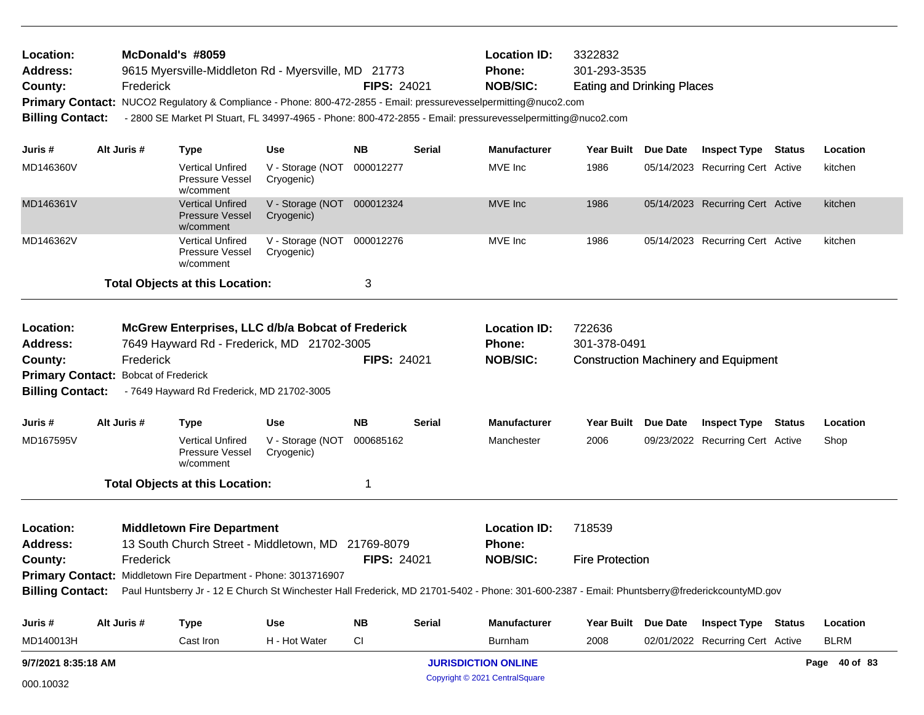| Location:               |                                      | McDonald's #8059                                                |                                |                    |               | <b>Location ID:</b>                                                                                                                                            | 3322832                           |                     |                                             |               |               |
|-------------------------|--------------------------------------|-----------------------------------------------------------------|--------------------------------|--------------------|---------------|----------------------------------------------------------------------------------------------------------------------------------------------------------------|-----------------------------------|---------------------|---------------------------------------------|---------------|---------------|
| <b>Address:</b>         |                                      | 9615 Myersville-Middleton Rd - Myersville, MD 21773             |                                |                    |               | <b>Phone:</b>                                                                                                                                                  | 301-293-3535                      |                     |                                             |               |               |
| County:                 | Frederick                            |                                                                 |                                | <b>FIPS: 24021</b> |               | <b>NOB/SIC:</b>                                                                                                                                                | <b>Eating and Drinking Places</b> |                     |                                             |               |               |
|                         |                                      |                                                                 |                                |                    |               | Primary Contact: NUCO2 Regulatory & Compliance - Phone: 800-472-2855 - Email: pressurevesselpermitting@nuco2.com                                               |                                   |                     |                                             |               |               |
| <b>Billing Contact:</b> |                                      |                                                                 |                                |                    |               | - 2800 SE Market PI Stuart, FL 34997-4965 - Phone: 800-472-2855 - Email: pressurevesselpermitting@nuco2.com                                                    |                                   |                     |                                             |               |               |
| Juris #                 | Alt Juris #                          | <b>Type</b>                                                     | Use                            | <b>NB</b>          | Serial        | <b>Manufacturer</b>                                                                                                                                            | <b>Year Built</b>                 | Due Date            | <b>Inspect Type</b>                         | <b>Status</b> | Location      |
| MD146360V               |                                      | <b>Vertical Unfired</b><br><b>Pressure Vessel</b><br>w/comment  | V - Storage (NOT<br>Cryogenic) | 000012277          |               | MVE Inc                                                                                                                                                        | 1986                              |                     | 05/14/2023 Recurring Cert Active            |               | kitchen       |
| MD146361V               |                                      | <b>Vertical Unfired</b><br><b>Pressure Vessel</b><br>w/comment  | V - Storage (NOT<br>Cryogenic) | 000012324          |               | MVE Inc                                                                                                                                                        | 1986                              |                     | 05/14/2023 Recurring Cert Active            |               | kitchen       |
| MD146362V               |                                      | <b>Vertical Unfired</b><br><b>Pressure Vessel</b><br>w/comment  | V - Storage (NOT<br>Cryogenic) | 000012276          |               | MVE Inc                                                                                                                                                        | 1986                              |                     | 05/14/2023 Recurring Cert Active            |               | kitchen       |
|                         |                                      | <b>Total Objects at this Location:</b>                          |                                | 3                  |               |                                                                                                                                                                |                                   |                     |                                             |               |               |
| Location:               |                                      | McGrew Enterprises, LLC d/b/a Bobcat of Frederick               |                                |                    |               | <b>Location ID:</b>                                                                                                                                            | 722636                            |                     |                                             |               |               |
| <b>Address:</b>         |                                      | 7649 Hayward Rd - Frederick, MD 21702-3005                      |                                |                    |               | Phone:                                                                                                                                                         | 301-378-0491                      |                     |                                             |               |               |
| County:                 | Frederick                            |                                                                 |                                | <b>FIPS: 24021</b> |               | <b>NOB/SIC:</b>                                                                                                                                                |                                   |                     | <b>Construction Machinery and Equipment</b> |               |               |
|                         | Primary Contact: Bobcat of Frederick |                                                                 |                                |                    |               |                                                                                                                                                                |                                   |                     |                                             |               |               |
| <b>Billing Contact:</b> |                                      | - 7649 Hayward Rd Frederick, MD 21702-3005                      |                                |                    |               |                                                                                                                                                                |                                   |                     |                                             |               |               |
| Juris #                 | Alt Juris #                          | <b>Type</b>                                                     | <b>Use</b>                     | <b>NB</b>          | Serial        | <b>Manufacturer</b>                                                                                                                                            | Year Built Due Date               |                     | <b>Inspect Type</b>                         | Status        | Location      |
| MD167595V               |                                      | <b>Vertical Unfired</b><br>Pressure Vessel<br>w/comment         | V - Storage (NOT<br>Cryogenic) | 000685162          |               | Manchester                                                                                                                                                     | 2006                              |                     | 09/23/2022 Recurring Cert Active            |               | Shop          |
|                         |                                      | <b>Total Objects at this Location:</b>                          |                                | -1                 |               |                                                                                                                                                                |                                   |                     |                                             |               |               |
| Location:               |                                      | <b>Middletown Fire Department</b>                               |                                |                    |               | <b>Location ID:</b>                                                                                                                                            | 718539                            |                     |                                             |               |               |
| <b>Address:</b>         |                                      | 13 South Church Street - Middletown, MD                         |                                | 21769-8079         |               | <b>Phone:</b>                                                                                                                                                  |                                   |                     |                                             |               |               |
| County:                 | Frederick                            |                                                                 |                                | <b>FIPS: 24021</b> |               | <b>NOB/SIC:</b>                                                                                                                                                | <b>Fire Protection</b>            |                     |                                             |               |               |
|                         |                                      | Primary Contact: Middletown Fire Department - Phone: 3013716907 |                                |                    |               |                                                                                                                                                                |                                   |                     |                                             |               |               |
|                         |                                      |                                                                 |                                |                    |               | Billing Contact: Paul Huntsberry Jr - 12 E Church St Winchester Hall Frederick, MD 21701-5402 - Phone: 301-600-2387 - Email: Phuntsberry@frederickcountyMD.gov |                                   |                     |                                             |               |               |
| Juris #                 | Alt Juris #                          | <b>Type</b>                                                     | <b>Use</b>                     | <b>NB</b>          | <b>Serial</b> | Manufacturer                                                                                                                                                   |                                   | Year Built Due Date | <b>Inspect Type Status</b>                  |               | Location      |
| MD140013H               |                                      | Cast Iron                                                       | H - Hot Water                  | <b>CI</b>          |               | <b>Burnham</b>                                                                                                                                                 | 2008                              |                     | 02/01/2022 Recurring Cert Active            |               | <b>BLRM</b>   |
| 9/7/2021 8:35:18 AM     |                                      |                                                                 |                                |                    |               | <b>JURISDICTION ONLINE</b>                                                                                                                                     |                                   |                     |                                             |               | Page 40 of 83 |
| 000.10032               |                                      |                                                                 |                                |                    |               | Copyright © 2021 CentralSquare                                                                                                                                 |                                   |                     |                                             |               |               |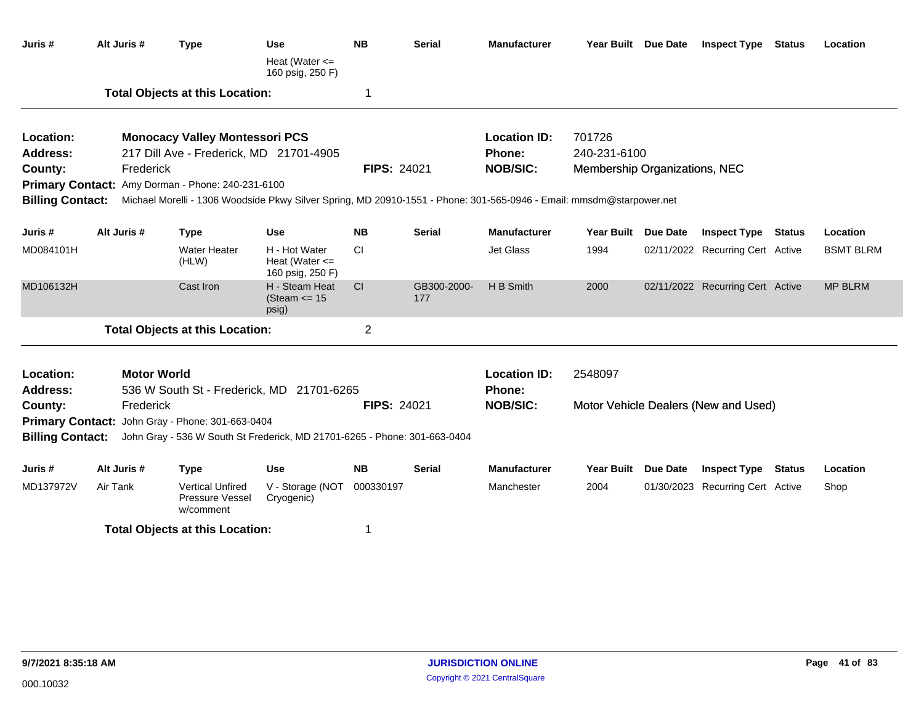| Juris #                 | Alt Juris #                                                                                          | <b>Type</b>                                                                                                          | <b>Use</b>                                 | <b>NB</b>          | <b>Serial</b>      | <b>Manufacturer</b> |                               | Year Built Due Date | <b>Inspect Type Status</b>           |        | Location         |
|-------------------------|------------------------------------------------------------------------------------------------------|----------------------------------------------------------------------------------------------------------------------|--------------------------------------------|--------------------|--------------------|---------------------|-------------------------------|---------------------|--------------------------------------|--------|------------------|
|                         |                                                                                                      |                                                                                                                      | Heat (Water $\leq$<br>160 psig, 250 F)     |                    |                    |                     |                               |                     |                                      |        |                  |
|                         |                                                                                                      | <b>Total Objects at this Location:</b>                                                                               |                                            | -1                 |                    |                     |                               |                     |                                      |        |                  |
| Location:               |                                                                                                      | <b>Monocacy Valley Montessori PCS</b>                                                                                |                                            |                    |                    | <b>Location ID:</b> | 701726                        |                     |                                      |        |                  |
| <b>Address:</b>         |                                                                                                      | 217 Dill Ave - Frederick, MD 21701-4905                                                                              |                                            |                    |                    | <b>Phone:</b>       | 240-231-6100                  |                     |                                      |        |                  |
| County:                 | Frederick                                                                                            |                                                                                                                      |                                            | <b>FIPS: 24021</b> |                    | <b>NOB/SIC:</b>     | Membership Organizations, NEC |                     |                                      |        |                  |
| <b>Primary Contact:</b> |                                                                                                      | Amy Dorman - Phone: 240-231-6100                                                                                     |                                            |                    |                    |                     |                               |                     |                                      |        |                  |
| <b>Billing Contact:</b> |                                                                                                      | Michael Morelli - 1306 Woodside Pkwy Silver Spring, MD 20910-1551 - Phone: 301-565-0946 - Email: mmsdm@starpower.net |                                            |                    |                    |                     |                               |                     |                                      |        |                  |
| Juris #                 | Alt Juris #                                                                                          | <b>Type</b>                                                                                                          | <b>Use</b>                                 | <b>NB</b>          | <b>Serial</b>      | <b>Manufacturer</b> | Year Built Due Date           |                     | <b>Inspect Type Status</b>           |        | Location         |
| MD084101H               | <b>Water Heater</b><br>H - Hot Water<br>(HLW)<br>Cast Iron                                           |                                                                                                                      | Heat (Water $\leq$<br>160 psig, 250 F)     | <b>CI</b>          |                    | Jet Glass           | 1994                          |                     | 02/11/2022 Recurring Cert Active     |        | <b>BSMT BLRM</b> |
| MD106132H               |                                                                                                      |                                                                                                                      | H - Steam Heat<br>(Steam $\le$ 15<br>psig) | <sub>CI</sub>      | GB300-2000-<br>177 | H B Smith           | 2000                          |                     | 02/11/2022 Recurring Cert Active     |        | <b>MP BLRM</b>   |
|                         |                                                                                                      | <b>Total Objects at this Location:</b>                                                                               |                                            | $\overline{2}$     |                    |                     |                               |                     |                                      |        |                  |
| Location:               | <b>Motor World</b>                                                                                   |                                                                                                                      |                                            |                    |                    | <b>Location ID:</b> | 2548097                       |                     |                                      |        |                  |
| <b>Address:</b>         |                                                                                                      | 536 W South St - Frederick, MD 21701-6265                                                                            |                                            |                    |                    | <b>Phone:</b>       |                               |                     |                                      |        |                  |
| County:                 | Frederick                                                                                            |                                                                                                                      |                                            | <b>FIPS: 24021</b> |                    | <b>NOB/SIC:</b>     |                               |                     | Motor Vehicle Dealers (New and Used) |        |                  |
| <b>Primary Contact:</b> |                                                                                                      | John Gray - Phone: 301-663-0404                                                                                      |                                            |                    |                    |                     |                               |                     |                                      |        |                  |
|                         | <b>Billing Contact:</b><br>John Gray - 536 W South St Frederick, MD 21701-6265 - Phone: 301-663-0404 |                                                                                                                      |                                            |                    |                    |                     |                               |                     |                                      |        |                  |
| Juris #                 | Alt Juris #                                                                                          | <b>Type</b>                                                                                                          | <b>Use</b>                                 | <b>NB</b>          | <b>Serial</b>      | <b>Manufacturer</b> | <b>Year Built</b>             | <b>Due Date</b>     | <b>Inspect Type</b>                  | Status | Location         |
| MD137972V               | Air Tank                                                                                             | <b>Vertical Unfired</b><br>Pressure Vessel<br>w/comment                                                              | V - Storage (NOT<br>Cryogenic)             | 000330197          |                    | Manchester          | 2004                          |                     | 01/30/2023 Recurring Cert Active     |        | Shop             |
|                         |                                                                                                      | <b>Total Objects at this Location:</b>                                                                               |                                            |                    |                    |                     |                               |                     |                                      |        |                  |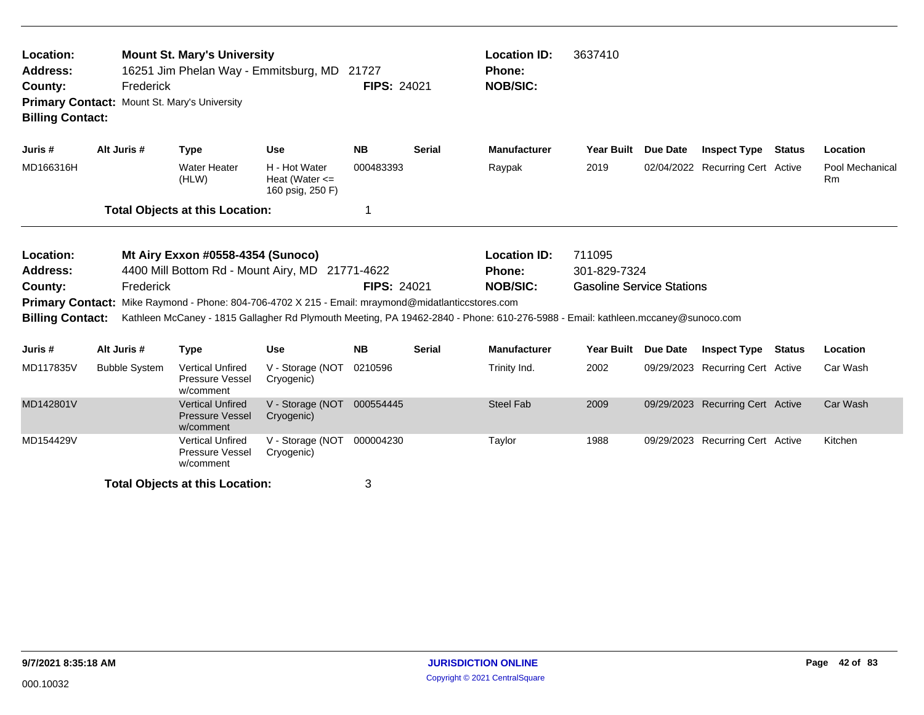| Location:<br><b>Mount St. Mary's University</b><br>16251 Jim Phelan Way - Emmitsburg, MD<br>Address:<br>Frederick<br>County:<br>Mount St. Mary's University<br><b>Primary Contact:</b><br><b>Billing Contact:</b> |                      |                                                                                      |                                                         | 21727<br><b>FIPS: 24021</b> |               | <b>Location ID:</b><br>Phone:<br><b>NOB/SIC:</b>                                                                                | 3637410                                                    |          |                                  |                              |
|-------------------------------------------------------------------------------------------------------------------------------------------------------------------------------------------------------------------|----------------------|--------------------------------------------------------------------------------------|---------------------------------------------------------|-----------------------------|---------------|---------------------------------------------------------------------------------------------------------------------------------|------------------------------------------------------------|----------|----------------------------------|------------------------------|
| Juris #                                                                                                                                                                                                           | Alt Juris #          | <b>Type</b>                                                                          | <b>Use</b>                                              | <b>NB</b>                   | <b>Serial</b> | <b>Manufacturer</b>                                                                                                             | <b>Year Built</b>                                          | Due Date | <b>Inspect Type Status</b>       | Location                     |
| MD166316H                                                                                                                                                                                                         |                      | <b>Water Heater</b><br>(HLW)                                                         | H - Hot Water<br>Heat (Water $\leq$<br>160 psig, 250 F) | 000483393                   |               | Raypak                                                                                                                          | 2019                                                       |          | 02/04/2022 Recurring Cert Active | Pool Mechanical<br><b>Rm</b> |
|                                                                                                                                                                                                                   |                      | <b>Total Objects at this Location:</b>                                               |                                                         | 1                           |               |                                                                                                                                 |                                                            |          |                                  |                              |
| Location:<br>Address:<br>County:                                                                                                                                                                                  | Frederick            | Mt Airy Exxon #0558-4354 (Sunoco)<br>4400 Mill Bottom Rd - Mount Airy, MD 21771-4622 |                                                         | <b>FIPS: 24021</b>          |               | <b>Location ID:</b><br><b>Phone:</b><br><b>NOB/SIC:</b>                                                                         | 711095<br>301-829-7324<br><b>Gasoline Service Stations</b> |          |                                  |                              |
| <b>Primary Contact:</b><br><b>Billing Contact:</b>                                                                                                                                                                |                      | Mike Raymond - Phone: 804-706-4702 X 215 - Email: mraymond@midatlanticcstores.com    |                                                         |                             |               | Kathleen McCaney - 1815 Gallagher Rd Plymouth Meeting, PA 19462-2840 - Phone: 610-276-5988 - Email: kathleen.mccaney@sunoco.com |                                                            |          |                                  |                              |
| Juris #                                                                                                                                                                                                           | Alt Juris #          | <b>Type</b>                                                                          | <b>Use</b>                                              | <b>NB</b>                   | <b>Serial</b> | <b>Manufacturer</b>                                                                                                             | <b>Year Built</b>                                          | Due Date | <b>Inspect Type Status</b>       | Location                     |
| MD117835V                                                                                                                                                                                                         | <b>Bubble System</b> | <b>Vertical Unfired</b><br>Pressure Vessel<br>w/comment                              | V - Storage (NOT<br>Cryogenic)                          | 0210596                     |               | Trinity Ind.                                                                                                                    | 2002                                                       |          | 09/29/2023 Recurring Cert Active | Car Wash                     |
| MD142801V                                                                                                                                                                                                         |                      | <b>Vertical Unfired</b><br><b>Pressure Vessel</b><br>w/comment                       | V - Storage (NOT<br>Cryogenic)                          | 000554445                   |               | <b>Steel Fab</b>                                                                                                                | 2009                                                       |          | 09/29/2023 Recurring Cert Active | Car Wash                     |
| MD154429V                                                                                                                                                                                                         |                      | <b>Vertical Unfired</b><br>Pressure Vessel<br>w/comment                              | V - Storage (NOT<br>Cryogenic)                          | 000004230                   |               | Taylor                                                                                                                          | 1988                                                       |          | 09/29/2023 Recurring Cert Active | Kitchen                      |
|                                                                                                                                                                                                                   |                      | <b>Total Objects at this Location:</b>                                               |                                                         | 3                           |               |                                                                                                                                 |                                                            |          |                                  |                              |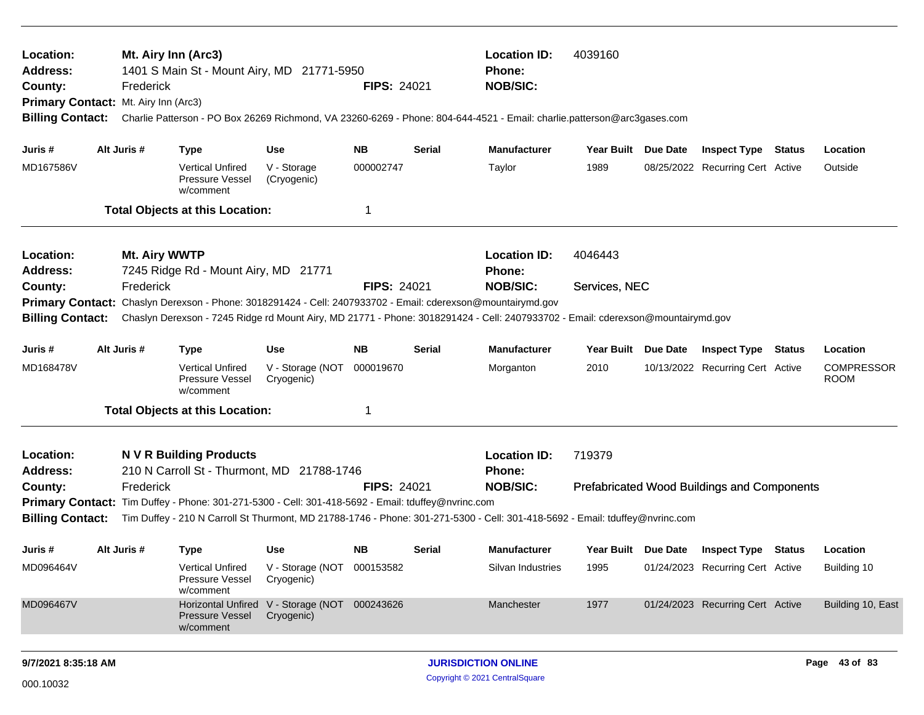| Location:<br><b>Address:</b><br>County:            | <b>Location ID:</b><br>4039160<br>Mt. Airy Inn (Arc3)<br>1401 S Main St - Mount Airy, MD 21771-5950<br><b>Phone:</b><br><b>NOB/SIC:</b><br>Frederick<br><b>FIPS: 24021</b><br>Primary Contact: Mt. Airy Inn (Arc3)<br>Charlie Patterson - PO Box 26269 Richmond, VA 23260-6269 - Phone: 804-644-4521 - Email: charlie.patterson@arc3gases.com |               |                                                                                   |                                          |                    |        |                                                                                                                                                                                                                               |                     |                     |                                                    |               |                                  |
|----------------------------------------------------|-----------------------------------------------------------------------------------------------------------------------------------------------------------------------------------------------------------------------------------------------------------------------------------------------------------------------------------------------|---------------|-----------------------------------------------------------------------------------|------------------------------------------|--------------------|--------|-------------------------------------------------------------------------------------------------------------------------------------------------------------------------------------------------------------------------------|---------------------|---------------------|----------------------------------------------------|---------------|----------------------------------|
| <b>Billing Contact:</b>                            |                                                                                                                                                                                                                                                                                                                                               |               |                                                                                   |                                          |                    |        |                                                                                                                                                                                                                               |                     |                     |                                                    |               |                                  |
| Juris #                                            |                                                                                                                                                                                                                                                                                                                                               | Alt Juris #   | <b>Type</b>                                                                       | <b>Use</b>                               | <b>NB</b>          | Serial | <b>Manufacturer</b>                                                                                                                                                                                                           | Year Built Due Date |                     | <b>Inspect Type Status</b>                         |               | Location                         |
| MD167586V                                          |                                                                                                                                                                                                                                                                                                                                               |               | <b>Vertical Unfired</b><br>Pressure Vessel<br>w/comment                           | V - Storage<br>(Cryogenic)               | 000002747          |        | Taylor                                                                                                                                                                                                                        | 1989                |                     | 08/25/2022 Recurring Cert Active                   |               | Outside                          |
|                                                    |                                                                                                                                                                                                                                                                                                                                               |               | <b>Total Objects at this Location:</b>                                            |                                          | 1                  |        |                                                                                                                                                                                                                               |                     |                     |                                                    |               |                                  |
| Location:<br><b>Address:</b>                       |                                                                                                                                                                                                                                                                                                                                               | Mt. Airy WWTP | 7245 Ridge Rd - Mount Airy, MD 21771                                              |                                          |                    |        | <b>Location ID:</b><br>Phone:                                                                                                                                                                                                 | 4046443             |                     |                                                    |               |                                  |
| County:                                            |                                                                                                                                                                                                                                                                                                                                               | Frederick     |                                                                                   |                                          | <b>FIPS: 24021</b> |        | <b>NOB/SIC:</b>                                                                                                                                                                                                               | Services, NEC       |                     |                                                    |               |                                  |
| <b>Primary Contact:</b><br><b>Billing Contact:</b> |                                                                                                                                                                                                                                                                                                                                               |               |                                                                                   |                                          |                    |        | Chaslyn Derexson - Phone: 3018291424 - Cell: 2407933702 - Email: cderexson@mountairymd.gov<br>Chaslyn Derexson - 7245 Ridge rd Mount Airy, MD 21771 - Phone: 3018291424 - Cell: 2407933702 - Email: cderexson@mountairymd.gov |                     |                     |                                                    |               |                                  |
| Juris #                                            |                                                                                                                                                                                                                                                                                                                                               | Alt Juris #   | <b>Type</b>                                                                       | <b>Use</b>                               | <b>NB</b>          | Serial | <b>Manufacturer</b>                                                                                                                                                                                                           | Year Built          | Due Date            | <b>Inspect Type</b>                                | <b>Status</b> | Location                         |
| MD168478V                                          |                                                                                                                                                                                                                                                                                                                                               |               | <b>Vertical Unfired</b><br>Pressure Vessel<br>w/comment                           | V - Storage (NOT<br>Cryogenic)           | 000019670          |        | Morganton                                                                                                                                                                                                                     | 2010                |                     | 10/13/2022 Recurring Cert Active                   |               | <b>COMPRESSOR</b><br><b>ROOM</b> |
|                                                    |                                                                                                                                                                                                                                                                                                                                               |               | <b>Total Objects at this Location:</b>                                            |                                          | 1                  |        |                                                                                                                                                                                                                               |                     |                     |                                                    |               |                                  |
| Location:<br><b>Address:</b>                       |                                                                                                                                                                                                                                                                                                                                               |               | <b>NVR Building Products</b><br>210 N Carroll St - Thurmont, MD 21788-1746        |                                          |                    |        | <b>Location ID:</b><br>Phone:                                                                                                                                                                                                 | 719379              |                     |                                                    |               |                                  |
| County:                                            |                                                                                                                                                                                                                                                                                                                                               | Frederick     |                                                                                   |                                          | <b>FIPS: 24021</b> |        | <b>NOB/SIC:</b>                                                                                                                                                                                                               |                     |                     | <b>Prefabricated Wood Buildings and Components</b> |               |                                  |
| <b>Primary Contact:</b>                            |                                                                                                                                                                                                                                                                                                                                               |               | Tim Duffey - Phone: 301-271-5300 - Cell: 301-418-5692 - Email: tduffey@nvrinc.com |                                          |                    |        |                                                                                                                                                                                                                               |                     |                     |                                                    |               |                                  |
| <b>Billing Contact:</b>                            |                                                                                                                                                                                                                                                                                                                                               |               |                                                                                   |                                          |                    |        | Tim Duffey - 210 N Carroll St Thurmont, MD 21788-1746 - Phone: 301-271-5300 - Cell: 301-418-5692 - Email: tduffey@nvrinc.com                                                                                                  |                     |                     |                                                    |               |                                  |
| Juris #                                            |                                                                                                                                                                                                                                                                                                                                               | Alt Juris #   | <b>Type</b>                                                                       | Use                                      | <b>NB</b>          | Serial | <b>Manufacturer</b>                                                                                                                                                                                                           |                     | Year Built Due Date | <b>Inspect Type Status</b>                         |               | Location                         |
| MD096464V                                          |                                                                                                                                                                                                                                                                                                                                               |               | <b>Vertical Unfired</b><br>Pressure Vessel<br>w/comment                           | V - Storage (NOT 000153582<br>Cryogenic) |                    |        | Silvan Industries                                                                                                                                                                                                             | 1995                |                     | 01/24/2023 Recurring Cert Active                   |               | Building 10                      |
| MD096467V                                          |                                                                                                                                                                                                                                                                                                                                               |               | <b>Horizontal Unfired</b><br>Pressure Vessel<br>w/comment                         | V - Storage (NOT 000243626<br>Cryogenic) |                    |        | Manchester                                                                                                                                                                                                                    | 1977                |                     | 01/24/2023 Recurring Cert Active                   |               | Building 10, East                |
| 9/7/2021 8:35:18 AM                                |                                                                                                                                                                                                                                                                                                                                               |               |                                                                                   |                                          |                    |        | <b>JURISDICTION ONLINE</b>                                                                                                                                                                                                    |                     |                     |                                                    |               | Page 43 of 83                    |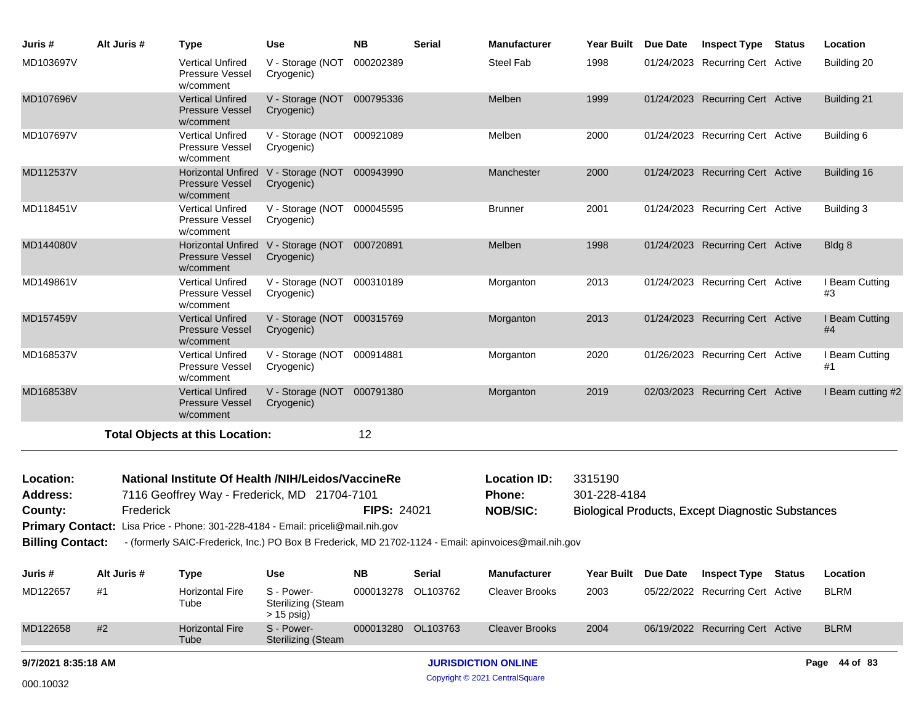| Juris #                 | Alt Juris # | <b>Type</b>                                                    | <b>Use</b>                                                                      | <b>NB</b>          | <b>Serial</b> | <b>Manufacturer</b>                                                                                  | <b>Year Built</b> | <b>Due Date</b> | <b>Inspect Type Status</b>                               | Location             |
|-------------------------|-------------|----------------------------------------------------------------|---------------------------------------------------------------------------------|--------------------|---------------|------------------------------------------------------------------------------------------------------|-------------------|-----------------|----------------------------------------------------------|----------------------|
| MD103697V               |             | <b>Vertical Unfired</b><br>Pressure Vessel<br>w/comment        | V - Storage (NOT<br>Cryogenic)                                                  | 000202389          |               | Steel Fab                                                                                            | 1998              |                 | 01/24/2023 Recurring Cert Active                         | Building 20          |
| MD107696V               |             | <b>Vertical Unfired</b><br><b>Pressure Vessel</b><br>w/comment | V - Storage (NOT 000795336<br>Cryogenic)                                        |                    |               | Melben                                                                                               | 1999              |                 | 01/24/2023 Recurring Cert Active                         | Building 21          |
| MD107697V               |             | <b>Vertical Unfired</b><br>Pressure Vessel<br>w/comment        | V - Storage (NOT 000921089<br>Cryogenic)                                        |                    |               | Melben                                                                                               | 2000              |                 | 01/24/2023 Recurring Cert Active                         | Building 6           |
| MD112537V               |             | <b>Pressure Vessel</b><br>w/comment                            | Horizontal Unfired V - Storage (NOT 000943990<br>Cryogenic)                     |                    |               | Manchester                                                                                           | 2000              |                 | 01/24/2023 Recurring Cert Active                         | Building 16          |
| MD118451V               |             | <b>Vertical Unfired</b><br>Pressure Vessel<br>w/comment        | V - Storage (NOT 000045595<br>Cryogenic)                                        |                    |               | <b>Brunner</b>                                                                                       | 2001              |                 | 01/24/2023 Recurring Cert Active                         | Building 3           |
| MD144080V               |             | <b>Pressure Vessel</b><br>w/comment                            | Horizontal Unfired V - Storage (NOT 000720891<br>Cryogenic)                     |                    |               | Melben                                                                                               | 1998              |                 | 01/24/2023 Recurring Cert Active                         | Bldg 8               |
| MD149861V               |             | <b>Vertical Unfired</b><br>Pressure Vessel<br>w/comment        | V - Storage (NOT 000310189<br>Cryogenic)                                        |                    |               | Morganton                                                                                            | 2013              |                 | 01/24/2023 Recurring Cert Active                         | I Beam Cutting<br>#3 |
| MD157459V               |             | <b>Vertical Unfired</b><br><b>Pressure Vessel</b><br>w/comment | V - Storage (NOT 000315769<br>Cryogenic)                                        |                    |               | Morganton                                                                                            | 2013              |                 | 01/24/2023 Recurring Cert Active                         | I Beam Cutting<br>#4 |
| MD168537V               |             | <b>Vertical Unfired</b><br>Pressure Vessel<br>w/comment        | V - Storage (NOT 000914881<br>Cryogenic)                                        |                    |               | Morganton                                                                                            | 2020              |                 | 01/26/2023 Recurring Cert Active                         | I Beam Cutting<br>#1 |
| MD168538V               |             | <b>Vertical Unfired</b><br><b>Pressure Vessel</b><br>w/comment | V - Storage (NOT 000791380<br>Cryogenic)                                        |                    |               | Morganton                                                                                            | 2019              |                 | 02/03/2023 Recurring Cert Active                         | I Beam cutting #2    |
|                         |             | <b>Total Objects at this Location:</b>                         |                                                                                 | 12                 |               |                                                                                                      |                   |                 |                                                          |                      |
| Location:               |             |                                                                | National Institute Of Health /NIH/Leidos/VaccineRe                              |                    |               | <b>Location ID:</b>                                                                                  | 3315190           |                 |                                                          |                      |
| <b>Address:</b>         |             |                                                                | 7116 Geoffrey Way - Frederick, MD 21704-7101                                    |                    |               | Phone:                                                                                               | 301-228-4184      |                 |                                                          |                      |
| County:                 | Frederick   |                                                                |                                                                                 | <b>FIPS: 24021</b> |               | <b>NOB/SIC:</b>                                                                                      |                   |                 | <b>Biological Products, Except Diagnostic Substances</b> |                      |
|                         |             |                                                                | Primary Contact: Lisa Price - Phone: 301-228-4184 - Email: priceli@mail.nih.gov |                    |               |                                                                                                      |                   |                 |                                                          |                      |
| <b>Billing Contact:</b> |             |                                                                |                                                                                 |                    |               | - (formerly SAIC-Frederick, Inc.) PO Box B Frederick, MD 21702-1124 - Email: apinvoices@mail.nih.gov |                   |                 |                                                          |                      |

| Juris #  | Alt Juris # | Type                           | Use                                                     | <b>NB</b> | <b>Serial</b> | <b>Manufacturer</b>   | <b>Year Built</b> | <b>Due Date</b> | <b>Inspect Type</b>              | Status | Location    |
|----------|-------------|--------------------------------|---------------------------------------------------------|-----------|---------------|-----------------------|-------------------|-----------------|----------------------------------|--------|-------------|
| MD122657 | #1          | <b>Horizontal Fire</b><br>Tube | S - Power-<br><b>Sterilizing (Steam</b><br>$> 15$ psig) | 000013278 | OL103762      | Cleaver Brooks        | 2003              |                 | 05/22/2022 Recurring Cert Active |        | <b>BLRM</b> |
| MD122658 | #2          | <b>Horizontal Fire</b><br>Tube | S - Power-<br><b>Sterilizing (Steam</b>                 | 000013280 | OL103763      | <b>Cleaver Brooks</b> | 2004              |                 | 06/19/2022 Recurring Cert Active |        | <b>BLRM</b> |
|          |             |                                |                                                         |           |               |                       |                   |                 |                                  |        |             |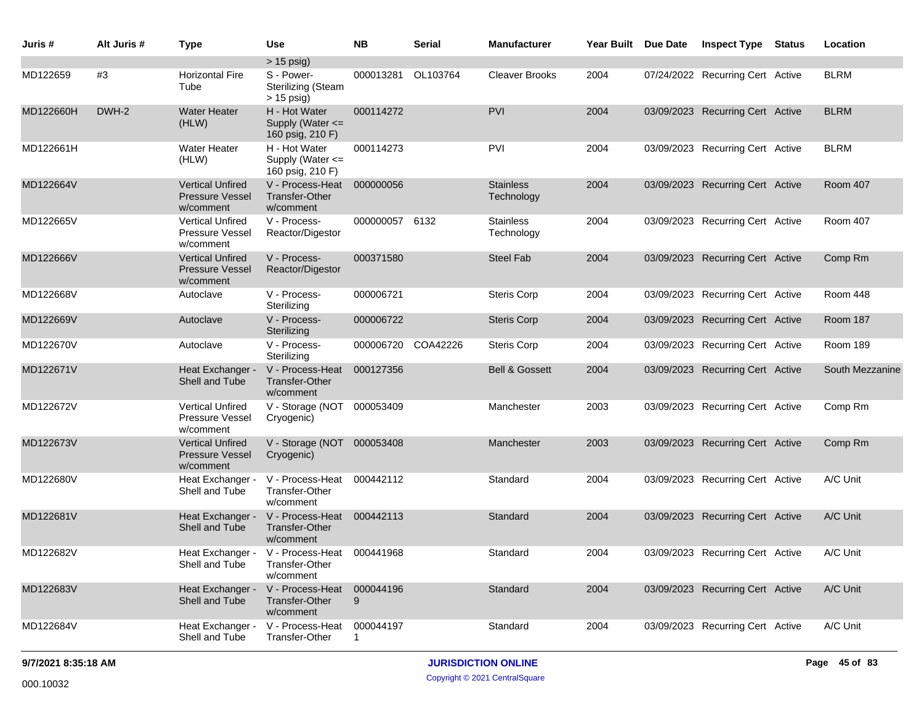| Juris #   | Alt Juris # | <b>Type</b>                                                    | Use                                                                        | <b>NB</b>          | <b>Serial</b> | <b>Manufacturer</b>            | Year Built Due Date | <b>Inspect Type</b>              | <b>Status</b> | Location        |
|-----------|-------------|----------------------------------------------------------------|----------------------------------------------------------------------------|--------------------|---------------|--------------------------------|---------------------|----------------------------------|---------------|-----------------|
|           |             |                                                                | $> 15$ psig)                                                               |                    |               |                                |                     |                                  |               |                 |
| MD122659  | #3          | <b>Horizontal Fire</b><br>Tube                                 | S - Power-<br><b>Sterilizing (Steam</b><br>$> 15$ psig)                    | 000013281 OL103764 |               | <b>Cleaver Brooks</b>          | 2004                | 07/24/2022 Recurring Cert Active |               | <b>BLRM</b>     |
| MD122660H | DWH-2       | <b>Water Heater</b><br>(HLW)                                   | H - Hot Water<br>Supply (Water <=<br>160 psig, 210 F)                      | 000114272          |               | <b>PVI</b>                     | 2004                | 03/09/2023 Recurring Cert Active |               | <b>BLRM</b>     |
| MD122661H |             | <b>Water Heater</b><br>(HLW)                                   | H - Hot Water<br>Supply (Water <=<br>160 psig, 210 F)                      | 000114273          |               | <b>PVI</b>                     | 2004                | 03/09/2023 Recurring Cert Active |               | <b>BLRM</b>     |
| MD122664V |             | <b>Vertical Unfired</b><br>Pressure Vessel<br>w/comment        | V - Process-Heat<br><b>Transfer-Other</b><br>w/comment                     | 000000056          |               | <b>Stainless</b><br>Technology | 2004                | 03/09/2023 Recurring Cert Active |               | Room 407        |
| MD122665V |             | <b>Vertical Unfired</b><br><b>Pressure Vessel</b><br>w/comment | V - Process-<br>Reactor/Digestor                                           | 000000057 6132     |               | <b>Stainless</b><br>Technology | 2004                | 03/09/2023 Recurring Cert Active |               | Room 407        |
| MD122666V |             | <b>Vertical Unfired</b><br><b>Pressure Vessel</b><br>w/comment | V - Process-<br>Reactor/Digestor                                           | 000371580          |               | <b>Steel Fab</b>               | 2004                | 03/09/2023 Recurring Cert Active |               | Comp Rm         |
| MD122668V |             | Autoclave                                                      | V - Process-<br>Sterilizing                                                | 000006721          |               | <b>Steris Corp</b>             | 2004                | 03/09/2023 Recurring Cert Active |               | Room 448        |
| MD122669V |             | Autoclave                                                      | V - Process-<br>Sterilizing                                                | 000006722          |               | <b>Steris Corp</b>             | 2004                | 03/09/2023 Recurring Cert Active |               | Room 187        |
| MD122670V |             | Autoclave                                                      | V - Process-<br>Sterilizing                                                | 000006720          | COA42226      | <b>Steris Corp</b>             | 2004                | 03/09/2023 Recurring Cert Active |               | Room 189        |
| MD122671V |             | Heat Exchanger -<br>Shell and Tube                             | V - Process-Heat<br><b>Transfer-Other</b><br>w/comment                     | 000127356          |               | <b>Bell &amp; Gossett</b>      | 2004                | 03/09/2023 Recurring Cert Active |               | South Mezzanine |
| MD122672V |             | <b>Vertical Unfired</b><br>Pressure Vessel<br>w/comment        | V - Storage (NOT 000053409<br>Cryogenic)                                   |                    |               | Manchester                     | 2003                | 03/09/2023 Recurring Cert Active |               | Comp Rm         |
| MD122673V |             | <b>Vertical Unfired</b><br><b>Pressure Vessel</b><br>w/comment | V - Storage (NOT 000053408<br>Cryogenic)                                   |                    |               | Manchester                     | 2003                | 03/09/2023 Recurring Cert Active |               | Comp Rm         |
| MD122680V |             | Heat Exchanger -<br>Shell and Tube                             | V - Process-Heat<br>Transfer-Other<br>w/comment                            | 000442112          |               | Standard                       | 2004                | 03/09/2023 Recurring Cert Active |               | A/C Unit        |
| MD122681V |             | Heat Exchanger -<br>Shell and Tube                             | V - Process-Heat<br><b>Transfer-Other</b><br>w/comment                     | 000442113          |               | Standard                       | 2004                | 03/09/2023 Recurring Cert Active |               | A/C Unit        |
| MD122682V |             | Shell and Tube                                                 | Heat Exchanger - V - Process-Heat 000441968<br>Transfer-Other<br>w/comment |                    |               | Standard                       | 2004                | 03/09/2023 Recurring Cert Active |               | A/C Unit        |
| MD122683V |             | Heat Exchanger -<br>Shell and Tube                             | V - Process-Heat<br><b>Transfer-Other</b><br>w/comment                     | 000044196<br>9     |               | Standard                       | 2004                | 03/09/2023 Recurring Cert Active |               | A/C Unit        |
| MD122684V |             | Heat Exchanger -<br>Shell and Tube                             | V - Process-Heat<br>Transfer-Other                                         | 000044197          |               | Standard                       | 2004                | 03/09/2023 Recurring Cert Active |               | A/C Unit        |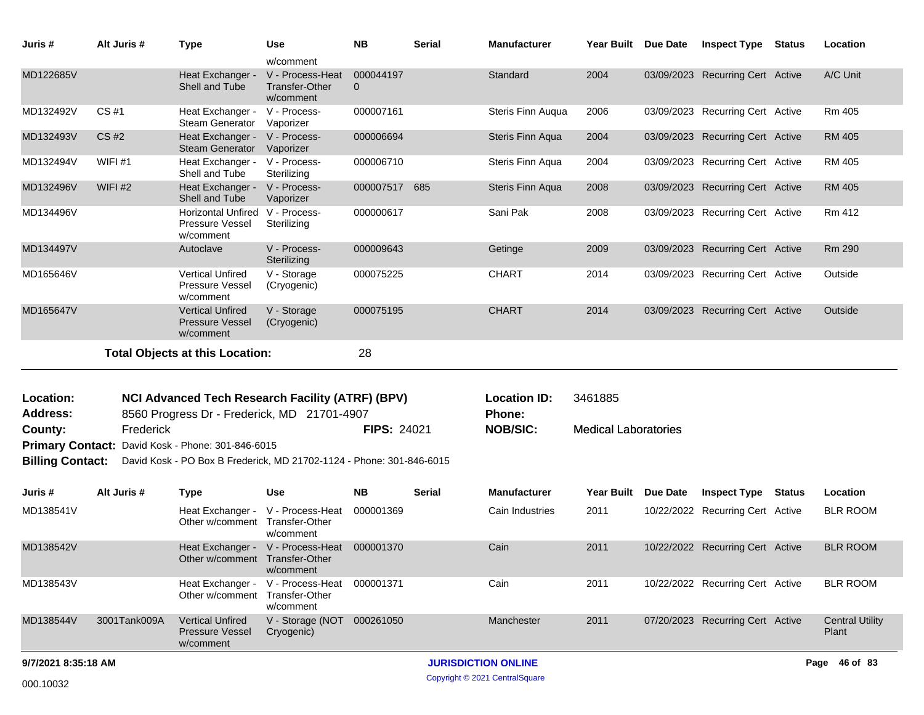| Juris #                                 | Alt Juris #  | <b>Type</b>                                                                                            | Use                                                                 | <b>NB</b>             | <b>Serial</b> | Manufacturer                                     | Year Built Due Date                    | <b>Inspect Type</b>              | Status        | Location                        |
|-----------------------------------------|--------------|--------------------------------------------------------------------------------------------------------|---------------------------------------------------------------------|-----------------------|---------------|--------------------------------------------------|----------------------------------------|----------------------------------|---------------|---------------------------------|
| MD122685V                               |              | Heat Exchanger -<br>Shell and Tube                                                                     | w/comment<br>V - Process-Heat<br><b>Transfer-Other</b><br>w/comment | 000044197<br>$\Omega$ |               | Standard                                         | 2004                                   | 03/09/2023 Recurring Cert Active |               | A/C Unit                        |
| MD132492V                               | CS#1         | Heat Exchanger - V - Process-<br>Steam Generator                                                       | Vaporizer                                                           | 000007161             |               | Steris Finn Auqua                                | 2006                                   | 03/09/2023 Recurring Cert Active |               | Rm 405                          |
| MD132493V                               | CS #2        | Heat Exchanger -<br><b>Steam Generator</b>                                                             | V - Process-<br>Vaporizer                                           | 000006694             |               | Steris Finn Aqua                                 | 2004                                   | 03/09/2023 Recurring Cert Active |               | <b>RM 405</b>                   |
| MD132494V                               | WIFI#1       | Heat Exchanger -<br>Shell and Tube                                                                     | V - Process-<br>Sterilizing                                         | 000006710             |               | Steris Finn Aqua                                 | 2004                                   | 03/09/2023 Recurring Cert Active |               | RM 405                          |
| MD132496V                               | WIFI $#2$    | Heat Exchanger -<br>Shell and Tube                                                                     | V - Process-<br>Vaporizer                                           | 000007517 685         |               | Steris Finn Aqua                                 | 2008                                   | 03/09/2023 Recurring Cert Active |               | <b>RM 405</b>                   |
| MD134496V                               |              | Horizontal Unfired V - Process-<br>Pressure Vessel<br>w/comment                                        | Sterilizing                                                         | 000000617             |               | Sani Pak                                         | 2008                                   | 03/09/2023 Recurring Cert Active |               | Rm 412                          |
| MD134497V                               |              | Autoclave                                                                                              | V - Process-<br>Sterilizing                                         | 000009643             |               | Getinge                                          | 2009                                   | 03/09/2023 Recurring Cert Active |               | Rm 290                          |
| MD165646V                               |              | <b>Vertical Unfired</b><br><b>Pressure Vessel</b><br>w/comment                                         | V - Storage<br>(Cryogenic)                                          | 000075225             |               | <b>CHART</b>                                     | 2014                                   | 03/09/2023 Recurring Cert Active |               | Outside                         |
| MD165647V                               |              | <b>Vertical Unfired</b><br><b>Pressure Vessel</b><br>w/comment                                         | V - Storage<br>(Cryogenic)                                          | 000075195             |               | <b>CHART</b>                                     | 2014                                   | 03/09/2023 Recurring Cert Active |               | Outside                         |
|                                         |              | <b>Total Objects at this Location:</b>                                                                 |                                                                     | 28                    |               |                                                  |                                        |                                  |               |                                 |
| Location:<br><b>Address:</b><br>County: | Frederick    | <b>NCI Advanced Tech Research Facility (ATRF) (BPV)</b><br>8560 Progress Dr - Frederick, MD 21701-4907 |                                                                     | <b>FIPS: 24021</b>    |               | <b>Location ID:</b><br>Phone:<br><b>NOB/SIC:</b> | 3461885<br><b>Medical Laboratories</b> |                                  |               |                                 |
|                                         |              | Primary Contact: David Kosk - Phone: 301-846-6015                                                      |                                                                     |                       |               |                                                  |                                        |                                  |               |                                 |
| <b>Billing Contact:</b>                 |              | David Kosk - PO Box B Frederick, MD 21702-1124 - Phone: 301-846-6015                                   |                                                                     |                       |               |                                                  |                                        |                                  |               |                                 |
| Juris #                                 | Alt Juris #  | <b>Type</b>                                                                                            | <b>Use</b>                                                          | <b>NB</b>             | <b>Serial</b> | <b>Manufacturer</b>                              | Year Built Due Date                    | <b>Inspect Type</b>              | <b>Status</b> | Location                        |
| MD138541V                               |              | Other w/comment Transfer-Other                                                                         | Heat Exchanger - V - Process-Heat<br>w/comment                      | 000001369             |               | Cain Industries                                  | 2011                                   | 10/22/2022 Recurring Cert Active |               | <b>BLR ROOM</b>                 |
| MD138542V                               |              | Other w/comment Transfer-Other                                                                         | Heat Exchanger - V - Process-Heat 000001370<br>w/comment            |                       |               | Cain                                             | 2011                                   | 10/22/2022 Recurring Cert Active |               | <b>BLR ROOM</b>                 |
| MD138543V                               |              | Other w/comment Transfer-Other                                                                         | Heat Exchanger - V - Process-Heat 000001371<br>w/comment            |                       |               | Cain                                             | 2011                                   | 10/22/2022 Recurring Cert Active |               | <b>BLR ROOM</b>                 |
| MD138544V                               | 3001Tank009A | <b>Vertical Unfired</b><br><b>Pressure Vessel</b><br>w/comment                                         | V - Storage (NOT 000261050<br>Cryogenic)                            |                       |               | Manchester                                       | 2011                                   | 07/20/2023 Recurring Cert Active |               | <b>Central Utility</b><br>Plant |
| 9/7/2021 8:35:18 AM                     |              |                                                                                                        |                                                                     |                       |               | <b>JURISDICTION ONLINE</b>                       |                                        |                                  |               | Page 46 of 83                   |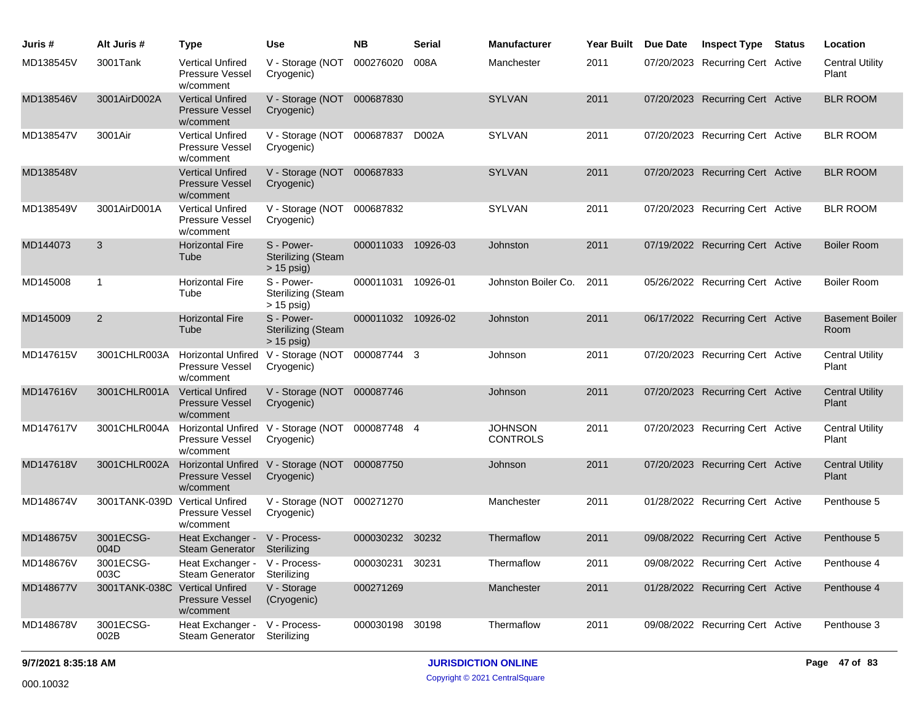| Juris #   | Alt Juris #                    | Type                                                             | <b>Use</b>                                                    | <b>NB</b>          | <b>Serial</b> | <b>Manufacturer</b>               | <b>Year Built</b> | Due Date | <b>Inspect Type</b>              | <b>Status</b> | Location                        |
|-----------|--------------------------------|------------------------------------------------------------------|---------------------------------------------------------------|--------------------|---------------|-----------------------------------|-------------------|----------|----------------------------------|---------------|---------------------------------|
| MD138545V | 3001Tank                       | <b>Vertical Unfired</b><br>Pressure Vessel<br>w/comment          | V - Storage (NOT 000276020<br>Cryogenic)                      |                    | 008A          | Manchester                        | 2011              |          | 07/20/2023 Recurring Cert Active |               | <b>Central Utility</b><br>Plant |
| MD138546V | 3001AirD002A                   | <b>Vertical Unfired</b><br><b>Pressure Vessel</b><br>w/comment   | V - Storage (NOT 000687830<br>Cryogenic)                      |                    |               | <b>SYLVAN</b>                     | 2011              |          | 07/20/2023 Recurring Cert Active |               | <b>BLR ROOM</b>                 |
| MD138547V | 3001Air                        | <b>Vertical Unfired</b><br><b>Pressure Vessel</b><br>w/comment   | V - Storage (NOT 000687837 D002A<br>Cryogenic)                |                    |               | <b>SYLVAN</b>                     | 2011              |          | 07/20/2023 Recurring Cert Active |               | <b>BLR ROOM</b>                 |
| MD138548V |                                | <b>Vertical Unfired</b><br><b>Pressure Vessel</b><br>w/comment   | V - Storage (NOT 000687833<br>Cryogenic)                      |                    |               | <b>SYLVAN</b>                     | 2011              |          | 07/20/2023 Recurring Cert Active |               | <b>BLR ROOM</b>                 |
| MD138549V | 3001AirD001A                   | <b>Vertical Unfired</b><br><b>Pressure Vessel</b><br>w/comment   | V - Storage (NOT 000687832<br>Cryogenic)                      |                    |               | <b>SYLVAN</b>                     | 2011              |          | 07/20/2023 Recurring Cert Active |               | <b>BLR ROOM</b>                 |
| MD144073  | 3                              | <b>Horizontal Fire</b><br>Tube                                   | S - Power-<br><b>Sterilizing (Steam</b><br>$> 15$ psig)       | 000011033 10926-03 |               | Johnston                          | 2011              |          | 07/19/2022 Recurring Cert Active |               | <b>Boiler Room</b>              |
| MD145008  | $\mathbf{1}$                   | <b>Horizontal Fire</b><br>Tube                                   | S - Power-<br><b>Sterilizing (Steam</b><br>$>$ 15 psig)       | 000011031          | 10926-01      | Johnston Boiler Co.               | 2011              |          | 05/26/2022 Recurring Cert Active |               | <b>Boiler Room</b>              |
| MD145009  | 2                              | <b>Horizontal Fire</b><br>Tube                                   | S - Power-<br><b>Sterilizing (Steam</b><br>$> 15$ psig)       | 000011032 10926-02 |               | Johnston                          | 2011              |          | 06/17/2022 Recurring Cert Active |               | <b>Basement Boiler</b><br>Room  |
| MD147615V | 3001CHLR003A                   | <b>Pressure Vessel</b><br>w/comment                              | Horizontal Unfired V - Storage (NOT 000087744 3<br>Cryogenic) |                    |               | Johnson                           | 2011              |          | 07/20/2023 Recurring Cert Active |               | <b>Central Utility</b><br>Plant |
| MD147616V | 3001CHLR001A                   | <b>Vertical Unfired</b><br><b>Pressure Vessel</b><br>w/comment   | V - Storage (NOT 000087746<br>Cryogenic)                      |                    |               | Johnson                           | 2011              |          | 07/20/2023 Recurring Cert Active |               | <b>Central Utility</b><br>Plant |
| MD147617V | 3001CHLR004A                   | <b>Pressure Vessel</b><br>w/comment                              | Horizontal Unfired V - Storage (NOT 000087748 4<br>Cryogenic) |                    |               | <b>JOHNSON</b><br><b>CONTROLS</b> | 2011              |          | 07/20/2023 Recurring Cert Active |               | <b>Central Utility</b><br>Plant |
| MD147618V | 3001CHLR002A                   | <b>Horizontal Unfired</b><br><b>Pressure Vessel</b><br>w/comment | V - Storage (NOT 000087750<br>Cryogenic)                      |                    |               | Johnson                           | 2011              |          | 07/20/2023 Recurring Cert Active |               | <b>Central Utility</b><br>Plant |
| MD148674V | 3001TANK-039D Vertical Unfired | <b>Pressure Vessel</b><br>w/comment                              | V - Storage (NOT 000271270<br>Cryogenic)                      |                    |               | Manchester                        | 2011              |          | 01/28/2022 Recurring Cert Active |               | Penthouse 5                     |
| MD148675V | 3001ECSG-<br>004D              | Heat Exchanger -<br><b>Steam Generator</b>                       | V - Process-<br>Sterilizing                                   | 000030232 30232    |               | Thermaflow                        | 2011              |          | 09/08/2022 Recurring Cert Active |               | Penthouse 5                     |
| MD148676V | 3001ECSG-<br>003C              | Heat Exchanger -<br><b>Steam Generator</b>                       | V - Process-<br>Sterilizing                                   | 000030231          | 30231         | Thermaflow                        | 2011              |          | 09/08/2022 Recurring Cert Active |               | Penthouse 4                     |
| MD148677V | 3001TANK-038C Vertical Unfired | <b>Pressure Vessel</b><br>w/comment                              | V - Storage<br>(Cryogenic)                                    | 000271269          |               | Manchester                        | 2011              |          | 01/28/2022 Recurring Cert Active |               | Penthouse 4                     |
| MD148678V | 3001ECSG-<br>002B              | Heat Exchanger -<br>Steam Generator Sterilizing                  | V - Process-                                                  | 000030198          | 30198         | Thermaflow                        | 2011              |          | 09/08/2022 Recurring Cert Active |               | Penthouse 3                     |

## **9/7/2021 8:35:18 AM JURISDICTION ONLINE Page 47 of 83**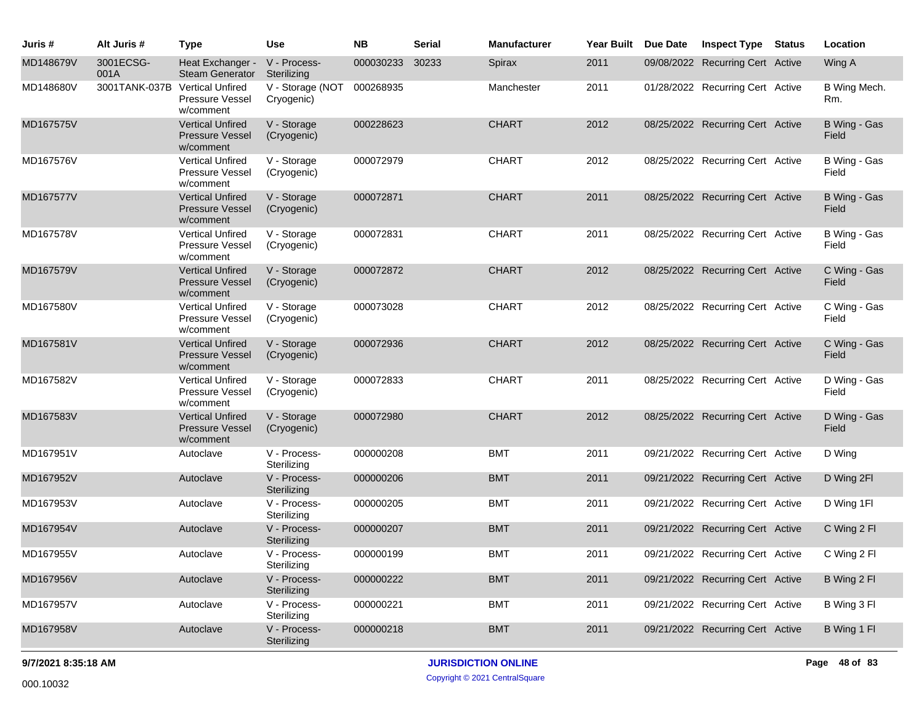| Juris #   | Alt Juris #                    | <b>Type</b>                                                    | Use                            | <b>NB</b> | <b>Serial</b> | <b>Manufacturer</b> | Year Built Due Date | <b>Inspect Type Status</b>       | Location              |
|-----------|--------------------------------|----------------------------------------------------------------|--------------------------------|-----------|---------------|---------------------|---------------------|----------------------------------|-----------------------|
| MD148679V | 3001ECSG-<br>001A              | Heat Exchanger -<br><b>Steam Generator</b>                     | V - Process-<br>Sterilizing    | 000030233 | 30233         | Spirax              | 2011                | 09/08/2022 Recurring Cert Active | Wing A                |
| MD148680V | 3001TANK-037B Vertical Unfired | Pressure Vessel<br>w/comment                                   | V - Storage (NOT<br>Cryogenic) | 000268935 |               | Manchester          | 2011                | 01/28/2022 Recurring Cert Active | B Wing Mech.<br>Rm.   |
| MD167575V |                                | <b>Vertical Unfired</b><br><b>Pressure Vessel</b><br>w/comment | V - Storage<br>(Cryogenic)     | 000228623 |               | <b>CHART</b>        | 2012                | 08/25/2022 Recurring Cert Active | B Wing - Gas<br>Field |
| MD167576V |                                | <b>Vertical Unfired</b><br><b>Pressure Vessel</b><br>w/comment | V - Storage<br>(Cryogenic)     | 000072979 |               | <b>CHART</b>        | 2012                | 08/25/2022 Recurring Cert Active | B Wing - Gas<br>Field |
| MD167577V |                                | <b>Vertical Unfired</b><br><b>Pressure Vessel</b><br>w/comment | V - Storage<br>(Cryogenic)     | 000072871 |               | <b>CHART</b>        | 2011                | 08/25/2022 Recurring Cert Active | B Wing - Gas<br>Field |
| MD167578V |                                | <b>Vertical Unfired</b><br>Pressure Vessel<br>w/comment        | V - Storage<br>(Cryogenic)     | 000072831 |               | <b>CHART</b>        | 2011                | 08/25/2022 Recurring Cert Active | B Wing - Gas<br>Field |
| MD167579V |                                | <b>Vertical Unfired</b><br><b>Pressure Vessel</b><br>w/comment | V - Storage<br>(Cryogenic)     | 000072872 |               | <b>CHART</b>        | 2012                | 08/25/2022 Recurring Cert Active | C Wing - Gas<br>Field |
| MD167580V |                                | <b>Vertical Unfired</b><br>Pressure Vessel<br>w/comment        | V - Storage<br>(Cryogenic)     | 000073028 |               | <b>CHART</b>        | 2012                | 08/25/2022 Recurring Cert Active | C Wing - Gas<br>Field |
| MD167581V |                                | <b>Vertical Unfired</b><br><b>Pressure Vessel</b><br>w/comment | V - Storage<br>(Cryogenic)     | 000072936 |               | <b>CHART</b>        | 2012                | 08/25/2022 Recurring Cert Active | C Wing - Gas<br>Field |
| MD167582V |                                | <b>Vertical Unfired</b><br><b>Pressure Vessel</b><br>w/comment | V - Storage<br>(Cryogenic)     | 000072833 |               | <b>CHART</b>        | 2011                | 08/25/2022 Recurring Cert Active | D Wing - Gas<br>Field |
| MD167583V |                                | <b>Vertical Unfired</b><br><b>Pressure Vessel</b><br>w/comment | V - Storage<br>(Cryogenic)     | 000072980 |               | <b>CHART</b>        | 2012                | 08/25/2022 Recurring Cert Active | D Wing - Gas<br>Field |
| MD167951V |                                | Autoclave                                                      | V - Process-<br>Sterilizing    | 000000208 |               | <b>BMT</b>          | 2011                | 09/21/2022 Recurring Cert Active | D Wing                |
| MD167952V |                                | Autoclave                                                      | V - Process-<br>Sterilizing    | 000000206 |               | <b>BMT</b>          | 2011                | 09/21/2022 Recurring Cert Active | D Wing 2FI            |
| MD167953V |                                | Autoclave                                                      | V - Process-<br>Sterilizing    | 000000205 |               | <b>BMT</b>          | 2011                | 09/21/2022 Recurring Cert Active | D Wing 1FI            |
| MD167954V |                                | Autoclave                                                      | V - Process-<br>Sterilizing    | 000000207 |               | <b>BMT</b>          | 2011                | 09/21/2022 Recurring Cert Active | C Wing 2 FI           |
| MD167955V |                                | Autoclave                                                      | V - Process-<br>Sterilizing    | 000000199 |               | <b>BMT</b>          | 2011                | 09/21/2022 Recurring Cert Active | C Wing 2 FI           |
| MD167956V |                                | Autoclave                                                      | V - Process-<br>Sterilizing    | 000000222 |               | <b>BMT</b>          | 2011                | 09/21/2022 Recurring Cert Active | B Wing 2 FI           |
| MD167957V |                                | Autoclave                                                      | V - Process-<br>Sterilizing    | 000000221 |               | <b>BMT</b>          | 2011                | 09/21/2022 Recurring Cert Active | B Wing 3 Fl           |
| MD167958V |                                | Autoclave                                                      | V - Process-<br>Sterilizing    | 000000218 |               | <b>BMT</b>          | 2011                | 09/21/2022 Recurring Cert Active | B Wing 1 FI           |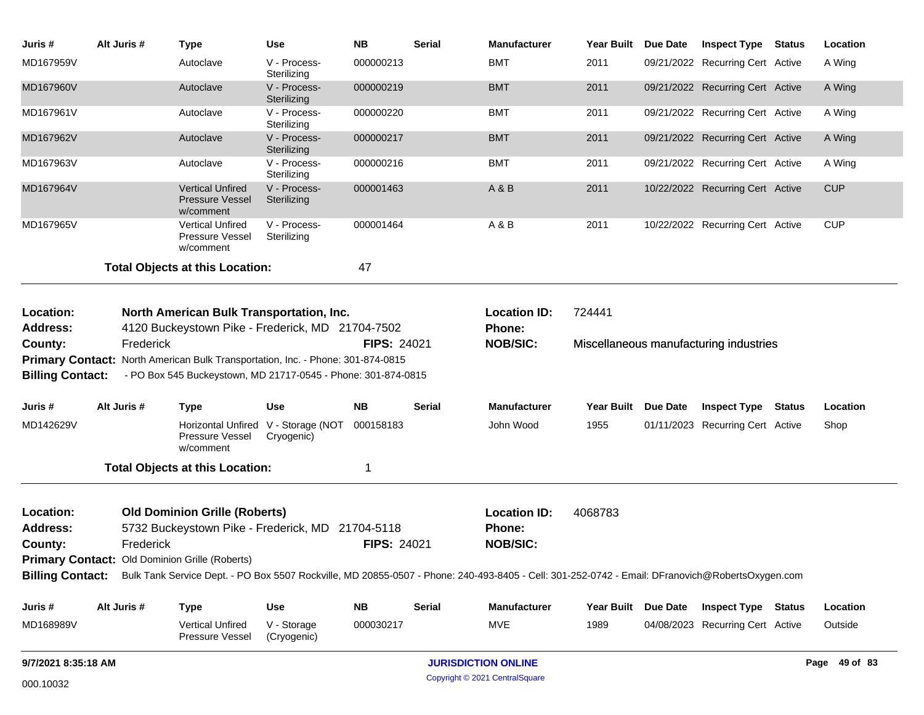| Juris #                                                       | Alt Juris # | Type                                                                                                                            | <b>Use</b>                                        | <b>NB</b>          | <b>Serial</b> | Manufacturer                                                                                                                                                     | Year Built Due Date | <b>Inspect Type Status</b>             | Location      |
|---------------------------------------------------------------|-------------|---------------------------------------------------------------------------------------------------------------------------------|---------------------------------------------------|--------------------|---------------|------------------------------------------------------------------------------------------------------------------------------------------------------------------|---------------------|----------------------------------------|---------------|
| MD167959V                                                     |             | Autoclave                                                                                                                       | V - Process-<br>Sterilizing                       | 000000213          |               | <b>BMT</b>                                                                                                                                                       | 2011                | 09/21/2022 Recurring Cert Active       | A Wing        |
| MD167960V                                                     |             | Autoclave                                                                                                                       | V - Process-<br>Sterilizing                       | 000000219          |               | <b>BMT</b>                                                                                                                                                       | 2011                | 09/21/2022 Recurring Cert Active       | A Wing        |
| MD167961V                                                     |             | Autoclave                                                                                                                       | V - Process-<br>Sterilizing                       | 000000220          |               | <b>BMT</b>                                                                                                                                                       | 2011                | 09/21/2022 Recurring Cert Active       | A Wing        |
| MD167962V                                                     |             | Autoclave                                                                                                                       | V - Process-<br>Sterilizing                       | 000000217          |               | <b>BMT</b>                                                                                                                                                       | 2011                | 09/21/2022 Recurring Cert Active       | A Wing        |
| MD167963V                                                     |             | Autoclave                                                                                                                       | V - Process-<br>Sterilizing                       | 000000216          |               | <b>BMT</b>                                                                                                                                                       | 2011                | 09/21/2022 Recurring Cert Active       | A Wing        |
| MD167964V                                                     |             | Vertical Unfired<br><b>Pressure Vessel</b><br>w/comment                                                                         | V - Process-<br>Sterilizing                       | 000001463          |               | A & B                                                                                                                                                            | 2011                | 10/22/2022 Recurring Cert Active       | <b>CUP</b>    |
| MD167965V                                                     |             | <b>Vertical Unfired</b><br><b>Pressure Vessel</b><br>w/comment                                                                  | V - Process-<br>Sterilizing                       | 000001464          |               | A & B                                                                                                                                                            | 2011                | 10/22/2022 Recurring Cert Active       | <b>CUP</b>    |
|                                                               |             | <b>Total Objects at this Location:</b>                                                                                          |                                                   | 47                 |               |                                                                                                                                                                  |                     |                                        |               |
| Location:<br><b>Address:</b>                                  |             | North American Bulk Transportation, Inc.<br>4120 Buckeystown Pike - Frederick, MD 21704-7502                                    |                                                   |                    |               | <b>Location ID:</b><br>Phone:                                                                                                                                    | 724441              |                                        |               |
| County:<br><b>Primary Contact:</b><br><b>Billing Contact:</b> | Frederick   | North American Bulk Transportation, Inc. - Phone: 301-874-0815<br>- PO Box 545 Buckeystown, MD 21717-0545 - Phone: 301-874-0815 |                                                   | <b>FIPS: 24021</b> |               | <b>NOB/SIC:</b>                                                                                                                                                  |                     | Miscellaneous manufacturing industries |               |
| Juris #                                                       | Alt Juris # | <b>Type</b>                                                                                                                     | <b>Use</b>                                        | <b>NB</b>          | <b>Serial</b> | <b>Manufacturer</b>                                                                                                                                              | Year Built Due Date | <b>Inspect Type Status</b>             | Location      |
| MD142629V                                                     |             | Pressure Vessel<br>w/comment                                                                                                    | Horizontal Unfired V - Storage (NOT<br>Cryogenic) | 000158183          |               | John Wood                                                                                                                                                        | 1955                | 01/11/2023 Recurring Cert Active       | Shop          |
|                                                               |             | <b>Total Objects at this Location:</b>                                                                                          |                                                   | 1                  |               |                                                                                                                                                                  |                     |                                        |               |
| Location:<br><b>Address:</b><br>County:                       | Frederick   | <b>Old Dominion Grille (Roberts)</b><br>5732 Buckeystown Pike - Frederick, MD 21704-5118                                        |                                                   | FIPS: 24021        |               | <b>Location ID:</b><br>Phone:<br><b>NOB/SIC:</b>                                                                                                                 | 4068783             |                                        |               |
|                                                               |             | Primary Contact: Old Dominion Grille (Roberts)                                                                                  |                                                   |                    |               |                                                                                                                                                                  |                     |                                        |               |
|                                                               |             |                                                                                                                                 |                                                   |                    |               | Billing Contact: Bulk Tank Service Dept. - PO Box 5507 Rockville, MD 20855-0507 - Phone: 240-493-8405 - Cell: 301-252-0742 - Email: DFranovich@RobertsOxygen.com |                     |                                        |               |
| Juris #                                                       | Alt Juris # | <b>Type</b>                                                                                                                     | <b>Use</b>                                        | <b>NB</b>          | <b>Serial</b> | Manufacturer                                                                                                                                                     | Year Built Due Date | <b>Inspect Type Status</b>             | Location      |
| MD168989V                                                     |             | Vertical Unfired<br>Pressure Vessel                                                                                             | V - Storage<br>(Cryogenic)                        | 000030217          |               | MVE                                                                                                                                                              | 1989                | 04/08/2023 Recurring Cert Active       | Outside       |
| 9/7/2021 8:35:18 AM                                           |             |                                                                                                                                 |                                                   |                    |               | <b>JURISDICTION ONLINE</b>                                                                                                                                       |                     |                                        | Page 49 of 83 |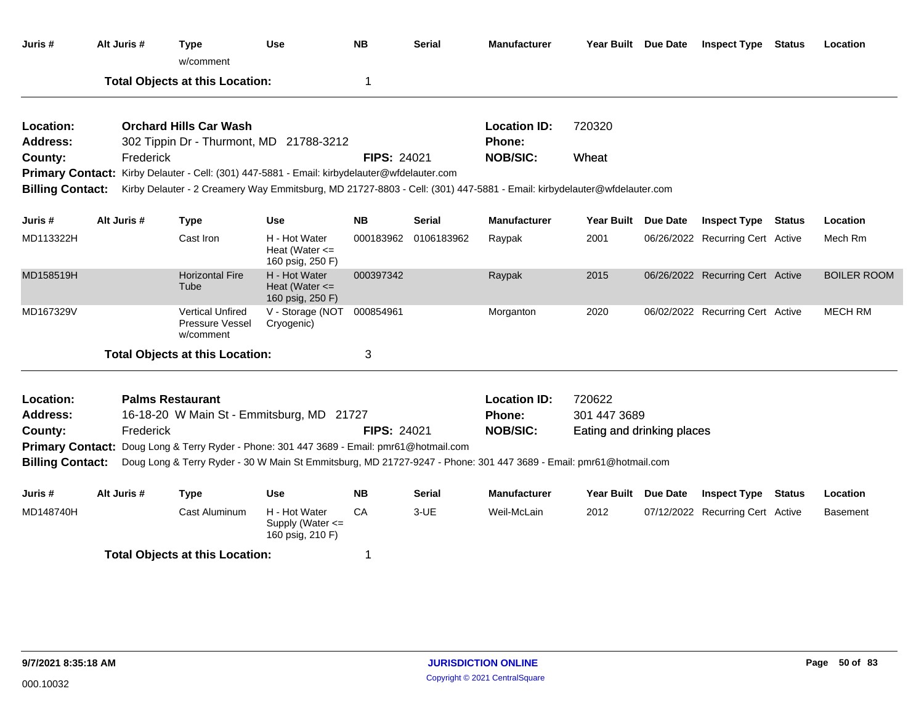| Juris #                 |                                                                                                                                                                                                                | Alt Juris # | <b>Type</b><br>w/comment                                                                                               | <b>Use</b>                                              | <b>NB</b>          | <b>Serial</b> | <b>Manufacturer</b> | Year Built Due Date        | <b>Inspect Type Status</b>       | Location           |
|-------------------------|----------------------------------------------------------------------------------------------------------------------------------------------------------------------------------------------------------------|-------------|------------------------------------------------------------------------------------------------------------------------|---------------------------------------------------------|--------------------|---------------|---------------------|----------------------------|----------------------------------|--------------------|
|                         |                                                                                                                                                                                                                |             | <b>Total Objects at this Location:</b>                                                                                 |                                                         | 1                  |               |                     |                            |                                  |                    |
| Location:               |                                                                                                                                                                                                                |             | <b>Orchard Hills Car Wash</b>                                                                                          |                                                         |                    |               | <b>Location ID:</b> | 720320                     |                                  |                    |
| <b>Address:</b>         |                                                                                                                                                                                                                |             | 302 Tippin Dr - Thurmont, MD 21788-3212                                                                                |                                                         |                    |               | Phone:              |                            |                                  |                    |
| County:                 |                                                                                                                                                                                                                | Frederick   |                                                                                                                        |                                                         | <b>FIPS: 24021</b> |               | <b>NOB/SIC:</b>     | Wheat                      |                                  |                    |
|                         |                                                                                                                                                                                                                |             | Primary Contact: Kirby Delauter - Cell: (301) 447-5881 - Email: kirbydelauter@wfdelauter.com                           |                                                         |                    |               |                     |                            |                                  |                    |
| <b>Billing Contact:</b> |                                                                                                                                                                                                                |             | Kirby Delauter - 2 Creamery Way Emmitsburg, MD 21727-8803 - Cell: (301) 447-5881 - Email: kirbydelauter@wfdelauter.com |                                                         |                    |               |                     |                            |                                  |                    |
| Juris #                 |                                                                                                                                                                                                                | Alt Juris # | <b>Type</b>                                                                                                            | <b>Use</b>                                              | <b>NB</b>          | <b>Serial</b> | <b>Manufacturer</b> | Year Built Due Date        | <b>Inspect Type Status</b>       | Location           |
| MD113322H               |                                                                                                                                                                                                                |             | Cast Iron                                                                                                              | H - Hot Water<br>Heat (Water $\leq$<br>160 psig, 250 F) | 000183962          | 0106183962    | Raypak              | 2001                       | 06/26/2022 Recurring Cert Active | Mech Rm            |
| MD158519H               |                                                                                                                                                                                                                |             | <b>Horizontal Fire</b><br>Tube                                                                                         | H - Hot Water<br>Heat (Water $\leq$<br>160 psig, 250 F) | 000397342          |               | Raypak              | 2015                       | 06/26/2022 Recurring Cert Active | <b>BOILER ROOM</b> |
| MD167329V               |                                                                                                                                                                                                                |             | <b>Vertical Unfired</b><br><b>Pressure Vessel</b><br>w/comment                                                         | V - Storage (NOT<br>Cryogenic)                          | 000854961          |               | Morganton           | 2020                       | 06/02/2022 Recurring Cert Active | <b>MECH RM</b>     |
|                         |                                                                                                                                                                                                                |             | <b>Total Objects at this Location:</b>                                                                                 |                                                         | 3                  |               |                     |                            |                                  |                    |
| Location:               |                                                                                                                                                                                                                |             | <b>Palms Restaurant</b>                                                                                                |                                                         |                    |               | <b>Location ID:</b> | 720622                     |                                  |                    |
| <b>Address:</b>         |                                                                                                                                                                                                                |             | 16-18-20 W Main St - Emmitsburg, MD 21727                                                                              |                                                         |                    |               | Phone:              | 301 447 3689               |                                  |                    |
| County:                 |                                                                                                                                                                                                                | Frederick   |                                                                                                                        |                                                         | <b>FIPS: 24021</b> |               | <b>NOB/SIC:</b>     | Eating and drinking places |                                  |                    |
|                         |                                                                                                                                                                                                                |             |                                                                                                                        |                                                         |                    |               |                     |                            |                                  |                    |
| <b>Billing Contact:</b> | Primary Contact: Doug Long & Terry Ryder - Phone: 301 447 3689 - Email: pmr61@hotmail.com<br>Doug Long & Terry Ryder - 30 W Main St Emmitsburg, MD 21727-9247 - Phone: 301 447 3689 - Email: pmr61@hotmail.com |             |                                                                                                                        |                                                         |                    |               |                     |                            |                                  |                    |
| Juris #                 |                                                                                                                                                                                                                | Alt Juris # | <b>Type</b>                                                                                                            | <b>Use</b>                                              | <b>NB</b>          | <b>Serial</b> | <b>Manufacturer</b> | Year Built Due Date        | <b>Inspect Type Status</b>       | Location           |
| MD148740H               |                                                                                                                                                                                                                |             | Cast Aluminum                                                                                                          | H - Hot Water<br>Supply (Water <=<br>160 psig, 210 F)   | CA                 | $3-UE$        | Weil-McLain         | 2012                       | 07/12/2022 Recurring Cert Active | <b>Basement</b>    |
|                         |                                                                                                                                                                                                                |             | <b>Total Objects at this Location:</b>                                                                                 |                                                         | 1                  |               |                     |                            |                                  |                    |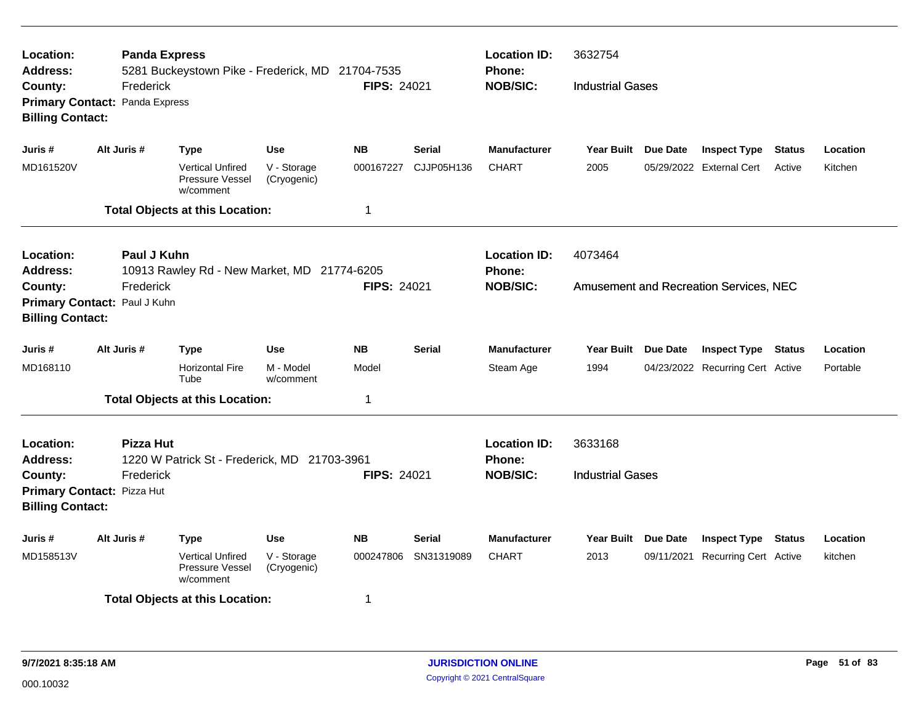| <b>Location:</b><br><b>Address:</b>                                                                                           |             | <b>Panda Express</b> | 5281 Buckeystown Pike - Frederick, MD 21704-7535               |                            |                    | <b>Phone:</b>           | <b>Location ID:</b>           | 3632754                 |                 |                                        |               |          |
|-------------------------------------------------------------------------------------------------------------------------------|-------------|----------------------|----------------------------------------------------------------|----------------------------|--------------------|-------------------------|-------------------------------|-------------------------|-----------------|----------------------------------------|---------------|----------|
| County:<br>Primary Contact: Panda Express<br><b>Billing Contact:</b>                                                          |             | Frederick            |                                                                |                            | <b>FIPS: 24021</b> |                         | <b>NOB/SIC:</b>               | <b>Industrial Gases</b> |                 |                                        |               |          |
| Juris #                                                                                                                       | Alt Juris # |                      | <b>Type</b>                                                    | <b>Use</b>                 | <b>NB</b>          | <b>Serial</b>           | <b>Manufacturer</b>           | <b>Year Built</b>       | Due Date        | <b>Inspect Type</b>                    | <b>Status</b> | Location |
| MD161520V                                                                                                                     |             |                      | <b>Vertical Unfired</b><br><b>Pressure Vessel</b><br>w/comment | V - Storage<br>(Cryogenic) | 000167227          | CJJP05H136              | <b>CHART</b>                  | 2005                    |                 | 05/29/2022 External Cert               | Active        | Kitchen  |
|                                                                                                                               |             |                      | <b>Total Objects at this Location:</b>                         |                            | 1                  |                         |                               |                         |                 |                                        |               |          |
| Location:<br><b>Address:</b>                                                                                                  |             | Paul J Kuhn          | 10913 Rawley Rd - New Market, MD 21774-6205                    |                            |                    |                         | <b>Location ID:</b><br>Phone: | 4073464                 |                 |                                        |               |          |
| County:                                                                                                                       |             | Frederick            |                                                                |                            | <b>FIPS: 24021</b> |                         | <b>NOB/SIC:</b>               |                         |                 | Amusement and Recreation Services, NEC |               |          |
| Primary Contact: Paul J Kuhn<br><b>Billing Contact:</b>                                                                       |             |                      |                                                                |                            |                    |                         |                               |                         |                 |                                        |               |          |
|                                                                                                                               |             |                      |                                                                |                            |                    |                         |                               |                         |                 |                                        |               |          |
| Juris #                                                                                                                       | Alt Juris # |                      | <b>Type</b>                                                    | <b>Use</b>                 | <b>NB</b>          | <b>Serial</b>           | <b>Manufacturer</b>           | <b>Year Built</b>       | <b>Due Date</b> | <b>Inspect Type</b>                    | <b>Status</b> | Location |
| MD168110                                                                                                                      |             |                      | <b>Horizontal Fire</b><br>Tube                                 | M - Model<br>w/comment     | Model              |                         | Steam Age                     | 1994                    |                 | 04/23/2022 Recurring Cert Active       |               | Portable |
|                                                                                                                               |             |                      | <b>Total Objects at this Location:</b>                         |                            | 1                  |                         |                               |                         |                 |                                        |               |          |
| Location:<br><b>Address:</b>                                                                                                  |             | <b>Pizza Hut</b>     |                                                                |                            |                    |                         | <b>Location ID:</b><br>Phone: | 3633168                 |                 |                                        |               |          |
| 1220 W Patrick St - Frederick, MD 21703-3961<br>Frederick<br>County:<br>Primary Contact: Pizza Hut<br><b>Billing Contact:</b> |             |                      | <b>FIPS: 24021</b>                                             |                            | <b>NOB/SIC:</b>    | <b>Industrial Gases</b> |                               |                         |                 |                                        |               |          |
| Juris #                                                                                                                       | Alt Juris # |                      | <b>Type</b>                                                    | <b>Use</b>                 | <b>NB</b>          | <b>Serial</b>           | <b>Manufacturer</b>           | Year Built Due Date     |                 | <b>Inspect Type</b>                    | <b>Status</b> | Location |
| MD158513V                                                                                                                     |             |                      | Vertical Unfired<br>Pressure Vessel<br>w/comment               | V - Storage<br>(Cryogenic) | 000247806          | SN31319089              | <b>CHART</b>                  | 2013                    |                 | 09/11/2021 Recurring Cert Active       |               | kitchen  |
|                                                                                                                               |             |                      | <b>Total Objects at this Location:</b>                         |                            | 1                  |                         |                               |                         |                 |                                        |               |          |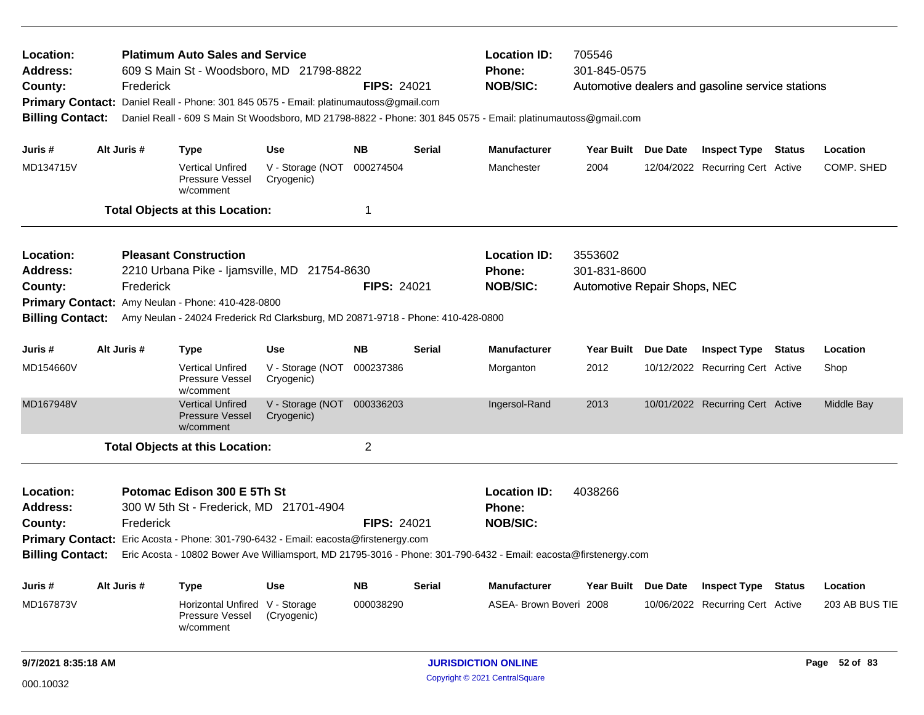| Location:<br><b>Address:</b><br>County:<br><b>Primary Contact:</b><br><b>Billing Contact:</b> | <b>Platimum Auto Sales and Service</b><br>609 S Main St - Woodsboro, MD 21798-8822<br><b>FIPS: 24021</b><br>Frederick<br>Daniel Reall - Phone: 301 845 0575 - Email: platinumautoss@gmail.com<br>Daniel Reall - 609 S Main St Woodsboro, MD 21798-8822 - Phone: 301 845 0575 - Email: platinumautoss@gmail.com |             |                                                                                     |                                |                    |               | <b>Location ID:</b><br>705546<br>301-845-0575<br>Phone:<br><b>NOB/SIC:</b><br>Automotive dealers and gasoline service stations |                              |  |                                  |  |                |
|-----------------------------------------------------------------------------------------------|----------------------------------------------------------------------------------------------------------------------------------------------------------------------------------------------------------------------------------------------------------------------------------------------------------------|-------------|-------------------------------------------------------------------------------------|--------------------------------|--------------------|---------------|--------------------------------------------------------------------------------------------------------------------------------|------------------------------|--|----------------------------------|--|----------------|
| Juris #                                                                                       |                                                                                                                                                                                                                                                                                                                | Alt Juris # | <b>Type</b>                                                                         | <b>Use</b>                     | <b>NB</b>          | Serial        | <b>Manufacturer</b>                                                                                                            | Year Built Due Date          |  | <b>Inspect Type Status</b>       |  | Location       |
| MD134715V                                                                                     |                                                                                                                                                                                                                                                                                                                |             | <b>Vertical Unfired</b><br>Pressure Vessel<br>w/comment                             | V - Storage (NOT<br>Cryogenic) | 000274504          |               | Manchester                                                                                                                     | 2004                         |  | 12/04/2022 Recurring Cert Active |  | COMP. SHED     |
|                                                                                               |                                                                                                                                                                                                                                                                                                                |             | <b>Total Objects at this Location:</b>                                              |                                | 1                  |               |                                                                                                                                |                              |  |                                  |  |                |
| Location:                                                                                     |                                                                                                                                                                                                                                                                                                                |             | <b>Pleasant Construction</b>                                                        |                                |                    |               | <b>Location ID:</b>                                                                                                            | 3553602                      |  |                                  |  |                |
| <b>Address:</b>                                                                               |                                                                                                                                                                                                                                                                                                                |             | 2210 Urbana Pike - Ijamsville, MD 21754-8630                                        |                                |                    |               | Phone:                                                                                                                         | 301-831-8600                 |  |                                  |  |                |
| County:                                                                                       |                                                                                                                                                                                                                                                                                                                | Frederick   |                                                                                     |                                | <b>FIPS: 24021</b> |               | <b>NOB/SIC:</b>                                                                                                                | Automotive Repair Shops, NEC |  |                                  |  |                |
|                                                                                               | Primary Contact: Amy Neulan - Phone: 410-428-0800<br>Amy Neulan - 24024 Frederick Rd Clarksburg, MD 20871-9718 - Phone: 410-428-0800                                                                                                                                                                           |             |                                                                                     |                                |                    |               |                                                                                                                                |                              |  |                                  |  |                |
| <b>Billing Contact:</b>                                                                       |                                                                                                                                                                                                                                                                                                                |             |                                                                                     |                                |                    |               |                                                                                                                                |                              |  |                                  |  |                |
| Juris #                                                                                       |                                                                                                                                                                                                                                                                                                                | Alt Juris # | <b>Type</b>                                                                         | <b>Use</b>                     | <b>NB</b>          | <b>Serial</b> | <b>Manufacturer</b>                                                                                                            | Year Built Due Date          |  | <b>Inspect Type Status</b>       |  | Location       |
| MD154660V                                                                                     |                                                                                                                                                                                                                                                                                                                |             | <b>Vertical Unfired</b><br>Pressure Vessel<br>w/comment                             | V - Storage (NOT<br>Cryogenic) | 000237386          |               | Morganton                                                                                                                      | 2012                         |  | 10/12/2022 Recurring Cert Active |  | Shop           |
| MD167948V                                                                                     |                                                                                                                                                                                                                                                                                                                |             | <b>Vertical Unfired</b><br><b>Pressure Vessel</b><br>w/comment                      | V - Storage (NOT<br>Cryogenic) | 000336203          |               | Ingersol-Rand                                                                                                                  | 2013                         |  | 10/01/2022 Recurring Cert Active |  | Middle Bay     |
|                                                                                               |                                                                                                                                                                                                                                                                                                                |             | <b>Total Objects at this Location:</b>                                              |                                | $\overline{c}$     |               |                                                                                                                                |                              |  |                                  |  |                |
| Location:                                                                                     |                                                                                                                                                                                                                                                                                                                |             | Potomac Edison 300 E 5Th St                                                         |                                |                    |               | <b>Location ID:</b>                                                                                                            | 4038266                      |  |                                  |  |                |
| <b>Address:</b>                                                                               |                                                                                                                                                                                                                                                                                                                |             | 300 W 5th St - Frederick, MD 21701-4904                                             |                                |                    |               | <b>Phone:</b>                                                                                                                  |                              |  |                                  |  |                |
| County:                                                                                       |                                                                                                                                                                                                                                                                                                                | Frederick   |                                                                                     |                                | <b>FIPS: 24021</b> |               | <b>NOB/SIC:</b>                                                                                                                |                              |  |                                  |  |                |
|                                                                                               |                                                                                                                                                                                                                                                                                                                |             | Primary Contact: Eric Acosta - Phone: 301-790-6432 - Email: eacosta@firstenergy.com |                                |                    |               |                                                                                                                                |                              |  |                                  |  |                |
| <b>Billing Contact:</b>                                                                       |                                                                                                                                                                                                                                                                                                                |             |                                                                                     |                                |                    |               | Eric Acosta - 10802 Bower Ave Williamsport, MD 21795-3016 - Phone: 301-790-6432 - Email: eacosta@firstenergy.com               |                              |  |                                  |  |                |
| Juris #                                                                                       |                                                                                                                                                                                                                                                                                                                | Alt Juris # | <b>Type</b>                                                                         | Use                            | <b>NB</b>          | Serial        | <b>Manufacturer</b>                                                                                                            | Year Built Due Date          |  | <b>Inspect Type Status</b>       |  | Location       |
| MD167873V                                                                                     |                                                                                                                                                                                                                                                                                                                |             | Horizontal Unfired V - Storage<br>Pressure Vessel<br>w/comment                      | (Cryogenic)                    | 000038290          |               | ASEA- Brown Boveri 2008                                                                                                        |                              |  | 10/06/2022 Recurring Cert Active |  | 203 AB BUS TIE |
| 9/7/2021 8:35:18 AM                                                                           |                                                                                                                                                                                                                                                                                                                |             |                                                                                     |                                |                    |               | <b>JURISDICTION ONLINE</b>                                                                                                     |                              |  |                                  |  | Page 52 of 83  |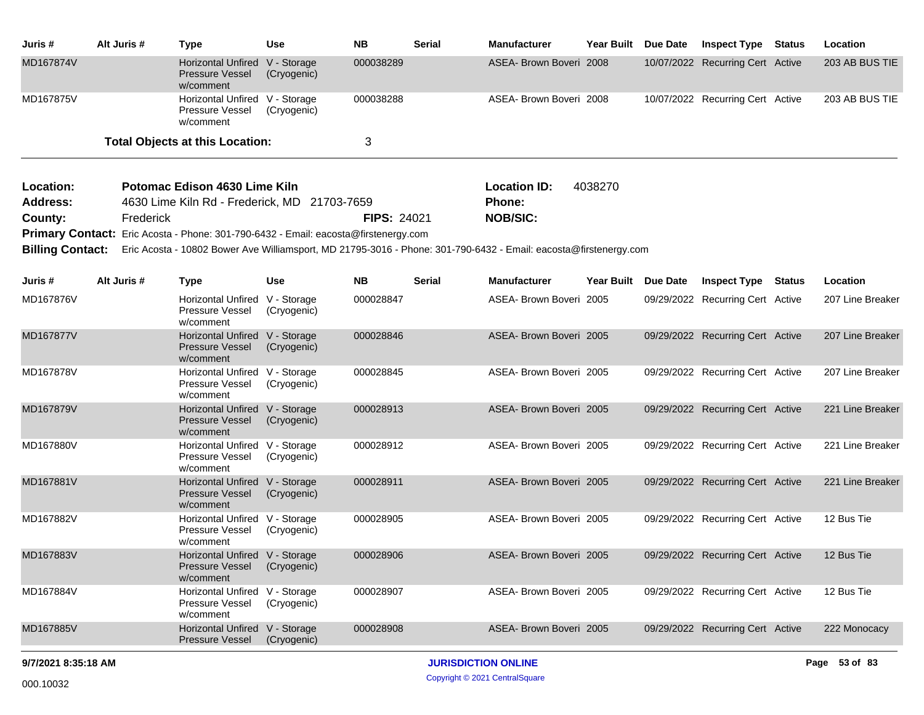| Juris #     | Alt Juris # | Type                                                           | Use         | <b>NB</b> | <b>Serial</b> | <b>Manufacturer</b>     | <b>Year Built</b> | <b>Due Date</b> | <b>Inspect Type</b>              | Status | Location       |
|-------------|-------------|----------------------------------------------------------------|-------------|-----------|---------------|-------------------------|-------------------|-----------------|----------------------------------|--------|----------------|
| MD167874V   |             | Horizontal Unfired V - Storage<br>Pressure Vessel<br>w/comment | (Cryogenic) | 000038289 |               | ASEA- Brown Boveri 2008 |                   |                 | 10/07/2022 Recurring Cert Active |        | 203 AB BUS TIE |
| MD167875V   |             | Horizontal Unfired V - Storage<br>Pressure Vessel<br>w/comment | (Cryogenic) | 000038288 |               | ASEA- Brown Boveri 2008 |                   |                 | 10/07/2022 Recurring Cert Active |        | 203 AB BUS TIE |
|             |             | <b>Total Objects at this Location:</b>                         |             |           |               |                         |                   |                 |                                  |        |                |
| $I$ assign: |             | Detempe Edicen 4020 Lime Kiln                                  |             |           |               | $L = L/L = IPL$         | 1000270           |                 |                                  |        |                |

| <b>Address:</b><br>4630 Lime Kiln Rd - Frederick, MD 21703-7659<br><b>Phone:</b>           |  |
|--------------------------------------------------------------------------------------------|--|
| <b>FIPS: 24021</b><br>County:<br>NOB/SIC:<br>Frederick                                     |  |
| <b>Primary Contact:</b> Eric Acosta - Phone: 301-790-6432 - Email: eacosta@firstenergy.com |  |

**Billing Contact:** Eric Acosta - 10802 Bower Ave Williamsport, MD 21795-3016 - Phone: 301-790-6432 - Email: eacosta@firstenergy.com

| Juris #             | Alt Juris # | <b>Type</b>                                                      | <b>Use</b>                 | <b>NB</b> | <b>Serial</b>              | <b>Manufacturer</b>     | <b>Year Built</b> | Due Date   | <b>Inspect Type</b>              | <b>Status</b> | Location         |
|---------------------|-------------|------------------------------------------------------------------|----------------------------|-----------|----------------------------|-------------------------|-------------------|------------|----------------------------------|---------------|------------------|
| MD167876V           |             | <b>Horizontal Unfired</b><br>Pressure Vessel<br>w/comment        | V - Storage<br>(Cryogenic) | 000028847 |                            | ASEA- Brown Boveri 2005 |                   | 09/29/2022 | <b>Recurring Cert Active</b>     |               | 207 Line Breaker |
| MD167877V           |             | <b>Horizontal Unfired</b><br><b>Pressure Vessel</b><br>w/comment | V - Storage<br>(Cryogenic) | 000028846 |                            | ASEA- Brown Boveri 2005 |                   |            | 09/29/2022 Recurring Cert Active |               | 207 Line Breaker |
| MD167878V           |             | <b>Horizontal Unfired</b><br><b>Pressure Vessel</b><br>w/comment | V - Storage<br>(Cryogenic) | 000028845 |                            | ASEA- Brown Boveri 2005 |                   |            | 09/29/2022 Recurring Cert Active |               | 207 Line Breaker |
| MD167879V           |             | <b>Horizontal Unfired</b><br><b>Pressure Vessel</b><br>w/comment | V - Storage<br>(Cryogenic) | 000028913 |                            | ASEA- Brown Boveri 2005 |                   |            | 09/29/2022 Recurring Cert Active |               | 221 Line Breaker |
| MD167880V           |             | <b>Horizontal Unfired</b><br>Pressure Vessel<br>w/comment        | V - Storage<br>(Cryogenic) | 000028912 |                            | ASEA- Brown Boveri 2005 |                   |            | 09/29/2022 Recurring Cert Active |               | 221 Line Breaker |
| MD167881V           |             | <b>Horizontal Unfired</b><br>Pressure Vessel<br>w/comment        | V - Storage<br>(Cryogenic) | 000028911 |                            | ASEA- Brown Boveri 2005 |                   | 09/29/2022 | <b>Recurring Cert Active</b>     |               | 221 Line Breaker |
| MD167882V           |             | <b>Horizontal Unfired</b><br>Pressure Vessel<br>w/comment        | V - Storage<br>(Cryogenic) | 000028905 |                            | ASEA- Brown Boveri 2005 |                   |            | 09/29/2022 Recurring Cert Active |               | 12 Bus Tie       |
| MD167883V           |             | <b>Horizontal Unfired</b><br><b>Pressure Vessel</b><br>w/comment | V - Storage<br>(Cryogenic) | 000028906 |                            | ASEA- Brown Boveri 2005 |                   | 09/29/2022 | <b>Recurring Cert Active</b>     |               | 12 Bus Tie       |
| MD167884V           |             | <b>Horizontal Unfired</b><br>Pressure Vessel<br>w/comment        | V - Storage<br>(Cryogenic) | 000028907 |                            | ASEA- Brown Boveri 2005 |                   |            | 09/29/2022 Recurring Cert Active |               | 12 Bus Tie       |
| MD167885V           |             | <b>Horizontal Unfired</b><br><b>Pressure Vessel</b>              | V - Storage<br>(Cryogenic) | 000028908 |                            | ASEA- Brown Boveri 2005 |                   |            | 09/29/2022 Recurring Cert Active |               | 222 Monocacy     |
| 9/7/2021 8:35:18 AM |             |                                                                  |                            |           | <b>JURISDICTION ONLINE</b> |                         |                   |            |                                  |               | 53 of 83<br>Page |

Copyright © 2021 CentralSquare 000.10032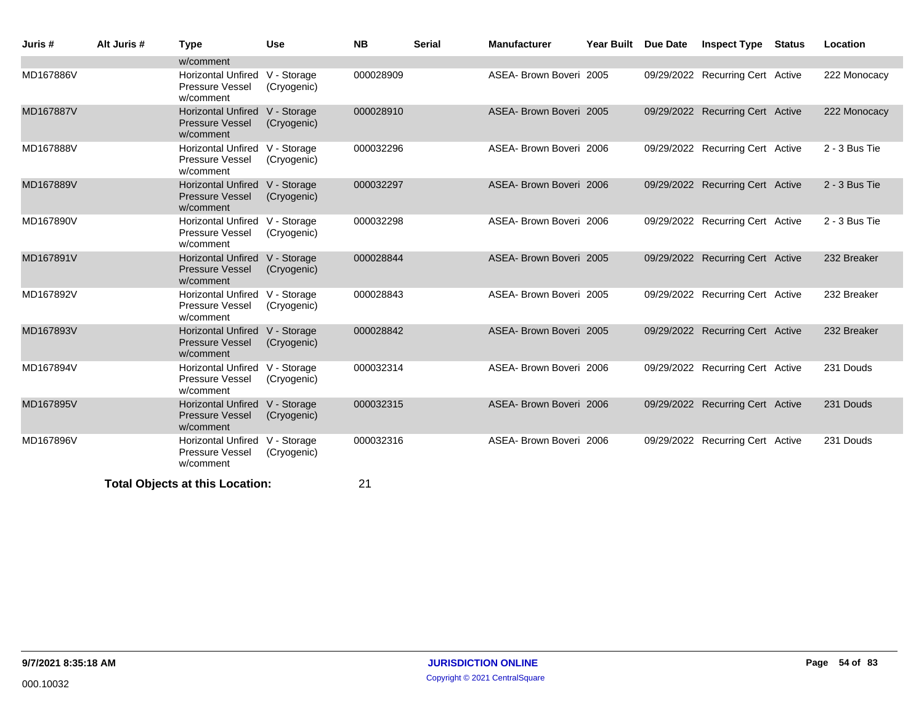| Juris #   | Alt Juris # | <b>Type</b>                                                           | <b>Use</b>  | <b>NB</b> | <b>Serial</b> | <b>Manufacturer</b>     | Year Built Due Date | <b>Inspect Type Status</b>       | Location        |
|-----------|-------------|-----------------------------------------------------------------------|-------------|-----------|---------------|-------------------------|---------------------|----------------------------------|-----------------|
|           |             | w/comment                                                             |             |           |               |                         |                     |                                  |                 |
| MD167886V |             | Horizontal Unfired V - Storage<br><b>Pressure Vessel</b><br>w/comment | (Cryogenic) | 000028909 |               | ASEA- Brown Boveri 2005 |                     | 09/29/2022 Recurring Cert Active | 222 Monocacy    |
| MD167887V |             | Horizontal Unfired V - Storage<br><b>Pressure Vessel</b><br>w/comment | (Cryogenic) | 000028910 |               | ASEA- Brown Boveri 2005 |                     | 09/29/2022 Recurring Cert Active | 222 Monocacy    |
| MD167888V |             | Horizontal Unfired V - Storage<br>Pressure Vessel<br>w/comment        | (Cryogenic) | 000032296 |               | ASEA- Brown Boveri 2006 |                     | 09/29/2022 Recurring Cert Active | $2 - 3$ Bus Tie |
| MD167889V |             | Horizontal Unfired V - Storage<br><b>Pressure Vessel</b><br>w/comment | (Cryogenic) | 000032297 |               | ASEA- Brown Boveri 2006 |                     | 09/29/2022 Recurring Cert Active | 2 - 3 Bus Tie   |
| MD167890V |             | Horizontal Unfired V - Storage<br>Pressure Vessel<br>w/comment        | (Cryogenic) | 000032298 |               | ASEA- Brown Boveri 2006 |                     | 09/29/2022 Recurring Cert Active | $2 - 3$ Bus Tie |
| MD167891V |             | Horizontal Unfired V - Storage<br><b>Pressure Vessel</b><br>w/comment | (Cryogenic) | 000028844 |               | ASEA- Brown Boveri 2005 |                     | 09/29/2022 Recurring Cert Active | 232 Breaker     |
| MD167892V |             | Horizontal Unfired V - Storage<br>Pressure Vessel<br>w/comment        | (Cryogenic) | 000028843 |               | ASEA- Brown Boveri 2005 |                     | 09/29/2022 Recurring Cert Active | 232 Breaker     |
| MD167893V |             | Horizontal Unfired V - Storage<br><b>Pressure Vessel</b><br>w/comment | (Cryogenic) | 000028842 |               | ASEA- Brown Boveri 2005 |                     | 09/29/2022 Recurring Cert Active | 232 Breaker     |
| MD167894V |             | Horizontal Unfired V - Storage<br>Pressure Vessel<br>w/comment        | (Cryogenic) | 000032314 |               | ASEA- Brown Boveri 2006 |                     | 09/29/2022 Recurring Cert Active | 231 Douds       |
| MD167895V |             | Horizontal Unfired V - Storage<br><b>Pressure Vessel</b><br>w/comment | (Cryogenic) | 000032315 |               | ASEA- Brown Boveri 2006 |                     | 09/29/2022 Recurring Cert Active | 231 Douds       |
| MD167896V |             | Horizontal Unfired V - Storage<br>Pressure Vessel<br>w/comment        | (Cryogenic) | 000032316 |               | ASEA- Brown Boveri 2006 |                     | 09/29/2022 Recurring Cert Active | 231 Douds       |
|           |             | <b>Total Objects at this Location:</b>                                |             | 21        |               |                         |                     |                                  |                 |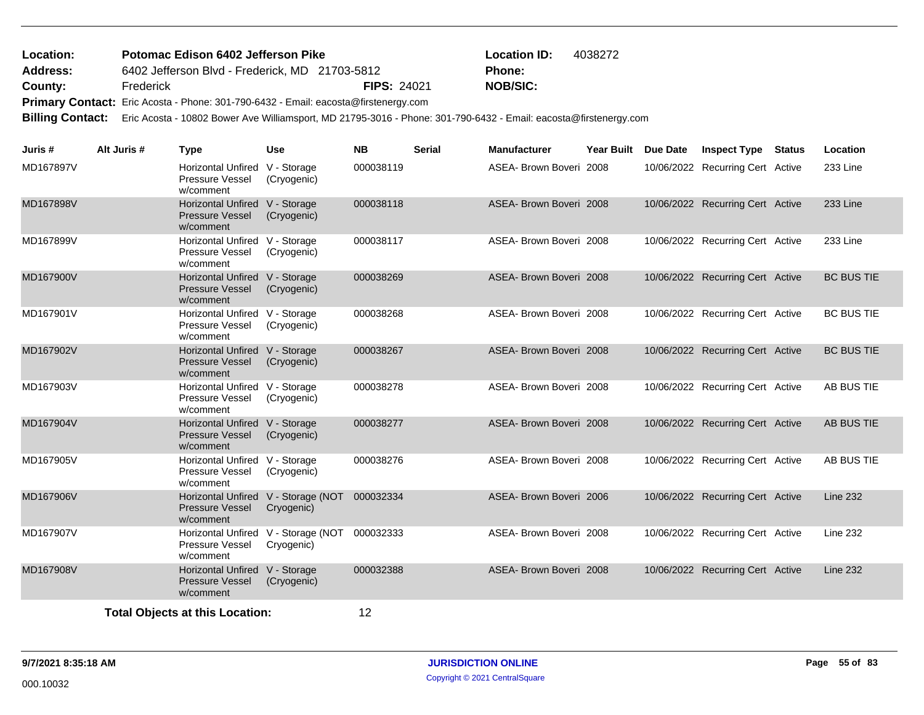## 6402 Jefferson Blvd - Frederick, MD 21703-5812 **County:** Frederick **NOB/SIC:** FIPS: 24021 **NOB/SIC:** Primary Contact: Eric Acosta - Phone: 301-790-6432 - Email: eacosta@firstenergy.com **Potomac Edison 6402 Jefferson Pike Location ID:** 4038272 **Address: Location: Phone:**

**Billing Contact:** Eric Acosta - 10802 Bower Ave Williamsport, MD 21795-3016 - Phone: 301-790-6432 - Email: eacosta@firstenergy.com

| Juris #   | Alt Juris # | <b>Type</b>                                                           | <b>Use</b>                                        | <b>NB</b> | <b>Serial</b> | <b>Manufacturer</b>     | Year Built Due Date | <b>Inspect Type</b>              | <b>Status</b> | Location          |
|-----------|-------------|-----------------------------------------------------------------------|---------------------------------------------------|-----------|---------------|-------------------------|---------------------|----------------------------------|---------------|-------------------|
| MD167897V |             | Horizontal Unfired V - Storage<br>Pressure Vessel<br>w/comment        | (Cryogenic)                                       | 000038119 |               | ASEA- Brown Boveri 2008 |                     | 10/06/2022 Recurring Cert Active |               | 233 Line          |
| MD167898V |             | Horizontal Unfired V - Storage<br><b>Pressure Vessel</b><br>w/comment | (Cryogenic)                                       | 000038118 |               | ASEA- Brown Boveri 2008 |                     | 10/06/2022 Recurring Cert Active |               | <b>233 Line</b>   |
| MD167899V |             | Horizontal Unfired V - Storage<br>Pressure Vessel<br>w/comment        | (Cryogenic)                                       | 000038117 |               | ASEA- Brown Boveri 2008 |                     | 10/06/2022 Recurring Cert Active |               | 233 Line          |
| MD167900V |             | Horizontal Unfired V - Storage<br><b>Pressure Vessel</b><br>w/comment | (Cryogenic)                                       | 000038269 |               | ASEA- Brown Boveri 2008 |                     | 10/06/2022 Recurring Cert Active |               | <b>BC BUS TIE</b> |
| MD167901V |             | Horizontal Unfired V - Storage<br><b>Pressure Vessel</b><br>w/comment | (Cryogenic)                                       | 000038268 |               | ASEA- Brown Boveri 2008 |                     | 10/06/2022 Recurring Cert Active |               | <b>BC BUS TIE</b> |
| MD167902V |             | Horizontal Unfired V - Storage<br><b>Pressure Vessel</b><br>w/comment | (Cryogenic)                                       | 000038267 |               | ASEA- Brown Boveri 2008 |                     | 10/06/2022 Recurring Cert Active |               | <b>BC BUS TIE</b> |
| MD167903V |             | Horizontal Unfired V - Storage<br>Pressure Vessel<br>w/comment        | (Cryogenic)                                       | 000038278 |               | ASEA- Brown Boveri 2008 |                     | 10/06/2022 Recurring Cert Active |               | AB BUS TIE        |
| MD167904V |             | Horizontal Unfired V - Storage<br><b>Pressure Vessel</b><br>w/comment | (Cryogenic)                                       | 000038277 |               | ASEA- Brown Boveri 2008 |                     | 10/06/2022 Recurring Cert Active |               | AB BUS TIE        |
| MD167905V |             | Horizontal Unfired V - Storage<br>Pressure Vessel<br>w/comment        | (Cryogenic)                                       | 000038276 |               | ASEA- Brown Boveri 2008 |                     | 10/06/2022 Recurring Cert Active |               | AB BUS TIE        |
| MD167906V |             | <b>Pressure Vessel</b><br>w/comment                                   | Horizontal Unfired V - Storage (NOT<br>Cryogenic) | 000032334 |               | ASEA- Brown Boveri 2006 |                     | 10/06/2022 Recurring Cert Active |               | <b>Line 232</b>   |
| MD167907V |             | <b>Pressure Vessel</b><br>w/comment                                   | Horizontal Unfired V - Storage (NOT<br>Cryogenic) | 000032333 |               | ASEA- Brown Boveri 2008 |                     | 10/06/2022 Recurring Cert Active |               | <b>Line 232</b>   |
| MD167908V |             | Horizontal Unfired V - Storage<br><b>Pressure Vessel</b><br>w/comment | (Cryogenic)                                       | 000032388 |               | ASEA- Brown Boveri 2008 |                     | 10/06/2022 Recurring Cert Active |               | <b>Line 232</b>   |
|           |             | <b>Total Obiects at this Location:</b>                                |                                                   | 12        |               |                         |                     |                                  |               |                   |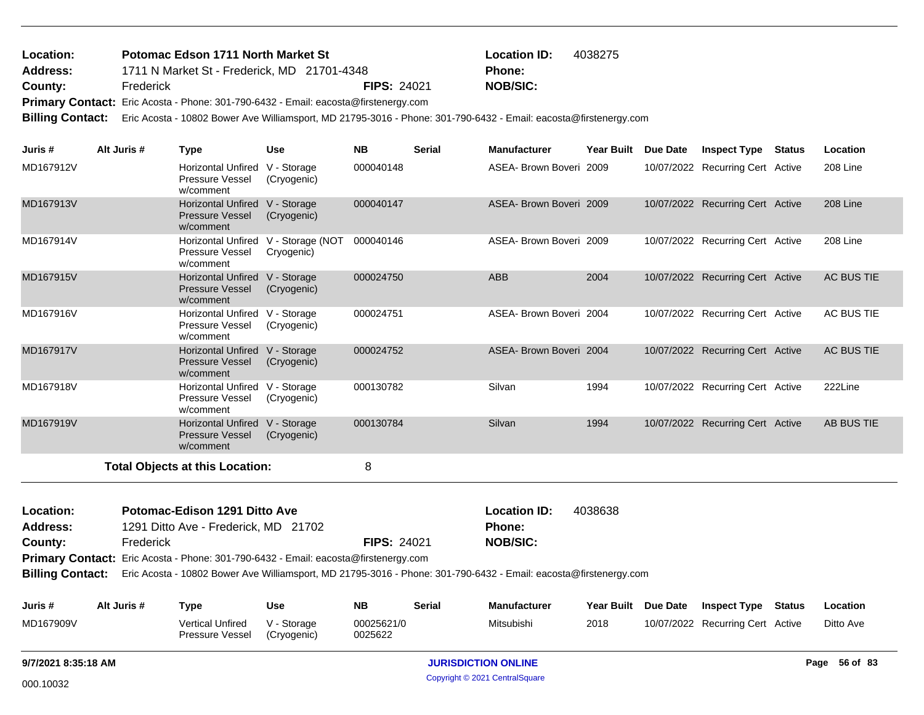## 1711 N Market St - Frederick, MD 21701-4348 **County:** Frederick **NOB/SIC:** FIPS: 24021 **NOB/SIC:** Primary Contact: Eric Acosta - Phone: 301-790-6432 - Email: eacosta@firstenergy.com **Potomac Edson 1711 North Market St Location ID:** 4038275 **Address: Location: Phone:**

**Billing Contact:** Eric Acosta - 10802 Bower Ave Williamsport, MD 21795-3016 - Phone: 301-790-6432 - Email: eacosta@firstenergy.com

| Juris #                 | Alt Juris # | <b>Type</b>                                                                         | Use                                               | <b>NB</b>          | <b>Serial</b> | <b>Manufacturer</b>                                                                                              | <b>Year Built</b>   | Due Date | <b>Inspect Type Status</b>       | Location   |
|-------------------------|-------------|-------------------------------------------------------------------------------------|---------------------------------------------------|--------------------|---------------|------------------------------------------------------------------------------------------------------------------|---------------------|----------|----------------------------------|------------|
| MD167912V               |             | Horizontal Unfired V - Storage<br>Pressure Vessel<br>w/comment                      | (Cryogenic)                                       | 000040148          |               | ASEA- Brown Boveri 2009                                                                                          |                     |          | 10/07/2022 Recurring Cert Active | 208 Line   |
| MD167913V               |             | Horizontal Unfired V - Storage<br><b>Pressure Vessel</b><br>w/comment               | (Cryogenic)                                       | 000040147          |               | ASEA- Brown Boveri 2009                                                                                          |                     |          | 10/07/2022 Recurring Cert Active | 208 Line   |
| MD167914V               |             | Pressure Vessel<br>w/comment                                                        | Horizontal Unfired V - Storage (NOT<br>Cryogenic) | 000040146          |               | ASEA- Brown Boveri 2009                                                                                          |                     |          | 10/07/2022 Recurring Cert Active | 208 Line   |
| MD167915V               |             | Horizontal Unfired V - Storage<br><b>Pressure Vessel</b><br>w/comment               | (Cryogenic)                                       | 000024750          |               | <b>ABB</b>                                                                                                       | 2004                |          | 10/07/2022 Recurring Cert Active | AC BUS TIE |
| MD167916V               |             | Horizontal Unfired V - Storage<br>Pressure Vessel<br>w/comment                      | (Cryogenic)                                       | 000024751          |               | ASEA- Brown Boveri 2004                                                                                          |                     |          | 10/07/2022 Recurring Cert Active | AC BUS TIE |
| MD167917V               |             | Horizontal Unfired V - Storage<br><b>Pressure Vessel</b><br>w/comment               | (Cryogenic)                                       | 000024752          |               | ASEA- Brown Boveri 2004                                                                                          |                     |          | 10/07/2022 Recurring Cert Active | AC BUS TIE |
| MD167918V               |             | Horizontal Unfired V - Storage<br>Pressure Vessel<br>w/comment                      | (Cryogenic)                                       | 000130782          |               | Silvan                                                                                                           | 1994                |          | 10/07/2022 Recurring Cert Active | 222Line    |
| MD167919V               |             | Horizontal Unfired V - Storage<br><b>Pressure Vessel</b><br>w/comment               | (Cryogenic)                                       | 000130784          |               | Silvan                                                                                                           | 1994                |          | 10/07/2022 Recurring Cert Active | AB BUS TIE |
|                         |             | <b>Total Objects at this Location:</b>                                              |                                                   | 8                  |               |                                                                                                                  |                     |          |                                  |            |
| Location:               |             | Potomac-Edison 1291 Ditto Ave                                                       |                                                   |                    |               | <b>Location ID:</b>                                                                                              | 4038638             |          |                                  |            |
| <b>Address:</b>         |             | 1291 Ditto Ave - Frederick, MD 21702                                                |                                                   |                    |               | <b>Phone:</b>                                                                                                    |                     |          |                                  |            |
| County:                 | Frederick   |                                                                                     |                                                   | <b>FIPS: 24021</b> |               | <b>NOB/SIC:</b>                                                                                                  |                     |          |                                  |            |
|                         |             | Primary Contact: Eric Acosta - Phone: 301-790-6432 - Email: eacosta@firstenergy.com |                                                   |                    |               |                                                                                                                  |                     |          |                                  |            |
| <b>Billing Contact:</b> |             |                                                                                     |                                                   |                    |               | Eric Acosta - 10802 Bower Ave Williamsport, MD 21795-3016 - Phone: 301-790-6432 - Email: eacosta@firstenergy.com |                     |          |                                  |            |
| Juris #                 | Alt Juris # | <b>Type</b>                                                                         | Use                                               | NB.                | <b>Serial</b> | <b>Manufacturer</b>                                                                                              | Year Built Due Date |          | <b>Inspect Type Status</b>       | Location   |
| MD167909V               |             | <b>Vertical Unfired</b>                                                             | V - Storage                                       | 00025621/0         |               | Mitsubishi                                                                                                       | 2018                |          | 10/07/2022 Recurring Cert Active | Ditto Ave  |

Pressure Vessel w/comment

(Cryogenic)

0025622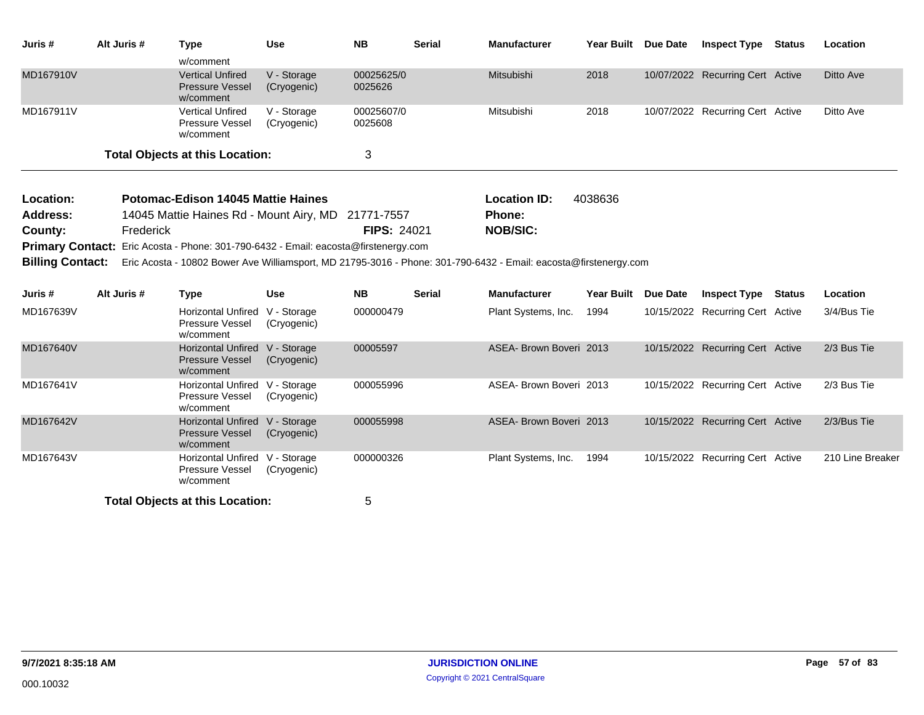| Juris #   | Alt Juris # | Type                                                           | Use                        | <b>NB</b>             | <b>Serial</b> | <b>Manufacturer</b> | <b>Year Built</b> | <b>Due Date</b> | <b>Inspect Type</b>              | Status | Location  |
|-----------|-------------|----------------------------------------------------------------|----------------------------|-----------------------|---------------|---------------------|-------------------|-----------------|----------------------------------|--------|-----------|
|           |             | w/comment                                                      |                            |                       |               |                     |                   |                 |                                  |        |           |
| MD167910V |             | <b>Vertical Unfired</b><br><b>Pressure Vessel</b><br>w/comment | V - Storage<br>(Cryogenic) | 00025625/0<br>0025626 |               | Mitsubishi          | 2018              |                 | 10/07/2022 Recurring Cert Active |        | Ditto Ave |
| MD167911V |             | <b>Vertical Unfired</b><br>Pressure Vessel<br>w/comment        | V - Storage<br>(Cryogenic) | 00025607/0<br>0025608 |               | Mitsubishi          | 2018              |                 | 10/07/2022 Recurring Cert Active |        | Ditto Ave |
|           |             | <b>Total Objects at this Location:</b>                         |                            | J                     |               |                     |                   |                 |                                  |        |           |

| <b>Location:</b> | <b>Potomac-Edison 14045 Mattie Haines</b>          |                    | <b>Location ID:</b> | 4038636 |
|------------------|----------------------------------------------------|--------------------|---------------------|---------|
| Address:         | 14045 Mattie Haines Rd - Mount Airy, MD 21771-7557 |                    | Phone:              |         |
| County:          | Frederick                                          | <b>FIPS: 24021</b> | NOB/SIC:            |         |
|                  |                                                    |                    |                     |         |

Primary Contact: Eric Acosta - Phone: 301-790-6432 - Email: eacosta@firstenergy.com

**Billing Contact:** Eric Acosta - 10802 Bower Ave Williamsport, MD 21795-3016 - Phone: 301-790-6432 - Email: eacosta@firstenergy.com

| Juris #   | Alt Juris # | Type                                                             | <b>Use</b>                 | <b>NB</b> | <b>Serial</b> | <b>Manufacturer</b>     | Year Built | Due Date | <b>Inspect Type</b>              | Status | Location         |
|-----------|-------------|------------------------------------------------------------------|----------------------------|-----------|---------------|-------------------------|------------|----------|----------------------------------|--------|------------------|
| MD167639V |             | Horizontal Unfired<br><b>Pressure Vessel</b><br>w/comment        | V - Storage<br>(Cryogenic) | 000000479 |               | Plant Systems, Inc.     | 1994       |          | 10/15/2022 Recurring Cert Active |        | 3/4/Bus Tie      |
| MD167640V |             | <b>Horizontal Unfired</b><br><b>Pressure Vessel</b><br>w/comment | V - Storage<br>(Cryogenic) | 00005597  |               | ASEA- Brown Boveri 2013 |            |          | 10/15/2022 Recurring Cert Active |        | 2/3 Bus Tie      |
| MD167641V |             | Horizontal Unfired<br><b>Pressure Vessel</b><br>w/comment        | V - Storage<br>(Cryogenic) | 000055996 |               | ASEA- Brown Boveri 2013 |            |          | 10/15/2022 Recurring Cert Active |        | 2/3 Bus Tie      |
| MD167642V |             | <b>Horizontal Unfired</b><br><b>Pressure Vessel</b><br>w/comment | V - Storage<br>(Cryogenic) | 000055998 |               | ASEA- Brown Boveri 2013 |            |          | 10/15/2022 Recurring Cert Active |        | 2/3/Bus Tie      |
| MD167643V |             | Horizontal Unfired<br><b>Pressure Vessel</b><br>w/comment        | V - Storage<br>(Cryogenic) | 000000326 |               | Plant Systems, Inc.     | 1994       |          | 10/15/2022 Recurring Cert Active |        | 210 Line Breaker |
|           |             | <b>Total Objects at this Location:</b>                           |                            | 5         |               |                         |            |          |                                  |        |                  |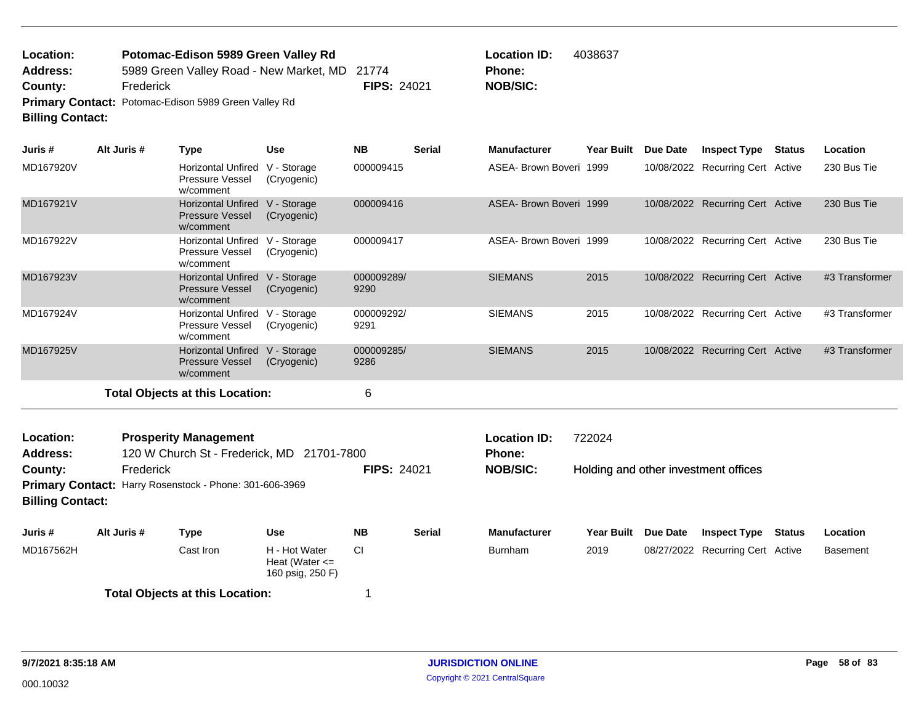| Location:               | Potomac-Edison 5989 Green Valley Rd                         |                    | <b>Location ID:</b> | 4038637 |
|-------------------------|-------------------------------------------------------------|--------------------|---------------------|---------|
| Address:                | 5989 Green Valley Road - New Market, MD 21774               |                    | <b>Phone:</b>       |         |
| County:                 | Frederick                                                   | <b>FIPS: 24021</b> | NOB/SIC:            |         |
|                         | <b>Primary Contact: Potomac-Edison 5989 Green Valley Rd</b> |                    |                     |         |
| <b>Billing Contact:</b> |                                                             |                    |                     |         |

| Juris #                            | Alt Juris # | <b>Type</b>                                                                | <b>Use</b>                                              | <b>NB</b>          | <b>Serial</b> | <b>Manufacturer</b>                  | <b>Year Built</b> | Due Date | <b>Inspect Type</b>                  | <b>Status</b> | Location        |
|------------------------------------|-------------|----------------------------------------------------------------------------|---------------------------------------------------------|--------------------|---------------|--------------------------------------|-------------------|----------|--------------------------------------|---------------|-----------------|
| MD167920V                          |             | Horizontal Unfired V - Storage<br><b>Pressure Vessel</b><br>w/comment      | (Cryogenic)                                             | 000009415          |               | ASEA- Brown Boveri 1999              |                   |          | 10/08/2022 Recurring Cert Active     |               | 230 Bus Tie     |
| MD167921V                          |             | Horizontal Unfired V - Storage<br><b>Pressure Vessel</b><br>w/comment      | (Cryogenic)                                             | 000009416          |               | ASEA- Brown Boveri 1999              |                   |          | 10/08/2022 Recurring Cert Active     |               | 230 Bus Tie     |
| MD167922V                          |             | Horizontal Unfired V - Storage<br>Pressure Vessel<br>w/comment             | (Cryogenic)                                             | 000009417          |               | ASEA- Brown Boveri 1999              |                   |          | 10/08/2022 Recurring Cert Active     |               | 230 Bus Tie     |
| MD167923V                          |             | Horizontal Unfired V - Storage<br><b>Pressure Vessel</b><br>w/comment      | (Cryogenic)                                             | 000009289/<br>9290 |               | <b>SIEMANS</b>                       | 2015              |          | 10/08/2022 Recurring Cert Active     |               | #3 Transformer  |
| MD167924V                          |             | Horizontal Unfired V - Storage<br>Pressure Vessel<br>w/comment             | (Cryogenic)                                             | 000009292/<br>9291 |               | <b>SIEMANS</b>                       | 2015              |          | 10/08/2022 Recurring Cert Active     |               | #3 Transformer  |
| MD167925V                          |             | Horizontal Unfired V - Storage<br><b>Pressure Vessel</b><br>w/comment      | (Cryogenic)                                             | 000009285/<br>9286 |               | <b>SIEMANS</b>                       | 2015              |          | 10/08/2022 Recurring Cert Active     |               | #3 Transformer  |
|                                    |             | <b>Total Objects at this Location:</b>                                     |                                                         | 6                  |               |                                      |                   |          |                                      |               |                 |
| Location:<br><b>Address:</b>       |             | <b>Prosperity Management</b><br>120 W Church St - Frederick, MD 21701-7800 |                                                         |                    |               | <b>Location ID:</b><br><b>Phone:</b> | 722024            |          |                                      |               |                 |
| County:<br><b>Billing Contact:</b> | Frederick   | Primary Contact: Harry Rosenstock - Phone: 301-606-3969                    |                                                         | <b>FIPS: 24021</b> |               | <b>NOB/SIC:</b>                      |                   |          | Holding and other investment offices |               |                 |
| Juris #                            | Alt Juris # | <b>Type</b>                                                                | <b>Use</b>                                              | <b>NB</b>          | <b>Serial</b> | <b>Manufacturer</b>                  | <b>Year Built</b> | Due Date | <b>Inspect Type</b>                  | <b>Status</b> | Location        |
| MD167562H                          |             | Cast Iron                                                                  | H - Hot Water<br>Heat (Water $\leq$<br>160 psig, 250 F) | <b>CI</b>          |               | <b>Burnham</b>                       | 2019              |          | 08/27/2022 Recurring Cert Active     |               | <b>Basement</b> |
|                                    |             | <b>Total Objects at this Location:</b>                                     |                                                         |                    |               |                                      |                   |          |                                      |               |                 |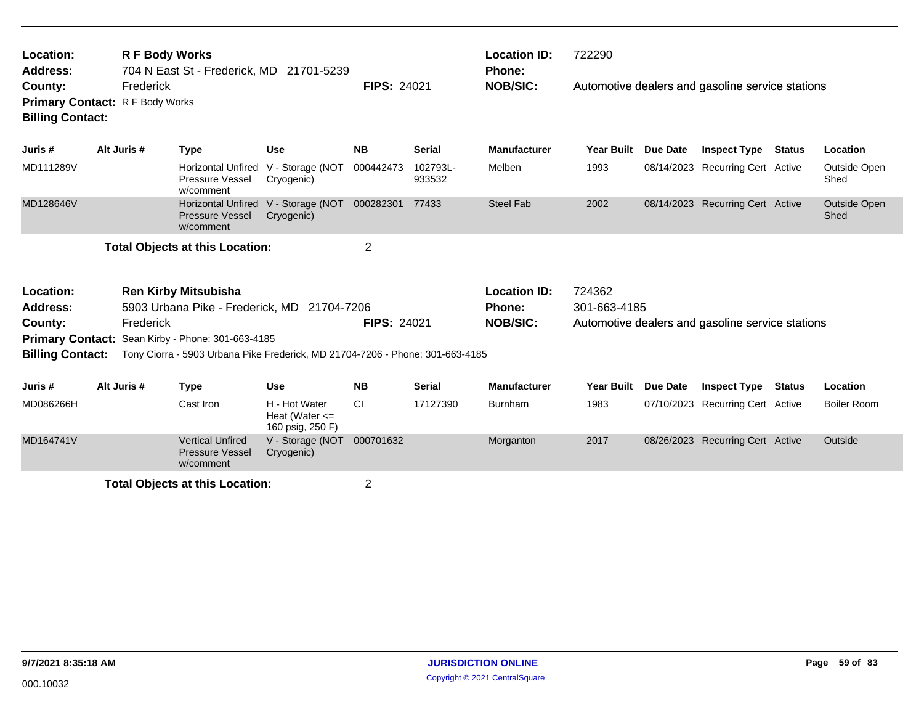| Location:<br><b>Address:</b><br>County:<br><b>Billing Contact:</b> | <b>R F Body Works</b><br>704 N East St - Frederick, MD 21701-5239<br>Frederick<br>Primary Contact: R F Body Works |           |                                                                                  |                                                                               | <b>FIPS: 24021</b> |                    | <b>Location ID:</b><br><b>Phone:</b><br><b>NOB/SIC:</b> | 722290<br>Automotive dealers and gasoline service stations |                 |                                                  |               |                      |
|--------------------------------------------------------------------|-------------------------------------------------------------------------------------------------------------------|-----------|----------------------------------------------------------------------------------|-------------------------------------------------------------------------------|--------------------|--------------------|---------------------------------------------------------|------------------------------------------------------------|-----------------|--------------------------------------------------|---------------|----------------------|
| Juris #                                                            | Alt Juris #                                                                                                       |           | <b>Type</b>                                                                      | Use                                                                           | <b>NB</b>          | <b>Serial</b>      | <b>Manufacturer</b>                                     | <b>Year Built</b>                                          | <b>Due Date</b> | <b>Inspect Type</b>                              | Status        | Location             |
| MD111289V                                                          |                                                                                                                   |           | <b>Horizontal Unfired</b><br>Pressure Vessel<br>w/comment                        | V - Storage (NOT<br>Cryogenic)                                                | 000442473          | 102793L-<br>933532 | Melben                                                  | 1993                                                       |                 | 08/14/2023 Recurring Cert Active                 |               | Outside Open<br>Shed |
| MD128646V                                                          |                                                                                                                   |           | <b>Horizontal Unfired</b><br><b>Pressure Vessel</b><br>w/comment                 | V - Storage (NOT<br>Cryogenic)                                                | 000282301          | 77433              | <b>Steel Fab</b>                                        | 2002                                                       |                 | 08/14/2023 Recurring Cert Active                 |               | Outside Open<br>Shed |
|                                                                    |                                                                                                                   |           | <b>Total Objects at this Location:</b>                                           |                                                                               | $\overline{2}$     |                    |                                                         |                                                            |                 |                                                  |               |                      |
| Location:<br><b>Address:</b><br>County:                            |                                                                                                                   | Frederick | <b>Ren Kirby Mitsubisha</b><br>Primary Contact: Sean Kirby - Phone: 301-663-4185 | 5903 Urbana Pike - Frederick, MD 21704-7206                                   | <b>FIPS: 24021</b> |                    | <b>Location ID:</b><br>Phone:<br><b>NOB/SIC:</b>        | 724362<br>301-663-4185                                     |                 | Automotive dealers and gasoline service stations |               |                      |
| <b>Billing Contact:</b>                                            |                                                                                                                   |           |                                                                                  | Tony Ciorra - 5903 Urbana Pike Frederick, MD 21704-7206 - Phone: 301-663-4185 |                    |                    |                                                         |                                                            |                 |                                                  |               |                      |
| Juris #                                                            | Alt Juris #                                                                                                       |           | <b>Type</b>                                                                      | <b>Use</b>                                                                    | <b>NB</b>          | <b>Serial</b>      | Manufacturer                                            | <b>Year Built</b>                                          | <b>Due Date</b> | <b>Inspect Type</b>                              | <b>Status</b> | Location             |
| MD086266H                                                          |                                                                                                                   |           | Cast Iron                                                                        | H - Hot Water<br>Heat (Water $\leq$<br>160 psig, 250 F)                       | <b>CI</b>          | 17127390           | Burnham                                                 | 1983                                                       | 07/10/2023      | <b>Recurring Cert Active</b>                     |               | <b>Boiler Room</b>   |
| MD164741V                                                          |                                                                                                                   |           | <b>Vertical Unfired</b><br><b>Pressure Vessel</b><br>w/comment                   | V - Storage (NOT<br>Cryogenic)                                                | 000701632          |                    | Morganton                                               | 2017                                                       |                 | 08/26/2023 Recurring Cert Active                 |               | Outside              |
|                                                                    |                                                                                                                   |           | <b>Total Objects at this Location:</b>                                           |                                                                               | $\overline{2}$     |                    |                                                         |                                                            |                 |                                                  |               |                      |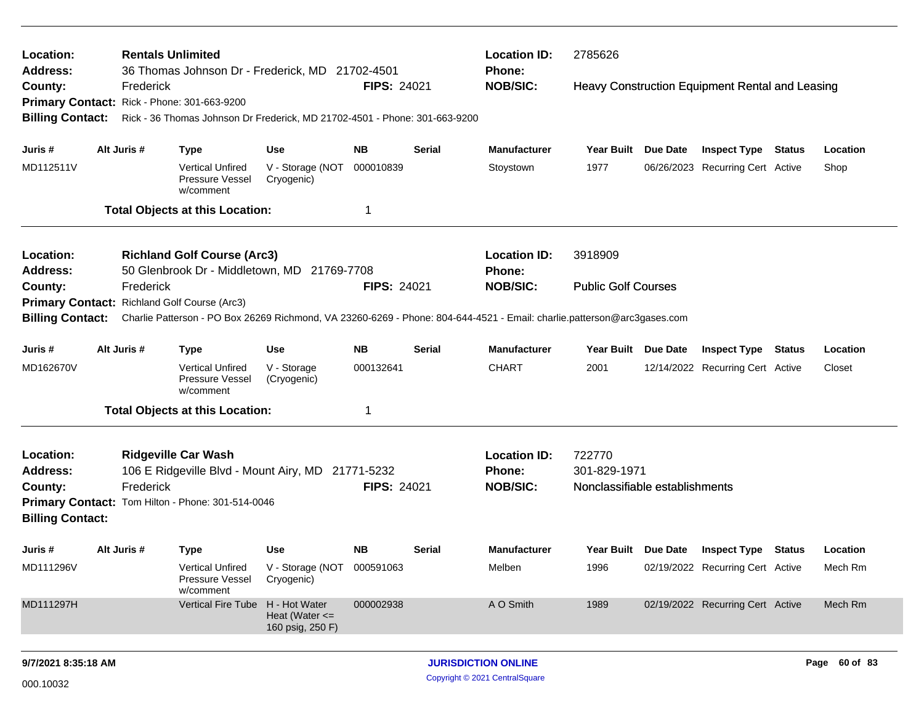| County:                                     | Frederick                                                                                                               | <b>Rentals Unlimited</b><br>Location:<br>36 Thomas Johnson Dr - Frederick, MD 21702-4501<br>Address: |                                                         |                    |               | <b>Location ID:</b><br>2785626<br>Phone:         |                                                          |  |                                                 |               |          |
|---------------------------------------------|-------------------------------------------------------------------------------------------------------------------------|------------------------------------------------------------------------------------------------------|---------------------------------------------------------|--------------------|---------------|--------------------------------------------------|----------------------------------------------------------|--|-------------------------------------------------|---------------|----------|
| Primary Contact: Rick - Phone: 301-663-9200 |                                                                                                                         |                                                                                                      |                                                         | FIPS: 24021        |               | <b>NOB/SIC:</b>                                  |                                                          |  | Heavy Construction Equipment Rental and Leasing |               |          |
|                                             |                                                                                                                         |                                                                                                      |                                                         |                    |               |                                                  |                                                          |  |                                                 |               |          |
| <b>Billing Contact:</b>                     |                                                                                                                         | Rick - 36 Thomas Johnson Dr Frederick, MD 21702-4501 - Phone: 301-663-9200                           |                                                         |                    |               |                                                  |                                                          |  |                                                 |               |          |
| Juris #                                     | Alt Juris #                                                                                                             | <b>Type</b>                                                                                          | <b>Use</b>                                              | <b>NB</b>          | <b>Serial</b> | <b>Manufacturer</b>                              | Year Built Due Date                                      |  | <b>Inspect Type Status</b>                      |               | Location |
| MD112511V                                   |                                                                                                                         | <b>Vertical Unfired</b><br><b>Pressure Vessel</b><br>w/comment                                       | V - Storage (NOT<br>Cryogenic)                          | 000010839          |               | Stoystown                                        | 1977                                                     |  | 06/26/2023 Recurring Cert Active                |               | Shop     |
|                                             |                                                                                                                         | <b>Total Objects at this Location:</b>                                                               |                                                         | 1                  |               |                                                  |                                                          |  |                                                 |               |          |
| Location:                                   |                                                                                                                         | <b>Richland Golf Course (Arc3)</b>                                                                   |                                                         |                    |               | <b>Location ID:</b>                              | 3918909                                                  |  |                                                 |               |          |
| <b>Address:</b>                             |                                                                                                                         | 50 Glenbrook Dr - Middletown, MD 21769-7708                                                          |                                                         |                    |               | <b>Phone:</b>                                    |                                                          |  |                                                 |               |          |
| County:                                     | Frederick                                                                                                               |                                                                                                      |                                                         | <b>FIPS: 24021</b> |               | <b>NOB/SIC:</b>                                  | <b>Public Golf Courses</b>                               |  |                                                 |               |          |
|                                             | Primary Contact: Richland Golf Course (Arc3)                                                                            |                                                                                                      |                                                         |                    |               |                                                  |                                                          |  |                                                 |               |          |
| <b>Billing Contact:</b>                     | Charlie Patterson - PO Box 26269 Richmond, VA 23260-6269 - Phone: 804-644-4521 - Email: charlie.patterson@arc3gases.com |                                                                                                      |                                                         |                    |               |                                                  |                                                          |  |                                                 |               |          |
| Juris #                                     | Alt Juris #                                                                                                             | <b>Type</b>                                                                                          | <b>Use</b>                                              | <b>NB</b>          | <b>Serial</b> | <b>Manufacturer</b>                              | Year Built Due Date                                      |  | <b>Inspect Type</b>                             | <b>Status</b> | Location |
| MD162670V                                   |                                                                                                                         | <b>Vertical Unfired</b><br>Pressure Vessel<br>w/comment                                              | V - Storage<br>(Cryogenic)                              | 000132641          |               | <b>CHART</b>                                     | 2001                                                     |  | 12/14/2022 Recurring Cert Active                |               | Closet   |
|                                             |                                                                                                                         | <b>Total Objects at this Location:</b>                                                               |                                                         | 1                  |               |                                                  |                                                          |  |                                                 |               |          |
| Location:<br><b>Address:</b><br>County:     | Frederick                                                                                                               | <b>Ridgeville Car Wash</b><br>106 E Ridgeville Blvd - Mount Airy, MD 21771-5232                      |                                                         | <b>FIPS: 24021</b> |               | <b>Location ID:</b><br>Phone:<br><b>NOB/SIC:</b> | 722770<br>301-829-1971<br>Nonclassifiable establishments |  |                                                 |               |          |
| <b>Billing Contact:</b>                     | Primary Contact: Tom Hilton - Phone: 301-514-0046                                                                       |                                                                                                      |                                                         |                    |               |                                                  |                                                          |  |                                                 |               |          |
| Juris #                                     | Alt Juris #                                                                                                             | <b>Type</b>                                                                                          | <b>Use</b>                                              | <b>NB</b>          | Serial        | <b>Manufacturer</b>                              | Year Built Due Date                                      |  | <b>Inspect Type Status</b>                      |               | Location |
| MD111296V                                   |                                                                                                                         | <b>Vertical Unfired</b><br>Pressure Vessel<br>w/comment                                              | V - Storage (NOT<br>Cryogenic)                          | 000591063          |               | Melben                                           | 1996                                                     |  | 02/19/2022 Recurring Cert Active                |               | Mech Rm  |
| MD111297H                                   |                                                                                                                         | <b>Vertical Fire Tube</b>                                                                            | H - Hot Water<br>Heat (Water $\leq$<br>160 psig, 250 F) | 000002938          |               | A O Smith                                        | 1989                                                     |  | 02/19/2022 Recurring Cert Active                |               | Mech Rm  |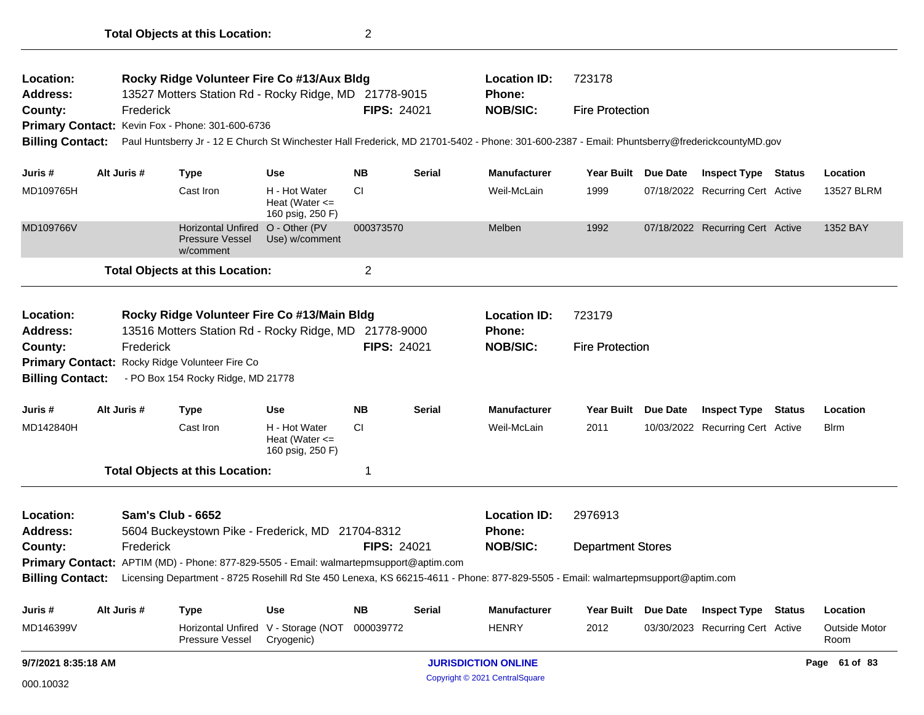| Location:<br><b>Address:</b> | Rocky Ridge Volunteer Fire Co #13/Aux Bldg<br>13527 Motters Station Rd - Rocky Ridge, MD 21778-9015 |                          |                                                                                                      |                                                         |                    |               | <b>Location ID:</b><br>Phone:                                                                                                                 | 723178                   |  |                                  |  |                              |
|------------------------------|-----------------------------------------------------------------------------------------------------|--------------------------|------------------------------------------------------------------------------------------------------|---------------------------------------------------------|--------------------|---------------|-----------------------------------------------------------------------------------------------------------------------------------------------|--------------------------|--|----------------------------------|--|------------------------------|
| County:                      |                                                                                                     | Frederick                |                                                                                                      |                                                         | <b>FIPS: 24021</b> |               | <b>NOB/SIC:</b>                                                                                                                               | <b>Fire Protection</b>   |  |                                  |  |                              |
|                              |                                                                                                     |                          | Primary Contact: Kevin Fox - Phone: 301-600-6736                                                     |                                                         |                    |               |                                                                                                                                               |                          |  |                                  |  |                              |
| <b>Billing Contact:</b>      |                                                                                                     |                          |                                                                                                      |                                                         |                    |               | Paul Huntsberry Jr - 12 E Church St Winchester Hall Frederick, MD 21701-5402 - Phone: 301-600-2387 - Email: Phuntsberry@frederickcountyMD.gov |                          |  |                                  |  |                              |
| Juris #                      |                                                                                                     | Alt Juris #              | <b>Type</b>                                                                                          | <b>Use</b>                                              | NΒ                 | <b>Serial</b> | <b>Manufacturer</b>                                                                                                                           | Year Built Due Date      |  | <b>Inspect Type Status</b>       |  | Location                     |
| MD109765H                    |                                                                                                     |                          | Cast Iron                                                                                            | H - Hot Water<br>Heat (Water <=<br>160 psig, 250 F)     | <b>CI</b>          |               | Weil-McLain                                                                                                                                   | 1999                     |  | 07/18/2022 Recurring Cert Active |  | 13527 BLRM                   |
| MD109766V                    |                                                                                                     |                          | <b>Horizontal Unfired</b><br><b>Pressure Vessel</b><br>w/comment                                     | O - Other (PV<br>Use) w/comment                         | 000373570          |               | Melben                                                                                                                                        | 1992                     |  | 07/18/2022 Recurring Cert Active |  | 1352 BAY                     |
|                              |                                                                                                     |                          | <b>Total Objects at this Location:</b>                                                               |                                                         | $\overline{c}$     |               |                                                                                                                                               |                          |  |                                  |  |                              |
| Location:<br><b>Address:</b> |                                                                                                     |                          | Rocky Ridge Volunteer Fire Co #13/Main Bldg<br>13516 Motters Station Rd - Rocky Ridge, MD 21778-9000 |                                                         |                    |               | <b>Location ID:</b><br>Phone:                                                                                                                 | 723179                   |  |                                  |  |                              |
| County:                      |                                                                                                     | Frederick                |                                                                                                      |                                                         | <b>FIPS: 24021</b> |               | <b>NOB/SIC:</b>                                                                                                                               | <b>Fire Protection</b>   |  |                                  |  |                              |
|                              |                                                                                                     |                          | Primary Contact: Rocky Ridge Volunteer Fire Co                                                       |                                                         |                    |               |                                                                                                                                               |                          |  |                                  |  |                              |
| <b>Billing Contact:</b>      |                                                                                                     |                          | - PO Box 154 Rocky Ridge, MD 21778                                                                   |                                                         |                    |               |                                                                                                                                               |                          |  |                                  |  |                              |
| Juris #                      |                                                                                                     | Alt Juris #              | <b>Type</b>                                                                                          | <b>Use</b>                                              | <b>NB</b>          | <b>Serial</b> | <b>Manufacturer</b>                                                                                                                           | Year Built Due Date      |  | <b>Inspect Type Status</b>       |  | Location                     |
| MD142840H                    |                                                                                                     |                          | Cast Iron                                                                                            | H - Hot Water<br>Heat (Water $\leq$<br>160 psig, 250 F) | CI.                |               | Weil-McLain                                                                                                                                   | 2011                     |  | 10/03/2022 Recurring Cert Active |  | Blrm                         |
|                              |                                                                                                     |                          | <b>Total Objects at this Location:</b>                                                               |                                                         | -1                 |               |                                                                                                                                               |                          |  |                                  |  |                              |
| Location:<br><b>Address:</b> |                                                                                                     | <b>Sam's Club - 6652</b> | 5604 Buckeystown Pike - Frederick, MD 21704-8312                                                     |                                                         |                    |               | <b>Location ID:</b><br><b>Phone:</b>                                                                                                          | 2976913                  |  |                                  |  |                              |
| County:                      |                                                                                                     | Frederick                |                                                                                                      |                                                         | <b>FIPS: 24021</b> |               | <b>NOB/SIC:</b>                                                                                                                               | <b>Department Stores</b> |  |                                  |  |                              |
|                              |                                                                                                     |                          | Primary Contact: APTIM (MD) - Phone: 877-829-5505 - Email: walmartepmsupport@aptim.com               |                                                         |                    |               |                                                                                                                                               |                          |  |                                  |  |                              |
| <b>Billing Contact:</b>      |                                                                                                     |                          |                                                                                                      |                                                         |                    |               | Licensing Department - 8725 Rosehill Rd Ste 450 Lenexa, KS 66215-4611 - Phone: 877-829-5505 - Email: walmartepmsupport@aptim.com              |                          |  |                                  |  |                              |
| Juris #                      |                                                                                                     | Alt Juris #              | <b>Type</b>                                                                                          | Use                                                     | NΒ                 | Serial        | <b>Manufacturer</b>                                                                                                                           | Year Built Due Date      |  | <b>Inspect Type Status</b>       |  | Location                     |
| MD146399V                    |                                                                                                     |                          | Pressure Vessel                                                                                      | Horizontal Unfired V - Storage (NOT<br>Cryogenic)       | 000039772          |               | <b>HENRY</b>                                                                                                                                  | 2012                     |  | 03/30/2023 Recurring Cert Active |  | <b>Outside Motor</b><br>Room |
| 9/7/2021 8:35:18 AM          |                                                                                                     |                          |                                                                                                      |                                                         |                    |               | <b>JURISDICTION ONLINE</b>                                                                                                                    |                          |  |                                  |  | Page 61 of 83                |
| 000.10032                    |                                                                                                     |                          |                                                                                                      |                                                         |                    |               | Copyright © 2021 CentralSquare                                                                                                                |                          |  |                                  |  |                              |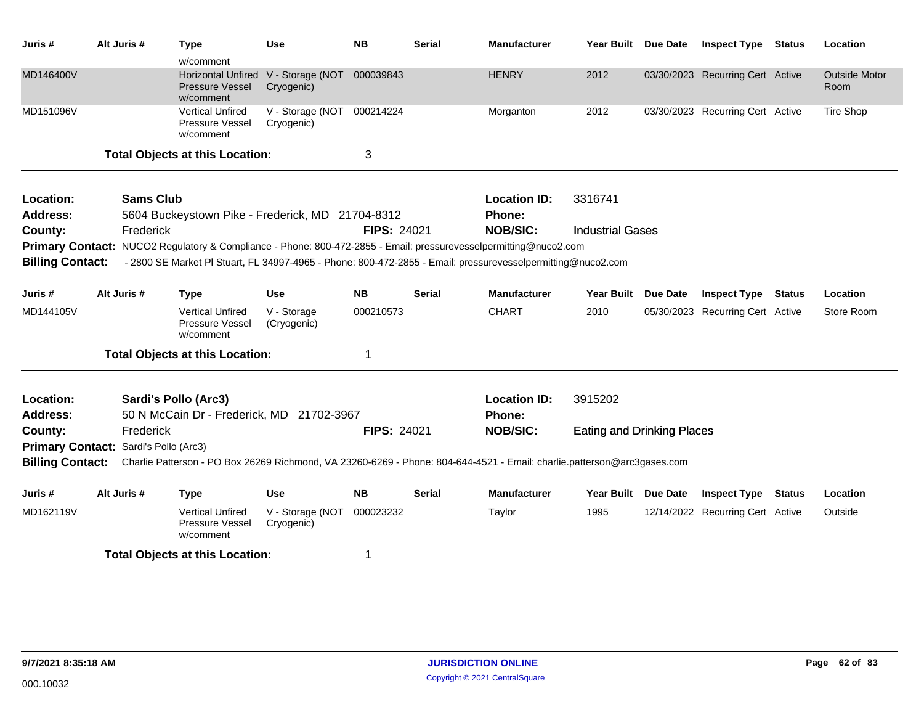| Juris #                 | Alt Juris #                           | <b>Type</b>                                                      | <b>Use</b>                               | <b>NB</b>          | <b>Serial</b> | <b>Manufacturer</b>                                                                                                     | <b>Year Built</b>                 | <b>Due Date</b> | <b>Inspect Type</b>              | <b>Status</b> | Location                     |
|-------------------------|---------------------------------------|------------------------------------------------------------------|------------------------------------------|--------------------|---------------|-------------------------------------------------------------------------------------------------------------------------|-----------------------------------|-----------------|----------------------------------|---------------|------------------------------|
|                         |                                       | w/comment                                                        |                                          |                    |               |                                                                                                                         |                                   |                 |                                  |               |                              |
| MD146400V               |                                       | <b>Horizontal Unfired</b><br><b>Pressure Vessel</b><br>w/comment | V - Storage (NOT<br>Cryogenic)           | 000039843          |               | <b>HENRY</b>                                                                                                            | 2012                              |                 | 03/30/2023 Recurring Cert Active |               | <b>Outside Motor</b><br>Room |
| MD151096V               |                                       | <b>Vertical Unfired</b><br>Pressure Vessel<br>w/comment          | V - Storage (NOT 000214224<br>Cryogenic) |                    |               | Morganton                                                                                                               | 2012                              |                 | 03/30/2023 Recurring Cert Active |               | Tire Shop                    |
|                         |                                       | <b>Total Objects at this Location:</b>                           |                                          | 3                  |               |                                                                                                                         |                                   |                 |                                  |               |                              |
| Location:               | <b>Sams Club</b>                      |                                                                  |                                          |                    |               | <b>Location ID:</b>                                                                                                     | 3316741                           |                 |                                  |               |                              |
| <b>Address:</b>         |                                       | 5604 Buckeystown Pike - Frederick, MD 21704-8312                 |                                          |                    |               | Phone:                                                                                                                  |                                   |                 |                                  |               |                              |
| County:                 | Frederick                             |                                                                  |                                          | FIPS: 24021        |               | <b>NOB/SIC:</b>                                                                                                         | <b>Industrial Gases</b>           |                 |                                  |               |                              |
|                         |                                       |                                                                  |                                          |                    |               | Primary Contact: NUCO2 Regulatory & Compliance - Phone: 800-472-2855 - Email: pressurevesselpermitting@nuco2.com        |                                   |                 |                                  |               |                              |
| <b>Billing Contact:</b> |                                       |                                                                  |                                          |                    |               | - 2800 SE Market PI Stuart, FL 34997-4965 - Phone: 800-472-2855 - Email: pressurevesselpermitting@nuco2.com             |                                   |                 |                                  |               |                              |
| Juris #                 | Alt Juris #                           | <b>Type</b>                                                      | <b>Use</b>                               | <b>NB</b>          | <b>Serial</b> | <b>Manufacturer</b>                                                                                                     | <b>Year Built</b>                 | <b>Due Date</b> | <b>Inspect Type</b>              | <b>Status</b> | Location                     |
| MD144105V               |                                       | <b>Vertical Unfired</b><br>Pressure Vessel<br>w/comment          | V - Storage<br>(Cryogenic)               | 000210573          |               | <b>CHART</b>                                                                                                            | 2010                              |                 | 05/30/2023 Recurring Cert Active |               | Store Room                   |
|                         |                                       | <b>Total Objects at this Location:</b>                           |                                          | 1                  |               |                                                                                                                         |                                   |                 |                                  |               |                              |
| Location:               |                                       | Sardi's Pollo (Arc3)                                             |                                          |                    |               | <b>Location ID:</b>                                                                                                     | 3915202                           |                 |                                  |               |                              |
| Address:                |                                       | 50 N McCain Dr - Frederick, MD 21702-3967                        |                                          |                    |               | Phone:                                                                                                                  |                                   |                 |                                  |               |                              |
| County:                 | Frederick                             |                                                                  |                                          | <b>FIPS: 24021</b> |               | <b>NOB/SIC:</b>                                                                                                         | <b>Eating and Drinking Places</b> |                 |                                  |               |                              |
|                         | Primary Contact: Sardi's Pollo (Arc3) |                                                                  |                                          |                    |               |                                                                                                                         |                                   |                 |                                  |               |                              |
| <b>Billing Contact:</b> |                                       |                                                                  |                                          |                    |               | Charlie Patterson - PO Box 26269 Richmond, VA 23260-6269 - Phone: 804-644-4521 - Email: charlie.patterson@arc3gases.com |                                   |                 |                                  |               |                              |
| Juris #                 | Alt Juris #                           | <b>Type</b>                                                      | <b>Use</b>                               | <b>NB</b>          | <b>Serial</b> | <b>Manufacturer</b>                                                                                                     | Year Built Due Date               |                 | <b>Inspect Type</b>              | <b>Status</b> | Location                     |
| MD162119V               |                                       | <b>Vertical Unfired</b><br>Pressure Vessel<br>w/comment          | V - Storage (NOT<br>Cryogenic)           | 000023232          |               | Taylor                                                                                                                  | 1995                              |                 | 12/14/2022 Recurring Cert Active |               | Outside                      |
|                         |                                       | <b>Total Objects at this Location:</b>                           |                                          | 1                  |               |                                                                                                                         |                                   |                 |                                  |               |                              |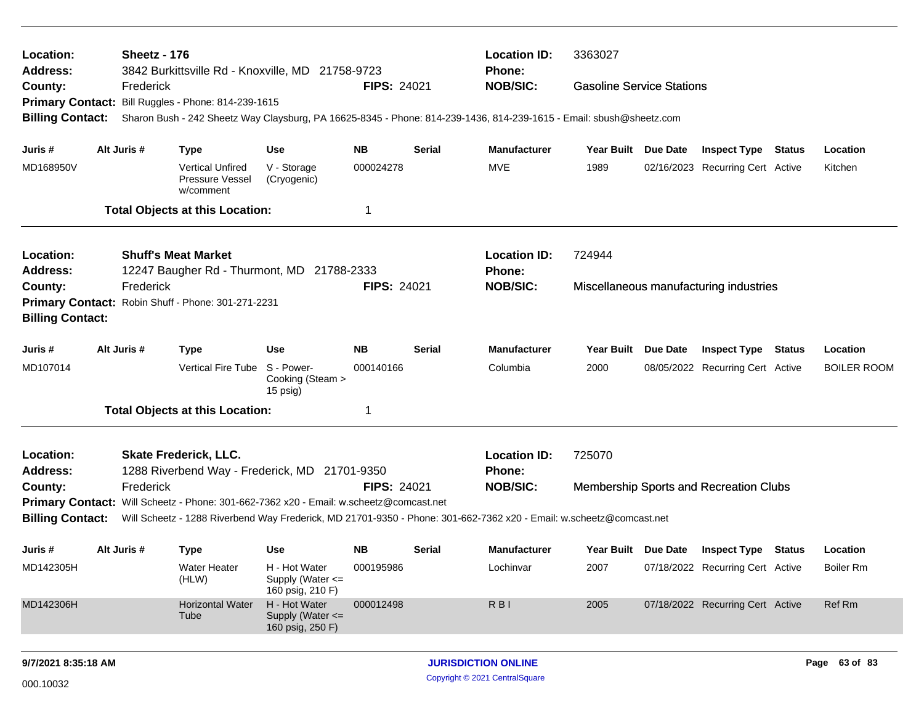| Location:               | 3363027<br>Sheetz - 176<br><b>Location ID:</b><br><b>Address:</b><br>3842 Burkittsville Rd - Knoxville, MD 21758-9723<br>Phone:<br><b>Gasoline Service Stations</b>                                           |             |                                                         |                                                       |                    |               |                                                                                                                     |                     |          |                                               |  |                    |
|-------------------------|---------------------------------------------------------------------------------------------------------------------------------------------------------------------------------------------------------------|-------------|---------------------------------------------------------|-------------------------------------------------------|--------------------|---------------|---------------------------------------------------------------------------------------------------------------------|---------------------|----------|-----------------------------------------------|--|--------------------|
| County:                 |                                                                                                                                                                                                               | Frederick   |                                                         |                                                       | <b>FIPS: 24021</b> |               | <b>NOB/SIC:</b>                                                                                                     |                     |          |                                               |  |                    |
|                         |                                                                                                                                                                                                               |             | Primary Contact: Bill Ruggles - Phone: 814-239-1615     |                                                       |                    |               |                                                                                                                     |                     |          |                                               |  |                    |
| <b>Billing Contact:</b> |                                                                                                                                                                                                               |             |                                                         |                                                       |                    |               | Sharon Bush - 242 Sheetz Way Claysburg, PA 16625-8345 - Phone: 814-239-1436, 814-239-1615 - Email: sbush@sheetz.com |                     |          |                                               |  |                    |
| Juris #                 |                                                                                                                                                                                                               | Alt Juris # | <b>Type</b>                                             | <b>Use</b>                                            | NΒ                 | Serial        | <b>Manufacturer</b>                                                                                                 | Year Built Due Date |          | <b>Inspect Type Status</b>                    |  | Location           |
| MD168950V               |                                                                                                                                                                                                               |             | <b>Vertical Unfired</b><br>Pressure Vessel<br>w/comment | V - Storage<br>(Cryogenic)                            | 000024278          |               | <b>MVE</b>                                                                                                          | 1989                |          | 02/16/2023 Recurring Cert Active              |  | Kitchen            |
|                         |                                                                                                                                                                                                               |             | <b>Total Objects at this Location:</b>                  |                                                       | 1                  |               |                                                                                                                     |                     |          |                                               |  |                    |
| Location:               |                                                                                                                                                                                                               |             | <b>Shuff's Meat Market</b>                              |                                                       |                    |               | <b>Location ID:</b>                                                                                                 | 724944              |          |                                               |  |                    |
| <b>Address:</b>         |                                                                                                                                                                                                               |             | 12247 Baugher Rd - Thurmont, MD 21788-2333              |                                                       |                    |               | Phone:                                                                                                              |                     |          |                                               |  |                    |
| County:                 |                                                                                                                                                                                                               | Frederick   |                                                         |                                                       | <b>FIPS: 24021</b> |               | <b>NOB/SIC:</b>                                                                                                     |                     |          | Miscellaneous manufacturing industries        |  |                    |
|                         | Primary Contact: Robin Shuff - Phone: 301-271-2231                                                                                                                                                            |             |                                                         |                                                       |                    |               |                                                                                                                     |                     |          |                                               |  |                    |
| <b>Billing Contact:</b> |                                                                                                                                                                                                               |             |                                                         |                                                       |                    |               |                                                                                                                     |                     |          |                                               |  |                    |
| Juris #                 |                                                                                                                                                                                                               | Alt Juris # | <b>Type</b>                                             | <b>Use</b>                                            | <b>NB</b>          | <b>Serial</b> | <b>Manufacturer</b>                                                                                                 | <b>Year Built</b>   | Due Date | <b>Inspect Type Status</b>                    |  | Location           |
| MD107014                |                                                                                                                                                                                                               |             | Vertical Fire Tube S - Power-                           | Cooking (Steam ><br>15 psig)                          | 000140166          |               | Columbia                                                                                                            | 2000                |          | 08/05/2022 Recurring Cert Active              |  | <b>BOILER ROOM</b> |
|                         |                                                                                                                                                                                                               |             | <b>Total Objects at this Location:</b>                  |                                                       | 1                  |               |                                                                                                                     |                     |          |                                               |  |                    |
| Location:               |                                                                                                                                                                                                               |             | <b>Skate Frederick, LLC.</b>                            |                                                       |                    |               | <b>Location ID:</b>                                                                                                 | 725070              |          |                                               |  |                    |
| <b>Address:</b>         |                                                                                                                                                                                                               |             | 1288 Riverbend Way - Frederick, MD 21701-9350           |                                                       |                    |               | Phone:                                                                                                              |                     |          |                                               |  |                    |
| County:                 |                                                                                                                                                                                                               | Frederick   |                                                         |                                                       | <b>FIPS: 24021</b> |               | <b>NOB/SIC:</b>                                                                                                     |                     |          | <b>Membership Sports and Recreation Clubs</b> |  |                    |
| <b>Billing Contact:</b> | Primary Contact: Will Scheetz - Phone: 301-662-7362 x20 - Email: w.scheetz@comcast.net<br>Will Scheetz - 1288 Riverbend Way Frederick, MD 21701-9350 - Phone: 301-662-7362 x20 - Email: w.scheetz@comcast.net |             |                                                         |                                                       |                    |               |                                                                                                                     |                     |          |                                               |  |                    |
|                         |                                                                                                                                                                                                               |             |                                                         |                                                       |                    |               |                                                                                                                     |                     |          |                                               |  |                    |
| Juris #                 |                                                                                                                                                                                                               | Alt Juris # | <b>Type</b>                                             | Use                                                   | <b>NB</b>          | Serial        | <b>Manufacturer</b>                                                                                                 |                     |          | Year Built Due Date Inspect Type Status       |  | Location           |
| MD142305H               |                                                                                                                                                                                                               |             | <b>Water Heater</b><br>(HLW)                            | H - Hot Water<br>Supply (Water <=<br>160 psig, 210 F) | 000195986          |               | Lochinvar                                                                                                           | 2007                |          | 07/18/2022 Recurring Cert Active              |  | <b>Boiler Rm</b>   |
| MD142306H               |                                                                                                                                                                                                               |             | <b>Horizontal Water</b><br>Tube                         | H - Hot Water<br>Supply (Water <=<br>160 psig, 250 F) | 000012498          |               | RBI                                                                                                                 | 2005                |          | 07/18/2022 Recurring Cert Active              |  | Ref Rm             |
| 9/7/2021 8:35:18 AM     |                                                                                                                                                                                                               |             |                                                         |                                                       |                    |               | <b>JURISDICTION ONLINE</b>                                                                                          |                     |          |                                               |  | Page 63 of 83      |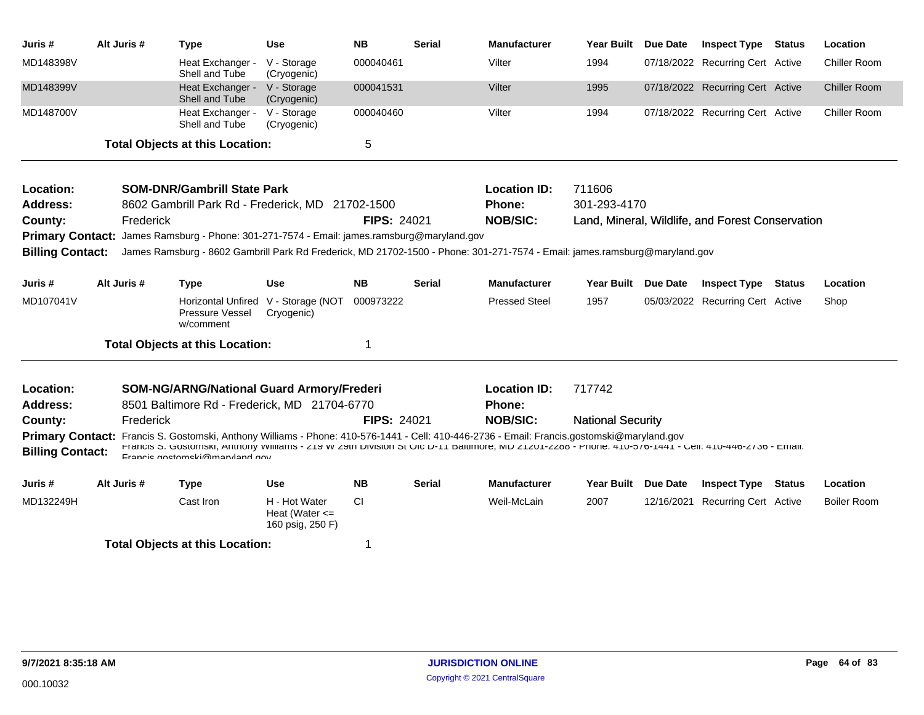| Juris #                 | Alt Juris # | <b>Type</b>                                                                                                                                                                                                                                                                                                                           | <b>Use</b>                                              | <b>NB</b>          | <b>Serial</b> | <b>Manufacturer</b>  | <b>Year Built</b>        | Due Date        | <b>Inspect Type Status</b>                       |               | Location            |
|-------------------------|-------------|---------------------------------------------------------------------------------------------------------------------------------------------------------------------------------------------------------------------------------------------------------------------------------------------------------------------------------------|---------------------------------------------------------|--------------------|---------------|----------------------|--------------------------|-----------------|--------------------------------------------------|---------------|---------------------|
| MD148398V               |             | Heat Exchanger -<br>Shell and Tube                                                                                                                                                                                                                                                                                                    | V - Storage<br>(Cryogenic)                              | 000040461          |               | Vilter               | 1994                     |                 | 07/18/2022 Recurring Cert Active                 |               | <b>Chiller Room</b> |
| MD148399V               |             | Heat Exchanger -<br>Shell and Tube                                                                                                                                                                                                                                                                                                    | V - Storage<br>(Cryogenic)                              | 000041531          |               | Vilter               | 1995                     |                 | 07/18/2022 Recurring Cert Active                 |               | <b>Chiller Room</b> |
| MD148700V               |             | Heat Exchanger -<br>Shell and Tube                                                                                                                                                                                                                                                                                                    | V - Storage<br>(Cryogenic)                              | 000040460          |               | Vilter               | 1994                     |                 | 07/18/2022 Recurring Cert Active                 |               | Chiller Room        |
|                         |             | <b>Total Objects at this Location:</b>                                                                                                                                                                                                                                                                                                |                                                         | 5                  |               |                      |                          |                 |                                                  |               |                     |
| Location:               |             | <b>SOM-DNR/Gambrill State Park</b>                                                                                                                                                                                                                                                                                                    |                                                         |                    |               | <b>Location ID:</b>  | 711606                   |                 |                                                  |               |                     |
| <b>Address:</b>         |             | 8602 Gambrill Park Rd - Frederick, MD                                                                                                                                                                                                                                                                                                 |                                                         | 21702-1500         |               | Phone:               | 301-293-4170             |                 |                                                  |               |                     |
| County:                 | Frederick   |                                                                                                                                                                                                                                                                                                                                       |                                                         | <b>FIPS: 24021</b> |               | <b>NOB/SIC:</b>      |                          |                 | Land, Mineral, Wildlife, and Forest Conservation |               |                     |
| <b>Primary Contact:</b> |             | James Ramsburg - Phone: 301-271-7574 - Email: james.ramsburg@maryland.gov                                                                                                                                                                                                                                                             |                                                         |                    |               |                      |                          |                 |                                                  |               |                     |
| <b>Billing Contact:</b> |             | James Ramsburg - 8602 Gambrill Park Rd Frederick, MD 21702-1500 - Phone: 301-271-7574 - Email: james.ramsburg@maryland.gov                                                                                                                                                                                                            |                                                         |                    |               |                      |                          |                 |                                                  |               |                     |
| Juris #                 | Alt Juris # | <b>Type</b>                                                                                                                                                                                                                                                                                                                           | <b>Use</b>                                              | <b>NB</b>          | <b>Serial</b> | <b>Manufacturer</b>  | <b>Year Built</b>        | <b>Due Date</b> | <b>Inspect Type Status</b>                       |               | Location            |
| MD107041V               |             | Horizontal Unfired V - Storage (NOT<br>Pressure Vessel<br>w/comment                                                                                                                                                                                                                                                                   | Cryogenic)                                              | 000973222          |               | <b>Pressed Steel</b> | 1957                     |                 | 05/03/2022 Recurring Cert Active                 |               | Shop                |
|                         |             | <b>Total Objects at this Location:</b>                                                                                                                                                                                                                                                                                                |                                                         | 1                  |               |                      |                          |                 |                                                  |               |                     |
| Location:               |             | <b>SOM-NG/ARNG/National Guard Armory/Frederi</b>                                                                                                                                                                                                                                                                                      |                                                         |                    |               | <b>Location ID:</b>  | 717742                   |                 |                                                  |               |                     |
| <b>Address:</b>         |             | 8501 Baltimore Rd - Frederick, MD 21704-6770                                                                                                                                                                                                                                                                                          |                                                         |                    |               | Phone:               |                          |                 |                                                  |               |                     |
| County:                 | Frederick   |                                                                                                                                                                                                                                                                                                                                       |                                                         | <b>FIPS: 24021</b> |               | <b>NOB/SIC:</b>      | <b>National Security</b> |                 |                                                  |               |                     |
| <b>Billing Contact:</b> |             | Primary Contact: Francis S. Gostomski, Anthony Williams - Phone: 410-576-1441 - Cell: 410-446-2736 - Email: Francis.gostomski@maryland.gov<br>Francis 5. GOStomski, Anthony Williams - 219 W 29th Division St Ofc D-11 Baltimore, MD 21201-2288 - Phone: 410-576-1441 - Cell: 410-446-2736 - Email:<br>Francis anstamski@manuland.gov |                                                         |                    |               |                      |                          |                 |                                                  |               |                     |
| Juris #                 | Alt Juris # | <b>Type</b>                                                                                                                                                                                                                                                                                                                           | <b>Use</b>                                              | <b>NB</b>          | <b>Serial</b> | <b>Manufacturer</b>  | <b>Year Built</b>        | <b>Due Date</b> | <b>Inspect Type</b>                              | <b>Status</b> | Location            |
| MD132249H               |             | Cast Iron                                                                                                                                                                                                                                                                                                                             | H - Hot Water<br>Heat (Water $\leq$<br>160 psig, 250 F) | CI.                |               | Weil-McLain          | 2007                     |                 | 12/16/2021 Recurring Cert Active                 |               | <b>Boiler Room</b>  |
|                         |             | <b>Total Objects at this Location:</b>                                                                                                                                                                                                                                                                                                |                                                         | 1                  |               |                      |                          |                 |                                                  |               |                     |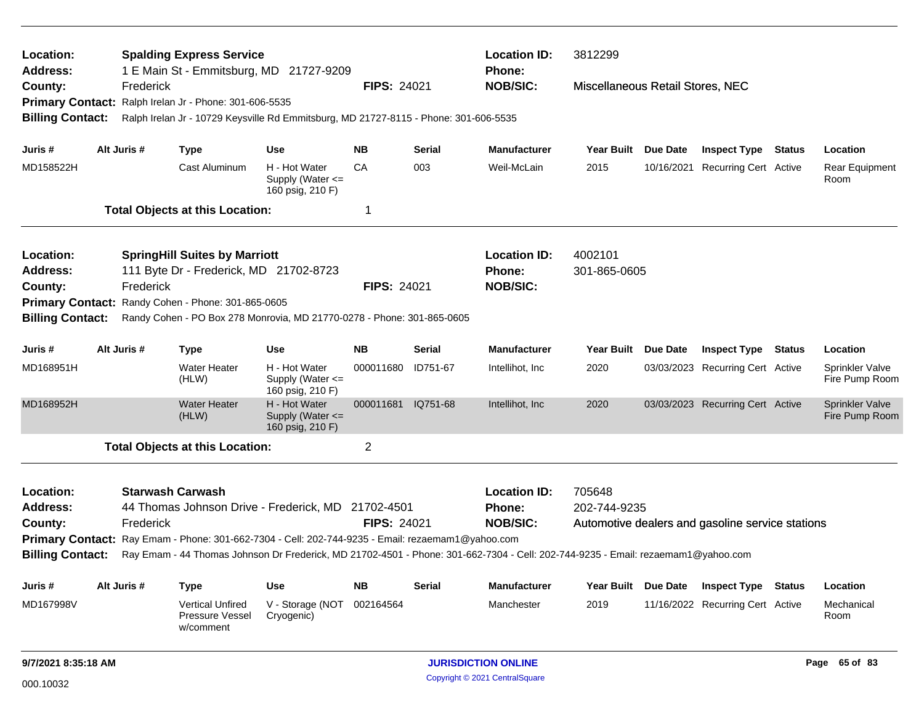| Location:                                                    |  |                         | <b>Spalding Express Service</b>                         |                                                                                                   |                    | <b>Location ID:</b><br>3812299<br><b>Phone:</b> |                                                                                                                                  |                                  |                 |                                                  |               |                                                                                                                             |  |  |  |  |
|--------------------------------------------------------------|--|-------------------------|---------------------------------------------------------|---------------------------------------------------------------------------------------------------|--------------------|-------------------------------------------------|----------------------------------------------------------------------------------------------------------------------------------|----------------------------------|-----------------|--------------------------------------------------|---------------|-----------------------------------------------------------------------------------------------------------------------------|--|--|--|--|
| <b>Address:</b><br>County:                                   |  | Frederick               |                                                         | 1 E Main St - Emmitsburg, MD 21727-9209                                                           | <b>FIPS: 24021</b> |                                                 | <b>NOB/SIC:</b>                                                                                                                  | Miscellaneous Retail Stores, NEC |                 |                                                  |               |                                                                                                                             |  |  |  |  |
|                                                              |  |                         | Primary Contact: Ralph Irelan Jr - Phone: 301-606-5535  |                                                                                                   |                    |                                                 |                                                                                                                                  |                                  |                 |                                                  |               |                                                                                                                             |  |  |  |  |
| <b>Billing Contact:</b>                                      |  |                         |                                                         | Ralph Irelan Jr - 10729 Keysville Rd Emmitsburg, MD 21727-8115 - Phone: 301-606-5535              |                    |                                                 |                                                                                                                                  |                                  |                 |                                                  |               |                                                                                                                             |  |  |  |  |
| Juris #                                                      |  | Alt Juris #             | <b>Type</b>                                             | <b>Use</b>                                                                                        | <b>NB</b>          | Serial                                          | <b>Manufacturer</b>                                                                                                              | Year Built Due Date              |                 | <b>Inspect Type Status</b>                       |               | Location                                                                                                                    |  |  |  |  |
| MD158522H                                                    |  |                         | Cast Aluminum                                           | H - Hot Water<br>Supply (Water <=<br>160 psig, 210 F)                                             | CA                 | 003                                             | Weil-McLain                                                                                                                      | 2015                             | 10/16/2021      | <b>Recurring Cert Active</b>                     |               | Rear Equipment<br>Room                                                                                                      |  |  |  |  |
|                                                              |  |                         | <b>Total Objects at this Location:</b>                  |                                                                                                   | 1                  |                                                 |                                                                                                                                  |                                  |                 |                                                  |               |                                                                                                                             |  |  |  |  |
| Location:                                                    |  |                         | <b>SpringHill Suites by Marriott</b>                    |                                                                                                   |                    |                                                 | <b>Location ID:</b>                                                                                                              | 4002101                          |                 |                                                  |               |                                                                                                                             |  |  |  |  |
| <b>Address:</b>                                              |  |                         | 111 Byte Dr - Frederick, MD 21702-8723                  |                                                                                                   |                    |                                                 | <b>Phone:</b>                                                                                                                    | 301-865-0605                     |                 |                                                  |               | Location<br>Sprinkler Valve<br>Fire Pump Room<br><b>Sprinkler Valve</b><br>Fire Pump Room<br>Location<br>Mechanical<br>Room |  |  |  |  |
| Frederick<br>County:                                         |  |                         |                                                         |                                                                                                   | <b>FIPS: 24021</b> |                                                 | <b>NOB/SIC:</b>                                                                                                                  |                                  |                 |                                                  |               |                                                                                                                             |  |  |  |  |
| Randy Cohen - Phone: 301-865-0605<br><b>Primary Contact:</b> |  |                         |                                                         |                                                                                                   |                    |                                                 |                                                                                                                                  |                                  |                 |                                                  |               |                                                                                                                             |  |  |  |  |
| <b>Billing Contact:</b>                                      |  |                         |                                                         | Randy Cohen - PO Box 278 Monrovia, MD 21770-0278 - Phone: 301-865-0605                            |                    |                                                 |                                                                                                                                  |                                  |                 |                                                  |               |                                                                                                                             |  |  |  |  |
| Juris #                                                      |  | Alt Juris #             | <b>Type</b>                                             | <b>Use</b>                                                                                        | <b>NB</b>          | Serial                                          | <b>Manufacturer</b>                                                                                                              | <b>Year Built</b>                | <b>Due Date</b> | <b>Inspect Type</b>                              | <b>Status</b> |                                                                                                                             |  |  |  |  |
| MD168951H                                                    |  |                         | <b>Water Heater</b><br>(HLW)                            | H - Hot Water<br>Supply (Water $\leq$<br>160 psig, 210 F)                                         | 000011680          | ID751-67                                        | Intellihot, Inc                                                                                                                  | 2020                             |                 | 03/03/2023 Recurring Cert Active                 |               |                                                                                                                             |  |  |  |  |
| MD168952H                                                    |  |                         | <b>Water Heater</b><br>(HLW)                            | H - Hot Water<br>Supply (Water <=<br>160 psig, 210 F)                                             | 000011681          | IQ751-68                                        | Intellihot, Inc                                                                                                                  | 2020                             |                 | 03/03/2023 Recurring Cert Active                 |               |                                                                                                                             |  |  |  |  |
|                                                              |  |                         | <b>Total Objects at this Location:</b>                  |                                                                                                   | $\overline{2}$     |                                                 |                                                                                                                                  |                                  |                 |                                                  |               |                                                                                                                             |  |  |  |  |
| Location:                                                    |  | <b>Starwash Carwash</b> |                                                         |                                                                                                   |                    |                                                 | <b>Location ID:</b>                                                                                                              | 705648                           |                 |                                                  |               |                                                                                                                             |  |  |  |  |
| <b>Address:</b>                                              |  |                         |                                                         | 44 Thomas Johnson Drive - Frederick, MD 21702-4501                                                |                    |                                                 | <b>Phone:</b>                                                                                                                    | 202-744-9235                     |                 |                                                  |               |                                                                                                                             |  |  |  |  |
| County:                                                      |  | Frederick               |                                                         |                                                                                                   | <b>FIPS: 24021</b> |                                                 | <b>NOB/SIC:</b>                                                                                                                  |                                  |                 | Automotive dealers and gasoline service stations |               |                                                                                                                             |  |  |  |  |
|                                                              |  |                         |                                                         | Primary Contact: Ray Emam - Phone: 301-662-7304 - Cell: 202-744-9235 - Email: rezaemam1@yahoo.com |                    |                                                 |                                                                                                                                  |                                  |                 |                                                  |               |                                                                                                                             |  |  |  |  |
| <b>Billing Contact:</b>                                      |  |                         |                                                         |                                                                                                   |                    |                                                 | Ray Emam - 44 Thomas Johnson Dr Frederick, MD 21702-4501 - Phone: 301-662-7304 - Cell: 202-744-9235 - Email: rezaemam1@yahoo.com |                                  |                 |                                                  |               |                                                                                                                             |  |  |  |  |
| Juris #                                                      |  | Alt Juris #             | <b>Type</b>                                             | <b>Use</b>                                                                                        | <b>NB</b>          | <b>Serial</b>                                   | Manufacturer                                                                                                                     | <b>Year Built</b>                | Due Date        | <b>Inspect Type Status</b>                       |               |                                                                                                                             |  |  |  |  |
| MD167998V                                                    |  |                         | <b>Vertical Unfired</b><br>Pressure Vessel<br>w/comment | V - Storage (NOT<br>Cryogenic)                                                                    | 002164564          |                                                 | Manchester                                                                                                                       | 2019                             |                 | 11/16/2022 Recurring Cert Active                 |               |                                                                                                                             |  |  |  |  |
| 9/7/2021 8:35:18 AM                                          |  |                         |                                                         |                                                                                                   |                    | <b>JURISDICTION ONLINE</b>                      |                                                                                                                                  |                                  |                 |                                                  | Page 65 of 83 |                                                                                                                             |  |  |  |  |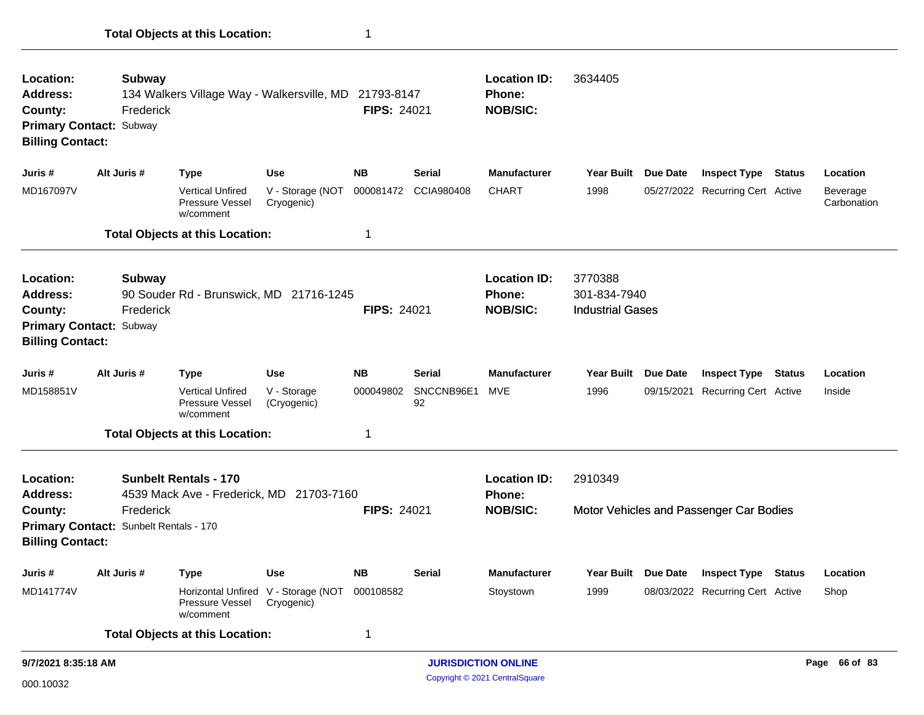| Location:<br>Subway<br>134 Walkers Village Way - Walkersville, MD 21793-8147<br>Address:<br>Frederick<br>County:<br><b>Primary Contact: Subway</b><br><b>Billing Contact:</b> |                                                       |                                                                               |                                                   | <b>FIPS: 24021</b>     |                                   | <b>Location ID:</b><br>3634405<br>Phone:<br><b>NOB/SIC:</b>                                            |                                                                                                                                    |            |                                  |  |                         |
|-------------------------------------------------------------------------------------------------------------------------------------------------------------------------------|-------------------------------------------------------|-------------------------------------------------------------------------------|---------------------------------------------------|------------------------|-----------------------------------|--------------------------------------------------------------------------------------------------------|------------------------------------------------------------------------------------------------------------------------------------|------------|----------------------------------|--|-------------------------|
| Juris #                                                                                                                                                                       | Alt Juris #                                           | Type                                                                          | <b>Use</b>                                        | <b>NB</b>              | <b>Serial</b>                     | <b>Manufacturer</b>                                                                                    | Year Built Due Date                                                                                                                |            | <b>Inspect Type Status</b>       |  | Location                |
| MD167097V                                                                                                                                                                     |                                                       | <b>Vertical Unfired</b><br><b>Pressure Vessel</b><br>w/comment                | V - Storage (NOT<br>Cryogenic)                    | 000081472              | CCIA980408                        | <b>CHART</b>                                                                                           | 1998                                                                                                                               |            | 05/27/2022 Recurring Cert Active |  | Beverage<br>Carbonation |
|                                                                                                                                                                               |                                                       | <b>Total Objects at this Location:</b>                                        |                                                   | 1                      |                                   |                                                                                                        |                                                                                                                                    |            |                                  |  |                         |
| Location:<br>Address:<br>County:<br><b>Billing Contact:</b>                                                                                                                   | Subway<br>Frederick<br><b>Primary Contact: Subway</b> | 90 Souder Rd - Brunswick, MD 21716-1245                                       |                                                   | <b>FIPS: 24021</b>     |                                   | <b>Location ID:</b><br><b>Phone:</b><br><b>NOB/SIC:</b>                                                | 3770388<br>301-834-7940<br><b>Industrial Gases</b><br><b>Year Built</b><br><b>Due Date</b><br><b>Inspect Type</b><br><b>Status</b> |            |                                  |  |                         |
| Juris #<br>MD158851V                                                                                                                                                          | Alt Juris #                                           | <b>Type</b><br><b>Vertical Unfired</b><br><b>Pressure Vessel</b><br>w/comment | <b>Use</b><br>V - Storage<br>(Cryogenic)          | <b>NB</b><br>000049802 | <b>Serial</b><br>SNCCNB96E1<br>92 | <b>Manufacturer</b><br><b>MVE</b>                                                                      | 1996                                                                                                                               | 09/15/2021 | <b>Recurring Cert Active</b>     |  | Location<br>Inside      |
|                                                                                                                                                                               |                                                       | <b>Total Objects at this Location:</b>                                        |                                                   | 1                      |                                   |                                                                                                        |                                                                                                                                    |            |                                  |  |                         |
| Location:<br><b>Address:</b><br>County:                                                                                                                                       | Frederick                                             | <b>Sunbelt Rentals - 170</b><br>4539 Mack Ave - Frederick, MD 21703-7160      |                                                   | <b>FIPS: 24021</b>     |                                   | <b>Location ID:</b><br>2910349<br>Phone:<br><b>NOB/SIC:</b><br>Motor Vehicles and Passenger Car Bodies |                                                                                                                                    |            |                                  |  |                         |
| <b>Billing Contact:</b>                                                                                                                                                       | Primary Contact: Sunbelt Rentals - 170                |                                                                               |                                                   |                        |                                   |                                                                                                        |                                                                                                                                    |            |                                  |  |                         |
| Juris #                                                                                                                                                                       | Alt Juris #                                           | <b>Type</b>                                                                   | <b>Use</b>                                        | <b>NB</b>              | <b>Serial</b>                     | <b>Manufacturer</b>                                                                                    | <b>Year Built</b>                                                                                                                  | Due Date   | <b>Inspect Type Status</b>       |  | Location                |
| MD141774V                                                                                                                                                                     |                                                       | Pressure Vessel<br>w/comment                                                  | Horizontal Unfired V - Storage (NOT<br>Cryogenic) | 000108582              |                                   | Stoystown                                                                                              | 1999                                                                                                                               |            | 08/03/2022 Recurring Cert Active |  | Shop                    |
|                                                                                                                                                                               |                                                       | <b>Total Objects at this Location:</b>                                        |                                                   | 1                      |                                   |                                                                                                        |                                                                                                                                    |            |                                  |  |                         |
| 9/7/2021 8:35:18 AM                                                                                                                                                           |                                                       |                                                                               | <b>JURISDICTION ONLINE</b>                        |                        |                                   |                                                                                                        |                                                                                                                                    |            | Page 66 of 83                    |  |                         |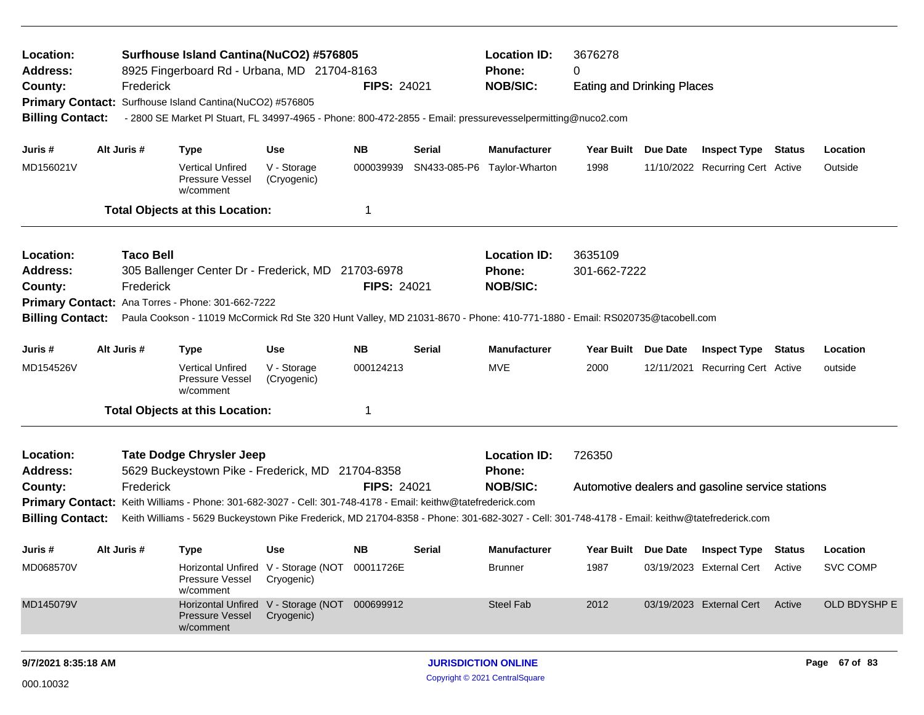| Location:<br><b>Address:</b><br>County:<br><b>Billing Contact:</b> | Frederick        | Surfhouse Island Cantina(NuCO2) #576805<br>8925 Fingerboard Rd - Urbana, MD 21704-8163<br>Primary Contact: Surfhouse Island Cantina(NuCO2) #576805<br>- 2800 SE Market PI Stuart, FL 34997-4965 - Phone: 800-472-2855 - Email: pressurevesselpermitting@nuco2.com |                                                             | <b>FIPS: 24021</b> |               | <b>Location ID:</b><br>Phone:<br><b>NOB/SIC:</b> | 3676278<br>0<br><b>Eating and Drinking Places</b> |  |                                                  |               |                 |  |
|--------------------------------------------------------------------|------------------|-------------------------------------------------------------------------------------------------------------------------------------------------------------------------------------------------------------------------------------------------------------------|-------------------------------------------------------------|--------------------|---------------|--------------------------------------------------|---------------------------------------------------|--|--------------------------------------------------|---------------|-----------------|--|
| Juris #                                                            | Alt Juris #      | <b>Type</b>                                                                                                                                                                                                                                                       | <b>Use</b>                                                  | <b>NB</b>          | Serial        | <b>Manufacturer</b>                              | Year Built Due Date                               |  | <b>Inspect Type Status</b>                       |               | Location        |  |
| MD156021V                                                          |                  | <b>Vertical Unfired</b><br>Pressure Vessel<br>w/comment                                                                                                                                                                                                           | V - Storage<br>(Cryogenic)                                  | 000039939          | SN433-085-P6  | Taylor-Wharton                                   | 1998                                              |  | 11/10/2022 Recurring Cert Active                 |               | Outside         |  |
|                                                                    |                  | <b>Total Objects at this Location:</b>                                                                                                                                                                                                                            |                                                             | -1                 |               |                                                  |                                                   |  |                                                  |               |                 |  |
| Location:                                                          | <b>Taco Bell</b> |                                                                                                                                                                                                                                                                   |                                                             |                    |               | <b>Location ID:</b>                              | 3635109                                           |  |                                                  |               |                 |  |
| <b>Address:</b>                                                    |                  | 305 Ballenger Center Dr - Frederick, MD 21703-6978                                                                                                                                                                                                                |                                                             |                    |               | Phone:                                           | 301-662-7222                                      |  |                                                  |               |                 |  |
| County:                                                            | Frederick        |                                                                                                                                                                                                                                                                   |                                                             | <b>FIPS: 24021</b> |               | <b>NOB/SIC:</b>                                  |                                                   |  |                                                  |               |                 |  |
| <b>Billing Contact:</b>                                            |                  | Primary Contact: Ana Torres - Phone: 301-662-7222<br>Paula Cookson - 11019 McCormick Rd Ste 320 Hunt Valley, MD 21031-8670 - Phone: 410-771-1880 - Email: RS020735@tacobell.com                                                                                   |                                                             |                    |               |                                                  |                                                   |  |                                                  |               |                 |  |
| Juris #                                                            | Alt Juris #      | <b>Type</b>                                                                                                                                                                                                                                                       | Use                                                         | <b>NB</b>          | Serial        | <b>Manufacturer</b>                              | Year Built Due Date                               |  | <b>Inspect Type</b>                              | <b>Status</b> | Location        |  |
| MD154526V                                                          |                  | <b>Vertical Unfired</b><br>Pressure Vessel<br>w/comment                                                                                                                                                                                                           | V - Storage<br>(Cryogenic)                                  | 000124213          |               | <b>MVE</b>                                       | 2000                                              |  | 12/11/2021 Recurring Cert Active                 |               | outside         |  |
|                                                                    |                  | <b>Total Objects at this Location:</b>                                                                                                                                                                                                                            |                                                             | -1                 |               |                                                  |                                                   |  |                                                  |               |                 |  |
| Location:                                                          |                  | <b>Tate Dodge Chrysler Jeep</b>                                                                                                                                                                                                                                   |                                                             |                    |               | <b>Location ID:</b>                              | 726350                                            |  |                                                  |               |                 |  |
| <b>Address:</b>                                                    |                  | 5629 Buckeystown Pike - Frederick, MD 21704-8358                                                                                                                                                                                                                  |                                                             |                    |               | Phone:                                           |                                                   |  |                                                  |               |                 |  |
| County:                                                            | Frederick        | Primary Contact: Keith Williams - Phone: 301-682-3027 - Cell: 301-748-4178 - Email: keithw@tatefrederick.com                                                                                                                                                      |                                                             | <b>FIPS: 24021</b> |               | <b>NOB/SIC:</b>                                  |                                                   |  | Automotive dealers and gasoline service stations |               |                 |  |
| <b>Billing Contact:</b>                                            |                  | Keith Williams - 5629 Buckeystown Pike Frederick, MD 21704-8358 - Phone: 301-682-3027 - Cell: 301-748-4178 - Email: keithw@tatefrederick.com                                                                                                                      |                                                             |                    |               |                                                  |                                                   |  |                                                  |               |                 |  |
| Juris #                                                            | Alt Juris #      | <b>Type</b>                                                                                                                                                                                                                                                       | <b>Use</b>                                                  | <b>NB</b>          | <b>Serial</b> | <b>Manufacturer</b>                              | Year Built Due Date                               |  | <b>Inspect Type Status</b>                       |               | Location        |  |
| MD068570V                                                          |                  | Pressure Vessel<br>w/comment                                                                                                                                                                                                                                      | Horizontal Unfired V - Storage (NOT 00011726E<br>Cryogenic) |                    |               | <b>Brunner</b>                                   | 1987                                              |  | 03/19/2023 External Cert Active                  |               | <b>SVC COMP</b> |  |
| MD145079V                                                          |                  | <b>Pressure Vessel</b><br>w/comment                                                                                                                                                                                                                               | Horizontal Unfired V - Storage (NOT 000699912<br>Cryogenic) |                    |               | Steel Fab                                        | 2012                                              |  | 03/19/2023 External Cert                         | Active        | OLD BDYSHP E    |  |
|                                                                    |                  |                                                                                                                                                                                                                                                                   |                                                             |                    |               |                                                  |                                                   |  |                                                  |               |                 |  |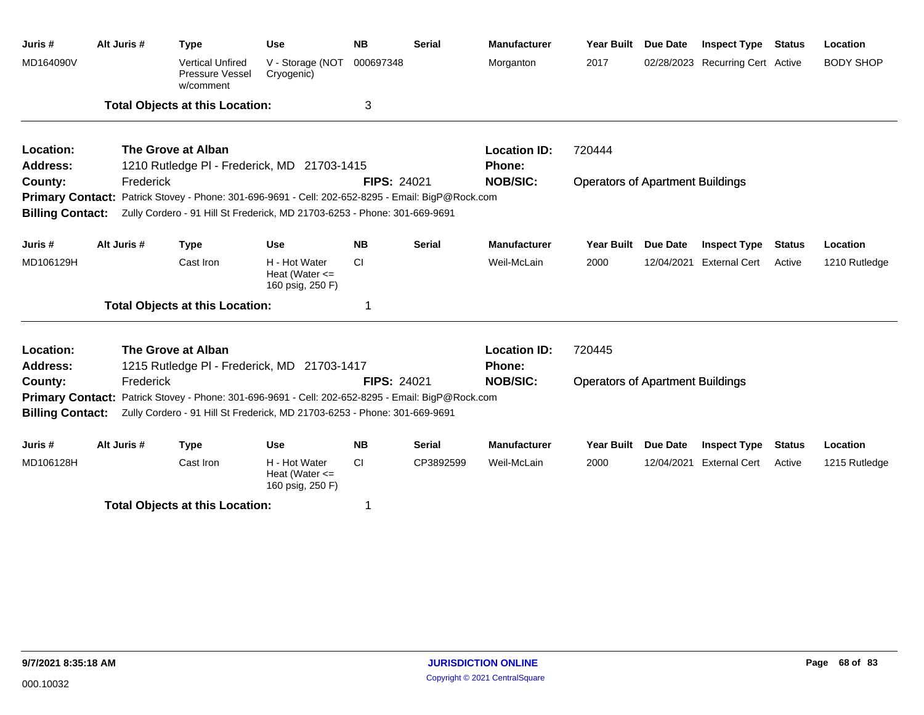| Juris #                 | Alt Juris # | <b>Type</b>                                                                                       | <b>Use</b>                                              | <b>NB</b>          | <b>Serial</b> | <b>Manufacturer</b> | <b>Year Built</b>                       | <b>Due Date</b> | <b>Inspect Type Status</b>       |               | Location         |  |
|-------------------------|-------------|---------------------------------------------------------------------------------------------------|---------------------------------------------------------|--------------------|---------------|---------------------|-----------------------------------------|-----------------|----------------------------------|---------------|------------------|--|
| MD164090V               |             | <b>Vertical Unfired</b><br>Pressure Vessel<br>w/comment                                           | V - Storage (NOT<br>Cryogenic)                          | 000697348          |               | Morganton           | 2017                                    |                 | 02/28/2023 Recurring Cert Active |               | <b>BODY SHOP</b> |  |
|                         |             | <b>Total Objects at this Location:</b>                                                            |                                                         | 3                  |               |                     |                                         |                 |                                  |               |                  |  |
| Location:               |             | The Grove at Alban                                                                                |                                                         |                    |               | <b>Location ID:</b> | 720444                                  |                 |                                  |               |                  |  |
| <b>Address:</b>         |             | 1210 Rutledge PI - Frederick, MD 21703-1415                                                       |                                                         |                    |               | Phone:              |                                         |                 |                                  |               |                  |  |
| County:                 | Frederick   |                                                                                                   |                                                         | <b>FIPS: 24021</b> |               | <b>NOB/SIC:</b>     | <b>Operators of Apartment Buildings</b> |                 |                                  |               |                  |  |
|                         |             | Primary Contact: Patrick Stovey - Phone: 301-696-9691 - Cell: 202-652-8295 - Email: BigP@Rock.com |                                                         |                    |               |                     |                                         |                 |                                  |               |                  |  |
| <b>Billing Contact:</b> |             | Zully Cordero - 91 Hill St Frederick, MD 21703-6253 - Phone: 301-669-9691                         |                                                         |                    |               |                     |                                         |                 |                                  |               |                  |  |
| Juris #                 | Alt Juris # | <b>Type</b>                                                                                       | <b>Use</b>                                              | <b>NB</b>          | <b>Serial</b> | <b>Manufacturer</b> | <b>Year Built</b>                       | <b>Due Date</b> | <b>Inspect Type</b>              | <b>Status</b> | Location         |  |
| MD106129H               |             | Cast Iron                                                                                         | H - Hot Water<br>Heat (Water $\leq$<br>160 psig, 250 F) | <b>CI</b>          |               | Weil-McLain         | 2000                                    | 12/04/2021      | <b>External Cert</b>             | Active        | 1210 Rutledge    |  |
|                         |             | <b>Total Objects at this Location:</b>                                                            |                                                         | 1                  |               |                     |                                         |                 |                                  |               |                  |  |
| Location:               |             | The Grove at Alban                                                                                |                                                         |                    |               | <b>Location ID:</b> | 720445                                  |                 |                                  |               |                  |  |
| <b>Address:</b>         |             | 1215 Rutledge PI - Frederick, MD 21703-1417                                                       |                                                         |                    |               | Phone:              |                                         |                 |                                  |               |                  |  |
| County:                 | Frederick   |                                                                                                   |                                                         | <b>FIPS: 24021</b> |               | <b>NOB/SIC:</b>     | <b>Operators of Apartment Buildings</b> |                 |                                  |               |                  |  |
|                         |             | Primary Contact: Patrick Stovey - Phone: 301-696-9691 - Cell: 202-652-8295 - Email: BigP@Rock.com |                                                         |                    |               |                     |                                         |                 |                                  |               |                  |  |
| <b>Billing Contact:</b> |             | Zully Cordero - 91 Hill St Frederick, MD 21703-6253 - Phone: 301-669-9691                         |                                                         |                    |               |                     |                                         |                 |                                  |               |                  |  |
| Juris #                 | Alt Juris # | <b>Type</b>                                                                                       | <b>Use</b>                                              | <b>NB</b>          | <b>Serial</b> | <b>Manufacturer</b> | <b>Year Built</b>                       | <b>Due Date</b> | <b>Inspect Type</b>              | <b>Status</b> | Location         |  |
| MD106128H               |             | Cast Iron                                                                                         | H - Hot Water<br>Heat (Water $\leq$<br>160 psig, 250 F) | <b>CI</b>          | CP3892599     | Weil-McLain         | 2000                                    | 12/04/2021      | <b>External Cert</b>             | Active        | 1215 Rutledge    |  |
|                         |             |                                                                                                   |                                                         |                    |               |                     |                                         |                 |                                  |               |                  |  |

**Total Objects at this Location:** 1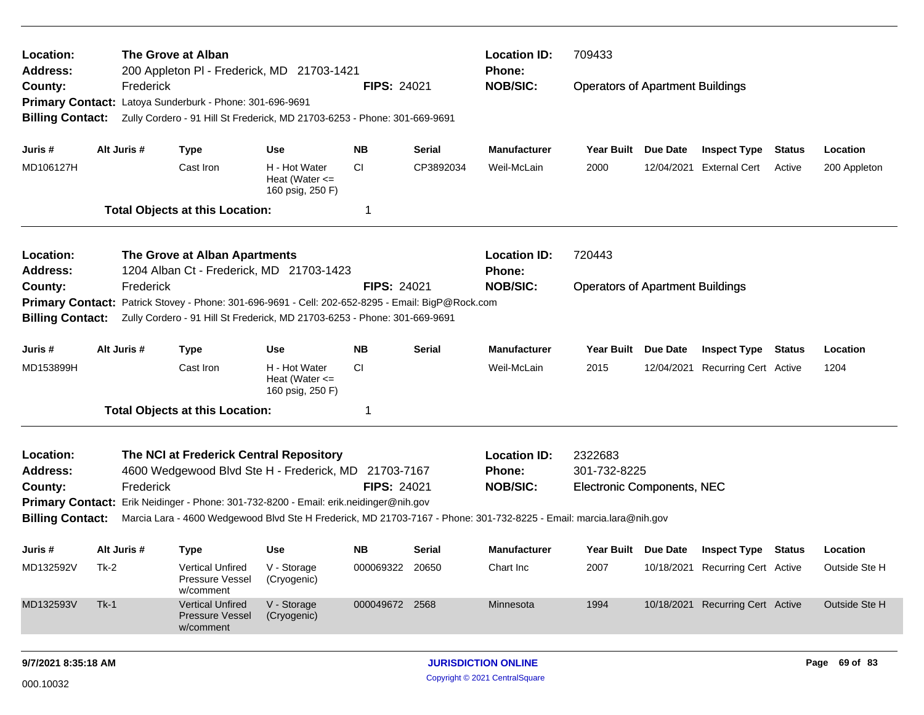| Location:                  |             | The Grove at Alban                                                                                                                    |                                                         |                    |               | <b>Location ID:</b><br>709433    |                                         |                 |                                  |        |                                            |  |  |
|----------------------------|-------------|---------------------------------------------------------------------------------------------------------------------------------------|---------------------------------------------------------|--------------------|---------------|----------------------------------|-----------------------------------------|-----------------|----------------------------------|--------|--------------------------------------------|--|--|
| <b>Address:</b><br>County: | Frederick   | 200 Appleton PI - Frederick, MD 21703-1421                                                                                            |                                                         | <b>FIPS: 24021</b> |               | <b>Phone:</b><br><b>NOB/SIC:</b> | <b>Operators of Apartment Buildings</b> |                 |                                  |        |                                            |  |  |
| <b>Billing Contact:</b>    |             | Primary Contact: Latoya Sunderburk - Phone: 301-696-9691<br>Zully Cordero - 91 Hill St Frederick, MD 21703-6253 - Phone: 301-669-9691 |                                                         |                    |               |                                  |                                         |                 |                                  |        |                                            |  |  |
| Juris #                    | Alt Juris # | <b>Type</b>                                                                                                                           | <b>Use</b>                                              | NB.                | <b>Serial</b> | <b>Manufacturer</b>              | Year Built Due Date                     |                 | <b>Inspect Type</b>              | Status | Location                                   |  |  |
| MD106127H                  |             | Cast Iron                                                                                                                             | H - Hot Water<br>Heat (Water $\leq$<br>160 psig, 250 F) | <b>CI</b>          | CP3892034     | Weil-McLain                      | 2000                                    |                 | 12/04/2021 External Cert         | Active | 200 Appleton                               |  |  |
|                            |             | <b>Total Objects at this Location:</b>                                                                                                |                                                         | -1                 |               |                                  |                                         |                 |                                  |        |                                            |  |  |
| Location:                  |             | The Grove at Alban Apartments                                                                                                         |                                                         |                    |               | <b>Location ID:</b>              | 720443                                  |                 |                                  |        |                                            |  |  |
| Address:                   |             | 1204 Alban Ct - Frederick, MD 21703-1423                                                                                              |                                                         |                    |               | <b>Phone:</b>                    |                                         |                 |                                  |        |                                            |  |  |
| County:                    | Frederick   |                                                                                                                                       |                                                         | <b>FIPS: 24021</b> |               | <b>NOB/SIC:</b>                  | <b>Operators of Apartment Buildings</b> |                 |                                  |        |                                            |  |  |
|                            |             | Primary Contact: Patrick Stovey - Phone: 301-696-9691 - Cell: 202-652-8295 - Email: BigP@Rock.com                                     |                                                         |                    |               |                                  |                                         |                 |                                  |        |                                            |  |  |
| <b>Billing Contact:</b>    |             | Zully Cordero - 91 Hill St Frederick, MD 21703-6253 - Phone: 301-669-9691                                                             |                                                         |                    |               |                                  |                                         |                 |                                  |        |                                            |  |  |
| Juris #                    | Alt Juris # | <b>Type</b>                                                                                                                           | <b>Use</b>                                              | <b>NB</b>          | <b>Serial</b> | <b>Manufacturer</b>              | <b>Year Built</b>                       | <b>Due Date</b> | <b>Inspect Type</b>              | Status | Location                                   |  |  |
| MD153899H                  |             | Cast Iron                                                                                                                             | H - Hot Water<br>Heat (Water $\leq$<br>160 psig, 250 F) | CI.                |               | Weil-McLain                      | 2015                                    |                 | 12/04/2021 Recurring Cert Active |        | 1204                                       |  |  |
|                            |             | <b>Total Objects at this Location:</b>                                                                                                |                                                         | -1                 |               |                                  |                                         |                 |                                  |        |                                            |  |  |
| Location:                  |             | The NCI at Frederick Central Repository                                                                                               |                                                         |                    |               | <b>Location ID:</b>              | 2322683                                 |                 |                                  |        |                                            |  |  |
| <b>Address:</b>            |             | 4600 Wedgewood Blvd Ste H - Frederick, MD 21703-7167                                                                                  |                                                         |                    |               | <b>Phone:</b>                    | 301-732-8225                            |                 |                                  |        | Location<br>Outside Ste H<br>Outside Ste H |  |  |
| County:                    | Frederick   |                                                                                                                                       |                                                         | <b>FIPS: 24021</b> |               | <b>NOB/SIC:</b>                  | <b>Electronic Components, NEC</b>       |                 |                                  |        |                                            |  |  |
|                            |             | Primary Contact: Erik Neidinger - Phone: 301-732-8200 - Email: erik.neidinger@nih.gov                                                 |                                                         |                    |               |                                  |                                         |                 |                                  |        |                                            |  |  |
| <b>Billing Contact:</b>    |             | Marcia Lara - 4600 Wedgewood Blvd Ste H Frederick, MD 21703-7167 - Phone: 301-732-8225 - Email: marcia.lara@nih.gov                   |                                                         |                    |               |                                  |                                         |                 |                                  |        |                                            |  |  |
| Juris #                    | Alt Juris # | <b>Type</b>                                                                                                                           | <b>Use</b>                                              | <b>NB</b>          | Serial        | <b>Manufacturer</b>              | Year Built Due Date                     |                 | <b>Inspect Type Status</b>       |        |                                            |  |  |
| MD132592V                  | Tk-2        | <b>Vertical Unfired</b><br>Pressure Vessel<br>w/comment                                                                               | V - Storage<br>(Cryogenic)                              | 000069322 20650    |               | Chart Inc                        | 2007                                    |                 | 10/18/2021 Recurring Cert Active |        |                                            |  |  |
| MD132593V                  | $Tk-1$      | <b>Vertical Unfired</b><br><b>Pressure Vessel</b><br>w/comment                                                                        | V - Storage<br>(Cryogenic)                              | 000049672 2568     |               | Minnesota                        | 1994                                    |                 | 10/18/2021 Recurring Cert Active |        |                                            |  |  |
| 9/7/2021 8:35:18 AM        |             |                                                                                                                                       |                                                         |                    |               | <b>JURISDICTION ONLINE</b>       |                                         |                 |                                  |        | Page 69 of 83                              |  |  |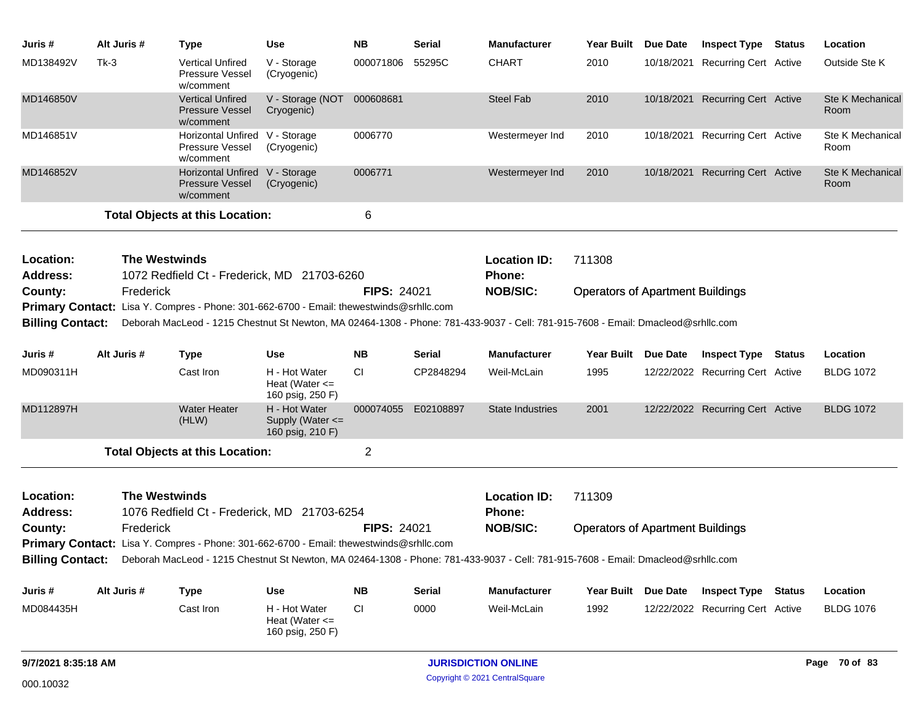| Juris #                                                                                                                                                 | Alt Juris #          | Type                                                                                                                                              | Use                                                     | <b>NB</b>          | <b>Serial</b>       | <b>Manufacturer</b>                  |                                         | Year Built Due Date | <b>Inspect Type Status</b>       |  | Location                 |
|---------------------------------------------------------------------------------------------------------------------------------------------------------|----------------------|---------------------------------------------------------------------------------------------------------------------------------------------------|---------------------------------------------------------|--------------------|---------------------|--------------------------------------|-----------------------------------------|---------------------|----------------------------------|--|--------------------------|
| MD138492V                                                                                                                                               | $Tk-3$               | <b>Vertical Unfired</b><br>Pressure Vessel<br>w/comment                                                                                           | V - Storage<br>(Cryogenic)                              | 000071806          | 55295C              | <b>CHART</b>                         | 2010                                    |                     | 10/18/2021 Recurring Cert Active |  | Outside Ste K            |
| MD146850V                                                                                                                                               |                      | <b>Vertical Unfired</b><br><b>Pressure Vessel</b><br>w/comment                                                                                    | V - Storage (NOT 000608681<br>Cryogenic)                |                    |                     | <b>Steel Fab</b>                     | 2010                                    |                     | 10/18/2021 Recurring Cert Active |  | Ste K Mechanical<br>Room |
| MD146851V                                                                                                                                               |                      | Horizontal Unfired V - Storage<br>Pressure Vessel<br>w/comment                                                                                    | (Cryogenic)                                             | 0006770            |                     | Westermeyer Ind                      | 2010                                    |                     | 10/18/2021 Recurring Cert Active |  | Ste K Mechanical<br>Room |
| MD146852V                                                                                                                                               |                      | Horizontal Unfired V - Storage<br><b>Pressure Vessel</b><br>w/comment                                                                             | (Cryogenic)                                             | 0006771            |                     | Westermeyer Ind                      | 2010                                    |                     | 10/18/2021 Recurring Cert Active |  | Ste K Mechanical<br>Room |
|                                                                                                                                                         |                      | <b>Total Objects at this Location:</b>                                                                                                            |                                                         | 6                  |                     |                                      |                                         |                     |                                  |  |                          |
|                                                                                                                                                         |                      |                                                                                                                                                   |                                                         |                    |                     |                                      |                                         |                     |                                  |  |                          |
| Location:<br><b>Address:</b>                                                                                                                            | <b>The Westwinds</b> |                                                                                                                                                   |                                                         |                    |                     | <b>Location ID:</b><br>Phone:        | 711308                                  |                     |                                  |  |                          |
| 1072 Redfield Ct - Frederick, MD 21703-6260<br>Frederick<br><b>FIPS: 24021</b><br><b>NOB/SIC:</b><br>County:<br><b>Operators of Apartment Buildings</b> |                      |                                                                                                                                                   |                                                         |                    |                     |                                      |                                         |                     |                                  |  |                          |
|                                                                                                                                                         |                      | Primary Contact: Lisa Y. Compres - Phone: 301-662-6700 - Email: thewestwinds@srhllc.com                                                           |                                                         |                    |                     |                                      |                                         |                     |                                  |  |                          |
| <b>Billing Contact:</b>                                                                                                                                 |                      | Deborah MacLeod - 1215 Chestnut St Newton, MA 02464-1308 - Phone: 781-433-9037 - Cell: 781-915-7608 - Email: Dmacleod@srhllc.com                  |                                                         |                    |                     |                                      |                                         |                     |                                  |  |                          |
| Juris #                                                                                                                                                 | Alt Juris #          | <b>Type</b>                                                                                                                                       | <b>Use</b>                                              | NΒ                 | Serial              | <b>Manufacturer</b>                  | Year Built Due Date                     |                     | <b>Inspect Type Status</b>       |  | Location                 |
| MD090311H                                                                                                                                               |                      | Cast Iron                                                                                                                                         | H - Hot Water<br>Heat (Water $\leq$<br>160 psig, 250 F) | <b>CI</b>          | CP2848294           | Weil-McLain                          | 1995                                    |                     | 12/22/2022 Recurring Cert Active |  | <b>BLDG 1072</b>         |
| MD112897H                                                                                                                                               |                      | <b>Water Heater</b><br>(HLW)                                                                                                                      | H - Hot Water<br>Supply (Water <=<br>160 psig, 210 F)   |                    | 000074055 E02108897 | State Industries                     | 2001                                    |                     | 12/22/2022 Recurring Cert Active |  | <b>BLDG 1072</b>         |
|                                                                                                                                                         |                      | <b>Total Objects at this Location:</b>                                                                                                            |                                                         | 2                  |                     |                                      |                                         |                     |                                  |  |                          |
| Location:<br><b>Address:</b>                                                                                                                            | <b>The Westwinds</b> | 1076 Redfield Ct - Frederick, MD 21703-6254                                                                                                       |                                                         |                    |                     | <b>Location ID:</b><br><b>Phone:</b> | 711309                                  |                     |                                  |  |                          |
| County:                                                                                                                                                 | Frederick            |                                                                                                                                                   |                                                         | <b>FIPS: 24021</b> |                     | <b>NOB/SIC:</b>                      | <b>Operators of Apartment Buildings</b> |                     |                                  |  |                          |
|                                                                                                                                                         |                      | Primary Contact: Lisa Y. Compres - Phone: 301-662-6700 - Email: thewestwinds@srhllc.com                                                           |                                                         |                    |                     |                                      |                                         |                     |                                  |  |                          |
|                                                                                                                                                         |                      | Billing Contact: Deborah MacLeod - 1215 Chestnut St Newton, MA 02464-1308 - Phone: 781-433-9037 - Cell: 781-915-7608 - Email: Dmacleod@srhllc.com |                                                         |                    |                     |                                      |                                         |                     |                                  |  |                          |
| Juris #                                                                                                                                                 | Alt Juris #          | <b>Type</b>                                                                                                                                       | <b>Use</b>                                              | <b>NB</b>          | <b>Serial</b>       | <b>Manufacturer</b>                  | <b>Year Built</b>                       | Due Date            | <b>Inspect Type Status</b>       |  | Location                 |
| MD084435H                                                                                                                                               |                      | Cast Iron                                                                                                                                         | H - Hot Water<br>Heat (Water $\leq$<br>160 psig, 250 F) | <b>CI</b>          | 0000                | Weil-McLain                          | 1992                                    |                     | 12/22/2022 Recurring Cert Active |  | <b>BLDG 1076</b>         |
| 9/7/2021 8:35:18 AM                                                                                                                                     |                      |                                                                                                                                                   |                                                         |                    |                     | <b>JURISDICTION ONLINE</b>           |                                         |                     |                                  |  | Page 70 of 83            |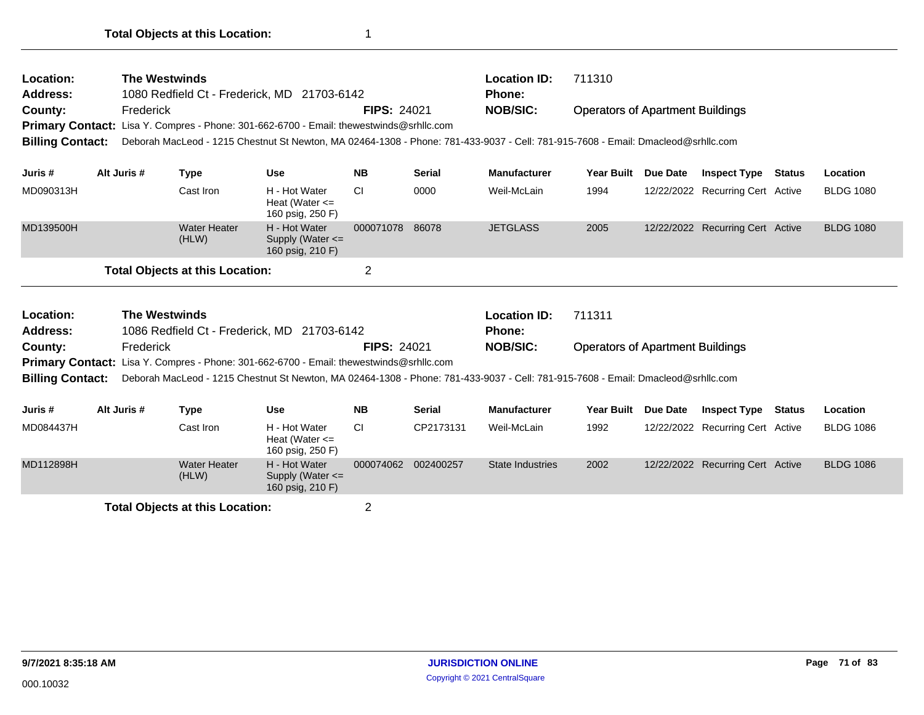| Location:<br><b>Address:</b><br>County:<br><b>Primary Contact:</b><br><b>Billing Contact:</b> | <b>The Westwinds</b><br>Frederick                                   |                                        | 1080 Redfield Ct - Frederick, MD 21703-6142<br>Lisa Y. Compres - Phone: 301-662-6700 - Email: thewestwinds@srhllc.com                                                                                                       | <b>FIPS: 24021</b> |               | 711310<br><b>Location ID:</b><br>Phone:<br><b>NOB/SIC:</b><br><b>Operators of Apartment Buildings</b><br>Deborah MacLeod - 1215 Chestnut St Newton, MA 02464-1308 - Phone: 781-433-9037 - Cell: 781-915-7608 - Email: Dmacleod@srhllc.com |                   |          |                                  |               |                  |  |
|-----------------------------------------------------------------------------------------------|---------------------------------------------------------------------|----------------------------------------|-----------------------------------------------------------------------------------------------------------------------------------------------------------------------------------------------------------------------------|--------------------|---------------|-------------------------------------------------------------------------------------------------------------------------------------------------------------------------------------------------------------------------------------------|-------------------|----------|----------------------------------|---------------|------------------|--|
| Juris #                                                                                       | Alt Juris #                                                         | <b>Type</b>                            | <b>Use</b>                                                                                                                                                                                                                  | <b>NB</b>          | <b>Serial</b> | <b>Manufacturer</b>                                                                                                                                                                                                                       | Year Built        | Due Date | <b>Inspect Type</b>              | <b>Status</b> | Location         |  |
| MD090313H                                                                                     |                                                                     | Cast Iron                              | H - Hot Water<br>Heat (Water $\leq$<br>160 psig, 250 F)                                                                                                                                                                     | <b>CI</b>          | 0000          | Weil-McLain                                                                                                                                                                                                                               | 1994              |          | 12/22/2022 Recurring Cert Active |               | <b>BLDG 1080</b> |  |
| MD139500H                                                                                     |                                                                     | <b>Water Heater</b><br>(HLW)           | H - Hot Water<br>Supply (Water <=<br>160 psig, 210 F)                                                                                                                                                                       | 000071078          | 86078         | <b>JETGLASS</b>                                                                                                                                                                                                                           | 2005              |          | 12/22/2022 Recurring Cert Active |               | <b>BLDG 1080</b> |  |
|                                                                                               |                                                                     | <b>Total Objects at this Location:</b> |                                                                                                                                                                                                                             | $\overline{2}$     |               |                                                                                                                                                                                                                                           |                   |          |                                  |               |                  |  |
| Location:<br><b>Address:</b>                                                                  | <b>The Westwinds</b><br>1086 Redfield Ct - Frederick, MD 21703-6142 |                                        |                                                                                                                                                                                                                             |                    |               | <b>Location ID:</b><br><b>Phone:</b>                                                                                                                                                                                                      | 711311            |          |                                  |               |                  |  |
| County:                                                                                       | Frederick                                                           |                                        |                                                                                                                                                                                                                             | <b>FIPS: 24021</b> |               | <b>NOB/SIC:</b><br><b>Operators of Apartment Buildings</b>                                                                                                                                                                                |                   |          |                                  |               |                  |  |
| <b>Billing Contact:</b>                                                                       |                                                                     |                                        | Primary Contact: Lisa Y. Compres - Phone: 301-662-6700 - Email: thewestwinds@srhllc.com<br>Deborah MacLeod - 1215 Chestnut St Newton, MA 02464-1308 - Phone: 781-433-9037 - Cell: 781-915-7608 - Email: Dmacleod@srhllc.com |                    |               |                                                                                                                                                                                                                                           |                   |          |                                  |               |                  |  |
| Juris #                                                                                       | Alt Juris #                                                         | <b>Type</b>                            | <b>Use</b>                                                                                                                                                                                                                  | <b>NB</b>          | <b>Serial</b> | <b>Manufacturer</b>                                                                                                                                                                                                                       | <b>Year Built</b> | Due Date | <b>Inspect Type</b>              | Status        | Location         |  |
| MD084437H                                                                                     |                                                                     | Cast Iron                              | H - Hot Water<br>Heat (Water $\leq$<br>160 psig, 250 F)                                                                                                                                                                     | <b>CI</b>          | CP2173131     | Weil-McLain                                                                                                                                                                                                                               | 1992              |          | 12/22/2022 Recurring Cert Active |               | <b>BLDG 1086</b> |  |
| MD112898H                                                                                     |                                                                     | <b>Water Heater</b><br>(HLW)           | H - Hot Water<br>Supply (Water <=<br>160 psig, 210 F)                                                                                                                                                                       | 000074062          | 002400257     | <b>State Industries</b>                                                                                                                                                                                                                   | 2002              |          | 12/22/2022 Recurring Cert Active |               | <b>BLDG 1086</b> |  |

**Total Objects at this Location:** 2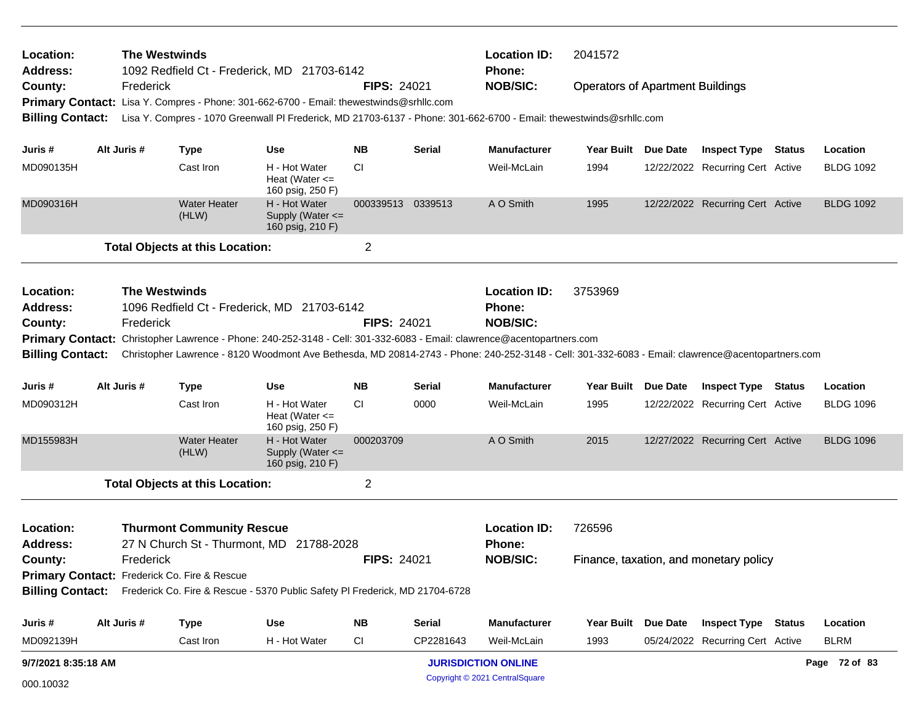| Location:<br>Address:        |                                              | <b>The Westwinds</b> |                                        | 1092 Redfield Ct - Frederick, MD 21703-6142                                                                                                       |                    |               | <b>Location ID:</b><br><b>Phone:</b> | 2041572                                 |  |                                        |  |                  |  |
|------------------------------|----------------------------------------------|----------------------|----------------------------------------|---------------------------------------------------------------------------------------------------------------------------------------------------|--------------------|---------------|--------------------------------------|-----------------------------------------|--|----------------------------------------|--|------------------|--|
| County:                      |                                              | Frederick            |                                        |                                                                                                                                                   | <b>FIPS: 24021</b> |               | <b>NOB/SIC:</b>                      | <b>Operators of Apartment Buildings</b> |  |                                        |  |                  |  |
|                              |                                              |                      |                                        | Primary Contact: Lisa Y. Compres - Phone: 301-662-6700 - Email: thewestwinds@srhllc.com                                                           |                    |               |                                      |                                         |  |                                        |  |                  |  |
| <b>Billing Contact:</b>      |                                              |                      |                                        | Lisa Y. Compres - 1070 Greenwall PI Frederick, MD 21703-6137 - Phone: 301-662-6700 - Email: thewestwinds@srhllc.com                               |                    |               |                                      |                                         |  |                                        |  |                  |  |
| Juris #                      | Alt Juris #                                  |                      | <b>Type</b>                            | <b>Use</b>                                                                                                                                        | <b>NB</b>          | Serial        | <b>Manufacturer</b>                  | Year Built Due Date                     |  | <b>Inspect Type Status</b>             |  | Location         |  |
| MD090135H                    |                                              |                      | Cast Iron                              | H - Hot Water<br>Heat (Water $\leq$<br>160 psig, 250 F)                                                                                           | CI.                |               | Weil-McLain                          | 1994                                    |  | 12/22/2022 Recurring Cert Active       |  | <b>BLDG 1092</b> |  |
| MD090316H                    |                                              |                      | <b>Water Heater</b><br>(HLW)           | H - Hot Water<br>Supply (Water $\leq$<br>160 psig, 210 F)                                                                                         | 000339513 0339513  |               | A O Smith                            | 1995                                    |  | 12/22/2022 Recurring Cert Active       |  | <b>BLDG 1092</b> |  |
|                              |                                              |                      | <b>Total Objects at this Location:</b> |                                                                                                                                                   | 2                  |               |                                      |                                         |  |                                        |  |                  |  |
| Location:<br>Address:        |                                              | <b>The Westwinds</b> |                                        | 1096 Redfield Ct - Frederick, MD 21703-6142                                                                                                       |                    |               | <b>Location ID:</b><br><b>Phone:</b> | 3753969                                 |  |                                        |  |                  |  |
| County:                      |                                              | Frederick            |                                        |                                                                                                                                                   | <b>FIPS: 24021</b> |               | <b>NOB/SIC:</b>                      |                                         |  |                                        |  |                  |  |
|                              |                                              |                      |                                        | Primary Contact: Christopher Lawrence - Phone: 240-252-3148 - Cell: 301-332-6083 - Email: clawrence@acentopartners.com                            |                    |               |                                      |                                         |  |                                        |  |                  |  |
| <b>Billing Contact:</b>      |                                              |                      |                                        | Christopher Lawrence - 8120 Woodmont Ave Bethesda, MD 20814-2743 - Phone: 240-252-3148 - Cell: 301-332-6083 - Email: clawrence@acentopartners.com |                    |               |                                      |                                         |  |                                        |  |                  |  |
| Juris #                      | Alt Juris #                                  |                      | <b>Type</b>                            | <b>Use</b>                                                                                                                                        | NΒ                 | Serial        | <b>Manufacturer</b>                  | Year Built Due Date                     |  | <b>Inspect Type Status</b>             |  | Location         |  |
| MD090312H                    |                                              |                      | Cast Iron                              | H - Hot Water<br>Heat (Water $\leq$<br>160 psig, 250 F)                                                                                           | <b>CI</b>          | 0000          | Weil-McLain                          | 1995                                    |  | 12/22/2022 Recurring Cert Active       |  | <b>BLDG 1096</b> |  |
| MD155983H                    |                                              |                      | <b>Water Heater</b><br>(HLW)           | H - Hot Water<br>Supply (Water <=<br>160 psig, 210 F)                                                                                             | 000203709          |               | A O Smith                            | 2015                                    |  | 12/27/2022 Recurring Cert Active       |  | <b>BLDG 1096</b> |  |
|                              |                                              |                      | <b>Total Objects at this Location:</b> |                                                                                                                                                   | 2                  |               |                                      |                                         |  |                                        |  |                  |  |
| Location:<br><b>Address:</b> |                                              |                      | <b>Thurmont Community Rescue</b>       | 27 N Church St - Thurmont, MD 21788-2028                                                                                                          |                    |               | <b>Location ID:</b><br><b>Phone:</b> | 726596                                  |  |                                        |  |                  |  |
| County:                      |                                              | Frederick            |                                        |                                                                                                                                                   | <b>FIPS: 24021</b> |               | <b>NOB/SIC:</b>                      |                                         |  | Finance, taxation, and monetary policy |  |                  |  |
|                              | Primary Contact: Frederick Co. Fire & Rescue |                      |                                        |                                                                                                                                                   |                    |               |                                      |                                         |  |                                        |  |                  |  |
|                              |                                              |                      |                                        | Billing Contact: Frederick Co. Fire & Rescue - 5370 Public Safety PI Frederick, MD 21704-6728                                                     |                    |               |                                      |                                         |  |                                        |  |                  |  |
| Juris #                      | Alt Juris #                                  |                      | <b>Type</b>                            | <b>Use</b>                                                                                                                                        | ΝB                 | <b>Serial</b> | <b>Manufacturer</b>                  | Year Built Due Date                     |  | <b>Inspect Type Status</b>             |  | Location         |  |
| MD092139H                    |                                              |                      | Cast Iron                              | H - Hot Water                                                                                                                                     | CI                 | CP2281643     | Weil-McLain                          | 1993                                    |  | 05/24/2022 Recurring Cert Active       |  | <b>BLRM</b>      |  |
| 9/7/2021 8:35:18 AM          |                                              |                      |                                        |                                                                                                                                                   |                    |               | <b>JURISDICTION ONLINE</b>           |                                         |  |                                        |  | Page 72 of 83    |  |
| 000.10032                    |                                              |                      |                                        |                                                                                                                                                   |                    |               | Copyright © 2021 CentralSquare       |                                         |  |                                        |  |                  |  |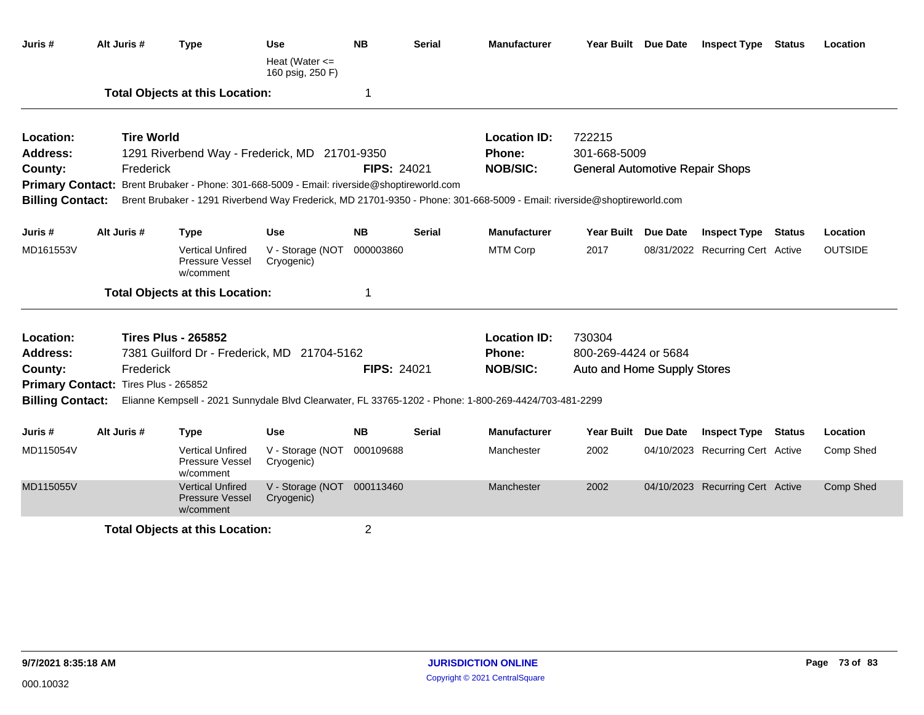| Juris #                 | Alt Juris #                          | <b>Type</b>                                                                                | Use<br>Heat (Water $\leq$                | <b>NB</b>          | <b>Serial</b> | <b>Manufacturer</b>                                                                                                     | Year Built Due Date                    | <b>Inspect Type Status</b>       |               | Location       |
|-------------------------|--------------------------------------|--------------------------------------------------------------------------------------------|------------------------------------------|--------------------|---------------|-------------------------------------------------------------------------------------------------------------------------|----------------------------------------|----------------------------------|---------------|----------------|
|                         |                                      |                                                                                            | 160 psig, 250 F)                         |                    |               |                                                                                                                         |                                        |                                  |               |                |
|                         |                                      | <b>Total Objects at this Location:</b>                                                     |                                          | 1                  |               |                                                                                                                         |                                        |                                  |               |                |
| Location:               | <b>Tire World</b>                    |                                                                                            |                                          |                    |               | <b>Location ID:</b>                                                                                                     | 722215                                 |                                  |               |                |
| <b>Address:</b>         |                                      | 1291 Riverbend Way - Frederick, MD 21701-9350                                              |                                          |                    |               | Phone:                                                                                                                  | 301-668-5009                           |                                  |               |                |
| County:                 | Frederick                            |                                                                                            |                                          | <b>FIPS: 24021</b> |               | <b>NOB/SIC:</b>                                                                                                         | <b>General Automotive Repair Shops</b> |                                  |               |                |
|                         |                                      | Primary Contact: Brent Brubaker - Phone: 301-668-5009 - Email: riverside@shoptireworld.com |                                          |                    |               |                                                                                                                         |                                        |                                  |               |                |
| <b>Billing Contact:</b> |                                      |                                                                                            |                                          |                    |               | Brent Brubaker - 1291 Riverbend Way Frederick, MD 21701-9350 - Phone: 301-668-5009 - Email: riverside@shoptireworld.com |                                        |                                  |               |                |
| Juris #                 | Alt Juris #                          | <b>Type</b>                                                                                | <b>Use</b>                               | <b>NB</b>          | <b>Serial</b> | <b>Manufacturer</b>                                                                                                     | Year Built Due Date                    | <b>Inspect Type Status</b>       |               | Location       |
| MD161553V               |                                      | <b>Vertical Unfired</b><br>Pressure Vessel<br>w/comment                                    | V - Storage (NOT<br>Cryogenic)           | 000003860          |               | <b>MTM Corp</b>                                                                                                         | 2017                                   | 08/31/2022 Recurring Cert Active |               | <b>OUTSIDE</b> |
|                         |                                      | <b>Total Objects at this Location:</b>                                                     |                                          | 1                  |               |                                                                                                                         |                                        |                                  |               |                |
| Location:               |                                      | <b>Tires Plus - 265852</b>                                                                 |                                          |                    |               | <b>Location ID:</b>                                                                                                     | 730304                                 |                                  |               |                |
| <b>Address:</b>         |                                      | 7381 Guilford Dr - Frederick, MD 21704-5162                                                |                                          |                    |               | Phone:                                                                                                                  | 800-269-4424 or 5684                   |                                  |               |                |
| County:                 | Frederick                            |                                                                                            |                                          | <b>FIPS: 24021</b> |               | <b>NOB/SIC:</b>                                                                                                         | Auto and Home Supply Stores            |                                  |               |                |
|                         | Primary Contact: Tires Plus - 265852 |                                                                                            |                                          |                    |               |                                                                                                                         |                                        |                                  |               |                |
| <b>Billing Contact:</b> |                                      |                                                                                            |                                          |                    |               | Elianne Kempsell - 2021 Sunnydale Blvd Clearwater, FL 33765-1202 - Phone: 1-800-269-4424/703-481-2299                   |                                        |                                  |               |                |
| Juris #                 | Alt Juris #                          | <b>Type</b>                                                                                | <b>Use</b>                               | <b>NB</b>          | Serial        | <b>Manufacturer</b>                                                                                                     | Year Built Due Date                    | <b>Inspect Type</b>              | <b>Status</b> | Location       |
| MD115054V               |                                      | <b>Vertical Unfired</b><br>Pressure Vessel<br>w/comment                                    | V - Storage (NOT<br>Cryogenic)           | 000109688          |               | Manchester                                                                                                              | 2002                                   | 04/10/2023 Recurring Cert Active |               | Comp Shed      |
| MD115055V               |                                      | <b>Vertical Unfired</b><br>Pressure Vessel<br>w/comment                                    | V - Storage (NOT 000113460<br>Cryogenic) |                    |               | Manchester                                                                                                              | 2002                                   | 04/10/2023 Recurring Cert Active |               | Comp Shed      |
|                         |                                      | <b>Total Objects at this Location:</b>                                                     |                                          | 2                  |               |                                                                                                                         |                                        |                                  |               |                |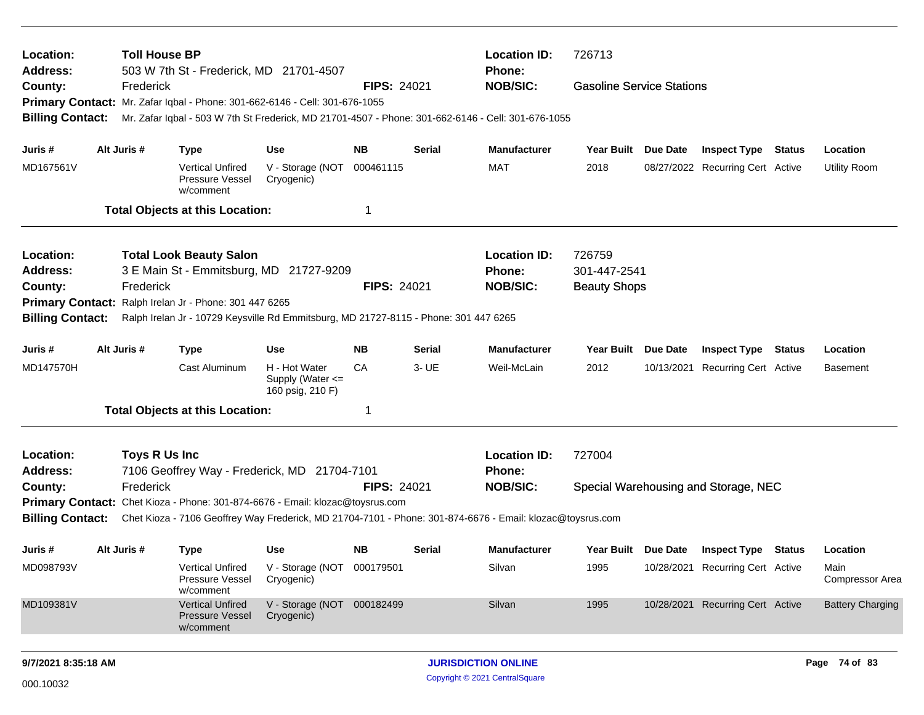| Location:<br>Address:   |             | <b>Toll House BP</b> |                                                         | 503 W 7th St - Frederick, MD 21701-4507                                              |                    |               | <b>Location ID:</b><br>Phone:                                                                             | 726713                           |                 |                                      |        |                                |
|-------------------------|-------------|----------------------|---------------------------------------------------------|--------------------------------------------------------------------------------------|--------------------|---------------|-----------------------------------------------------------------------------------------------------------|----------------------------------|-----------------|--------------------------------------|--------|--------------------------------|
| County:                 |             | Frederick            |                                                         |                                                                                      | <b>FIPS: 24021</b> |               | <b>NOB/SIC:</b>                                                                                           | <b>Gasoline Service Stations</b> |                 |                                      |        |                                |
|                         |             |                      |                                                         | Primary Contact: Mr. Zafar Iqbal - Phone: 301-662-6146 - Cell: 301-676-1055          |                    |               |                                                                                                           |                                  |                 |                                      |        |                                |
| <b>Billing Contact:</b> |             |                      |                                                         |                                                                                      |                    |               | Mr. Zafar Iqbal - 503 W 7th St Frederick, MD 21701-4507 - Phone: 301-662-6146 - Cell: 301-676-1055        |                                  |                 |                                      |        |                                |
| Juris #                 | Alt Juris # |                      | <b>Type</b>                                             | <b>Use</b>                                                                           | <b>NB</b>          | Serial        | <b>Manufacturer</b>                                                                                       | <b>Year Built</b>                | <b>Due Date</b> | <b>Inspect Type Status</b>           |        | Location                       |
| MD167561V               |             |                      | <b>Vertical Unfired</b><br>Pressure Vessel<br>w/comment | V - Storage (NOT<br>Cryogenic)                                                       | 000461115          |               | <b>MAT</b>                                                                                                | 2018                             |                 | 08/27/2022 Recurring Cert Active     |        | <b>Utility Room</b>            |
|                         |             |                      | <b>Total Objects at this Location:</b>                  |                                                                                      | 1                  |               |                                                                                                           |                                  |                 |                                      |        |                                |
| Location:               |             |                      | <b>Total Look Beauty Salon</b>                          |                                                                                      |                    |               | <b>Location ID:</b>                                                                                       | 726759                           |                 |                                      |        |                                |
| <b>Address:</b>         |             |                      |                                                         | 3 E Main St - Emmitsburg, MD 21727-9209                                              |                    |               | <b>Phone:</b>                                                                                             | 301-447-2541                     |                 |                                      |        |                                |
| County:                 |             | Frederick            |                                                         |                                                                                      | <b>FIPS: 24021</b> |               | <b>NOB/SIC:</b>                                                                                           | <b>Beauty Shops</b>              |                 |                                      |        |                                |
| <b>Primary Contact:</b> |             |                      | Ralph Irelan Jr - Phone: 301 447 6265                   |                                                                                      |                    |               |                                                                                                           |                                  |                 |                                      |        |                                |
| <b>Billing Contact:</b> |             |                      |                                                         | Ralph Irelan Jr - 10729 Keysville Rd Emmitsburg, MD 21727-8115 - Phone: 301 447 6265 |                    |               |                                                                                                           |                                  |                 |                                      |        |                                |
| Juris #                 | Alt Juris # |                      | <b>Type</b>                                             | <b>Use</b>                                                                           | <b>NB</b>          | <b>Serial</b> | <b>Manufacturer</b>                                                                                       | <b>Year Built</b>                | Due Date        | <b>Inspect Type</b>                  | Status | Location                       |
| MD147570H               |             |                      | Cast Aluminum                                           | H - Hot Water<br>Supply (Water <=<br>160 psig, 210 F)                                | CA                 | 3- UE         | Weil-McLain                                                                                               | 2012                             | 10/13/2021      | Recurring Cert Active                |        | <b>Basement</b>                |
|                         |             |                      | <b>Total Objects at this Location:</b>                  |                                                                                      | 1                  |               |                                                                                                           |                                  |                 |                                      |        |                                |
| Location:               |             | Toys R Us Inc        |                                                         |                                                                                      |                    |               | <b>Location ID:</b>                                                                                       | 727004                           |                 |                                      |        |                                |
| <b>Address:</b>         |             |                      |                                                         | 7106 Geoffrey Way - Frederick, MD 21704-7101                                         |                    |               | Phone:                                                                                                    |                                  |                 |                                      |        |                                |
| County:                 |             | Frederick            |                                                         |                                                                                      | <b>FIPS: 24021</b> |               | <b>NOB/SIC:</b>                                                                                           |                                  |                 | Special Warehousing and Storage, NEC |        |                                |
|                         |             |                      |                                                         | Primary Contact: Chet Kioza - Phone: 301-874-6676 - Email: klozac@toysrus.com        |                    |               |                                                                                                           |                                  |                 |                                      |        |                                |
| <b>Billing Contact:</b> |             |                      |                                                         |                                                                                      |                    |               | Chet Kioza - 7106 Geoffrey Way Frederick, MD 21704-7101 - Phone: 301-874-6676 - Email: klozac@toysrus.com |                                  |                 |                                      |        |                                |
| Juris #                 | Alt Juris # |                      | <b>Type</b>                                             | Use                                                                                  | <b>NB</b>          | Serial        | <b>Manufacturer</b>                                                                                       | Year Built Due Date              |                 | <b>Inspect Type Status</b>           |        | Location                       |
| MD098793V               |             |                      | <b>Vertical Unfired</b><br>Pressure Vessel<br>w/comment | V - Storage (NOT 000179501<br>Cryogenic)                                             |                    |               | Silvan                                                                                                    | 1995                             |                 | 10/28/2021 Recurring Cert Active     |        | Main<br><b>Compressor Area</b> |
| MD109381V               |             |                      | <b>Vertical Unfired</b><br>Pressure Vessel<br>w/comment | V - Storage (NOT 000182499<br>Cryogenic)                                             |                    |               | Silvan                                                                                                    | 1995                             |                 | 10/28/2021 Recurring Cert Active     |        | <b>Battery Charging</b>        |
| 9/7/2021 8:35:18 AM     |             |                      |                                                         |                                                                                      |                    |               | <b>JURISDICTION ONLINE</b>                                                                                |                                  |                 |                                      |        | Page 74 of 83                  |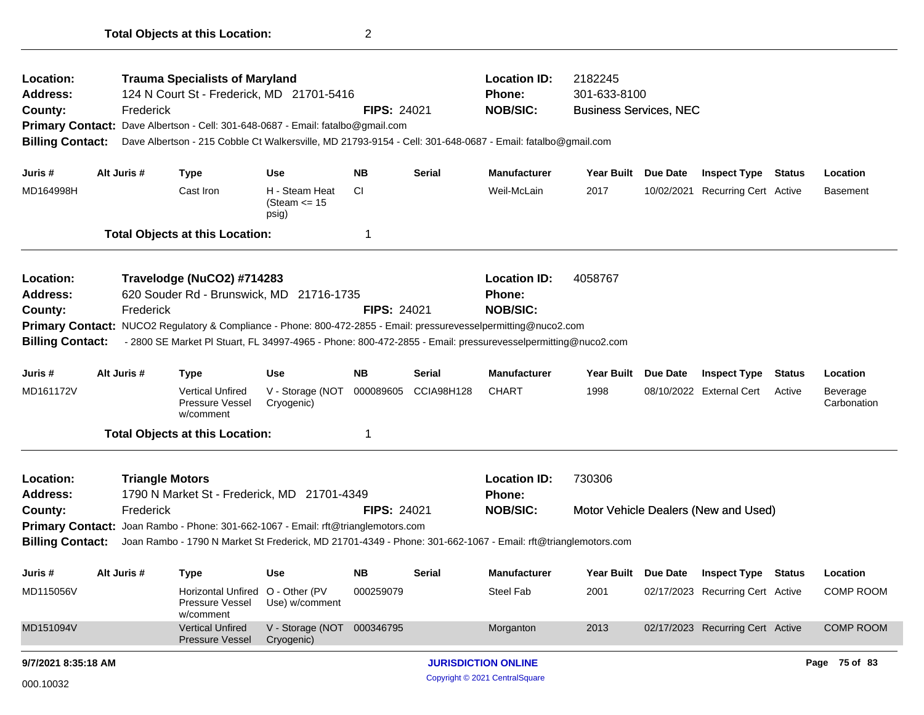| Location:<br>Address:<br>County:                                   | <b>Trauma Specialists of Maryland</b><br><b>Location ID:</b><br>2182245<br>301-633-8100<br>124 N Court St - Frederick, MD 21701-5416<br>Phone:<br><b>NOB/SIC:</b><br>Frederick<br><b>FIPS: 24021</b><br><b>Business Services, NEC</b><br>Primary Contact: Dave Albertson - Cell: 301-648-0687 - Email: fatalbo@gmail.com<br><b>Billing Contact:</b><br>Dave Albertson - 215 Cobble Ct Walkersville, MD 21793-9154 - Cell: 301-648-0687 - Email: fatalbo@gmail.com |                                     |                                                                                                                                                                                                                                                                                                           |                                            |                    |               |                                                  |                   |                 |                                      |               |                         |
|--------------------------------------------------------------------|-------------------------------------------------------------------------------------------------------------------------------------------------------------------------------------------------------------------------------------------------------------------------------------------------------------------------------------------------------------------------------------------------------------------------------------------------------------------|-------------------------------------|-----------------------------------------------------------------------------------------------------------------------------------------------------------------------------------------------------------------------------------------------------------------------------------------------------------|--------------------------------------------|--------------------|---------------|--------------------------------------------------|-------------------|-----------------|--------------------------------------|---------------|-------------------------|
| Juris #                                                            | Alt Juris #                                                                                                                                                                                                                                                                                                                                                                                                                                                       |                                     | <b>Type</b>                                                                                                                                                                                                                                                                                               | <b>Use</b>                                 | <b>NB</b>          | Serial        | <b>Manufacturer</b>                              | <b>Year Built</b> | Due Date        | <b>Inspect Type Status</b>           |               | Location                |
| MD164998H                                                          |                                                                                                                                                                                                                                                                                                                                                                                                                                                                   |                                     | Cast Iron                                                                                                                                                                                                                                                                                                 | H - Steam Heat<br>(Steam $\le$ 15<br>psig) | <b>CI</b>          |               | Weil-McLain                                      | 2017              | 10/02/2021      | Recurring Cert Active                |               | Basement                |
|                                                                    |                                                                                                                                                                                                                                                                                                                                                                                                                                                                   |                                     | <b>Total Objects at this Location:</b>                                                                                                                                                                                                                                                                    |                                            | 1                  |               |                                                  |                   |                 |                                      |               |                         |
| Location:<br><b>Address:</b><br>County:<br><b>Billing Contact:</b> |                                                                                                                                                                                                                                                                                                                                                                                                                                                                   | Frederick                           | Travelodge (NuCO2) #714283<br>620 Souder Rd - Brunswick, MD 21716-1735<br>Primary Contact: NUCO2 Regulatory & Compliance - Phone: 800-472-2855 - Email: pressurevesselpermitting@nuco2.com<br>- 2800 SE Market PI Stuart, FL 34997-4965 - Phone: 800-472-2855 - Email: pressurevesselpermitting@nuco2.com |                                            | <b>FIPS: 24021</b> |               | <b>Location ID:</b><br>Phone:<br><b>NOB/SIC:</b> | 4058767           |                 |                                      |               |                         |
| Juris #                                                            | Alt Juris #                                                                                                                                                                                                                                                                                                                                                                                                                                                       |                                     | <b>Type</b>                                                                                                                                                                                                                                                                                               | <b>Use</b>                                 | <b>NB</b>          | <b>Serial</b> | <b>Manufacturer</b>                              | <b>Year Built</b> | <b>Due Date</b> | <b>Inspect Type</b>                  | <b>Status</b> | Location                |
| MD161172V                                                          |                                                                                                                                                                                                                                                                                                                                                                                                                                                                   |                                     | <b>Vertical Unfired</b><br>Pressure Vessel<br>w/comment                                                                                                                                                                                                                                                   | V - Storage (NOT<br>Cryogenic)             | 000089605          | CCIA98H128    | <b>CHART</b>                                     | 1998              |                 | 08/10/2022 External Cert             | Active        | Beverage<br>Carbonation |
|                                                                    |                                                                                                                                                                                                                                                                                                                                                                                                                                                                   |                                     | <b>Total Objects at this Location:</b>                                                                                                                                                                                                                                                                    |                                            | 1                  |               |                                                  |                   |                 |                                      |               |                         |
| Location:<br><b>Address:</b><br>County:                            |                                                                                                                                                                                                                                                                                                                                                                                                                                                                   | <b>Triangle Motors</b><br>Frederick | 1790 N Market St - Frederick, MD 21701-4349                                                                                                                                                                                                                                                               |                                            | <b>FIPS: 24021</b> |               | <b>Location ID:</b><br>Phone:<br><b>NOB/SIC:</b> | 730306            |                 | Motor Vehicle Dealers (New and Used) |               |                         |
| <b>Primary Contact:</b><br><b>Billing Contact:</b>                 |                                                                                                                                                                                                                                                                                                                                                                                                                                                                   |                                     | Joan Rambo - Phone: 301-662-1067 - Email: rft@trianglemotors.com<br>Joan Rambo - 1790 N Market St Frederick, MD 21701-4349 - Phone: 301-662-1067 - Email: rft@trianglemotors.com                                                                                                                          |                                            |                    |               |                                                  |                   |                 |                                      |               |                         |
| Juris #                                                            | Alt Juris #                                                                                                                                                                                                                                                                                                                                                                                                                                                       |                                     | <b>Type</b>                                                                                                                                                                                                                                                                                               | <b>Use</b>                                 | <b>NB</b>          | Serial        | <b>Manufacturer</b>                              | <b>Year Built</b> | <b>Due Date</b> | <b>Inspect Type Status</b>           |               | Location                |
| MD115056V                                                          |                                                                                                                                                                                                                                                                                                                                                                                                                                                                   |                                     | Horizontal Unfired O - Other (PV<br>Pressure Vessel<br>w/comment                                                                                                                                                                                                                                          | Use) w/comment                             | 000259079          |               | Steel Fab                                        | 2001              |                 | 02/17/2023 Recurring Cert Active     |               | <b>COMP ROOM</b>        |
| MD151094V                                                          |                                                                                                                                                                                                                                                                                                                                                                                                                                                                   |                                     | <b>Vertical Unfired</b><br>Pressure Vessel                                                                                                                                                                                                                                                                | V - Storage (NOT 000346795<br>Cryogenic)   |                    |               | Morganton                                        | 2013              |                 | 02/17/2023 Recurring Cert Active     |               | <b>COMP ROOM</b>        |
| 9/7/2021 8:35:18 AM                                                |                                                                                                                                                                                                                                                                                                                                                                                                                                                                   |                                     |                                                                                                                                                                                                                                                                                                           |                                            |                    |               | <b>JURISDICTION ONLINE</b>                       |                   |                 |                                      |               | Page 75 of 83           |
| 000.10032                                                          |                                                                                                                                                                                                                                                                                                                                                                                                                                                                   |                                     |                                                                                                                                                                                                                                                                                                           |                                            |                    |               | Copyright © 2021 CentralSquare                   |                   |                 |                                      |               |                         |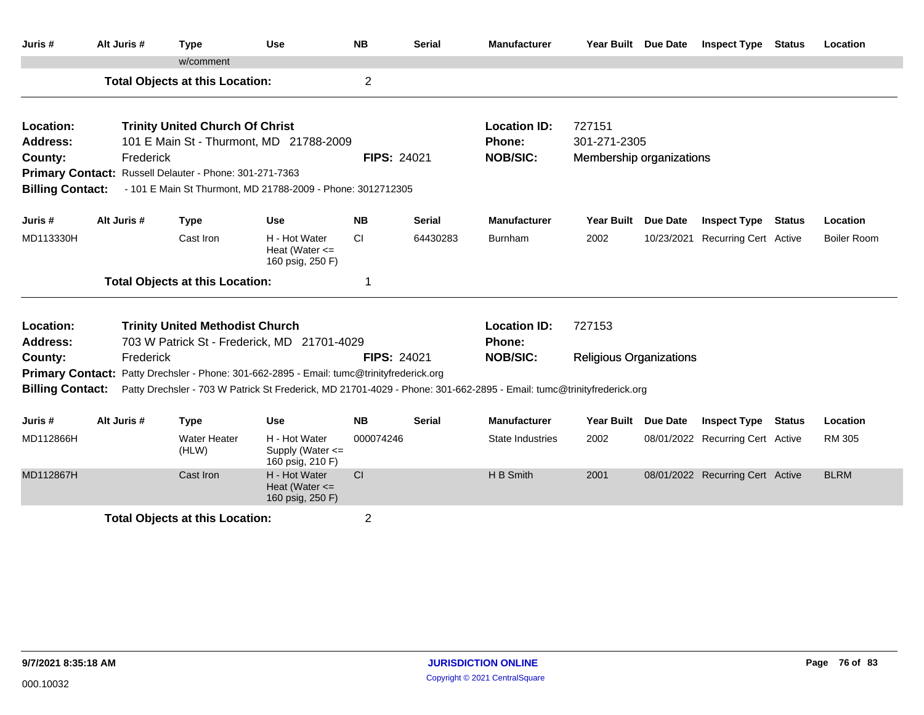| Juris #                 | Alt Juris # | <b>Type</b>                                             | <b>Use</b>                                                                                                           | <b>NB</b>          | <b>Serial</b> | <b>Manufacturer</b>     | Year Built Due Date            |                 | <b>Inspect Type</b>              | <b>Status</b> | Location           |  |
|-------------------------|-------------|---------------------------------------------------------|----------------------------------------------------------------------------------------------------------------------|--------------------|---------------|-------------------------|--------------------------------|-----------------|----------------------------------|---------------|--------------------|--|
|                         |             | w/comment                                               |                                                                                                                      |                    |               |                         |                                |                 |                                  |               |                    |  |
|                         |             | <b>Total Objects at this Location:</b>                  |                                                                                                                      | $\overline{2}$     |               |                         |                                |                 |                                  |               |                    |  |
| Location:               |             | <b>Trinity United Church Of Christ</b>                  |                                                                                                                      |                    |               | <b>Location ID:</b>     | 727151                         |                 |                                  |               |                    |  |
| <b>Address:</b>         |             |                                                         | 101 E Main St - Thurmont, MD 21788-2009                                                                              |                    |               | Phone:                  | 301-271-2305                   |                 |                                  |               |                    |  |
| County:                 | Frederick   |                                                         |                                                                                                                      | <b>FIPS: 24021</b> |               | <b>NOB/SIC:</b>         | Membership organizations       |                 |                                  |               |                    |  |
|                         |             | Primary Contact: Russell Delauter - Phone: 301-271-7363 |                                                                                                                      |                    |               |                         |                                |                 |                                  |               |                    |  |
| <b>Billing Contact:</b> |             |                                                         | - 101 E Main St Thurmont, MD 21788-2009 - Phone: 3012712305                                                          |                    |               |                         |                                |                 |                                  |               |                    |  |
| Juris #                 | Alt Juris # | <b>Type</b>                                             | <b>Use</b>                                                                                                           | <b>NB</b>          | <b>Serial</b> | <b>Manufacturer</b>     | <b>Year Built</b>              | <b>Due Date</b> | <b>Inspect Type</b>              | <b>Status</b> | Location           |  |
| MD113330H               |             | Cast Iron                                               | H - Hot Water<br>Heat (Water $\leq$<br>160 psig, 250 F)                                                              | CI.                | 64430283      | <b>Burnham</b>          | 2002                           |                 | 10/23/2021 Recurring Cert Active |               | <b>Boiler Room</b> |  |
|                         |             | <b>Total Objects at this Location:</b>                  |                                                                                                                      | 1                  |               |                         |                                |                 |                                  |               |                    |  |
| Location:               |             | <b>Trinity United Methodist Church</b>                  |                                                                                                                      |                    |               | <b>Location ID:</b>     | 727153                         |                 |                                  |               |                    |  |
| <b>Address:</b>         |             |                                                         | 703 W Patrick St - Frederick, MD 21701-4029                                                                          |                    |               | <b>Phone:</b>           |                                |                 |                                  |               |                    |  |
| County:                 | Frederick   |                                                         |                                                                                                                      | <b>FIPS: 24021</b> |               | <b>NOB/SIC:</b>         | <b>Religious Organizations</b> |                 |                                  |               |                    |  |
|                         |             |                                                         | Primary Contact: Patty Drechsler - Phone: 301-662-2895 - Email: tumc@trinityfrederick.org                            |                    |               |                         |                                |                 |                                  |               |                    |  |
| <b>Billing Contact:</b> |             |                                                         | Patty Drechsler - 703 W Patrick St Frederick, MD 21701-4029 - Phone: 301-662-2895 - Email: tumc@trinityfrederick.org |                    |               |                         |                                |                 |                                  |               |                    |  |
| Juris #                 | Alt Juris # | <b>Type</b>                                             | <b>Use</b>                                                                                                           | <b>NB</b>          | <b>Serial</b> | <b>Manufacturer</b>     | <b>Year Built</b>              | <b>Due Date</b> | <b>Inspect Type Status</b>       |               | Location           |  |
| MD112866H               |             | <b>Water Heater</b><br>(HLW)                            | H - Hot Water<br>Supply (Water <=<br>160 psig, 210 F)                                                                | 000074246          |               | <b>State Industries</b> | 2002                           |                 | 08/01/2022 Recurring Cert Active |               | RM 305             |  |
| MD112867H               |             | Cast Iron                                               | H - Hot Water<br>Heat (Water $\leq$<br>160 psig, 250 F)                                                              | CI                 |               | H B Smith               | 2001                           |                 | 08/01/2022 Recurring Cert Active |               | <b>BLRM</b>        |  |
|                         |             | <b>Total Objects at this Location:</b>                  |                                                                                                                      | $\overline{2}$     |               |                         |                                |                 |                                  |               |                    |  |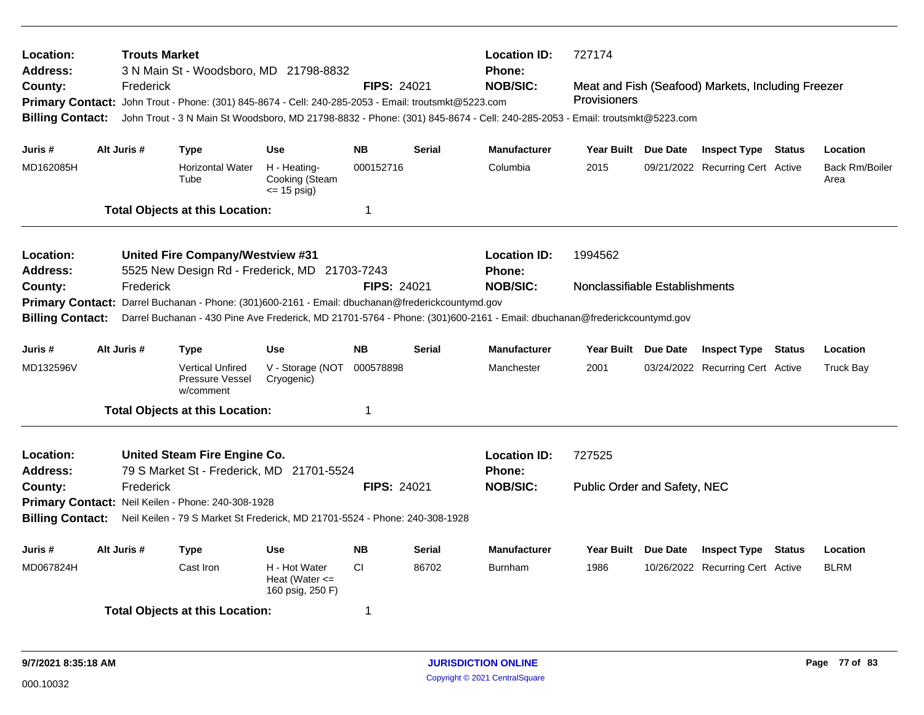| Location:<br><b>Address:</b><br>County:<br><b>Billing Contact:</b> | <b>Trouts Market</b><br>Frederick | 3 N Main St - Woodsboro, MD 21798-8832<br>Primary Contact: John Trout - Phone: (301) 845-8674 - Cell: 240-285-2053 - Email: troutsmkt@5223.com |                                                         | <b>FIPS: 24021</b>     |               | <b>Location ID:</b><br><b>Phone:</b><br><b>NOB/SIC:</b>                                                                 | 727174<br>Meat and Fish (Seafood) Markets, Including Freezer<br><b>Provisioners</b><br>John Trout - 3 N Main St Woodsboro, MD 21798-8832 - Phone: (301) 845-8674 - Cell: 240-285-2053 - Email: troutsmkt@5223.com |          |                                                                |               |                                   |  |  |
|--------------------------------------------------------------------|-----------------------------------|------------------------------------------------------------------------------------------------------------------------------------------------|---------------------------------------------------------|------------------------|---------------|-------------------------------------------------------------------------------------------------------------------------|-------------------------------------------------------------------------------------------------------------------------------------------------------------------------------------------------------------------|----------|----------------------------------------------------------------|---------------|-----------------------------------|--|--|
| Juris #<br>MD162085H                                               | Alt Juris #                       | Type<br><b>Horizontal Water</b>                                                                                                                | <b>Use</b><br>H - Heating-                              | <b>NB</b><br>000152716 | <b>Serial</b> | <b>Manufacturer</b><br>Columbia                                                                                         | Year Built Due Date<br>2015                                                                                                                                                                                       |          | <b>Inspect Type Status</b><br>09/21/2022 Recurring Cert Active |               | Location<br><b>Back Rm/Boiler</b> |  |  |
|                                                                    |                                   | Tube                                                                                                                                           | Cooking (Steam<br>$\le$ 15 psig)                        |                        |               |                                                                                                                         |                                                                                                                                                                                                                   |          |                                                                |               | Area                              |  |  |
|                                                                    |                                   | <b>Total Objects at this Location:</b>                                                                                                         |                                                         | 1                      |               |                                                                                                                         |                                                                                                                                                                                                                   |          |                                                                |               |                                   |  |  |
| Location:                                                          |                                   | United Fire Company/Westview #31                                                                                                               |                                                         |                        |               | <b>Location ID:</b>                                                                                                     | 1994562                                                                                                                                                                                                           |          |                                                                |               |                                   |  |  |
| <b>Address:</b>                                                    |                                   | 5525 New Design Rd - Frederick, MD 21703-7243                                                                                                  |                                                         |                        |               | Phone:                                                                                                                  |                                                                                                                                                                                                                   |          |                                                                |               |                                   |  |  |
| County:                                                            | Frederick                         | Primary Contact: Darrel Buchanan - Phone: (301)600-2161 - Email: dbuchanan@frederickcountymd.gov                                               |                                                         | <b>FIPS: 24021</b>     |               | <b>NOB/SIC:</b>                                                                                                         | Nonclassifiable Establishments                                                                                                                                                                                    |          |                                                                |               |                                   |  |  |
| <b>Billing Contact:</b>                                            |                                   |                                                                                                                                                |                                                         |                        |               | Darrel Buchanan - 430 Pine Ave Frederick, MD 21701-5764 - Phone: (301)600-2161 - Email: dbuchanan@frederickcountymd.gov |                                                                                                                                                                                                                   |          |                                                                |               |                                   |  |  |
| Juris #                                                            | Alt Juris #                       | <b>Type</b>                                                                                                                                    | <b>Use</b>                                              | <b>NB</b>              | <b>Serial</b> | <b>Manufacturer</b>                                                                                                     | Year Built Due Date                                                                                                                                                                                               |          | <b>Inspect Type</b>                                            | <b>Status</b> | Location                          |  |  |
| MD132596V                                                          |                                   | <b>Vertical Unfired</b><br>Pressure Vessel<br>w/comment                                                                                        | V - Storage (NOT<br>Cryogenic)                          | 000578898              |               | Manchester                                                                                                              | 2001                                                                                                                                                                                                              |          | 03/24/2022 Recurring Cert Active                               |               | <b>Truck Bay</b>                  |  |  |
|                                                                    |                                   | <b>Total Objects at this Location:</b>                                                                                                         |                                                         | 1                      |               |                                                                                                                         |                                                                                                                                                                                                                   |          |                                                                |               |                                   |  |  |
| Location:<br><b>Address:</b>                                       |                                   | United Steam Fire Engine Co.<br>79 S Market St - Frederick, MD 21701-5524                                                                      |                                                         |                        |               | <b>Location ID:</b><br><b>Phone:</b>                                                                                    | 727525                                                                                                                                                                                                            |          |                                                                |               |                                   |  |  |
| County:                                                            | Frederick                         |                                                                                                                                                |                                                         | <b>FIPS: 24021</b>     |               | <b>NOB/SIC:</b>                                                                                                         | Public Order and Safety, NEC                                                                                                                                                                                      |          |                                                                |               |                                   |  |  |
|                                                                    |                                   | Primary Contact: Neil Keilen - Phone: 240-308-1928                                                                                             |                                                         |                        |               |                                                                                                                         |                                                                                                                                                                                                                   |          |                                                                |               |                                   |  |  |
| <b>Billing Contact:</b>                                            |                                   | Neil Keilen - 79 S Market St Frederick, MD 21701-5524 - Phone: 240-308-1928                                                                    |                                                         |                        |               |                                                                                                                         |                                                                                                                                                                                                                   |          |                                                                |               |                                   |  |  |
| Juris #                                                            | Alt Juris #                       | <b>Type</b>                                                                                                                                    | Use                                                     | <b>NB</b>              | Serial        | <b>Manufacturer</b>                                                                                                     | <b>Year Built</b>                                                                                                                                                                                                 | Due Date | <b>Inspect Type</b>                                            | <b>Status</b> | Location                          |  |  |
| MD067824H                                                          |                                   | Cast Iron                                                                                                                                      | H - Hot Water<br>Heat (Water $\leq$<br>160 psig, 250 F) | CI.                    | 86702         | <b>Burnham</b>                                                                                                          | 1986                                                                                                                                                                                                              |          | 10/26/2022 Recurring Cert Active                               |               | <b>BLRM</b>                       |  |  |
|                                                                    |                                   | <b>Total Objects at this Location:</b>                                                                                                         |                                                         | 1                      |               |                                                                                                                         |                                                                                                                                                                                                                   |          |                                                                |               |                                   |  |  |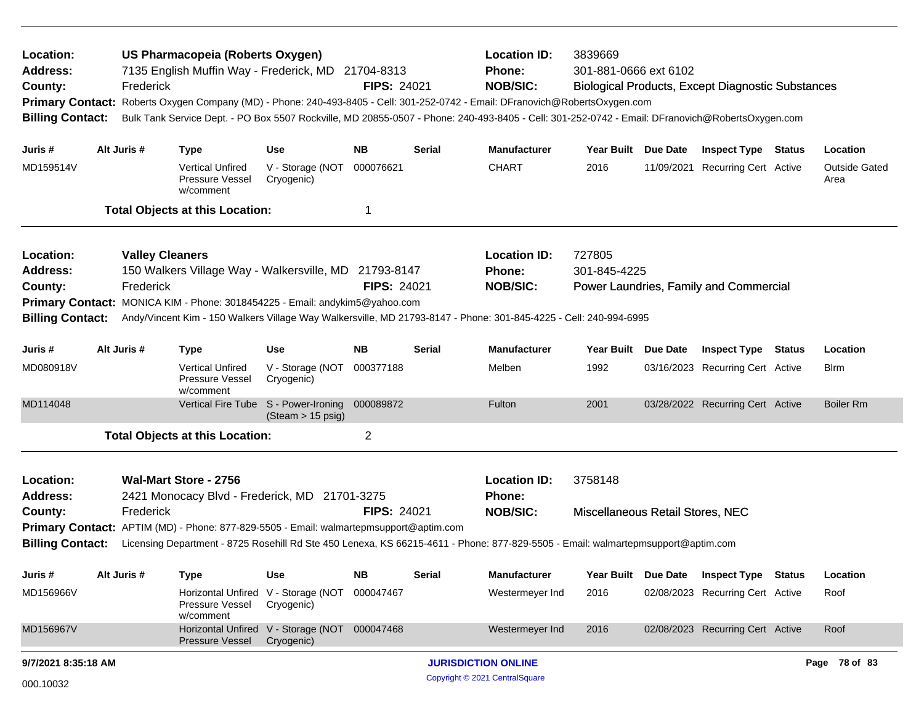| Location:<br><b>Address:</b><br>County:<br><b>Billing Contact:</b> |             | Frederick                           | US Pharmacopeia (Roberts Oxygen)                        | 7135 English Muffin Way - Frederick, MD 21704-8313                                                                                      | <b>FIPS: 24021</b> |               | <b>Location ID:</b><br>Phone:<br><b>NOB/SIC:</b>                                                                                                                                     | 3839669<br>301-881-0666 ext 6102<br><b>Biological Products, Except Diagnostic Substances</b><br>Primary Contact: Roberts Oxygen Company (MD) - Phone: 240-493-8405 - Cell: 301-252-0742 - Email: DFranovich@RobertsOxygen.com<br>Bulk Tank Service Dept. - PO Box 5507 Rockville, MD 20855-0507 - Phone: 240-493-8405 - Cell: 301-252-0742 - Email: DFranovich@RobertsOxygen.com |          |                                        |        |                              |
|--------------------------------------------------------------------|-------------|-------------------------------------|---------------------------------------------------------|-----------------------------------------------------------------------------------------------------------------------------------------|--------------------|---------------|--------------------------------------------------------------------------------------------------------------------------------------------------------------------------------------|----------------------------------------------------------------------------------------------------------------------------------------------------------------------------------------------------------------------------------------------------------------------------------------------------------------------------------------------------------------------------------|----------|----------------------------------------|--------|------------------------------|
| Juris #                                                            | Alt Juris # |                                     | <b>Type</b>                                             | <b>Use</b>                                                                                                                              | <b>NB</b>          | Serial        | <b>Manufacturer</b>                                                                                                                                                                  | Year Built                                                                                                                                                                                                                                                                                                                                                                       | Due Date | <b>Inspect Type Status</b>             |        | Location                     |
| MD159514V                                                          |             |                                     | <b>Vertical Unfired</b><br>Pressure Vessel<br>w/comment | V - Storage (NOT<br>Cryogenic)                                                                                                          | 000076621          |               | <b>CHART</b>                                                                                                                                                                         | 2016                                                                                                                                                                                                                                                                                                                                                                             |          | 11/09/2021 Recurring Cert Active       |        | <b>Outside Gated</b><br>Area |
|                                                                    |             |                                     | <b>Total Objects at this Location:</b>                  |                                                                                                                                         | -1                 |               |                                                                                                                                                                                      |                                                                                                                                                                                                                                                                                                                                                                                  |          |                                        |        |                              |
| Location:<br><b>Address:</b><br>County:<br><b>Billing Contact:</b> |             | <b>Valley Cleaners</b><br>Frederick |                                                         | 150 Walkers Village Way - Walkersville, MD 21793-8147<br>Primary Contact: MONICA KIM - Phone: 3018454225 - Email: andykim5@yahoo.com    | <b>FIPS: 24021</b> |               | <b>Location ID:</b><br>Phone:<br><b>NOB/SIC:</b><br>Andy/Vincent Kim - 150 Walkers Village Way Walkersville, MD 21793-8147 - Phone: 301-845-4225 - Cell: 240-994-6995                | 727805<br>301-845-4225                                                                                                                                                                                                                                                                                                                                                           |          | Power Laundries, Family and Commercial |        |                              |
| Juris #                                                            | Alt Juris # |                                     | <b>Type</b>                                             | Use                                                                                                                                     | <b>NB</b>          | Serial        | <b>Manufacturer</b>                                                                                                                                                                  | Year Built Due Date                                                                                                                                                                                                                                                                                                                                                              |          | <b>Inspect Type Status</b>             |        | Location                     |
| MD080918V                                                          |             |                                     | <b>Vertical Unfired</b><br>Pressure Vessel<br>w/comment | V - Storage (NOT<br>Cryogenic)                                                                                                          | 000377188          |               | Melben                                                                                                                                                                               | 1992                                                                                                                                                                                                                                                                                                                                                                             |          | 03/16/2023 Recurring Cert Active       |        | <b>B</b> irm                 |
| MD114048                                                           |             |                                     |                                                         | Vertical Fire Tube S - Power-Ironing<br>(Steam > 15 psig)                                                                               | 000089872          |               | Fulton                                                                                                                                                                               | 2001                                                                                                                                                                                                                                                                                                                                                                             |          | 03/28/2022 Recurring Cert Active       |        | <b>Boiler Rm</b>             |
|                                                                    |             |                                     | <b>Total Objects at this Location:</b>                  |                                                                                                                                         | $\overline{c}$     |               |                                                                                                                                                                                      |                                                                                                                                                                                                                                                                                                                                                                                  |          |                                        |        |                              |
| Location:<br><b>Address:</b><br>County:<br><b>Billing Contact:</b> |             | Frederick                           | <b>Wal-Mart Store - 2756</b>                            | 2421 Monocacy Blvd - Frederick, MD 21701-3275<br>Primary Contact: APTIM (MD) - Phone: 877-829-5505 - Email: walmartepmsupport@aptim.com | FIPS: 24021        |               | <b>Location ID:</b><br>Phone:<br><b>NOB/SIC:</b><br>Licensing Department - 8725 Rosehill Rd Ste 450 Lenexa, KS 66215-4611 - Phone: 877-829-5505 - Email: walmartepmsupport@aptim.com | 3758148<br>Miscellaneous Retail Stores, NEC                                                                                                                                                                                                                                                                                                                                      |          |                                        |        |                              |
| Juris #                                                            | Alt Juris # |                                     | Type                                                    | Use                                                                                                                                     | <b>NB</b>          | <b>Serial</b> | <b>Manufacturer</b>                                                                                                                                                                  | Year Built                                                                                                                                                                                                                                                                                                                                                                       | Due Date | <b>Inspect Type</b>                    | Status | Location                     |
| MD156966V                                                          |             |                                     | Pressure Vessel<br>w/comment                            | Horizontal Unfired V - Storage (NOT<br>Cryogenic)                                                                                       | 000047467          |               | Westermeyer Ind                                                                                                                                                                      | 2016                                                                                                                                                                                                                                                                                                                                                                             |          | 02/08/2023 Recurring Cert Active       |        | Roof                         |
| MD156967V                                                          |             |                                     | <b>Pressure Vessel</b>                                  | Horizontal Unfired V - Storage (NOT 000047468<br>Cryogenic)                                                                             |                    |               | Westermeyer Ind                                                                                                                                                                      | 2016                                                                                                                                                                                                                                                                                                                                                                             |          | 02/08/2023 Recurring Cert Active       |        | Roof                         |
| 9/7/2021 8:35:18 AM                                                |             |                                     |                                                         |                                                                                                                                         |                    |               | <b>JURISDICTION ONLINE</b>                                                                                                                                                           |                                                                                                                                                                                                                                                                                                                                                                                  |          |                                        |        | Page 78 of 83                |
| 000.10032                                                          |             |                                     |                                                         |                                                                                                                                         |                    |               | Copyright © 2021 CentralSquare                                                                                                                                                       |                                                                                                                                                                                                                                                                                                                                                                                  |          |                                        |        |                              |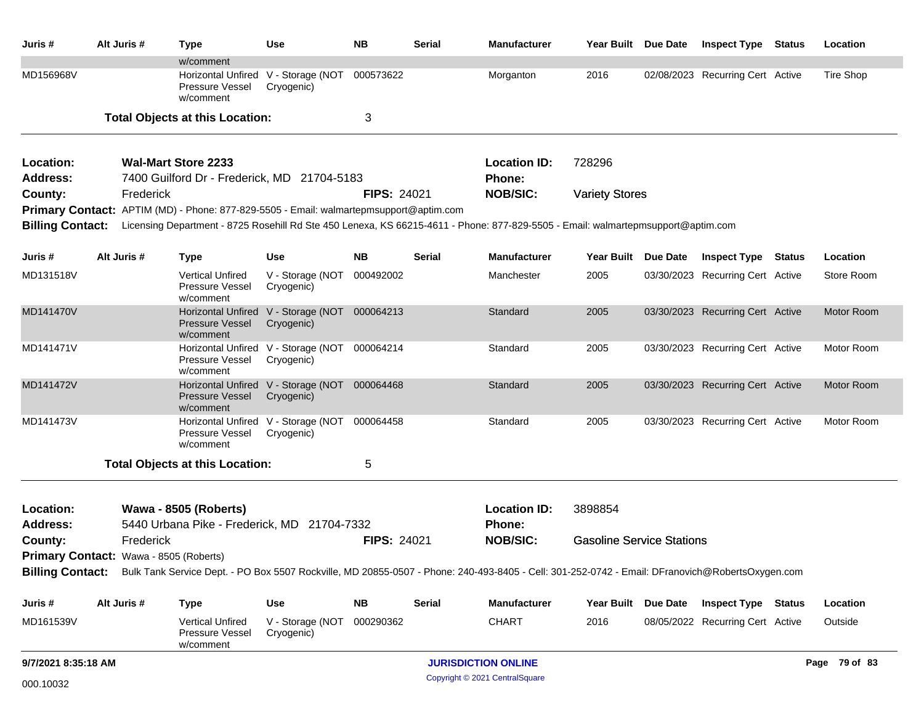| Juris #                      | Alt Juris #                            | <b>Type</b>                                                                            | <b>Use</b>                                                  | <b>NB</b>          | Serial        | <b>Manufacturer</b>                                                                                                                                              | Year Built Due Date              |                 | <b>Inspect Type</b>              | Status | Location      |
|------------------------------|----------------------------------------|----------------------------------------------------------------------------------------|-------------------------------------------------------------|--------------------|---------------|------------------------------------------------------------------------------------------------------------------------------------------------------------------|----------------------------------|-----------------|----------------------------------|--------|---------------|
| MD156968V                    |                                        | w/comment<br>Pressure Vessel<br>w/comment                                              | Horizontal Unfired V - Storage (NOT<br>Cryogenic)           | 000573622          |               | Morganton                                                                                                                                                        | 2016                             |                 | 02/08/2023 Recurring Cert Active |        | Tire Shop     |
|                              |                                        | <b>Total Objects at this Location:</b>                                                 |                                                             | 3                  |               |                                                                                                                                                                  |                                  |                 |                                  |        |               |
| Location:                    |                                        | <b>Wal-Mart Store 2233</b>                                                             |                                                             |                    |               | <b>Location ID:</b>                                                                                                                                              | 728296                           |                 |                                  |        |               |
| <b>Address:</b>              |                                        | 7400 Guilford Dr - Frederick, MD 21704-5183                                            |                                                             |                    |               | <b>Phone:</b>                                                                                                                                                    |                                  |                 |                                  |        |               |
| County:                      | Frederick                              |                                                                                        |                                                             | <b>FIPS: 24021</b> |               | <b>NOB/SIC:</b>                                                                                                                                                  | <b>Variety Stores</b>            |                 |                                  |        |               |
|                              |                                        | Primary Contact: APTIM (MD) - Phone: 877-829-5505 - Email: walmartepmsupport@aptim.com |                                                             |                    |               |                                                                                                                                                                  |                                  |                 |                                  |        |               |
| <b>Billing Contact:</b>      |                                        |                                                                                        |                                                             |                    |               | Licensing Department - 8725 Rosehill Rd Ste 450 Lenexa, KS 66215-4611 - Phone: 877-829-5505 - Email: walmartepmsupport@aptim.com                                 |                                  |                 |                                  |        |               |
| Juris #                      | Alt Juris #                            | <b>Type</b>                                                                            | <b>Use</b>                                                  | <b>NB</b>          | Serial        | <b>Manufacturer</b>                                                                                                                                              | <b>Year Built</b>                | Due Date        | <b>Inspect Type Status</b>       |        | Location      |
| MD131518V                    |                                        | <b>Vertical Unfired</b><br>Pressure Vessel<br>w/comment                                | V - Storage (NOT<br>Cryogenic)                              | 000492002          |               | Manchester                                                                                                                                                       | 2005                             |                 | 03/30/2023 Recurring Cert Active |        | Store Room    |
| MD141470V                    |                                        | <b>Pressure Vessel</b><br>w/comment                                                    | Horizontal Unfired V - Storage (NOT 000064213<br>Cryogenic) |                    |               | Standard                                                                                                                                                         | 2005                             |                 | 03/30/2023 Recurring Cert Active |        | Motor Room    |
| MD141471V                    |                                        | Pressure Vessel<br>w/comment                                                           | Horizontal Unfired V - Storage (NOT 000064214<br>Cryogenic) |                    |               | Standard                                                                                                                                                         | 2005                             |                 | 03/30/2023 Recurring Cert Active |        | Motor Room    |
| MD141472V                    |                                        | Pressure Vessel<br>w/comment                                                           | Horizontal Unfired V - Storage (NOT<br>Cryogenic)           | 000064468          |               | Standard                                                                                                                                                         | 2005                             |                 | 03/30/2023 Recurring Cert Active |        | Motor Room    |
| MD141473V                    |                                        | Pressure Vessel<br>w/comment                                                           | Horizontal Unfired V - Storage (NOT<br>Cryogenic)           | 000064458          |               | Standard                                                                                                                                                         | 2005                             |                 | 03/30/2023 Recurring Cert Active |        | Motor Room    |
|                              |                                        | <b>Total Objects at this Location:</b>                                                 |                                                             | 5                  |               |                                                                                                                                                                  |                                  |                 |                                  |        |               |
| Location:<br><b>Address:</b> |                                        | <b>Wawa - 8505 (Roberts)</b><br>5440 Urbana Pike - Frederick, MD 21704-7332            |                                                             |                    |               | <b>Location ID:</b><br><b>Phone:</b>                                                                                                                             | 3898854                          |                 |                                  |        |               |
| County:                      | Frederick                              |                                                                                        |                                                             | <b>FIPS: 24021</b> |               | <b>NOB/SIC:</b>                                                                                                                                                  | <b>Gasoline Service Stations</b> |                 |                                  |        |               |
|                              | Primary Contact: Wawa - 8505 (Roberts) |                                                                                        |                                                             |                    |               |                                                                                                                                                                  |                                  |                 |                                  |        |               |
|                              |                                        |                                                                                        |                                                             |                    |               | Billing Contact: Bulk Tank Service Dept. - PO Box 5507 Rockville, MD 20855-0507 - Phone: 240-493-8405 - Cell: 301-252-0742 - Email: DFranovich@RobertsOxygen.com |                                  |                 |                                  |        |               |
| Juris #                      | Alt Juris #                            | <b>Type</b>                                                                            | Use                                                         | <b>NB</b>          | <b>Serial</b> | Manufacturer                                                                                                                                                     | <b>Year Built</b>                | <b>Due Date</b> | <b>Inspect Type Status</b>       |        | Location      |
| MD161539V                    |                                        | <b>Vertical Unfired</b><br>Pressure Vessel<br>w/comment                                | V - Storage (NOT 000290362<br>Cryogenic)                    |                    |               | <b>CHART</b>                                                                                                                                                     | 2016                             |                 | 08/05/2022 Recurring Cert Active |        | Outside       |
| 9/7/2021 8:35:18 AM          |                                        |                                                                                        |                                                             |                    |               | <b>JURISDICTION ONLINE</b>                                                                                                                                       |                                  |                 |                                  |        | Page 79 of 83 |
| 000.10032                    |                                        |                                                                                        |                                                             |                    |               | Copyright © 2021 CentralSquare                                                                                                                                   |                                  |                 |                                  |        |               |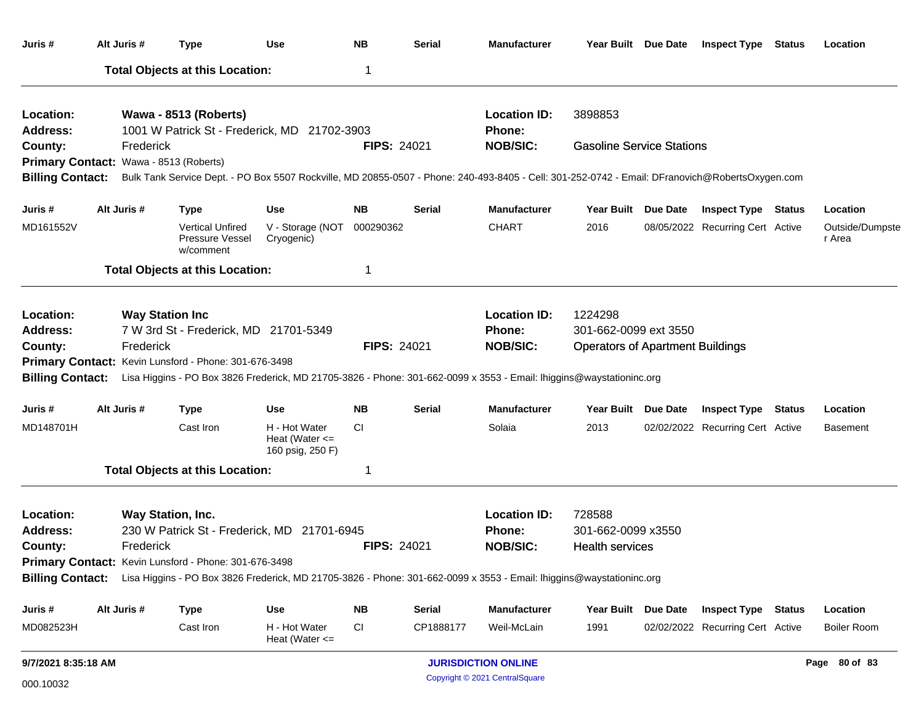| Juris #                                |             | Alt Juris #            | <b>Type</b>                                                                                                                                     | <b>Use</b>                                              | <b>NB</b>          | <b>Serial</b> | Manufacturer                         |                                         | Year Built Due Date | <b>Inspect Type Status</b>       | Location                  |
|----------------------------------------|-------------|------------------------|-------------------------------------------------------------------------------------------------------------------------------------------------|---------------------------------------------------------|--------------------|---------------|--------------------------------------|-----------------------------------------|---------------------|----------------------------------|---------------------------|
|                                        |             |                        | <b>Total Objects at this Location:</b>                                                                                                          |                                                         | 1                  |               |                                      |                                         |                     |                                  |                           |
| Location:<br>Address:                  |             |                        | Wawa - 8513 (Roberts)<br>1001 W Patrick St - Frederick, MD 21702-3903                                                                           |                                                         |                    |               | <b>Location ID:</b><br><b>Phone:</b> | 3898853                                 |                     |                                  |                           |
| County:                                |             | Frederick              |                                                                                                                                                 |                                                         | <b>FIPS: 24021</b> |               | <b>NOB/SIC:</b>                      | <b>Gasoline Service Stations</b>        |                     |                                  |                           |
| Primary Contact: Wawa - 8513 (Roberts) |             |                        |                                                                                                                                                 |                                                         |                    |               |                                      |                                         |                     |                                  |                           |
| <b>Billing Contact:</b>                |             |                        | Bulk Tank Service Dept. - PO Box 5507 Rockville, MD 20855-0507 - Phone: 240-493-8405 - Cell: 301-252-0742 - Email: DFranovich@RobertsOxygen.com |                                                         |                    |               |                                      |                                         |                     |                                  |                           |
| Juris #                                | Alt Juris # |                        | <b>Type</b>                                                                                                                                     | Use                                                     | <b>NB</b>          | <b>Serial</b> | <b>Manufacturer</b>                  | Year Built Due Date                     |                     | <b>Inspect Type Status</b>       | Location                  |
| MD161552V                              |             |                        | <b>Vertical Unfired</b><br>Pressure Vessel<br>w/comment                                                                                         | V - Storage (NOT<br>Cryogenic)                          | 000290362          |               | <b>CHART</b>                         | 2016                                    |                     | 08/05/2022 Recurring Cert Active | Outside/Dumpste<br>r Area |
|                                        |             |                        | <b>Total Objects at this Location:</b>                                                                                                          |                                                         | 1                  |               |                                      |                                         |                     |                                  |                           |
| Location:                              |             | <b>Way Station Inc</b> |                                                                                                                                                 |                                                         |                    |               | <b>Location ID:</b>                  | 1224298                                 |                     |                                  |                           |
| <b>Address:</b>                        |             |                        | 7 W 3rd St - Frederick, MD 21701-5349                                                                                                           |                                                         |                    |               | Phone:                               | 301-662-0099 ext 3550                   |                     |                                  |                           |
| County:                                |             | Frederick              |                                                                                                                                                 |                                                         | <b>FIPS: 24021</b> |               | <b>NOB/SIC:</b>                      | <b>Operators of Apartment Buildings</b> |                     |                                  |                           |
|                                        |             |                        | Primary Contact: Kevin Lunsford - Phone: 301-676-3498                                                                                           |                                                         |                    |               |                                      |                                         |                     |                                  |                           |
| <b>Billing Contact:</b>                |             |                        | Lisa Higgins - PO Box 3826 Frederick, MD 21705-3826 - Phone: 301-662-0099 x 3553 - Email: Ihiggins@waystationinc.org                            |                                                         |                    |               |                                      |                                         |                     |                                  |                           |
| Juris #                                |             | Alt Juris #            | <b>Type</b>                                                                                                                                     | Use                                                     | <b>NB</b>          | <b>Serial</b> | <b>Manufacturer</b>                  | Year Built Due Date                     |                     | <b>Inspect Type Status</b>       | Location                  |
| MD148701H                              |             |                        | Cast Iron                                                                                                                                       | H - Hot Water<br>Heat (Water $\leq$<br>160 psig, 250 F) | CI.                |               | Solaia                               | 2013                                    |                     | 02/02/2022 Recurring Cert Active | <b>Basement</b>           |
|                                        |             |                        | <b>Total Objects at this Location:</b>                                                                                                          |                                                         | 1                  |               |                                      |                                         |                     |                                  |                           |
| Location:                              |             |                        | Way Station, Inc.                                                                                                                               |                                                         |                    |               | <b>Location ID:</b>                  | 728588                                  |                     |                                  |                           |
| Address:                               |             |                        | 230 W Patrick St - Frederick, MD 21701-6945                                                                                                     |                                                         |                    |               | <b>Phone:</b>                        | 301-662-0099 x3550                      |                     |                                  |                           |
| County:                                |             | Frederick              |                                                                                                                                                 |                                                         | <b>FIPS: 24021</b> |               | <b>NOB/SIC:</b>                      | <b>Health services</b>                  |                     |                                  |                           |
|                                        |             |                        | Primary Contact: Kevin Lunsford - Phone: 301-676-3498                                                                                           |                                                         |                    |               |                                      |                                         |                     |                                  |                           |
|                                        |             |                        | Billing Contact: Lisa Higgins - PO Box 3826 Frederick, MD 21705-3826 - Phone: 301-662-0099 x 3553 - Email: Ihiggins@waystationinc.org           |                                                         |                    |               |                                      |                                         |                     |                                  |                           |
| Juris #                                | Alt Juris # |                        | Type                                                                                                                                            | <b>Use</b>                                              | <b>NB</b>          | <b>Serial</b> | Manufacturer                         | Year Built Due Date                     |                     | <b>Inspect Type Status</b>       | Location                  |
| MD082523H                              |             |                        | Cast Iron                                                                                                                                       | H - Hot Water<br>Heat (Water $\leq$                     | CI                 | CP1888177     | Weil-McLain                          | 1991                                    |                     | 02/02/2022 Recurring Cert Active | <b>Boiler Room</b>        |
| 9/7/2021 8:35:18 AM                    |             |                        |                                                                                                                                                 |                                                         |                    |               | <b>JURISDICTION ONLINE</b>           |                                         |                     |                                  | Page 80 of 83             |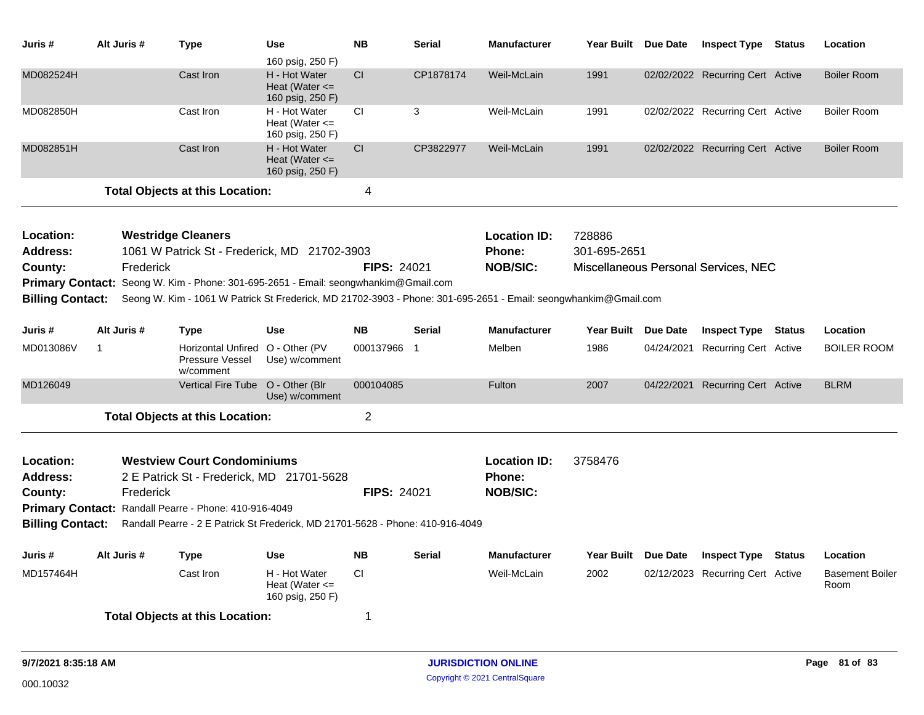| Juris#                           | Alt Juris # | <b>Type</b>                                                                                                     | <b>Use</b><br>160 psig, 250 F)                          | <b>NB</b>      | <b>Serial</b> | <b>Manufacturer</b>                              | Year Built Due Date    |                 | <b>Inspect Type Status</b>           |               | Location                       |
|----------------------------------|-------------|-----------------------------------------------------------------------------------------------------------------|---------------------------------------------------------|----------------|---------------|--------------------------------------------------|------------------------|-----------------|--------------------------------------|---------------|--------------------------------|
| MD082524H                        |             | Cast Iron                                                                                                       | H - Hot Water<br>Heat (Water $\leq$<br>160 psig, 250 F) | CI             | CP1878174     | Weil-McLain                                      | 1991                   |                 | 02/02/2022 Recurring Cert Active     |               | <b>Boiler Room</b>             |
| MD082850H                        |             | Cast Iron                                                                                                       | H - Hot Water<br>Heat (Water $\leq$<br>160 psig, 250 F) | <b>CI</b>      | 3             | Weil-McLain                                      | 1991                   |                 | 02/02/2022 Recurring Cert Active     |               | <b>Boiler Room</b>             |
| MD082851H                        |             | Cast Iron                                                                                                       | H - Hot Water<br>Heat (Water $\leq$<br>160 psig, 250 F) | CI.            | CP3822977     | Weil-McLain                                      | 1991                   |                 | 02/02/2022 Recurring Cert Active     |               | <b>Boiler Room</b>             |
|                                  |             | <b>Total Objects at this Location:</b>                                                                          |                                                         | 4              |               |                                                  |                        |                 |                                      |               |                                |
| Location:<br><b>Address:</b>     |             | <b>Westridge Cleaners</b>                                                                                       |                                                         |                |               | <b>Location ID:</b>                              | 728886<br>301-695-2651 |                 |                                      |               |                                |
| County:                          | Frederick   | 1061 W Patrick St - Frederick, MD 21702-3903                                                                    |                                                         | FIPS: 24021    |               | <b>Phone:</b><br><b>NOB/SIC:</b>                 |                        |                 | Miscellaneous Personal Services, NEC |               |                                |
|                                  |             | Primary Contact: Seong W. Kim - Phone: 301-695-2651 - Email: seongwhankim@Gmail.com                             |                                                         |                |               |                                                  |                        |                 |                                      |               |                                |
| <b>Billing Contact:</b>          |             | Seong W. Kim - 1061 W Patrick St Frederick, MD 21702-3903 - Phone: 301-695-2651 - Email: seongwhankim@Gmail.com |                                                         |                |               |                                                  |                        |                 |                                      |               |                                |
| Juris #                          | Alt Juris # | <b>Type</b>                                                                                                     | <b>Use</b>                                              | <b>NB</b>      | <b>Serial</b> | <b>Manufacturer</b>                              | Year Built Due Date    |                 | <b>Inspect Type Status</b>           |               | Location                       |
| MD013086V                        | -1          | <b>Horizontal Unfired</b><br><b>Pressure Vessel</b><br>w/comment                                                | O - Other (PV<br>Use) w/comment                         | 000137966 1    |               | Melben                                           | 1986                   |                 | 04/24/2021 Recurring Cert Active     |               | <b>BOILER ROOM</b>             |
| MD126049                         |             | <b>Vertical Fire Tube</b>                                                                                       | O - Other (Blr<br>Use) w/comment                        | 000104085      |               | <b>Fulton</b>                                    | 2007                   | 04/22/2021      | <b>Recurring Cert Active</b>         |               | <b>BLRM</b>                    |
|                                  |             | <b>Total Objects at this Location:</b>                                                                          |                                                         | $\overline{2}$ |               |                                                  |                        |                 |                                      |               |                                |
| Location:<br>Address:<br>County: | Frederick   | <b>Westview Court Condominiums</b><br>2 E Patrick St - Frederick, MD 21701-5628                                 |                                                         | FIPS: 24021    |               | <b>Location ID:</b><br>Phone:<br><b>NOB/SIC:</b> | 3758476                |                 |                                      |               |                                |
|                                  |             | Primary Contact: Randall Pearre - Phone: 410-916-4049                                                           |                                                         |                |               |                                                  |                        |                 |                                      |               |                                |
| <b>Billing Contact:</b>          |             | Randall Pearre - 2 E Patrick St Frederick, MD 21701-5628 - Phone: 410-916-4049                                  |                                                         |                |               |                                                  |                        |                 |                                      |               |                                |
| Juris #                          | Alt Juris # | <b>Type</b>                                                                                                     | Use                                                     | <b>NB</b>      | <b>Serial</b> | <b>Manufacturer</b>                              | <b>Year Built</b>      | <b>Due Date</b> | <b>Inspect Type</b>                  | <b>Status</b> | Location                       |
| MD157464H                        |             | Cast Iron                                                                                                       | H - Hot Water<br>Heat (Water $\leq$<br>160 psig, 250 F) | <b>CI</b>      |               | Weil-McLain                                      | 2002                   |                 | 02/12/2023 Recurring Cert Active     |               | <b>Basement Boiler</b><br>Room |
|                                  |             | <b>Total Objects at this Location:</b>                                                                          |                                                         | 1              |               |                                                  |                        |                 |                                      |               |                                |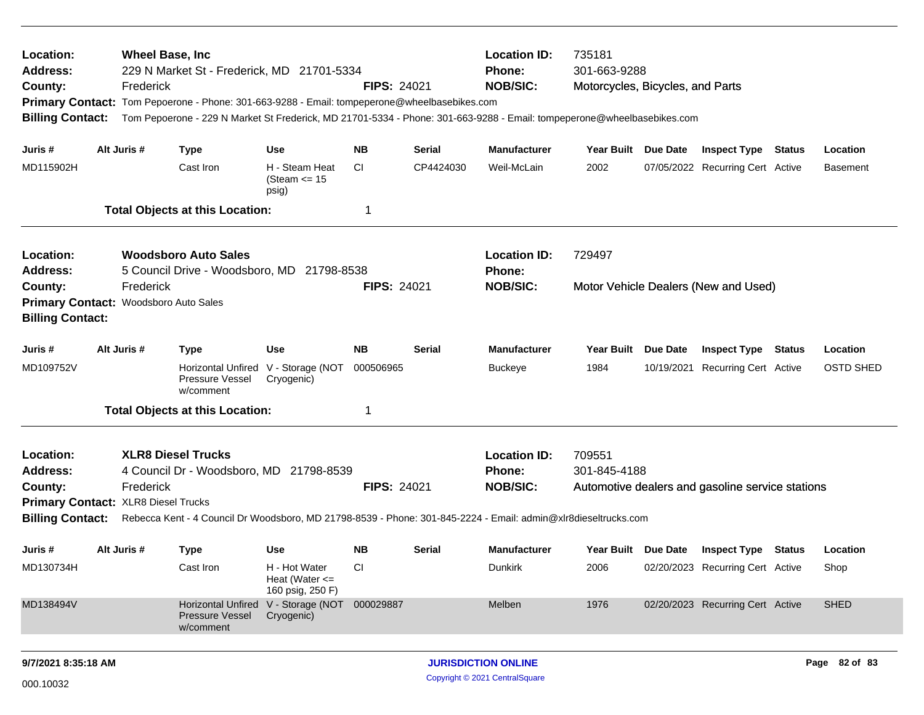| Location:<br><b>Address:</b><br>County:<br><b>Billing Contact:</b>          | <b>Wheel Base, Inc.</b><br>Frederick | 229 N Market St - Frederick, MD 21701-5334<br>Primary Contact: Tom Pepoerone - Phone: 301-663-9288 - Email: tompeperone@wheelbasebikes.com |                                                         | <b>FIPS: 24021</b> |           | <b>Location ID:</b><br>Phone:<br><b>NOB/SIC:</b> | 735181<br>301-663-9288<br>Motorcycles, Bicycles, and Parts<br>Tom Pepoerone - 229 N Market St Frederick, MD 21701-5334 - Phone: 301-663-9288 - Email: tompeperone@wheelbasebikes.com |  |                                                  |  |                  |
|-----------------------------------------------------------------------------|--------------------------------------|--------------------------------------------------------------------------------------------------------------------------------------------|---------------------------------------------------------|--------------------|-----------|--------------------------------------------------|--------------------------------------------------------------------------------------------------------------------------------------------------------------------------------------|--|--------------------------------------------------|--|------------------|
| Juris #                                                                     | Alt Juris #                          | <b>Type</b>                                                                                                                                | <b>Use</b>                                              | NB.                | Serial    | <b>Manufacturer</b>                              | Year Built Due Date                                                                                                                                                                  |  | <b>Inspect Type Status</b>                       |  | Location         |
| MD115902H                                                                   |                                      | Cast Iron                                                                                                                                  | H - Steam Heat<br>(Steam $\le$ 15<br>psig)              | <b>CI</b>          | CP4424030 | Weil-McLain                                      | 2002                                                                                                                                                                                 |  | 07/05/2022 Recurring Cert Active                 |  | <b>Basement</b>  |
|                                                                             |                                      | <b>Total Objects at this Location:</b>                                                                                                     |                                                         | 1                  |           |                                                  |                                                                                                                                                                                      |  |                                                  |  |                  |
| Location:<br><b>Address:</b>                                                |                                      | <b>Woodsboro Auto Sales</b><br>5 Council Drive - Woodsboro, MD 21798-8538                                                                  |                                                         |                    |           | <b>Location ID:</b><br><b>Phone:</b>             | 729497                                                                                                                                                                               |  |                                                  |  |                  |
| County:<br>Primary Contact: Woodsboro Auto Sales<br><b>Billing Contact:</b> | Frederick                            |                                                                                                                                            |                                                         | <b>FIPS: 24021</b> |           | <b>NOB/SIC:</b>                                  | Motor Vehicle Dealers (New and Used)                                                                                                                                                 |  |                                                  |  |                  |
| Juris #                                                                     | Alt Juris #                          | <b>Type</b>                                                                                                                                | <b>Use</b>                                              | <b>NB</b>          | Serial    | <b>Manufacturer</b>                              | Year Built Due Date                                                                                                                                                                  |  | <b>Inspect Type Status</b>                       |  | Location         |
| MD109752V                                                                   |                                      | Pressure Vessel<br>w/comment                                                                                                               | Horizontal Unfired V - Storage (NOT<br>Cryogenic)       | 000506965          |           | <b>Buckeye</b>                                   | 1984                                                                                                                                                                                 |  | 10/19/2021 Recurring Cert Active                 |  | <b>OSTD SHED</b> |
|                                                                             |                                      | <b>Total Objects at this Location:</b>                                                                                                     |                                                         | 1                  |           |                                                  |                                                                                                                                                                                      |  |                                                  |  |                  |
| Location:<br>Address:                                                       |                                      | <b>XLR8 Diesel Trucks</b><br>4 Council Dr - Woodsboro, MD 21798-8539                                                                       |                                                         |                    |           | <b>Location ID:</b><br><b>Phone:</b>             | 709551<br>301-845-4188                                                                                                                                                               |  |                                                  |  |                  |
| County:<br>Primary Contact: XLR8 Diesel Trucks                              | Frederick                            |                                                                                                                                            |                                                         | <b>FIPS: 24021</b> |           | <b>NOB/SIC:</b>                                  |                                                                                                                                                                                      |  | Automotive dealers and gasoline service stations |  |                  |
|                                                                             |                                      | Billing Contact: Rebecca Kent - 4 Council Dr Woodsboro, MD 21798-8539 - Phone: 301-845-2224 - Email: admin@xlr8dieseltrucks.com            |                                                         |                    |           |                                                  |                                                                                                                                                                                      |  |                                                  |  |                  |
| Juris #                                                                     | Alt Juris #                          | Type                                                                                                                                       | Use                                                     | NB.                | Serial    | Manufacturer                                     |                                                                                                                                                                                      |  | Year Built Due Date Inspect Type Status          |  | Location         |
| MD130734H                                                                   |                                      | Cast Iron                                                                                                                                  | H - Hot Water<br>Heat (Water $\leq$<br>160 psig, 250 F) | <b>CI</b>          |           | Dunkirk                                          | 2006                                                                                                                                                                                 |  | 02/20/2023 Recurring Cert Active                 |  | Shop             |
| MD138494V                                                                   |                                      | <b>Horizontal Unfired</b><br><b>Pressure Vessel</b><br>w/comment                                                                           | V - Storage (NOT 000029887<br>Cryogenic)                |                    |           | Melben                                           | 1976                                                                                                                                                                                 |  | 02/20/2023 Recurring Cert Active                 |  | <b>SHED</b>      |
| 9/7/2021 8:35:18 AM                                                         |                                      |                                                                                                                                            |                                                         |                    |           | <b>JURISDICTION ONLINE</b>                       |                                                                                                                                                                                      |  |                                                  |  | Page 82 of 83    |